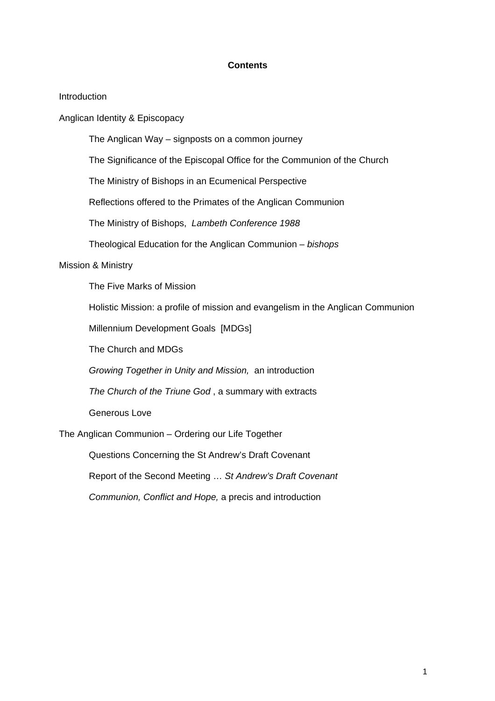#### **Contents**

#### Introduction

Anglican Identity & Episcopacy

The Anglican Way – signposts on a common journey

The Significance of the Episcopal Office for the Communion of the Church

The Ministry of Bishops in an Ecumenical Perspective

Reflections offered to the Primates of the Anglican Communion

The Ministry of Bishops, *Lambeth Conference 1988* 

Theological Education for the Anglican Communion – *bishops* 

#### Mission & Ministry

The Five Marks of Mission

Holistic Mission: a profile of mission and evangelism in the Anglican Communion

Millennium Development Goals [MDGs]

The Church and MDGs

*Growing Together in Unity and Mission,* an introduction

*The Church of the Triune God* , a summary with extracts

Generous Love

The Anglican Communion – Ordering our Life Together

Questions Concerning the St Andrew's Draft Covenant

Report of the Second Meeting … *St Andrew's Draft Covenant* 

 *Communion, Conflict and Hope,* a precis and introduction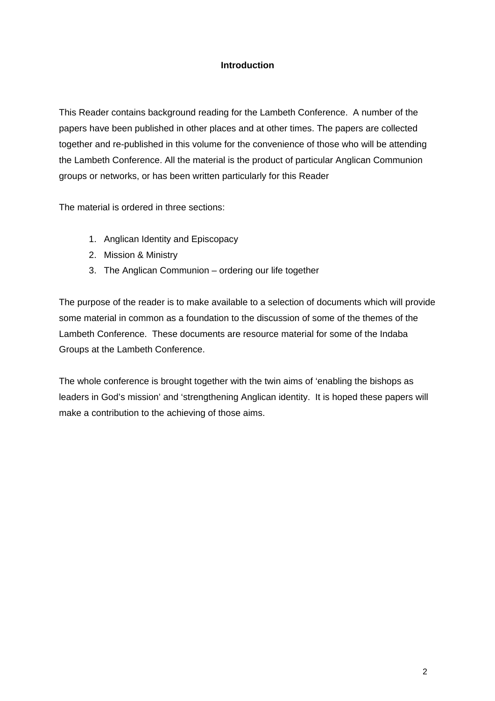### **Introduction**

This Reader contains background reading for the Lambeth Conference. A number of the papers have been published in other places and at other times. The papers are collected together and re-published in this volume for the convenience of those who will be attending the Lambeth Conference. All the material is the product of particular Anglican Communion groups or networks, or has been written particularly for this Reader

The material is ordered in three sections:

- 1. Anglican Identity and Episcopacy
- 2. Mission & Ministry
- 3. The Anglican Communion ordering our life together

The purpose of the reader is to make available to a selection of documents which will provide some material in common as a foundation to the discussion of some of the themes of the Lambeth Conference. These documents are resource material for some of the Indaba Groups at the Lambeth Conference.

The whole conference is brought together with the twin aims of 'enabling the bishops as leaders in God's mission' and 'strengthening Anglican identity. It is hoped these papers will make a contribution to the achieving of those aims.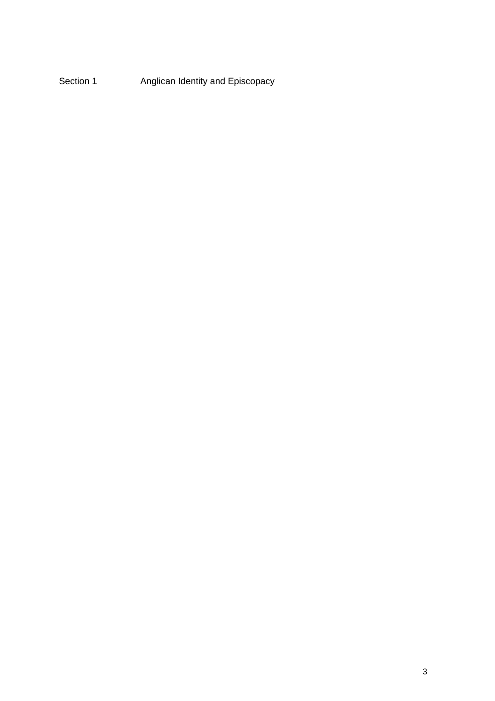Section 1 Anglican Identity and Episcopacy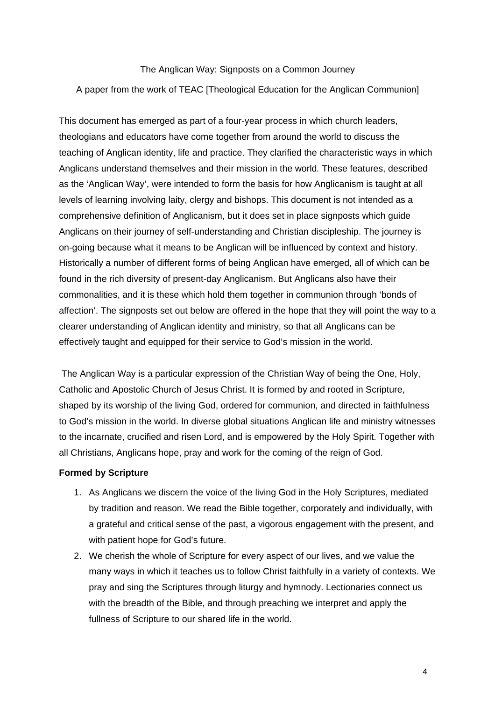# The Anglican Way: Signposts on a Common Journey A paper from the work of TEAC [Theological Education for the Anglican Communion]

This document has emerged as part of a four-year process in which church leaders, theologians and educators have come together from around the world to discuss the teaching of Anglican identity, life and practice. They clarified the characteristic ways in which Anglicans understand themselves and their mission in the world*.* These features, described as the 'Anglican Way', were intended to form the basis for how Anglicanism is taught at all levels of learning involving laity, clergy and bishops. This document is not intended as a comprehensive definition of Anglicanism, but it does set in place signposts which guide Anglicans on their journey of self-understanding and Christian discipleship. The journey is on-going because what it means to be Anglican will be influenced by context and history. Historically a number of different forms of being Anglican have emerged, all of which can be found in the rich diversity of present-day Anglicanism. But Anglicans also have their commonalities, and it is these which hold them together in communion through 'bonds of affection'. The signposts set out below are offered in the hope that they will point the way to a clearer understanding of Anglican identity and ministry, so that all Anglicans can be effectively taught and equipped for their service to God's mission in the world.

 The Anglican Way is a particular expression of the Christian Way of being the One, Holy, Catholic and Apostolic Church of Jesus Christ. It is formed by and rooted in Scripture, shaped by its worship of the living God, ordered for communion, and directed in faithfulness to God's mission in the world. In diverse global situations Anglican life and ministry witnesses to the incarnate, crucified and risen Lord, and is empowered by the Holy Spirit. Together with all Christians, Anglicans hope, pray and work for the coming of the reign of God.

### **Formed by Scripture**

- 1. As Anglicans we discern the voice of the living God in the Holy Scriptures, mediated by tradition and reason. We read the Bible together, corporately and individually, with a grateful and critical sense of the past, a vigorous engagement with the present, and with patient hope for God's future.
- 2. We cherish the whole of Scripture for every aspect of our lives, and we value the many ways in which it teaches us to follow Christ faithfully in a variety of contexts. We pray and sing the Scriptures through liturgy and hymnody. Lectionaries connect us with the breadth of the Bible, and through preaching we interpret and apply the fullness of Scripture to our shared life in the world.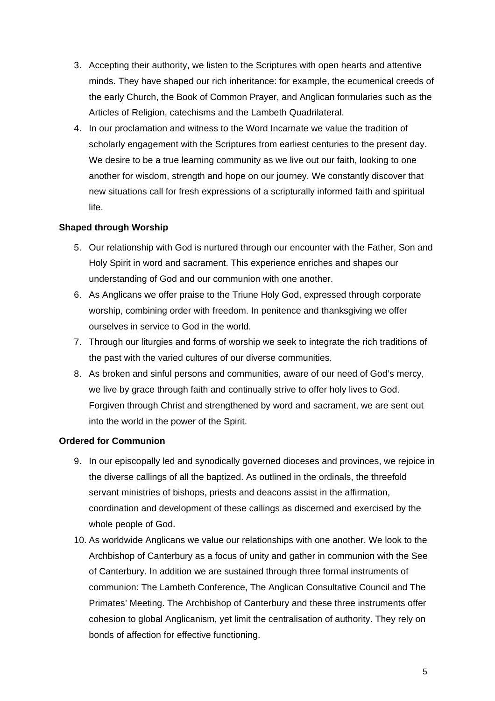- 3. Accepting their authority, we listen to the Scriptures with open hearts and attentive minds. They have shaped our rich inheritance: for example, the ecumenical creeds of the early Church, the Book of Common Prayer, and Anglican formularies such as the Articles of Religion, catechisms and the Lambeth Quadrilateral.
- 4. In our proclamation and witness to the Word Incarnate we value the tradition of scholarly engagement with the Scriptures from earliest centuries to the present day. We desire to be a true learning community as we live out our faith, looking to one another for wisdom, strength and hope on our journey. We constantly discover that new situations call for fresh expressions of a scripturally informed faith and spiritual life.

### **Shaped through Worship**

- 5. Our relationship with God is nurtured through our encounter with the Father, Son and Holy Spirit in word and sacrament. This experience enriches and shapes our understanding of God and our communion with one another.
- 6. As Anglicans we offer praise to the Triune Holy God, expressed through corporate worship, combining order with freedom. In penitence and thanksgiving we offer ourselves in service to God in the world.
- 7. Through our liturgies and forms of worship we seek to integrate the rich traditions of the past with the varied cultures of our diverse communities.
- 8. As broken and sinful persons and communities, aware of our need of God's mercy, we live by grace through faith and continually strive to offer holy lives to God. Forgiven through Christ and strengthened by word and sacrament, we are sent out into the world in the power of the Spirit.

### **Ordered for Communion**

- 9. In our episcopally led and synodically governed dioceses and provinces, we rejoice in the diverse callings of all the baptized. As outlined in the ordinals, the threefold servant ministries of bishops, priests and deacons assist in the affirmation, coordination and development of these callings as discerned and exercised by the whole people of God.
- 10. As worldwide Anglicans we value our relationships with one another. We look to the Archbishop of Canterbury as a focus of unity and gather in communion with the See of Canterbury. In addition we are sustained through three formal instruments of communion: The Lambeth Conference, The Anglican Consultative Council and The Primates' Meeting. The Archbishop of Canterbury and these three instruments offer cohesion to global Anglicanism, yet limit the centralisation of authority. They rely on bonds of affection for effective functioning.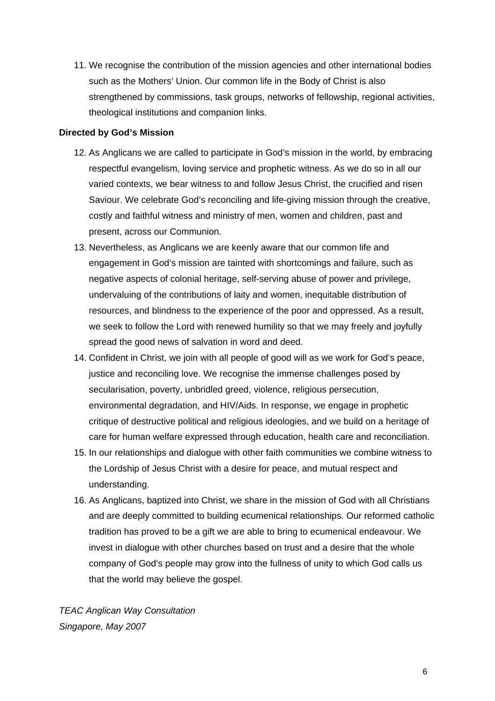11. We recognise the contribution of the mission agencies and other international bodies such as the Mothers' Union. Our common life in the Body of Christ is also strengthened by commissions, task groups, networks of fellowship, regional activities, theological institutions and companion links.

#### **Directed by God's Mission**

- 12. As Anglicans we are called to participate in God's mission in the world, by embracing respectful evangelism, loving service and prophetic witness. As we do so in all our varied contexts, we bear witness to and follow Jesus Christ, the crucified and risen Saviour. We celebrate God's reconciling and life-giving mission through the creative, costly and faithful witness and ministry of men, women and children, past and present, across our Communion.
- 13. Nevertheless, as Anglicans we are keenly aware that our common life and engagement in God's mission are tainted with shortcomings and failure, such as negative aspects of colonial heritage, self-serving abuse of power and privilege, undervaluing of the contributions of laity and women, inequitable distribution of resources, and blindness to the experience of the poor and oppressed. As a result, we seek to follow the Lord with renewed humility so that we may freely and joyfully spread the good news of salvation in word and deed.
- 14. Confident in Christ, we join with all people of good will as we work for God's peace, justice and reconciling love. We recognise the immense challenges posed by secularisation, poverty, unbridled greed, violence, religious persecution, environmental degradation, and HIV/Aids. In response, we engage in prophetic critique of destructive political and religious ideologies, and we build on a heritage of care for human welfare expressed through education, health care and reconciliation.
- 15. In our relationships and dialogue with other faith communities we combine witness to the Lordship of Jesus Christ with a desire for peace, and mutual respect and understanding.
- 16. As Anglicans, baptized into Christ, we share in the mission of God with all Christians and are deeply committed to building ecumenical relationships. Our reformed catholic tradition has proved to be a gift we are able to bring to ecumenical endeavour. We invest in dialogue with other churches based on trust and a desire that the whole company of God's people may grow into the fullness of unity to which God calls us that the world may believe the gospel.

*TEAC Anglican Way Consultation Singapore, May 2007*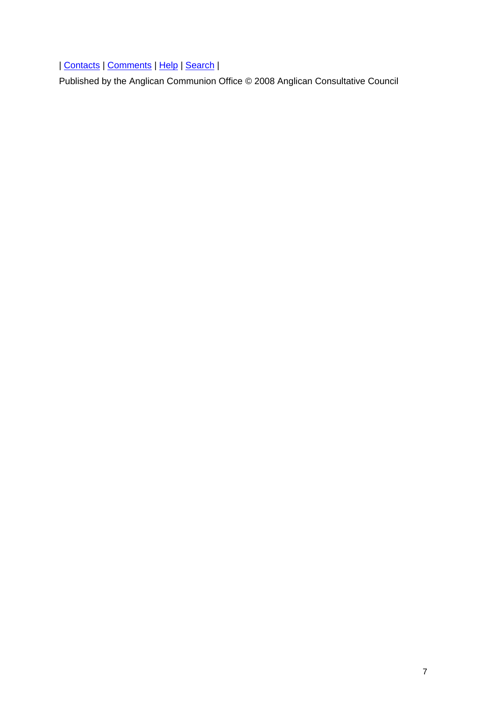| Contacts | Comments | Help | Search |

Published by the Anglican Communion Office © 2008 Anglican Consultative Council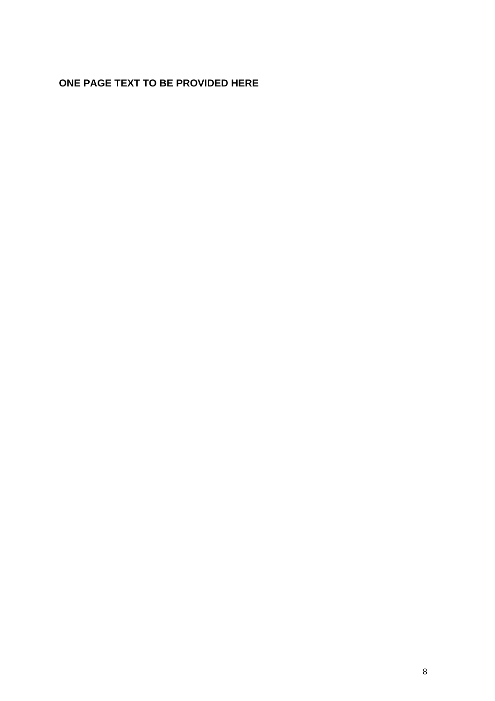## **ONE PAGE TEXT TO BE PROVIDED HERE**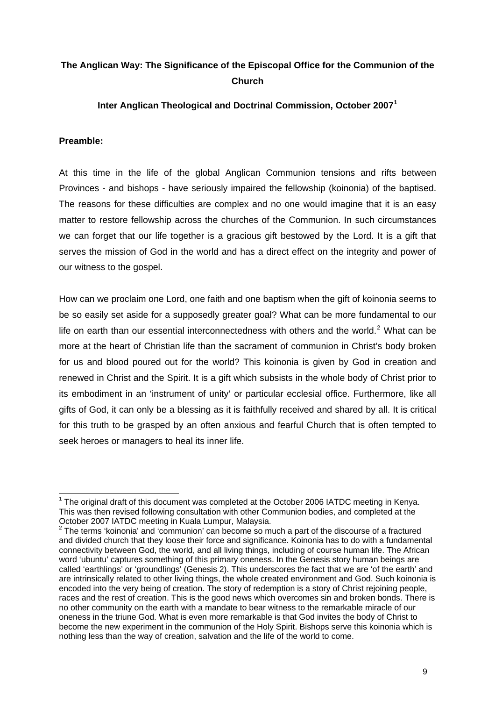## <span id="page-8-0"></span>**The Anglican Way: The Significance of the Episcopal Office for the Communion of the Church**

### **Inter Anglican Theological and Doctrinal Commission, October 2007[1](#page-8-0)**

### **Preamble:**

At this time in the life of the global Anglican Communion tensions and rifts between Provinces - and bishops - have seriously impaired the fellowship (koinonia) of the baptised. The reasons for these difficulties are complex and no one would imagine that it is an easy matter to restore fellowship across the churches of the Communion. In such circumstances we can forget that our life together is a gracious gift bestowed by the Lord. It is a gift that serves the mission of God in the world and has a direct effect on the integrity and power of our witness to the gospel.

How can we proclaim one Lord, one faith and one baptism when the gift of koinonia seems to be so easily set aside for a supposedly greater goal? What can be more fundamental to our life on earth than our essential interconnectedness with others and the world.<sup>[2](#page-8-0)</sup> What can be more at the heart of Christian life than the sacrament of communion in Christ's body broken for us and blood poured out for the world? This koinonia is given by God in creation and renewed in Christ and the Spirit. It is a gift which subsists in the whole body of Christ prior to its embodiment in an 'instrument of unity' or particular ecclesial office. Furthermore, like all gifts of God, it can only be a blessing as it is faithfully received and shared by all. It is critical for this truth to be grasped by an often anxious and fearful Church that is often tempted to seek heroes or managers to heal its inner life.

  $1$  The original draft of this document was completed at the October 2006 IATDC meeting in Kenya. This was then revised following consultation with other Communion bodies, and completed at the October 2007 IATDC meeting in Kuala Lumpur, Malaysia.

 $2$  The terms 'koinonia' and 'communion' can become so much a part of the discourse of a fractured and divided church that they loose their force and significance. Koinonia has to do with a fundamental connectivity between God, the world, and all living things, including of course human life. The African word 'ubuntu' captures something of this primary oneness. In the Genesis story human beings are called 'earthlings' or 'groundlings' (Genesis 2). This underscores the fact that we are 'of the earth' and are intrinsically related to other living things, the whole created environment and God. Such koinonia is encoded into the very being of creation. The story of redemption is a story of Christ rejoining people, races and the rest of creation. This is the good news which overcomes sin and broken bonds. There is no other community on the earth with a mandate to bear witness to the remarkable miracle of our oneness in the triune God. What is even more remarkable is that God invites the body of Christ to become the new experiment in the communion of the Holy Spirit. Bishops serve this koinonia which is nothing less than the way of creation, salvation and the life of the world to come.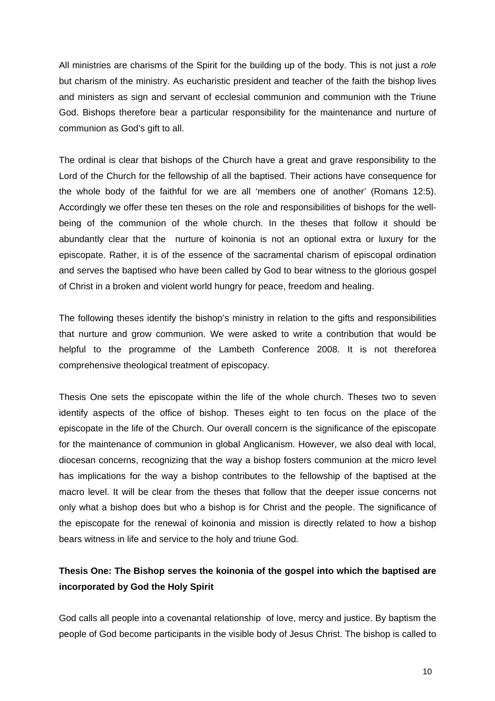All ministries are charisms of the Spirit for the building up of the body. This is not just a *role* but charism of the ministry. As eucharistic president and teacher of the faith the bishop lives and ministers as sign and servant of ecclesial communion and communion with the Triune God. Bishops therefore bear a particular responsibility for the maintenance and nurture of communion as God's gift to all.

The ordinal is clear that bishops of the Church have a great and grave responsibility to the Lord of the Church for the fellowship of all the baptised. Their actions have consequence for the whole body of the faithful for we are all 'members one of another' (Romans 12:5). Accordingly we offer these ten theses on the role and responsibilities of bishops for the wellbeing of the communion of the whole church. In the theses that follow it should be abundantly clear that the nurture of koinonia is not an optional extra or luxury for the episcopate. Rather, it is of the essence of the sacramental charism of episcopal ordination and serves the baptised who have been called by God to bear witness to the glorious gospel of Christ in a broken and violent world hungry for peace, freedom and healing.

The following theses identify the bishop's ministry in relation to the gifts and responsibilities that nurture and grow communion. We were asked to write a contribution that would be helpful to the programme of the Lambeth Conference 2008. It is not thereforea comprehensive theological treatment of episcopacy.

Thesis One sets the episcopate within the life of the whole church. Theses two to seven identify aspects of the office of bishop. Theses eight to ten focus on the place of the episcopate in the life of the Church. Our overall concern is the significance of the episcopate for the maintenance of communion in global Anglicanism. However, we also deal with local, diocesan concerns, recognizing that the way a bishop fosters communion at the micro level has implications for the way a bishop contributes to the fellowship of the baptised at the macro level. It will be clear from the theses that follow that the deeper issue concerns not only what a bishop does but who a bishop is for Christ and the people. The significance of the episcopate for the renewal of koinonia and mission is directly related to how a bishop bears witness in life and service to the holy and triune God.

## **Thesis One: The Bishop serves the koinonia of the gospel into which the baptised are incorporated by God the Holy Spirit**

God calls all people into a covenantal relationship of love, mercy and justice. By baptism the people of God become participants in the visible body of Jesus Christ. The bishop is called to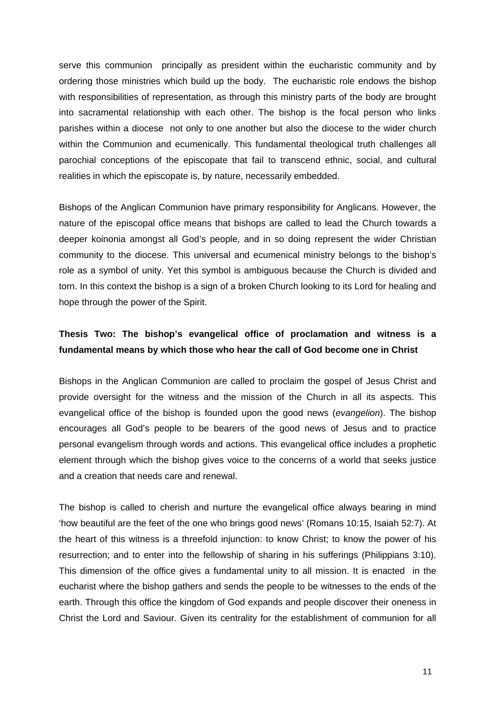serve this communion principally as president within the eucharistic community and by ordering those ministries which build up the body. The eucharistic role endows the bishop with responsibilities of representation, as through this ministry parts of the body are brought into sacramental relationship with each other. The bishop is the focal person who links parishes within a diocese not only to one another but also the diocese to the wider church within the Communion and ecumenically. This fundamental theological truth challenges all parochial conceptions of the episcopate that fail to transcend ethnic, social, and cultural realities in which the episcopate is, by nature, necessarily embedded.

Bishops of the Anglican Communion have primary responsibility for Anglicans. However, the nature of the episcopal office means that bishops are called to lead the Church towards a deeper koinonia amongst all God's people, and in so doing represent the wider Christian community to the diocese. This universal and ecumenical ministry belongs to the bishop's role as a symbol of unity. Yet this symbol is ambiguous because the Church is divided and torn. In this context the bishop is a sign of a broken Church looking to its Lord for healing and hope through the power of the Spirit.

## **Thesis Two: The bishop's evangelical office of proclamation and witness is a fundamental means by which those who hear the call of God become one in Christ**

Bishops in the Anglican Communion are called to proclaim the gospel of Jesus Christ and provide oversight for the witness and the mission of the Church in all its aspects. This evangelical office of the bishop is founded upon the good news (*evangelion*). The bishop encourages all God's people to be bearers of the good news of Jesus and to practice personal evangelism through words and actions. This evangelical office includes a prophetic element through which the bishop gives voice to the concerns of a world that seeks justice and a creation that needs care and renewal.

The bishop is called to cherish and nurture the evangelical office always bearing in mind 'how beautiful are the feet of the one who brings good news' (Romans 10:15, Isaiah 52:7). At the heart of this witness is a threefold injunction: to know Christ; to know the power of his resurrection; and to enter into the fellowship of sharing in his sufferings (Philippians 3:10). This dimension of the office gives a fundamental unity to all mission. It is enacted in the eucharist where the bishop gathers and sends the people to be witnesses to the ends of the earth. Through this office the kingdom of God expands and people discover their oneness in Christ the Lord and Saviour. Given its centrality for the establishment of communion for all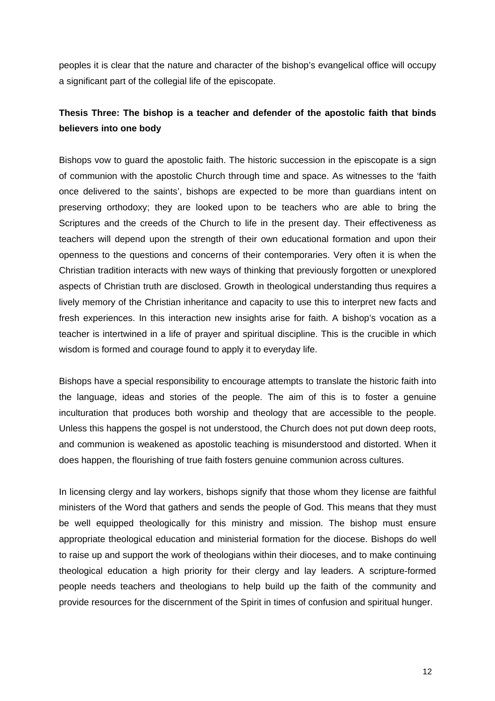peoples it is clear that the nature and character of the bishop's evangelical office will occupy a significant part of the collegial life of the episcopate.

## **Thesis Three: The bishop is a teacher and defender of the apostolic faith that binds believers into one body**

Bishops vow to guard the apostolic faith. The historic succession in the episcopate is a sign of communion with the apostolic Church through time and space. As witnesses to the 'faith once delivered to the saints', bishops are expected to be more than guardians intent on preserving orthodoxy; they are looked upon to be teachers who are able to bring the Scriptures and the creeds of the Church to life in the present day. Their effectiveness as teachers will depend upon the strength of their own educational formation and upon their openness to the questions and concerns of their contemporaries. Very often it is when the Christian tradition interacts with new ways of thinking that previously forgotten or unexplored aspects of Christian truth are disclosed. Growth in theological understanding thus requires a lively memory of the Christian inheritance and capacity to use this to interpret new facts and fresh experiences. In this interaction new insights arise for faith. A bishop's vocation as a teacher is intertwined in a life of prayer and spiritual discipline. This is the crucible in which wisdom is formed and courage found to apply it to everyday life.

Bishops have a special responsibility to encourage attempts to translate the historic faith into the language, ideas and stories of the people. The aim of this is to foster a genuine inculturation that produces both worship and theology that are accessible to the people. Unless this happens the gospel is not understood, the Church does not put down deep roots, and communion is weakened as apostolic teaching is misunderstood and distorted. When it does happen, the flourishing of true faith fosters genuine communion across cultures.

In licensing clergy and lay workers, bishops signify that those whom they license are faithful ministers of the Word that gathers and sends the people of God. This means that they must be well equipped theologically for this ministry and mission. The bishop must ensure appropriate theological education and ministerial formation for the diocese. Bishops do well to raise up and support the work of theologians within their dioceses, and to make continuing theological education a high priority for their clergy and lay leaders. A scripture-formed people needs teachers and theologians to help build up the faith of the community and provide resources for the discernment of the Spirit in times of confusion and spiritual hunger.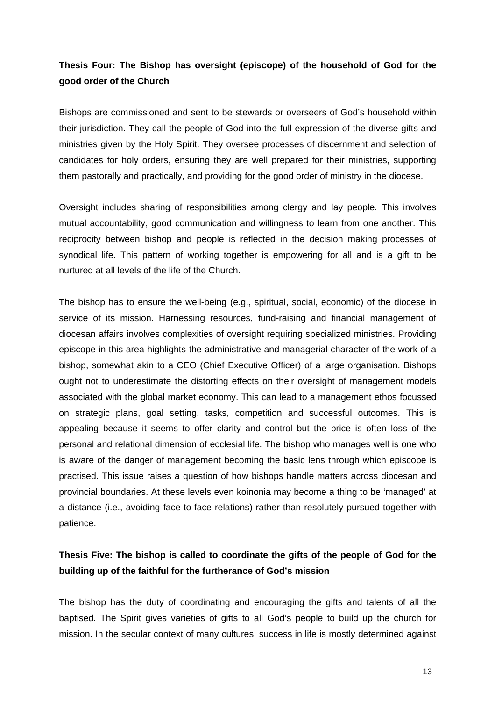## **Thesis Four: The Bishop has oversight (episcope) of the household of God for the good order of the Church**

Bishops are commissioned and sent to be stewards or overseers of God's household within their jurisdiction. They call the people of God into the full expression of the diverse gifts and ministries given by the Holy Spirit. They oversee processes of discernment and selection of candidates for holy orders, ensuring they are well prepared for their ministries, supporting them pastorally and practically, and providing for the good order of ministry in the diocese.

Oversight includes sharing of responsibilities among clergy and lay people. This involves mutual accountability, good communication and willingness to learn from one another. This reciprocity between bishop and people is reflected in the decision making processes of synodical life. This pattern of working together is empowering for all and is a gift to be nurtured at all levels of the life of the Church.

The bishop has to ensure the well-being (e.g., spiritual, social, economic) of the diocese in service of its mission. Harnessing resources, fund-raising and financial management of diocesan affairs involves complexities of oversight requiring specialized ministries. Providing episcope in this area highlights the administrative and managerial character of the work of a bishop, somewhat akin to a CEO (Chief Executive Officer) of a large organisation. Bishops ought not to underestimate the distorting effects on their oversight of management models associated with the global market economy. This can lead to a management ethos focussed on strategic plans, goal setting, tasks, competition and successful outcomes. This is appealing because it seems to offer clarity and control but the price is often loss of the personal and relational dimension of ecclesial life. The bishop who manages well is one who is aware of the danger of management becoming the basic lens through which episcope is practised. This issue raises a question of how bishops handle matters across diocesan and provincial boundaries. At these levels even koinonia may become a thing to be 'managed' at a distance (i.e., avoiding face-to-face relations) rather than resolutely pursued together with patience.

## **Thesis Five: The bishop is called to coordinate the gifts of the people of God for the building up of the faithful for the furtherance of God's mission**

The bishop has the duty of coordinating and encouraging the gifts and talents of all the baptised. The Spirit gives varieties of gifts to all God's people to build up the church for mission. In the secular context of many cultures, success in life is mostly determined against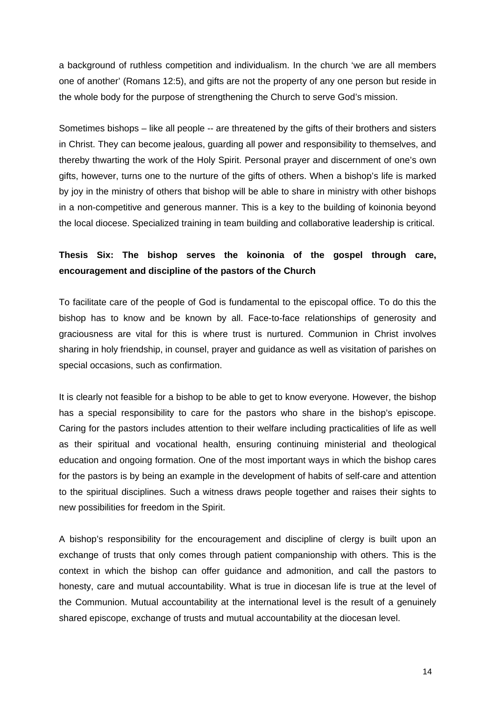a background of ruthless competition and individualism. In the church 'we are all members one of another' (Romans 12:5), and gifts are not the property of any one person but reside in the whole body for the purpose of strengthening the Church to serve God's mission.

Sometimes bishops – like all people -- are threatened by the gifts of their brothers and sisters in Christ. They can become jealous, guarding all power and responsibility to themselves, and thereby thwarting the work of the Holy Spirit. Personal prayer and discernment of one's own gifts, however, turns one to the nurture of the gifts of others. When a bishop's life is marked by joy in the ministry of others that bishop will be able to share in ministry with other bishops in a non-competitive and generous manner. This is a key to the building of koinonia beyond the local diocese. Specialized training in team building and collaborative leadership is critical.

## **Thesis Six: The bishop serves the koinonia of the gospel through care, encouragement and discipline of the pastors of the Church**

To facilitate care of the people of God is fundamental to the episcopal office. To do this the bishop has to know and be known by all. Face-to-face relationships of generosity and graciousness are vital for this is where trust is nurtured. Communion in Christ involves sharing in holy friendship, in counsel, prayer and guidance as well as visitation of parishes on special occasions, such as confirmation.

It is clearly not feasible for a bishop to be able to get to know everyone. However, the bishop has a special responsibility to care for the pastors who share in the bishop's episcope. Caring for the pastors includes attention to their welfare including practicalities of life as well as their spiritual and vocational health, ensuring continuing ministerial and theological education and ongoing formation. One of the most important ways in which the bishop cares for the pastors is by being an example in the development of habits of self-care and attention to the spiritual disciplines. Such a witness draws people together and raises their sights to new possibilities for freedom in the Spirit.

A bishop's responsibility for the encouragement and discipline of clergy is built upon an exchange of trusts that only comes through patient companionship with others. This is the context in which the bishop can offer guidance and admonition, and call the pastors to honesty, care and mutual accountability. What is true in diocesan life is true at the level of the Communion. Mutual accountability at the international level is the result of a genuinely shared episcope, exchange of trusts and mutual accountability at the diocesan level.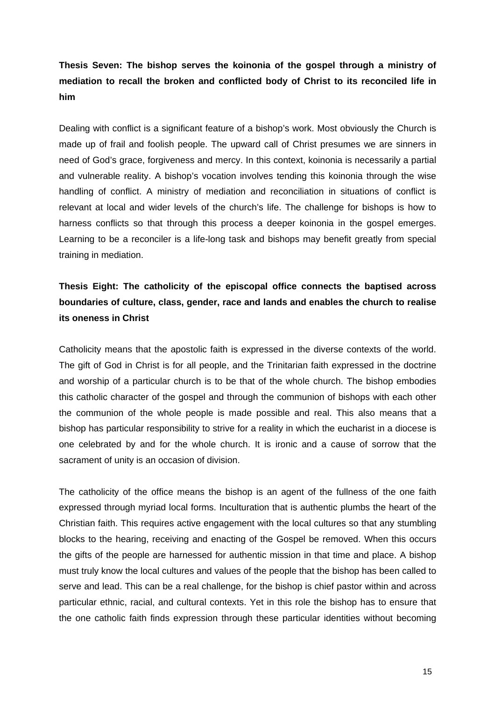**Thesis Seven: The bishop serves the koinonia of the gospel through a ministry of mediation to recall the broken and conflicted body of Christ to its reconciled life in him**

Dealing with conflict is a significant feature of a bishop's work. Most obviously the Church is made up of frail and foolish people. The upward call of Christ presumes we are sinners in need of God's grace, forgiveness and mercy. In this context, koinonia is necessarily a partial and vulnerable reality. A bishop's vocation involves tending this koinonia through the wise handling of conflict. A ministry of mediation and reconciliation in situations of conflict is relevant at local and wider levels of the church's life. The challenge for bishops is how to harness conflicts so that through this process a deeper koinonia in the gospel emerges. Learning to be a reconciler is a life-long task and bishops may benefit greatly from special training in mediation.

# **Thesis Eight: The catholicity of the episcopal office connects the baptised across boundaries of culture, class, gender, race and lands and enables the church to realise its oneness in Christ**

Catholicity means that the apostolic faith is expressed in the diverse contexts of the world. The gift of God in Christ is for all people, and the Trinitarian faith expressed in the doctrine and worship of a particular church is to be that of the whole church. The bishop embodies this catholic character of the gospel and through the communion of bishops with each other the communion of the whole people is made possible and real. This also means that a bishop has particular responsibility to strive for a reality in which the eucharist in a diocese is one celebrated by and for the whole church. It is ironic and a cause of sorrow that the sacrament of unity is an occasion of division.

The catholicity of the office means the bishop is an agent of the fullness of the one faith expressed through myriad local forms. Inculturation that is authentic plumbs the heart of the Christian faith. This requires active engagement with the local cultures so that any stumbling blocks to the hearing, receiving and enacting of the Gospel be removed. When this occurs the gifts of the people are harnessed for authentic mission in that time and place. A bishop must truly know the local cultures and values of the people that the bishop has been called to serve and lead. This can be a real challenge, for the bishop is chief pastor within and across particular ethnic, racial, and cultural contexts. Yet in this role the bishop has to ensure that the one catholic faith finds expression through these particular identities without becoming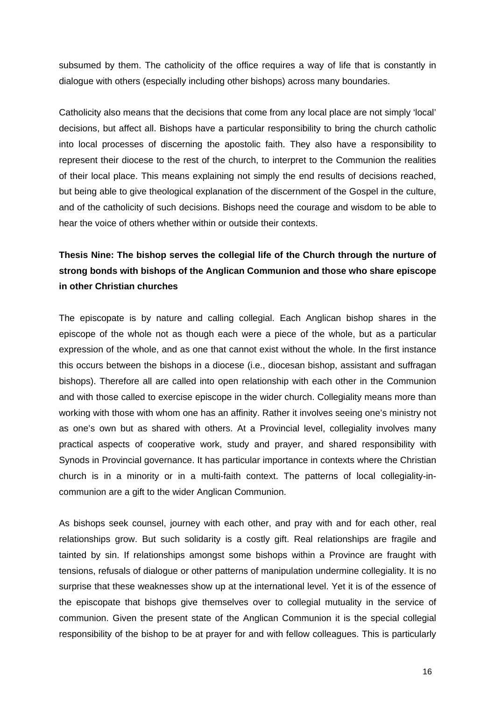subsumed by them. The catholicity of the office requires a way of life that is constantly in dialogue with others (especially including other bishops) across many boundaries.

Catholicity also means that the decisions that come from any local place are not simply 'local' decisions, but affect all. Bishops have a particular responsibility to bring the church catholic into local processes of discerning the apostolic faith. They also have a responsibility to represent their diocese to the rest of the church, to interpret to the Communion the realities of their local place. This means explaining not simply the end results of decisions reached, but being able to give theological explanation of the discernment of the Gospel in the culture, and of the catholicity of such decisions. Bishops need the courage and wisdom to be able to hear the voice of others whether within or outside their contexts.

# **Thesis Nine: The bishop serves the collegial life of the Church through the nurture of strong bonds with bishops of the Anglican Communion and those who share episcope in other Christian churches**

The episcopate is by nature and calling collegial. Each Anglican bishop shares in the episcope of the whole not as though each were a piece of the whole, but as a particular expression of the whole, and as one that cannot exist without the whole. In the first instance this occurs between the bishops in a diocese (i.e., diocesan bishop, assistant and suffragan bishops). Therefore all are called into open relationship with each other in the Communion and with those called to exercise episcope in the wider church. Collegiality means more than working with those with whom one has an affinity. Rather it involves seeing one's ministry not as one's own but as shared with others. At a Provincial level, collegiality involves many practical aspects of cooperative work, study and prayer, and shared responsibility with Synods in Provincial governance. It has particular importance in contexts where the Christian church is in a minority or in a multi-faith context. The patterns of local collegiality-incommunion are a gift to the wider Anglican Communion.

As bishops seek counsel, journey with each other, and pray with and for each other, real relationships grow. But such solidarity is a costly gift. Real relationships are fragile and tainted by sin. If relationships amongst some bishops within a Province are fraught with tensions, refusals of dialogue or other patterns of manipulation undermine collegiality. It is no surprise that these weaknesses show up at the international level. Yet it is of the essence of the episcopate that bishops give themselves over to collegial mutuality in the service of communion. Given the present state of the Anglican Communion it is the special collegial responsibility of the bishop to be at prayer for and with fellow colleagues. This is particularly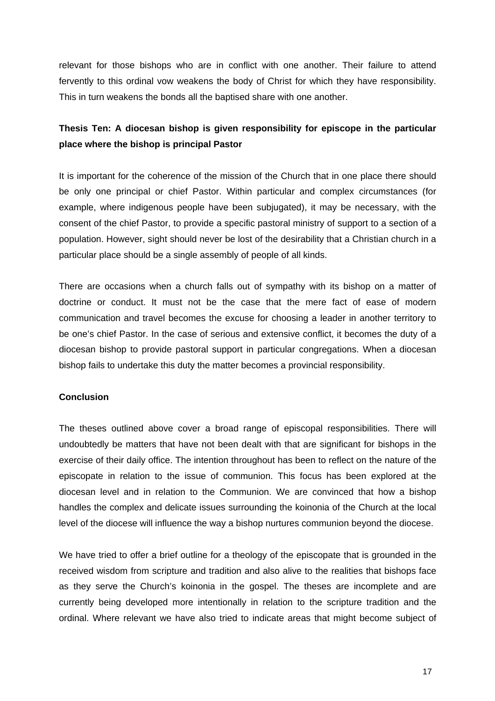relevant for those bishops who are in conflict with one another. Their failure to attend fervently to this ordinal vow weakens the body of Christ for which they have responsibility. This in turn weakens the bonds all the baptised share with one another.

## **Thesis Ten: A diocesan bishop is given responsibility for episcope in the particular place where the bishop is principal Pastor**

It is important for the coherence of the mission of the Church that in one place there should be only one principal or chief Pastor. Within particular and complex circumstances (for example, where indigenous people have been subjugated), it may be necessary, with the consent of the chief Pastor, to provide a specific pastoral ministry of support to a section of a population. However, sight should never be lost of the desirability that a Christian church in a particular place should be a single assembly of people of all kinds.

There are occasions when a church falls out of sympathy with its bishop on a matter of doctrine or conduct. It must not be the case that the mere fact of ease of modern communication and travel becomes the excuse for choosing a leader in another territory to be one's chief Pastor. In the case of serious and extensive conflict, it becomes the duty of a diocesan bishop to provide pastoral support in particular congregations. When a diocesan bishop fails to undertake this duty the matter becomes a provincial responsibility.

### **Conclusion**

The theses outlined above cover a broad range of episcopal responsibilities. There will undoubtedly be matters that have not been dealt with that are significant for bishops in the exercise of their daily office. The intention throughout has been to reflect on the nature of the episcopate in relation to the issue of communion. This focus has been explored at the diocesan level and in relation to the Communion. We are convinced that how a bishop handles the complex and delicate issues surrounding the koinonia of the Church at the local level of the diocese will influence the way a bishop nurtures communion beyond the diocese.

We have tried to offer a brief outline for a theology of the episcopate that is grounded in the received wisdom from scripture and tradition and also alive to the realities that bishops face as they serve the Church's koinonia in the gospel. The theses are incomplete and are currently being developed more intentionally in relation to the scripture tradition and the ordinal. Where relevant we have also tried to indicate areas that might become subject of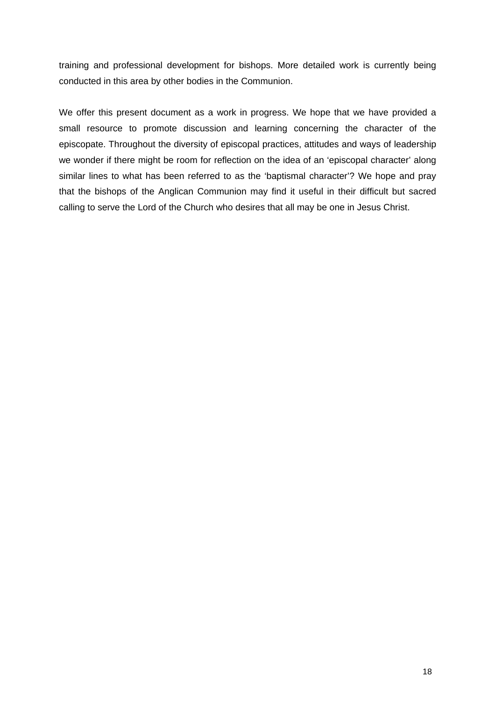training and professional development for bishops. More detailed work is currently being conducted in this area by other bodies in the Communion.

We offer this present document as a work in progress. We hope that we have provided a small resource to promote discussion and learning concerning the character of the episcopate. Throughout the diversity of episcopal practices, attitudes and ways of leadership we wonder if there might be room for reflection on the idea of an 'episcopal character' along similar lines to what has been referred to as the 'baptismal character'? We hope and pray that the bishops of the Anglican Communion may find it useful in their difficult but sacred calling to serve the Lord of the Church who desires that all may be one in Jesus Christ.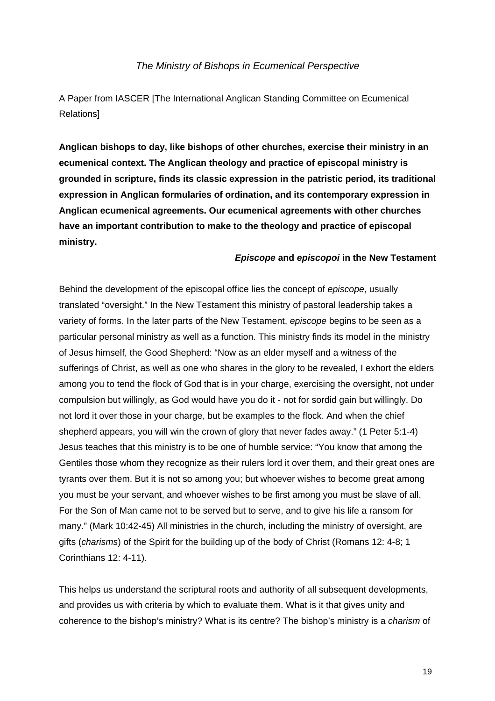### *The Ministry of Bishops in Ecumenical Perspective*

A Paper from IASCER [The International Anglican Standing Committee on Ecumenical Relations]

**Anglican bishops to day, like bishops of other churches, exercise their ministry in an ecumenical context. The Anglican theology and practice of episcopal ministry is grounded in scripture, finds its classic expression in the patristic period, its traditional expression in Anglican formularies of ordination, and its contemporary expression in Anglican ecumenical agreements. Our ecumenical agreements with other churches have an important contribution to make to the theology and practice of episcopal ministry.** 

### *Episcope* **and** *episcopoi* **in the New Testament**

Behind the development of the episcopal office lies the concept of *episcope*, usually translated "oversight." In the New Testament this ministry of pastoral leadership takes a variety of forms. In the later parts of the New Testament, *episcope* begins to be seen as a particular personal ministry as well as a function. This ministry finds its model in the ministry of Jesus himself, the Good Shepherd: "Now as an elder myself and a witness of the sufferings of Christ, as well as one who shares in the glory to be revealed, I exhort the elders among you to tend the flock of God that is in your charge, exercising the oversight, not under compulsion but willingly, as God would have you do it - not for sordid gain but willingly. Do not lord it over those in your charge, but be examples to the flock. And when the chief shepherd appears, you will win the crown of glory that never fades away." (1 Peter 5:1-4) Jesus teaches that this ministry is to be one of humble service: "You know that among the Gentiles those whom they recognize as their rulers lord it over them, and their great ones are tyrants over them. But it is not so among you; but whoever wishes to become great among you must be your servant, and whoever wishes to be first among you must be slave of all. For the Son of Man came not to be served but to serve, and to give his life a ransom for many." (Mark 10:42-45) All ministries in the church, including the ministry of oversight, are gifts (*charisms*) of the Spirit for the building up of the body of Christ (Romans 12: 4-8; 1 Corinthians 12: 4-11).

This helps us understand the scriptural roots and authority of all subsequent developments, and provides us with criteria by which to evaluate them. What is it that gives unity and coherence to the bishop's ministry? What is its centre? The bishop's ministry is a *charism* of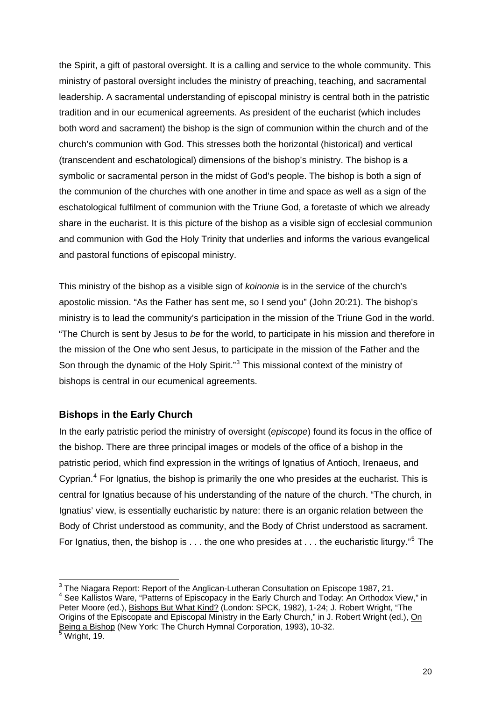<span id="page-19-0"></span>the Spirit, a gift of pastoral oversight. It is a calling and service to the whole community. This ministry of pastoral oversight includes the ministry of preaching, teaching, and sacramental leadership. A sacramental understanding of episcopal ministry is central both in the patristic tradition and in our ecumenical agreements. As president of the eucharist (which includes both word and sacrament) the bishop is the sign of communion within the church and of the church's communion with God. This stresses both the horizontal (historical) and vertical (transcendent and eschatological) dimensions of the bishop's ministry. The bishop is a symbolic or sacramental person in the midst of God's people. The bishop is both a sign of the communion of the churches with one another in time and space as well as a sign of the eschatological fulfilment of communion with the Triune God, a foretaste of which we already share in the eucharist. It is this picture of the bishop as a visible sign of ecclesial communion and communion with God the Holy Trinity that underlies and informs the various evangelical and pastoral functions of episcopal ministry.

This ministry of the bishop as a visible sign of *koinonia* is in the service of the church's apostolic mission. "As the Father has sent me, so I send you" (John 20:21). The bishop's ministry is to lead the community's participation in the mission of the Triune God in the world. "The Church is sent by Jesus to *be* for the world, to participate in his mission and therefore in the mission of the One who sent Jesus, to participate in the mission of the Father and the Son through the dynamic of the Holy Spirit."<sup>[3](#page-19-0)</sup> This missional context of the ministry of bishops is central in our ecumenical agreements.

### **Bishops in the Early Church**

In the early patristic period the ministry of oversight (*episcope*) found its focus in the office of the bishop. There are three principal images or models of the office of a bishop in the patristic period, which find expression in the writings of Ignatius of Antioch, Irenaeus, and Cyprian.<sup>[4](#page-19-0)</sup> For Ignatius, the bishop is primarily the one who presides at the eucharist. This is central for Ignatius because of his understanding of the nature of the church. "The church, in Ignatius' view, is essentially eucharistic by nature: there is an organic relation between the Body of Christ understood as community, and the Body of Christ understood as sacrament. For Ignatius, then, the bishop is  $\dots$  the one who presides at  $\dots$  the eucharistic liturgy."<sup>[5](#page-19-0)</sup> The

 <sup>3</sup> The Niagara Report: Report of the Anglican-Lutheran Consultation on Episcope 1987, 21.<br><sup>4</sup> See Kallistas Ware, "Petterse of Episcopeau in the Early Church and Tedayy An Otthodox." <sup>4</sup> See Kallistos Ware, "Patterns of Episcopacy in the Early Church and Today: An Orthodox View," in Peter Moore (ed.), Bishops But What Kind? (London: SPCK, 1982), 1-24; J. Robert Wright, "The Origins of the Episcopate and Episcopal Ministry in the Early Church," in J. Robert Wright (ed.), On <u>Being a Bishop</u> (New York: The Church Hymnal Corporation, 1993), 10-32.<br><sup>5</sup> Wright, 19.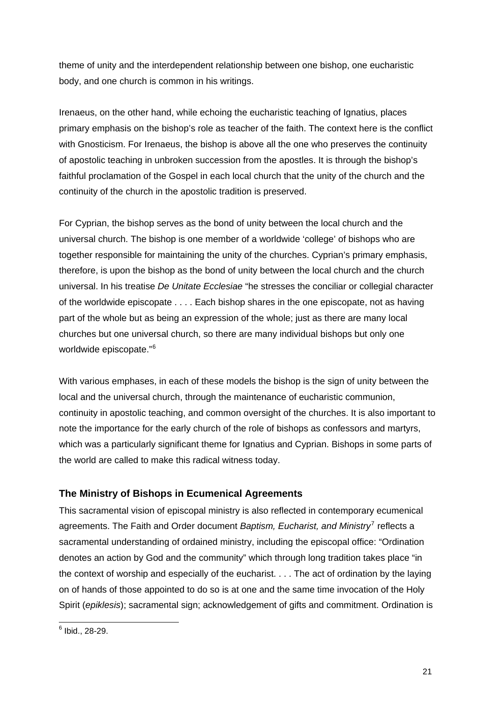<span id="page-20-0"></span>theme of unity and the interdependent relationship between one bishop, one eucharistic body, and one church is common in his writings.

Irenaeus, on the other hand, while echoing the eucharistic teaching of Ignatius, places primary emphasis on the bishop's role as teacher of the faith. The context here is the conflict with Gnosticism. For Irenaeus, the bishop is above all the one who preserves the continuity of apostolic teaching in unbroken succession from the apostles. It is through the bishop's faithful proclamation of the Gospel in each local church that the unity of the church and the continuity of the church in the apostolic tradition is preserved.

For Cyprian, the bishop serves as the bond of unity between the local church and the universal church. The bishop is one member of a worldwide 'college' of bishops who are together responsible for maintaining the unity of the churches. Cyprian's primary emphasis, therefore, is upon the bishop as the bond of unity between the local church and the church universal. In his treatise *De Unitate Ecclesiae* "he stresses the conciliar or collegial character of the worldwide episcopate . . . . Each bishop shares in the one episcopate, not as having part of the whole but as being an expression of the whole; just as there are many local churches but one universal church, so there are many individual bishops but only one worldwide episcopate."<sup>[6](#page-20-0)</sup>

With various emphases, in each of these models the bishop is the sign of unity between the local and the universal church, through the maintenance of eucharistic communion, continuity in apostolic teaching, and common oversight of the churches. It is also important to note the importance for the early church of the role of bishops as confessors and martyrs, which was a particularly significant theme for Ignatius and Cyprian. Bishops in some parts of the world are called to make this radical witness today.

### **The Ministry of Bishops in Ecumenical Agreements**

This sacramental vision of episcopal ministry is also reflected in contemporary ecumenical agreements. The Faith and Order document *Baptism, Eucharist, and Ministry<sup>[7](#page-20-0)</sup> reflects a* sacramental understanding of ordained ministry, including the episcopal office: "Ordination denotes an action by God and the community" which through long tradition takes place "in the context of worship and especially of the eucharist. . . . The act of ordination by the laying on of hands of those appointed to do so is at one and the same time invocation of the Holy Spirit (*epiklesis*); sacramental sign; acknowledgement of gifts and commitment. Ordination is

 6 Ibid., 28-29.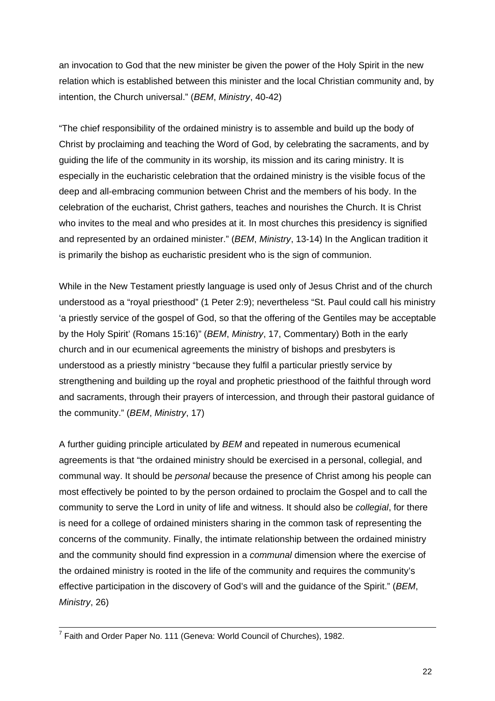an invocation to God that the new minister be given the power of the Holy Spirit in the new relation which is established between this minister and the local Christian community and, by intention, the Church universal." (*BEM*, *Ministry*, 40-42)

"The chief responsibility of the ordained ministry is to assemble and build up the body of Christ by proclaiming and teaching the Word of God, by celebrating the sacraments, and by guiding the life of the community in its worship, its mission and its caring ministry. It is especially in the eucharistic celebration that the ordained ministry is the visible focus of the deep and all-embracing communion between Christ and the members of his body. In the celebration of the eucharist, Christ gathers, teaches and nourishes the Church. It is Christ who invites to the meal and who presides at it. In most churches this presidency is signified and represented by an ordained minister." (*BEM*, *Ministry*, 13-14) In the Anglican tradition it is primarily the bishop as eucharistic president who is the sign of communion.

While in the New Testament priestly language is used only of Jesus Christ and of the church understood as a "royal priesthood" (1 Peter 2:9); nevertheless "St. Paul could call his ministry 'a priestly service of the gospel of God, so that the offering of the Gentiles may be acceptable by the Holy Spirit' (Romans 15:16)" (*BEM*, *Ministry*, 17, Commentary) Both in the early church and in our ecumenical agreements the ministry of bishops and presbyters is understood as a priestly ministry "because they fulfil a particular priestly service by strengthening and building up the royal and prophetic priesthood of the faithful through word and sacraments, through their prayers of intercession, and through their pastoral guidance of the community." (*BEM*, *Ministry*, 17)

A further guiding principle articulated by *BEM* and repeated in numerous ecumenical agreements is that "the ordained ministry should be exercised in a personal, collegial, and communal way. It should be *personal* because the presence of Christ among his people can most effectively be pointed to by the person ordained to proclaim the Gospel and to call the community to serve the Lord in unity of life and witness. It should also be *collegial*, for there is need for a college of ordained ministers sharing in the common task of representing the concerns of the community. Finally, the intimate relationship between the ordained ministry and the community should find expression in a *communal* dimension where the exercise of the ordained ministry is rooted in the life of the community and requires the community's effective participation in the discovery of God's will and the guidance of the Spirit." (*BEM*, *Ministry*, 26)

 7 Faith and Order Paper No. 111 (Geneva: World Council of Churches), 1982.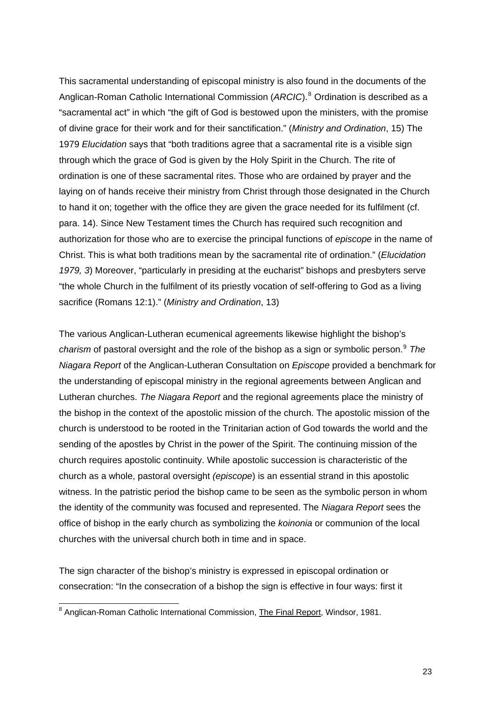<span id="page-22-0"></span>This sacramental understanding of episcopal ministry is also found in the documents of the Anglican-Roman Catholic International Commission (ARCIC).<sup>[8](#page-22-0)</sup> Ordination is described as a "sacramental act" in which "the gift of God is bestowed upon the ministers, with the promise of divine grace for their work and for their sanctification." (*Ministry and Ordination*, 15) The 1979 *Elucidation* says that "both traditions agree that a sacramental rite is a visible sign through which the grace of God is given by the Holy Spirit in the Church. The rite of ordination is one of these sacramental rites. Those who are ordained by prayer and the laying on of hands receive their ministry from Christ through those designated in the Church to hand it on; together with the office they are given the grace needed for its fulfilment (cf. para. 14). Since New Testament times the Church has required such recognition and authorization for those who are to exercise the principal functions of *episcope* in the name of Christ. This is what both traditions mean by the sacramental rite of ordination." (*Elucidation 1979, 3*) Moreover, "particularly in presiding at the eucharist" bishops and presbyters serve "the whole Church in the fulfilment of its priestly vocation of self-offering to God as a living sacrifice (Romans 12:1)." (*Ministry and Ordination*, 13)

The various Anglican-Lutheran ecumenical agreements likewise highlight the bishop's *charism* of pastoral oversight and the role of the bishop as a sign or symbolic person.<sup>[9](#page-22-0)</sup> The *Niagara Report* of the Anglican-Lutheran Consultation on *Episcope* provided a benchmark for the understanding of episcopal ministry in the regional agreements between Anglican and Lutheran churches. *The Niagara Report* and the regional agreements place the ministry of the bishop in the context of the apostolic mission of the church. The apostolic mission of the church is understood to be rooted in the Trinitarian action of God towards the world and the sending of the apostles by Christ in the power of the Spirit. The continuing mission of the church requires apostolic continuity. While apostolic succession is characteristic of the church as a whole, pastoral oversight *(episcope*) is an essential strand in this apostolic witness. In the patristic period the bishop came to be seen as the symbolic person in whom the identity of the community was focused and represented. The *Niagara Report* sees the office of bishop in the early church as symbolizing the *koinonia* or communion of the local churches with the universal church both in time and in space.

The sign character of the bishop's ministry is expressed in episcopal ordination or consecration: "In the consecration of a bishop the sign is effective in four ways: first it

 8 Anglican-Roman Catholic International Commission, The Final Report, Windsor, 1981.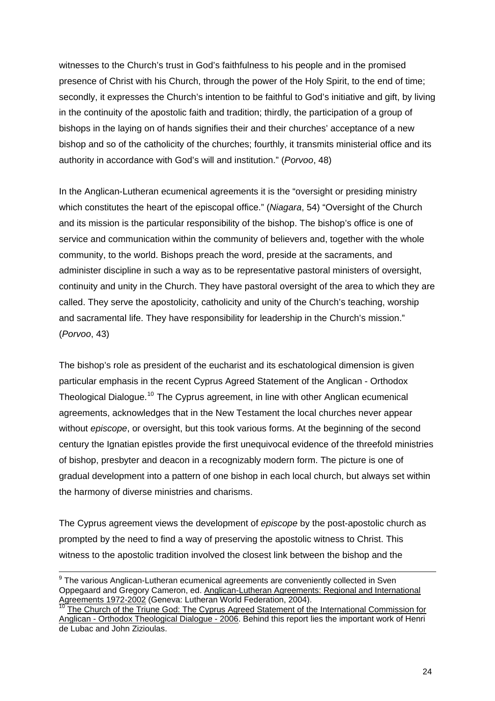<span id="page-23-0"></span>witnesses to the Church's trust in God's faithfulness to his people and in the promised presence of Christ with his Church, through the power of the Holy Spirit, to the end of time; secondly, it expresses the Church's intention to be faithful to God's initiative and gift, by living in the continuity of the apostolic faith and tradition; thirdly, the participation of a group of bishops in the laying on of hands signifies their and their churches' acceptance of a new bishop and so of the catholicity of the churches; fourthly, it transmits ministerial office and its authority in accordance with God's will and institution." (*Porvoo*, 48)

In the Anglican-Lutheran ecumenical agreements it is the "oversight or presiding ministry which constitutes the heart of the episcopal office." (*Niagara*, 54) "Oversight of the Church and its mission is the particular responsibility of the bishop. The bishop's office is one of service and communication within the community of believers and, together with the whole community, to the world. Bishops preach the word, preside at the sacraments, and administer discipline in such a way as to be representative pastoral ministers of oversight, continuity and unity in the Church. They have pastoral oversight of the area to which they are called. They serve the apostolicity, catholicity and unity of the Church's teaching, worship and sacramental life. They have responsibility for leadership in the Church's mission." (*Porvoo*, 43)

The bishop's role as president of the eucharist and its eschatological dimension is given particular emphasis in the recent Cyprus Agreed Statement of the Anglican - Orthodox Theological Dialogue.[10](#page-23-0) The Cyprus agreement, in line with other Anglican ecumenical agreements, acknowledges that in the New Testament the local churches never appear without *episcope*, or oversight, but this took various forms. At the beginning of the second century the Ignatian epistles provide the first unequivocal evidence of the threefold ministries of bishop, presbyter and deacon in a recognizably modern form. The picture is one of gradual development into a pattern of one bishop in each local church, but always set within the harmony of diverse ministries and charisms.

The Cyprus agreement views the development of *episcope* by the post-apostolic church as prompted by the need to find a way of preserving the apostolic witness to Christ. This witness to the apostolic tradition involved the closest link between the bishop and the

<sup>&</sup>lt;sup>9</sup> The various Anglican-Lutheran ecumenical agreements are conveniently collected in Sven Oppegaard and Gregory Cameron, ed. Anglican-Lutheran Agreements: Regional and International<br>Agreements 1972-2002 (Geneva: Lutheran World Federation, 2004).

The Church of the Triune God: The Cyprus Agreed Statement of the International Commission for Anglican - Orthodox Theological Dialogue - 2006. Behind this report lies the important work of Henri de Lubac and John Zizioulas.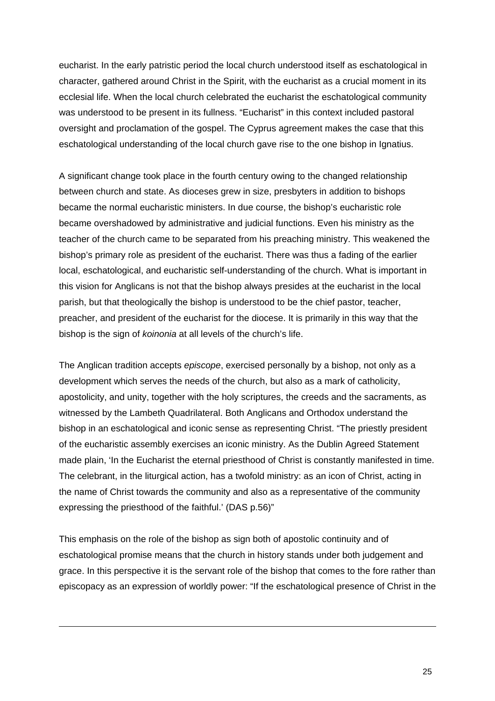eucharist. In the early patristic period the local church understood itself as eschatological in character, gathered around Christ in the Spirit, with the eucharist as a crucial moment in its ecclesial life. When the local church celebrated the eucharist the eschatological community was understood to be present in its fullness. "Eucharist" in this context included pastoral oversight and proclamation of the gospel. The Cyprus agreement makes the case that this eschatological understanding of the local church gave rise to the one bishop in Ignatius.

A significant change took place in the fourth century owing to the changed relationship between church and state. As dioceses grew in size, presbyters in addition to bishops became the normal eucharistic ministers. In due course, the bishop's eucharistic role became overshadowed by administrative and judicial functions. Even his ministry as the teacher of the church came to be separated from his preaching ministry. This weakened the bishop's primary role as president of the eucharist. There was thus a fading of the earlier local, eschatological, and eucharistic self-understanding of the church. What is important in this vision for Anglicans is not that the bishop always presides at the eucharist in the local parish, but that theologically the bishop is understood to be the chief pastor, teacher, preacher, and president of the eucharist for the diocese. It is primarily in this way that the bishop is the sign of *koinonia* at all levels of the church's life.

The Anglican tradition accepts *episcope*, exercised personally by a bishop, not only as a development which serves the needs of the church, but also as a mark of catholicity, apostolicity, and unity, together with the holy scriptures, the creeds and the sacraments, as witnessed by the Lambeth Quadrilateral. Both Anglicans and Orthodox understand the bishop in an eschatological and iconic sense as representing Christ. "The priestly president of the eucharistic assembly exercises an iconic ministry. As the Dublin Agreed Statement made plain, 'In the Eucharist the eternal priesthood of Christ is constantly manifested in time. The celebrant, in the liturgical action, has a twofold ministry: as an icon of Christ, acting in the name of Christ towards the community and also as a representative of the community expressing the priesthood of the faithful.' (DAS p.56)"

This emphasis on the role of the bishop as sign both of apostolic continuity and of eschatological promise means that the church in history stands under both judgement and grace. In this perspective it is the servant role of the bishop that comes to the fore rather than episcopacy as an expression of worldly power: "If the eschatological presence of Christ in the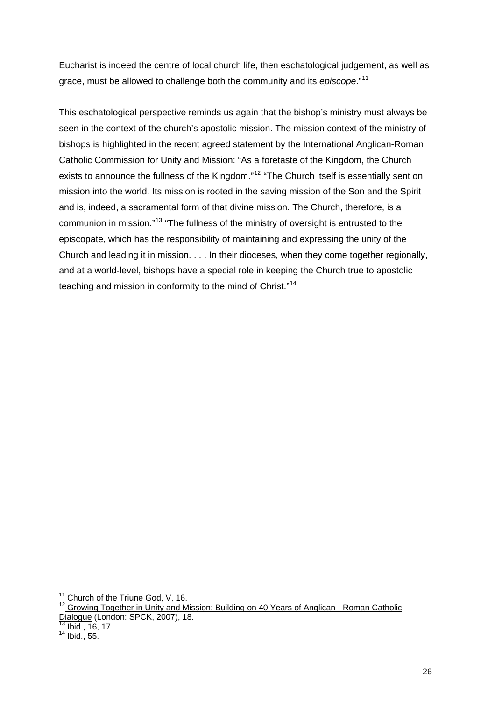<span id="page-25-0"></span>Eucharist is indeed the centre of local church life, then eschatological judgement, as well as grace, must be allowed to challenge both the community and its *episcope*."[11](#page-25-0)

This eschatological perspective reminds us again that the bishop's ministry must always be seen in the context of the church's apostolic mission. The mission context of the ministry of bishops is highlighted in the recent agreed statement by the International Anglican-Roman Catholic Commission for Unity and Mission: "As a foretaste of the Kingdom, the Church exists to announce the fullness of the Kingdom."<sup>[12](#page-25-0)</sup> "The Church itself is essentially sent on mission into the world. Its mission is rooted in the saving mission of the Son and the Spirit and is, indeed, a sacramental form of that divine mission. The Church, therefore, is a communion in mission."[13](#page-25-0) "The fullness of the ministry of oversight is entrusted to the episcopate, which has the responsibility of maintaining and expressing the unity of the Church and leading it in mission. . . . In their dioceses, when they come together regionally, and at a world-level, bishops have a special role in keeping the Church true to apostolic teaching and mission in conformity to the mind of Christ."[14](#page-25-0)

  $11$  Church of the Triune God, V, 16.

<sup>12</sup> Growing Together in Unity and Mission: Building on 40 Years of Anglican - Roman Catholic Dialogue (London: SPCK, 2007), 18.

 $14$  Ibid.,  $15, 16$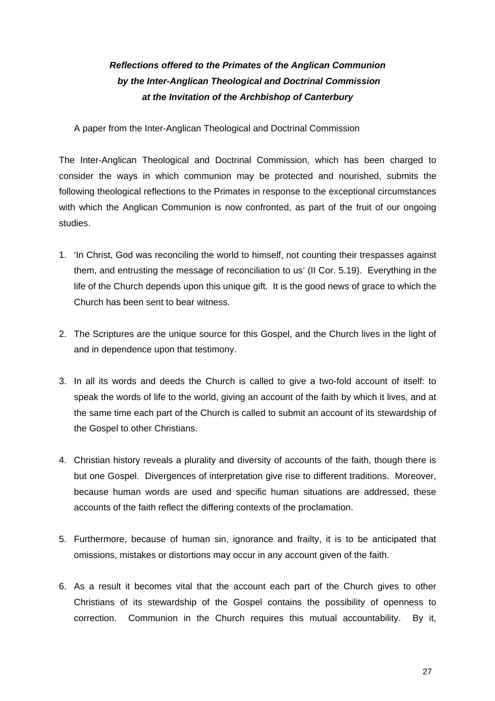# *Reflections offered to the Primates of the Anglican Communion by the Inter-Anglican Theological and Doctrinal Commission at the Invitation of the Archbishop of Canterbury*

A paper from the Inter-Anglican Theological and Doctrinal Commission

The Inter-Anglican Theological and Doctrinal Commission, which has been charged to consider the ways in which communion may be protected and nourished, submits the following theological reflections to the Primates in response to the exceptional circumstances with which the Anglican Communion is now confronted, as part of the fruit of our ongoing studies.

- 1. 'In Christ, God was reconciling the world to himself, not counting their trespasses against them, and entrusting the message of reconciliation to us' (II Cor. 5.19). Everything in the life of the Church depends upon this unique gift. It is the good news of grace to which the Church has been sent to bear witness.
- 2. The Scriptures are the unique source for this Gospel, and the Church lives in the light of and in dependence upon that testimony.
- 3. In all its words and deeds the Church is called to give a two-fold account of itself: to speak the words of life to the world, giving an account of the faith by which it lives, and at the same time each part of the Church is called to submit an account of its stewardship of the Gospel to other Christians.
- 4. Christian history reveals a plurality and diversity of accounts of the faith, though there is but one Gospel. Divergences of interpretation give rise to different traditions. Moreover, because human words are used and specific human situations are addressed, these accounts of the faith reflect the differing contexts of the proclamation.
- 5. Furthermore, because of human sin, ignorance and frailty, it is to be anticipated that omissions, mistakes or distortions may occur in any account given of the faith.
- 6. As a result it becomes vital that the account each part of the Church gives to other Christians of its stewardship of the Gospel contains the possibility of openness to correction. Communion in the Church requires this mutual accountability. By it,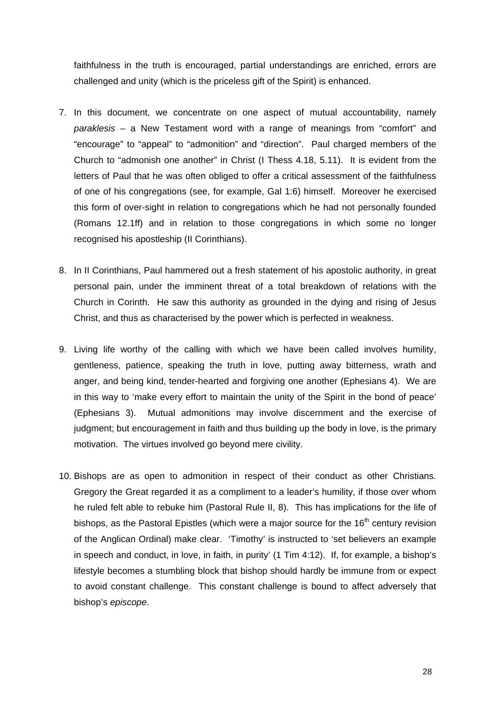faithfulness in the truth is encouraged, partial understandings are enriched, errors are challenged and unity (which is the priceless gift of the Spirit) is enhanced.

- 7. In this document, we concentrate on one aspect of mutual accountability, namely *paraklesis* – a New Testament word with a range of meanings from "comfort" and "encourage" to "appeal" to "admonition" and "direction". Paul charged members of the Church to "admonish one another" in Christ (I Thess 4.18, 5.11). It is evident from the letters of Paul that he was often obliged to offer a critical assessment of the faithfulness of one of his congregations (see, for example, Gal 1:6) himself. Moreover he exercised this form of over-sight in relation to congregations which he had not personally founded (Romans 12.1ff) and in relation to those congregations in which some no longer recognised his apostleship (II Corinthians).
- 8. In II Corinthians, Paul hammered out a fresh statement of his apostolic authority, in great personal pain, under the imminent threat of a total breakdown of relations with the Church in Corinth. He saw this authority as grounded in the dying and rising of Jesus Christ, and thus as characterised by the power which is perfected in weakness.
- 9. Living life worthy of the calling with which we have been called involves humility, gentleness, patience, speaking the truth in love, putting away bitterness, wrath and anger, and being kind, tender-hearted and forgiving one another (Ephesians 4). We are in this way to 'make every effort to maintain the unity of the Spirit in the bond of peace' (Ephesians 3). Mutual admonitions may involve discernment and the exercise of judgment; but encouragement in faith and thus building up the body in love, is the primary motivation. The virtues involved go beyond mere civility.
- 10. Bishops are as open to admonition in respect of their conduct as other Christians. Gregory the Great regarded it as a compliment to a leader's humility, if those over whom he ruled felt able to rebuke him (Pastoral Rule II, 8). This has implications for the life of bishops, as the Pastoral Epistles (which were a major source for the  $16<sup>th</sup>$  century revision of the Anglican Ordinal) make clear. 'Timothy' is instructed to 'set believers an example in speech and conduct, in love, in faith, in purity' (1 Tim 4:12). If, for example, a bishop's lifestyle becomes a stumbling block that bishop should hardly be immune from or expect to avoid constant challenge. This constant challenge is bound to affect adversely that bishop's *episcope*.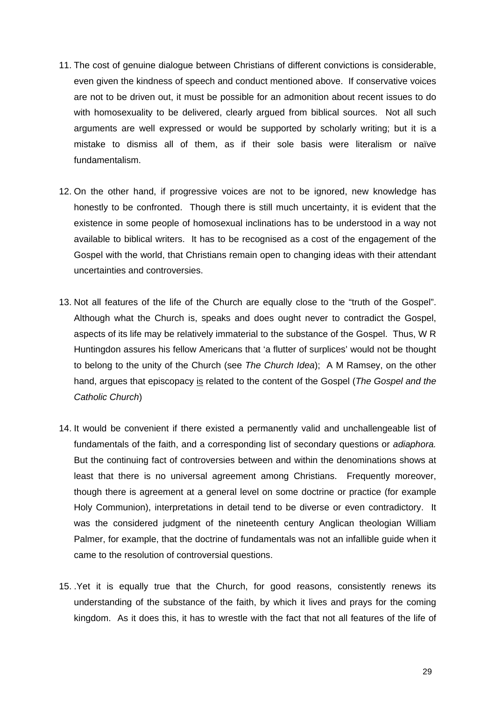- 11. The cost of genuine dialogue between Christians of different convictions is considerable, even given the kindness of speech and conduct mentioned above. If conservative voices are not to be driven out, it must be possible for an admonition about recent issues to do with homosexuality to be delivered, clearly argued from biblical sources. Not all such arguments are well expressed or would be supported by scholarly writing; but it is a mistake to dismiss all of them, as if their sole basis were literalism or naïve fundamentalism.
- 12. On the other hand, if progressive voices are not to be ignored, new knowledge has honestly to be confronted. Though there is still much uncertainty, it is evident that the existence in some people of homosexual inclinations has to be understood in a way not available to biblical writers. It has to be recognised as a cost of the engagement of the Gospel with the world, that Christians remain open to changing ideas with their attendant uncertainties and controversies.
- 13. Not all features of the life of the Church are equally close to the "truth of the Gospel". Although what the Church is, speaks and does ought never to contradict the Gospel, aspects of its life may be relatively immaterial to the substance of the Gospel. Thus, W R Huntingdon assures his fellow Americans that 'a flutter of surplices' would not be thought to belong to the unity of the Church (see *The Church Idea*); A M Ramsey, on the other hand, argues that episcopacy is related to the content of the Gospel (*The Gospel and the Catholic Church*)
- 14. It would be convenient if there existed a permanently valid and unchallengeable list of fundamentals of the faith, and a corresponding list of secondary questions or *adiaphora.*  But the continuing fact of controversies between and within the denominations shows at least that there is no universal agreement among Christians. Frequently moreover, though there is agreement at a general level on some doctrine or practice (for example Holy Communion), interpretations in detail tend to be diverse or even contradictory. It was the considered judgment of the nineteenth century Anglican theologian William Palmer, for example, that the doctrine of fundamentals was not an infallible guide when it came to the resolution of controversial questions.
- 15. .Yet it is equally true that the Church, for good reasons, consistently renews its understanding of the substance of the faith, by which it lives and prays for the coming kingdom. As it does this, it has to wrestle with the fact that not all features of the life of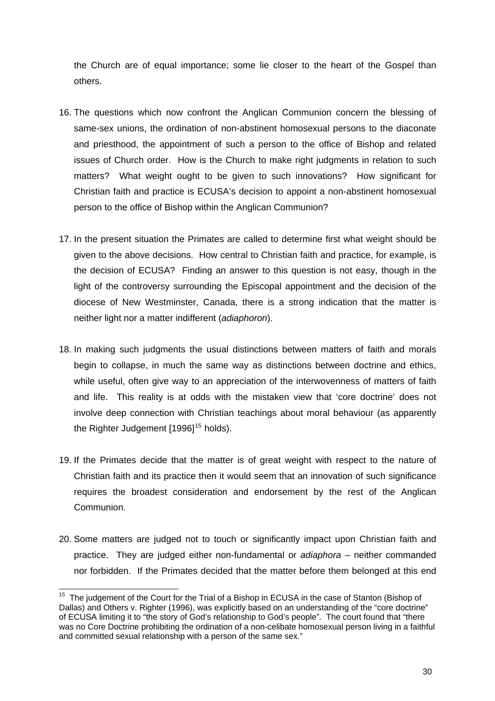<span id="page-29-0"></span>the Church are of equal importance; some lie closer to the heart of the Gospel than others.

- 16. The questions which now confront the Anglican Communion concern the blessing of same-sex unions, the ordination of non-abstinent homosexual persons to the diaconate and priesthood, the appointment of such a person to the office of Bishop and related issues of Church order. How is the Church to make right judgments in relation to such matters? What weight ought to be given to such innovations? How significant for Christian faith and practice is ECUSA's decision to appoint a non-abstinent homosexual person to the office of Bishop within the Anglican Communion?
- 17. In the present situation the Primates are called to determine first what weight should be given to the above decisions. How central to Christian faith and practice, for example, is the decision of ECUSA? Finding an answer to this question is not easy, though in the light of the controversy surrounding the Episcopal appointment and the decision of the diocese of New Westminster, Canada, there is a strong indication that the matter is neither light nor a matter indifferent (*adiaphoron*).
- 18. In making such judgments the usual distinctions between matters of faith and morals begin to collapse, in much the same way as distinctions between doctrine and ethics, while useful, often give way to an appreciation of the interwovenness of matters of faith and life. This reality is at odds with the mistaken view that 'core doctrine' does not involve deep connection with Christian teachings about moral behaviour (as apparently the Righter Judgement  $[1996]^{15}$  $[1996]^{15}$  $[1996]^{15}$  holds).
- 19. If the Primates decide that the matter is of great weight with respect to the nature of Christian faith and its practice then it would seem that an innovation of such significance requires the broadest consideration and endorsement by the rest of the Anglican Communion.
- 20. Some matters are judged not to touch or significantly impact upon Christian faith and practice. They are judged either non-fundamental or *adiaphora* – neither commanded nor forbidden. If the Primates decided that the matter before them belonged at this end

<sup>&</sup>lt;sup>15</sup> The judgement of the Court for the Trial of a Bishop in ECUSA in the case of Stanton (Bishop of Dallas) and Others v. Righter (1996), was explicitly based on an understanding of the "core doctrine" of ECUSA limiting it to "the story of God's relationship to God's people". The court found that "there was no Core Doctrine prohibiting the ordination of a non-celibate homosexual person living in a faithful and committed sexual relationship with a person of the same sex."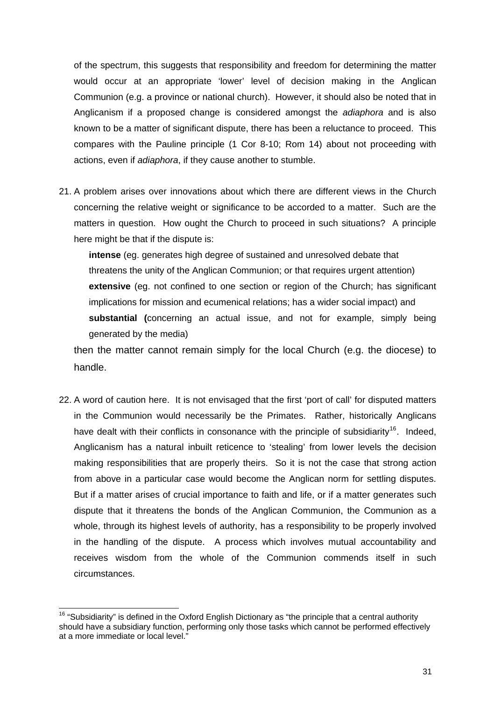<span id="page-30-0"></span>of the spectrum, this suggests that responsibility and freedom for determining the matter would occur at an appropriate 'lower' level of decision making in the Anglican Communion (e.g. a province or national church). However, it should also be noted that in Anglicanism if a proposed change is considered amongst the *adiaphora* and is also known to be a matter of significant dispute, there has been a reluctance to proceed. This compares with the Pauline principle (1 Cor 8-10; Rom 14) about not proceeding with actions, even if *adiaphora*, if they cause another to stumble.

21. A problem arises over innovations about which there are different views in the Church concerning the relative weight or significance to be accorded to a matter. Such are the matters in question. How ought the Church to proceed in such situations? A principle here might be that if the dispute is:

**intense** (eg. generates high degree of sustained and unresolved debate that threatens the unity of the Anglican Communion; or that requires urgent attention)  **extensive** (eg. not confined to one section or region of the Church; has significant implications for mission and ecumenical relations; has a wider social impact) and **substantial (**concerning an actual issue, and not for example, simply being generated by the media)

then the matter cannot remain simply for the local Church (e.g. the diocese) to handle.

22. A word of caution here. It is not envisaged that the first 'port of call' for disputed matters in the Communion would necessarily be the Primates. Rather, historically Anglicans have dealt with their conflicts in consonance with the principle of subsidiarity<sup>[16](#page-30-0)</sup>. Indeed, Anglicanism has a natural inbuilt reticence to 'stealing' from lower levels the decision making responsibilities that are properly theirs. So it is not the case that strong action from above in a particular case would become the Anglican norm for settling disputes. But if a matter arises of crucial importance to faith and life, or if a matter generates such dispute that it threatens the bonds of the Anglican Communion, the Communion as a whole, through its highest levels of authority, has a responsibility to be properly involved in the handling of the dispute. A process which involves mutual accountability and receives wisdom from the whole of the Communion commends itself in such circumstances.

 $16$  "Subsidiarity" is defined in the Oxford English Dictionary as "the principle that a central authority should have a subsidiary function, performing only those tasks which cannot be performed effectively at a more immediate or local level."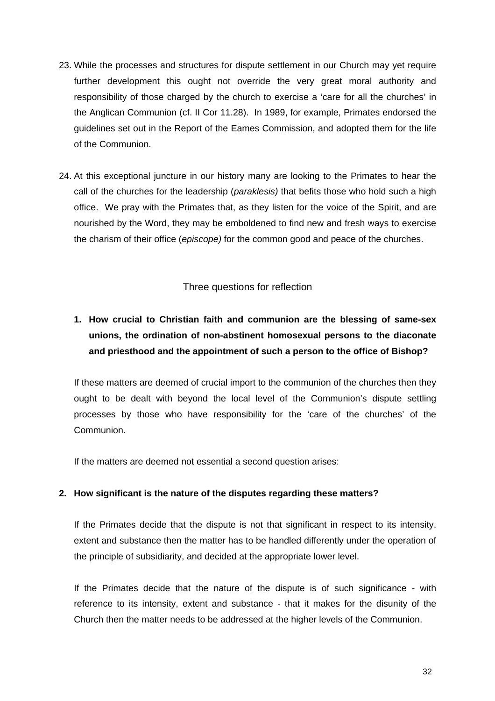- 23. While the processes and structures for dispute settlement in our Church may yet require further development this ought not override the very great moral authority and responsibility of those charged by the church to exercise a 'care for all the churches' in the Anglican Communion (cf. II Cor 11.28). In 1989, for example, Primates endorsed the guidelines set out in the Report of the Eames Commission, and adopted them for the life of the Communion.
- 24. At this exceptional juncture in our history many are looking to the Primates to hear the call of the churches for the leadership (*paraklesis)* that befits those who hold such a high office. We pray with the Primates that, as they listen for the voice of the Spirit, and are nourished by the Word, they may be emboldened to find new and fresh ways to exercise the charism of their office (*episcope)* for the common good and peace of the churches.

### Three questions for reflection

# **1. How crucial to Christian faith and communion are the blessing of same-sex unions, the ordination of non-abstinent homosexual persons to the diaconate and priesthood and the appointment of such a person to the office of Bishop?**

If these matters are deemed of crucial import to the communion of the churches then they ought to be dealt with beyond the local level of the Communion's dispute settling processes by those who have responsibility for the 'care of the churches' of the Communion.

If the matters are deemed not essential a second question arises:

### **2. How significant is the nature of the disputes regarding these matters?**

If the Primates decide that the dispute is not that significant in respect to its intensity, extent and substance then the matter has to be handled differently under the operation of the principle of subsidiarity, and decided at the appropriate lower level.

If the Primates decide that the nature of the dispute is of such significance - with reference to its intensity, extent and substance - that it makes for the disunity of the Church then the matter needs to be addressed at the higher levels of the Communion.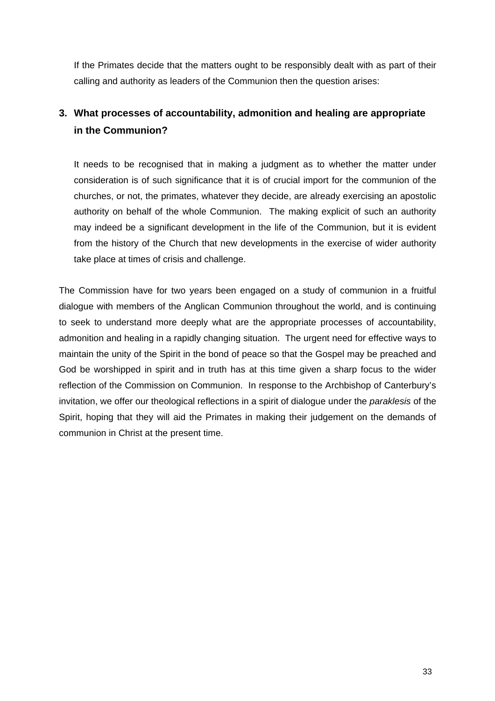If the Primates decide that the matters ought to be responsibly dealt with as part of their calling and authority as leaders of the Communion then the question arises:

# **3. What processes of accountability, admonition and healing are appropriate in the Communion?**

It needs to be recognised that in making a judgment as to whether the matter under consideration is of such significance that it is of crucial import for the communion of the churches, or not, the primates, whatever they decide, are already exercising an apostolic authority on behalf of the whole Communion. The making explicit of such an authority may indeed be a significant development in the life of the Communion, but it is evident from the history of the Church that new developments in the exercise of wider authority take place at times of crisis and challenge.

The Commission have for two years been engaged on a study of communion in a fruitful dialogue with members of the Anglican Communion throughout the world, and is continuing to seek to understand more deeply what are the appropriate processes of accountability, admonition and healing in a rapidly changing situation. The urgent need for effective ways to maintain the unity of the Spirit in the bond of peace so that the Gospel may be preached and God be worshipped in spirit and in truth has at this time given a sharp focus to the wider reflection of the Commission on Communion. In response to the Archbishop of Canterbury's invitation, we offer our theological reflections in a spirit of dialogue under the *paraklesis* of the Spirit, hoping that they will aid the Primates in making their judgement on the demands of communion in Christ at the present time.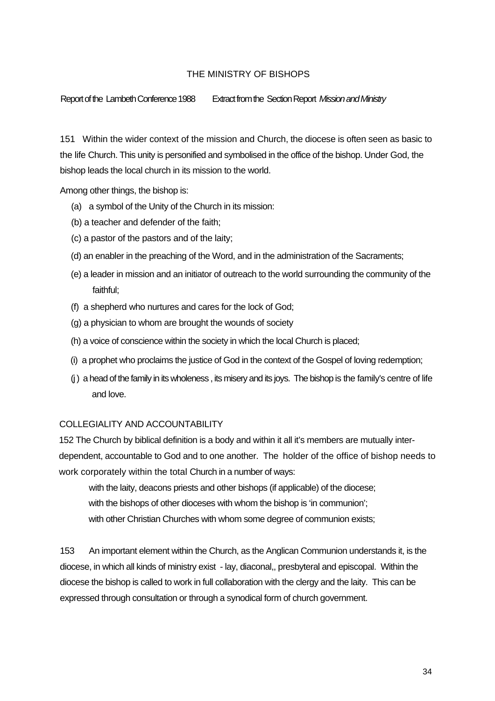### THE MINISTRY OF BISHOPS

#### Report of the Lambeth Conference 1988 Extract from the Section Report *Mission and Ministry*

151 Within the wider context of the mission and Church, the diocese is often seen as basic to the life Church. This unity is personified and symbolised in the office of the bishop. Under God, the bishop leads the local church in its mission to the world.

Among other things, the bishop is:

- (a) a symbol of the Unity of the Church in its mission:
- (b) a teacher and defender of the faith;
- (c) a pastor of the pastors and of the laity;
- (d) an enabler in the preaching of the Word, and in the administration of the Sacraments;
- (e) a leader in mission and an initiator of outreach to the world surrounding the community of the faithful;
- (f) a shepherd who nurtures and cares for the lock of God;
- (g) a physician to whom are brought the wounds of society
- (h) a voice of conscience within the society in which the local Church is placed;
- (i) a prophet who proclaims the justice of God in the context of the Gospel of loving redemption;
- (j ) a head of the family in its wholeness , its misery and its joys. The bishop is the family's centre of life and love.

#### COLLEGIALITY AND ACCOUNTABILITY

152 The Church by biblical definition is a body and within it all it's members are mutually interdependent, accountable to God and to one another. The holder of the office of bishop needs to work corporately within the total Church in a number of ways:

with the laity, deacons priests and other bishops (if applicable) of the diocese;

with the bishops of other dioceses with whom the bishop is 'in communion';

with other Christian Churches with whom some degree of communion exists;

153 An important element within the Church, as the Anglican Communion understands it, is the diocese, in which all kinds of ministry exist - lay, diaconal,, presbyteral and episcopal. Within the diocese the bishop is called to work in full collaboration with the clergy and the laity. This can be expressed through consultation or through a synodical form of church government.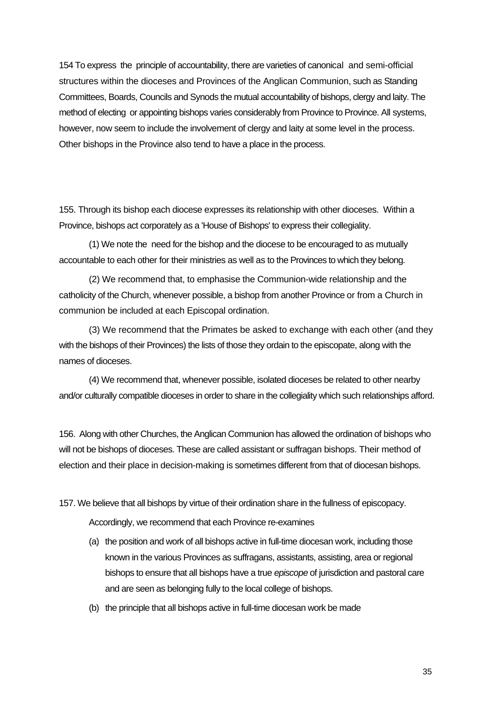154 To express the principle of accountability, there are varieties of canonical and semi-official structures within the dioceses and Provinces of the Anglican Communion, such as Standing Committees, Boards, Councils and Synods the mutual accountability of bishops, clergy and laity. The method of electing or appointing bishops varies considerably from Province to Province. All systems, however, now seem to include the involvement of clergy and laity at some level in the process. Other bishops in the Province also tend to have a place in the process.

155. Through its bishop each diocese expresses its relationship with other dioceses. Within a Province, bishops act corporately as a 'House of Bishops' to express their collegiality.

(1) We note the need for the bishop and the diocese to be encouraged to as mutually accountable to each other for their ministries as well as to the Provinces to which they belong.

(2) We recommend that, to emphasise the Communion-wide relationship and the catholicity of the Church, whenever possible, a bishop from another Province or from a Church in communion be included at each Episcopal ordination.

(3) We recommend that the Primates be asked to exchange with each other (and they with the bishops of their Provinces) the lists of those they ordain to the episcopate, along with the names of dioceses.

(4) We recommend that, whenever possible, isolated dioceses be related to other nearby and/or culturally compatible dioceses in order to share in the collegiality which such relationships afford.

156. Along with other Churches, the Anglican Communion has allowed the ordination of bishops who will not be bishops of dioceses. These are called assistant or suffragan bishops. Their method of election and their place in decision-making is sometimes different from that of diocesan bishops.

157. We believe that all bishops by virtue of their ordination share in the fullness of episcopacy.

Accordingly, we recommend that each Province re-examines

- (a) the position and work of all bishops active in full-time diocesan work, including those known in the various Provinces as suffragans, assistants, assisting, area or regional bishops to ensure that all bishops have a true *episcope* of jurisdiction and pastoral care and are seen as belonging fully to the local college of bishops.
- (b) the principle that all bishops active in full-time diocesan work be made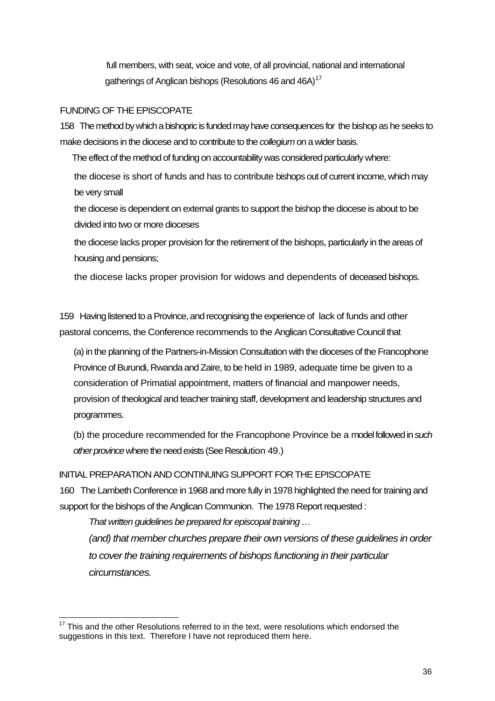full members, with seat, voice and vote, of all provincial, national and international gatherings of Anglican bishops (Resolutions 46 and 46A)<sup>[17](#page-35-0)</sup>

### <span id="page-35-0"></span>FUNDING OF THE EPISCOPATE

158 The method by which a bishopric is funded may have consequences for the bishop as he seeks to make decisions in the diocese and to contribute to the *collegium* on a wider basis.

The effect of the method of funding on accountability was considered particularly where:

the diocese is short of funds and has to contribute bishops out of current income, which may be very small

the diocese is dependent on external grants to support the bishop the diocese is about to be divided into two or more dioceses

the diocese lacks proper provision for the retirement of the bishops, particularly in the areas of housing and pensions;

the diocese lacks proper provision for widows and dependents of deceased bishops.

159 Having listened to a Province, and recognising the experience of lack of funds and other pastoral concerns, the Conference recommends to the Anglican Consultative Council that

(a) in the planning of the Partners-in-Mission Consultation with the dioceses of the Francophone Province of Burundi, Rwanda and Zaire, to be held in 1989, adequate time be given to a consideration of Primatial appointment, matters of financial and manpower needs, provision of theological and teacher training staff, development and leadership structures and programmes.

(b) the procedure recommended for the Francophone Province be a model followed in *such other province* where the need exists (See Resolution 49.)

INITIAL PREPARATION AND CONTINUING SUPPORT FOR THE EPISCOPATE

160 The Lambeth Conference in 1968 and more fully in 1978 highlighted the need for training and support for the bishops of the Anglican Communion. The 1978 Report requested :

*That written guidelines be prepared for episcopal training …* 

*(and) that member churches prepare their own versions of these guidelines in order to cover the training requirements of bishops functioning in their particular circumstances.*

  $17$  This and the other Resolutions referred to in the text, were resolutions which endorsed the suggestions in this text. Therefore I have not reproduced them here.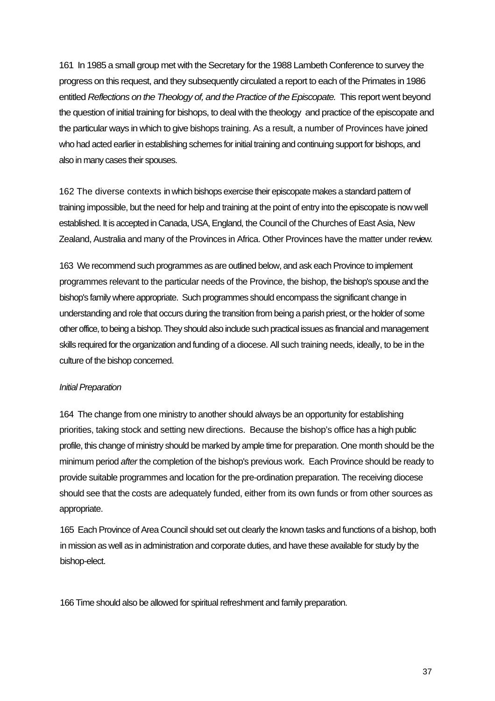161 In 1985 a small group met with the Secretary for the 1988 Lambeth Conference to survey the progress on this request, and they subsequently circulated a report to each of the Primates in 1986 entitled *Reflections on the Theology of, and the Practice of the Episcopate.* This report went beyond the question of initial training for bishops, to deal with the theology and practice of the episcopate and the particular ways in which to give bishops training. As a result, a number of Provinces have joined who had acted earlier in establishing schemes for initial training and continuing support for bishops, and also in many cases their spouses.

162 The diverse contexts in which bishops exercise their episcopate makes a standard pattern of training impossible, but the need for help and training at the point of entry into the episcopate is now well established. It is accepted in Canada, USA, England, the Council of the Churches of East Asia, New Zealand, Australia and many of the Provinces in Africa. Other Provinces have the matter under review.

163 We recommend such programmes as are outlined below, and ask each Province to implement programmes relevant to the particular needs of the Province, the bishop, the bishop's spouse and the bishop's family where appropriate. Such programmes should encompass the significant change in understanding and role that occurs during the transition from being a parish priest, or the holder of some other office, to being a bishop. They should also include such practical issues as financial and management skills required for the organization and funding of a diocese. All such training needs, ideally, to be in the culture of the bishop concerned.

#### *Initial Preparation*

164 The change from one ministry to another should always be an opportunity for establishing priorities, taking stock and setting new directions. Because the bishop's office has a high public profile, this change of ministry should be marked by ample time for preparation. One month should be the minimum period *after* the completion of the bishop's previous work. Each Province should be ready to provide suitable programmes and location for the pre-ordination preparation. The receiving diocese should see that the costs are adequately funded, either from its own funds or from other sources as appropriate.

165 Each Province of Area Council should set out clearly the known tasks and functions of a bishop, both in mission as well as in administration and corporate duties, and have these available for study by the bishop-elect.

166 Time should also be allowed for spiritual refreshment and family preparation.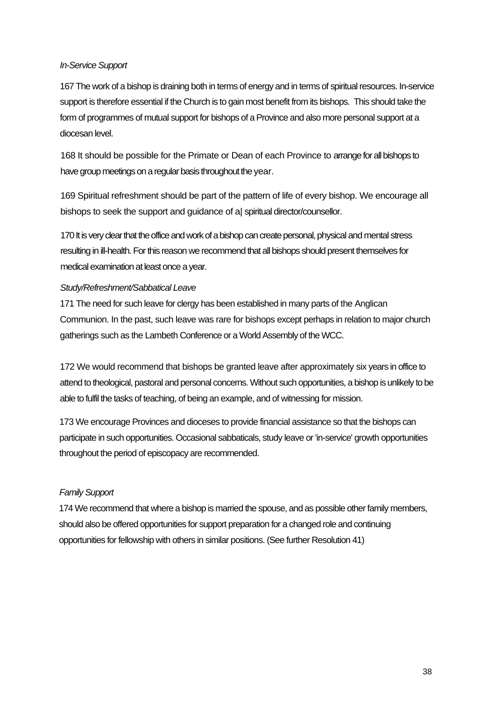#### *In-Service Support*

167 The work of a bishop is draining both in terms of energy and in terms of spiritual resources. In-service support is therefore essential if the Church is to gain most benefit from its bishops. This should take the form of programmes of mutual support for bishops of a Province and also more personal support at a diocesan level.

168 It should be possible for the Primate or Dean of each Province to arrange for all bishops to have group meetings on a regular basis throughout the year.

169 Spiritual refreshment should be part of the pattern of life of every bishop. We encourage all bishops to seek the support and guidance of a| spiritual director/counsellor.

170 It is very clear that the office and work of a bishop can create personal, physical and mental stress resulting in ill-health. For this reason we recommend that all bishops should present themselves for medical examination at least once a year.

#### *Study/Refreshment/Sabbatical Leave*

171 The need for such leave for clergy has been established in many parts of the Anglican Communion. In the past, such leave was rare for bishops except perhaps in relation to major church gatherings such as the Lambeth Conference or a World Assembly of the WCC.

172 We would recommend that bishops be granted leave after approximately six years in office to attend to theological, pastoral and personal concerns. Without such opportunities, a bishop is unlikely to be able to fulfil the tasks of teaching, of being an example, and of witnessing for mission.

173 We encourage Provinces and dioceses to provide financial assistance so that the bishops can participate in such opportunities. Occasional sabbaticals, study leave or 'in-service' growth opportunities throughout the period of episcopacy are recommended.

#### *Family Support*

174 We recommend that where a bishop is married the spouse, and as possible other family members, should also be offered opportunities for support preparation for a changed role and continuing opportunities for fellowship with others in similar positions. (See further Resolution 41)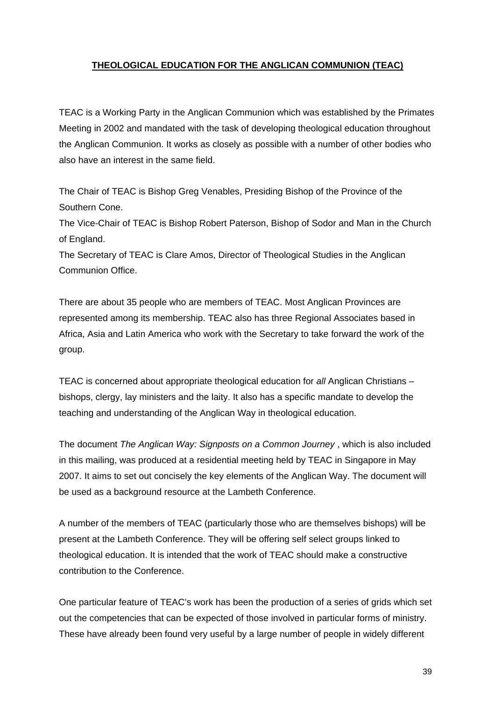# **THEOLOGICAL EDUCATION FOR THE ANGLICAN COMMUNION (TEAC)**

TEAC is a Working Party in the Anglican Communion which was established by the Primates Meeting in 2002 and mandated with the task of developing theological education throughout the Anglican Communion. It works as closely as possible with a number of other bodies who also have an interest in the same field.

The Chair of TEAC is Bishop Greg Venables, Presiding Bishop of the Province of the Southern Cone.

The Vice-Chair of TEAC is Bishop Robert Paterson, Bishop of Sodor and Man in the Church of England.

The Secretary of TEAC is Clare Amos, Director of Theological Studies in the Anglican Communion Office.

There are about 35 people who are members of TEAC. Most Anglican Provinces are represented among its membership. TEAC also has three Regional Associates based in Africa, Asia and Latin America who work with the Secretary to take forward the work of the group.

TEAC is concerned about appropriate theological education for *all* Anglican Christians – bishops, clergy, lay ministers and the laity. It also has a specific mandate to develop the teaching and understanding of the Anglican Way in theological education.

The document *The Anglican Way: Signposts on a Common Journey* , which is also included in this mailing, was produced at a residential meeting held by TEAC in Singapore in May 2007. It aims to set out concisely the key elements of the Anglican Way. The document will be used as a background resource at the Lambeth Conference.

A number of the members of TEAC (particularly those who are themselves bishops) will be present at the Lambeth Conference. They will be offering self select groups linked to theological education. It is intended that the work of TEAC should make a constructive contribution to the Conference.

One particular feature of TEAC's work has been the production of a series of grids which set out the competencies that can be expected of those involved in particular forms of ministry. These have already been found very useful by a large number of people in widely different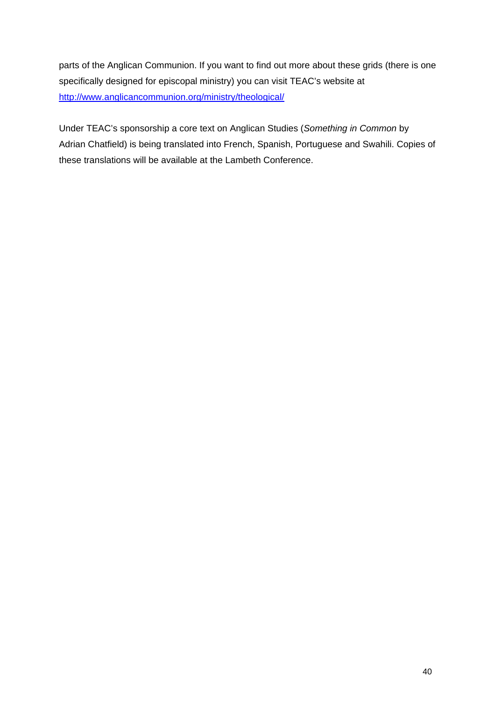parts of the Anglican Communion. If you want to find out more about these grids (there is one specifically designed for episcopal ministry) you can visit TEAC's website at <http://www.anglicancommunion.org/ministry/theological/>

Under TEAC's sponsorship a core text on Anglican Studies (*Something in Common* by Adrian Chatfield) is being translated into French, Spanish, Portuguese and Swahili. Copies of these translations will be available at the Lambeth Conference.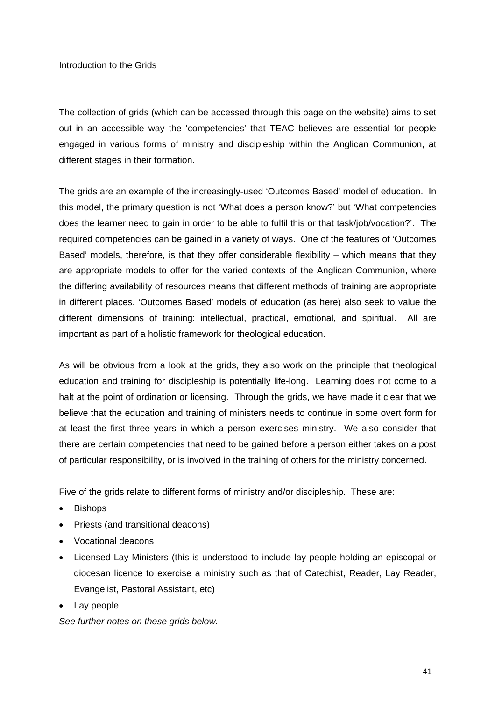Introduction to the Grids

The collection of grids (which can be accessed through this page on the website) aims to set out in an accessible way the 'competencies' that TEAC believes are essential for people engaged in various forms of ministry and discipleship within the Anglican Communion, at different stages in their formation.

The grids are an example of the increasingly-used 'Outcomes Based' model of education. In this model, the primary question is not 'What does a person know?' but 'What competencies does the learner need to gain in order to be able to fulfil this or that task/job/vocation?'. The required competencies can be gained in a variety of ways. One of the features of 'Outcomes Based' models, therefore, is that they offer considerable flexibility – which means that they are appropriate models to offer for the varied contexts of the Anglican Communion, where the differing availability of resources means that different methods of training are appropriate in different places. 'Outcomes Based' models of education (as here) also seek to value the different dimensions of training: intellectual, practical, emotional, and spiritual. All are important as part of a holistic framework for theological education.

As will be obvious from a look at the grids, they also work on the principle that theological education and training for discipleship is potentially life-long. Learning does not come to a halt at the point of ordination or licensing. Through the grids, we have made it clear that we believe that the education and training of ministers needs to continue in some overt form for at least the first three years in which a person exercises ministry. We also consider that there are certain competencies that need to be gained before a person either takes on a post of particular responsibility, or is involved in the training of others for the ministry concerned.

Five of the grids relate to different forms of ministry and/or discipleship. These are:

- Bishops
- Priests (and transitional deacons)
- Vocational deacons
- Licensed Lay Ministers (this is understood to include lay people holding an episcopal or diocesan licence to exercise a ministry such as that of Catechist, Reader, Lay Reader, Evangelist, Pastoral Assistant, etc)
- Lay people

*See further notes on these grids below.*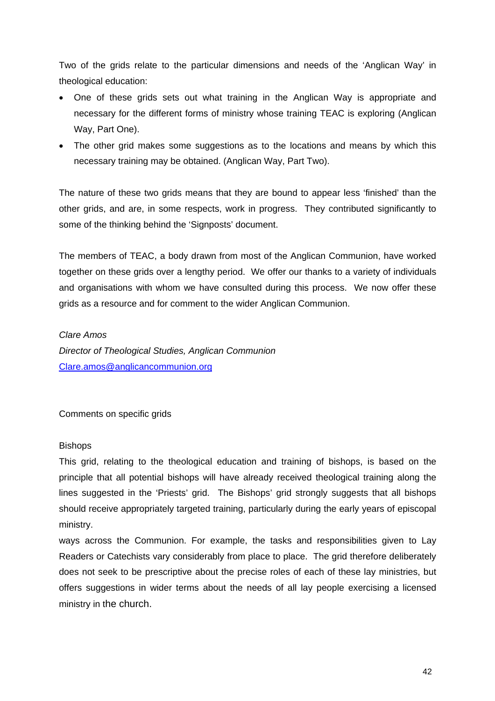Two of the grids relate to the particular dimensions and needs of the 'Anglican Way' in theological education:

- One of these grids sets out what training in the Anglican Way is appropriate and necessary for the different forms of ministry whose training TEAC is exploring (Anglican Way, Part One).
- The other grid makes some suggestions as to the locations and means by which this necessary training may be obtained. (Anglican Way, Part Two).

The nature of these two grids means that they are bound to appear less 'finished' than the other grids, and are, in some respects, work in progress. They contributed significantly to some of the thinking behind the 'Signposts' document.

The members of TEAC, a body drawn from most of the Anglican Communion, have worked together on these grids over a lengthy period. We offer our thanks to a variety of individuals and organisations with whom we have consulted during this process. We now offer these grids as a resource and for comment to the wider Anglican Communion.

*Clare Amos Director of Theological Studies, Anglican Communion* [Clare.amos@anglicancommunion.org](mailto:Clare.amos@anglicancommunion.org)

Comments on specific grids

# Bishops

This grid, relating to the theological education and training of bishops, is based on the principle that all potential bishops will have already received theological training along the lines suggested in the 'Priests' grid. The Bishops' grid strongly suggests that all bishops should receive appropriately targeted training, particularly during the early years of episcopal ministry.

ways across the Communion. For example, the tasks and responsibilities given to Lay Readers or Catechists vary considerably from place to place. The grid therefore deliberately does not seek to be prescriptive about the precise roles of each of these lay ministries, but offers suggestions in wider terms about the needs of all lay people exercising a licensed ministry in the church.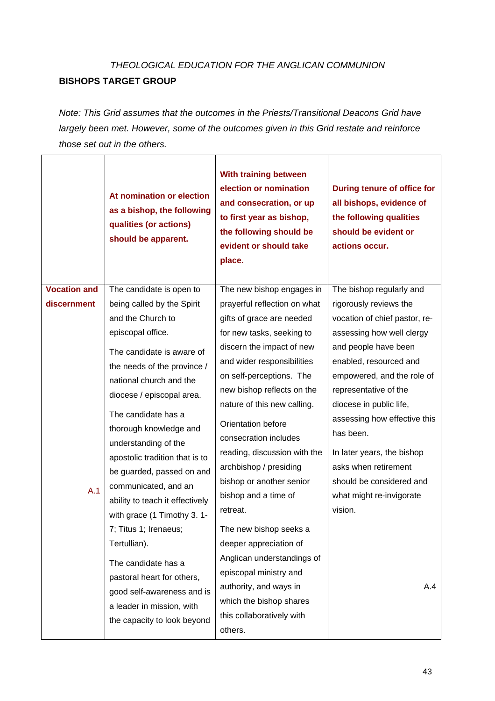# *THEOLOGICAL EDUCATION FOR THE ANGLICAN COMMUNION*  **BISHOPS TARGET GROUP**

*Note: This Grid assumes that the outcomes in the Priests/Transitional Deacons Grid have largely been met. However, some of the outcomes given in this Grid restate and reinforce those set out in the others.*

|                     | At nomination or election<br>as a bishop, the following<br>qualities (or actions)<br>should be apparent. | With training between<br>election or nomination<br>and consecration, or up<br>to first year as bishop,<br>the following should be<br>evident or should take<br>place. | During tenure of office for<br>all bishops, evidence of<br>the following qualities<br>should be evident or<br>actions occur. |
|---------------------|----------------------------------------------------------------------------------------------------------|-----------------------------------------------------------------------------------------------------------------------------------------------------------------------|------------------------------------------------------------------------------------------------------------------------------|
| <b>Vocation and</b> | The candidate is open to                                                                                 | The new bishop engages in                                                                                                                                             | The bishop regularly and                                                                                                     |
| discernment         | being called by the Spirit                                                                               | prayerful reflection on what                                                                                                                                          | rigorously reviews the                                                                                                       |
|                     | and the Church to                                                                                        | gifts of grace are needed                                                                                                                                             | vocation of chief pastor, re-                                                                                                |
|                     | episcopal office.                                                                                        | for new tasks, seeking to                                                                                                                                             | assessing how well clergy                                                                                                    |
|                     | The candidate is aware of                                                                                | discern the impact of new                                                                                                                                             | and people have been                                                                                                         |
|                     | the needs of the province /                                                                              | and wider responsibilities                                                                                                                                            | enabled, resourced and                                                                                                       |
|                     | national church and the                                                                                  | on self-perceptions. The                                                                                                                                              | empowered, and the role of                                                                                                   |
|                     | diocese / episcopal area.                                                                                | new bishop reflects on the                                                                                                                                            | representative of the                                                                                                        |
|                     | The candidate has a                                                                                      | nature of this new calling.                                                                                                                                           | diocese in public life,                                                                                                      |
|                     | thorough knowledge and                                                                                   | Orientation before                                                                                                                                                    | assessing how effective this                                                                                                 |
|                     | understanding of the                                                                                     | consecration includes                                                                                                                                                 | has been.                                                                                                                    |
|                     | apostolic tradition that is to                                                                           | reading, discussion with the                                                                                                                                          | In later years, the bishop                                                                                                   |
|                     | be guarded, passed on and                                                                                | archbishop / presiding                                                                                                                                                | asks when retirement                                                                                                         |
| A.1                 | communicated, and an                                                                                     | bishop or another senior                                                                                                                                              | should be considered and                                                                                                     |
|                     | ability to teach it effectively                                                                          | bishop and a time of                                                                                                                                                  | what might re-invigorate                                                                                                     |
|                     | with grace (1 Timothy 3.1-                                                                               | retreat.                                                                                                                                                              | vision.                                                                                                                      |
|                     | 7; Titus 1; Irenaeus;                                                                                    | The new bishop seeks a                                                                                                                                                |                                                                                                                              |
|                     | Tertullian).                                                                                             | deeper appreciation of                                                                                                                                                |                                                                                                                              |
|                     | The candidate has a                                                                                      | Anglican understandings of                                                                                                                                            |                                                                                                                              |
|                     | pastoral heart for others,                                                                               | episcopal ministry and                                                                                                                                                |                                                                                                                              |
|                     | good self-awareness and is                                                                               | authority, and ways in                                                                                                                                                | A.4                                                                                                                          |
|                     | a leader in mission, with                                                                                | which the bishop shares                                                                                                                                               |                                                                                                                              |
|                     | the capacity to look beyond                                                                              | this collaboratively with                                                                                                                                             |                                                                                                                              |
|                     |                                                                                                          | others.                                                                                                                                                               |                                                                                                                              |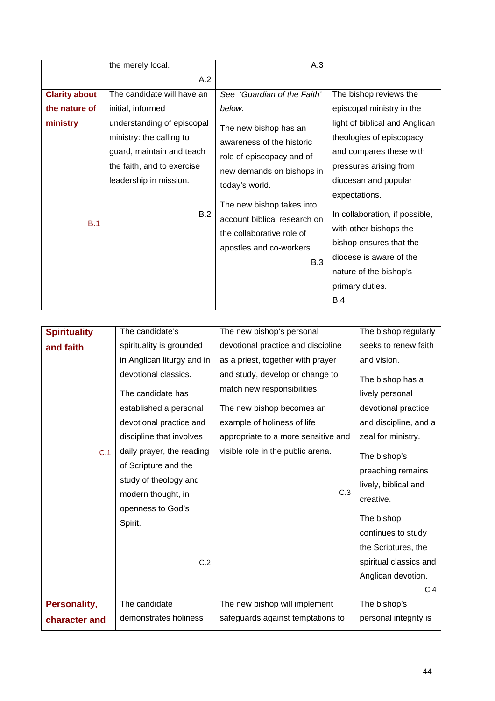|                      | the merely local.          | A.3                                                       |                                |
|----------------------|----------------------------|-----------------------------------------------------------|--------------------------------|
|                      | A.2                        |                                                           |                                |
| <b>Clarity about</b> | The candidate will have an | See 'Guardian of the Faith'                               | The bishop reviews the         |
| the nature of        | initial, informed          | below.                                                    | episcopal ministry in the      |
| ministry             | understanding of episcopal | The new bishop has an                                     | light of biblical and Anglican |
|                      | ministry: the calling to   | awareness of the historic                                 | theologies of episcopacy       |
|                      | guard, maintain and teach  | role of episcopacy and of                                 | and compares these with        |
|                      | the faith, and to exercise | new demands on bishops in                                 | pressures arising from         |
|                      | leadership in mission.     | today's world.                                            | diocesan and popular           |
|                      |                            |                                                           | expectations.                  |
|                      | B.2                        | The new bishop takes into<br>account biblical research on | In collaboration, if possible, |
| B.1                  |                            | the collaborative role of                                 | with other bishops the         |
|                      |                            | apostles and co-workers.                                  | bishop ensures that the        |
|                      |                            | B.3                                                       | diocese is aware of the        |
|                      |                            |                                                           | nature of the bishop's         |
|                      |                            |                                                           | primary duties.                |
|                      |                            |                                                           | <b>B.4</b>                     |

| <b>Spirituality</b> | The candidate's                                                                                                                                                                                                                                                | The new bishop's personal                                                                                                                                                                                     | The bishop regularly                                                                                                                                                                                                    |
|---------------------|----------------------------------------------------------------------------------------------------------------------------------------------------------------------------------------------------------------------------------------------------------------|---------------------------------------------------------------------------------------------------------------------------------------------------------------------------------------------------------------|-------------------------------------------------------------------------------------------------------------------------------------------------------------------------------------------------------------------------|
| and faith           | spirituality is grounded                                                                                                                                                                                                                                       | devotional practice and discipline                                                                                                                                                                            | seeks to renew faith                                                                                                                                                                                                    |
|                     | in Anglican liturgy and in                                                                                                                                                                                                                                     | as a priest, together with prayer                                                                                                                                                                             | and vision.                                                                                                                                                                                                             |
| C.1                 | devotional classics.<br>The candidate has<br>established a personal<br>devotional practice and<br>discipline that involves<br>daily prayer, the reading<br>of Scripture and the<br>study of theology and<br>modern thought, in<br>openness to God's<br>Spirit. | and study, develop or change to<br>match new responsibilities.<br>The new bishop becomes an<br>example of holiness of life<br>appropriate to a more sensitive and<br>visible role in the public arena.<br>C.3 | The bishop has a<br>lively personal<br>devotional practice<br>and discipline, and a<br>zeal for ministry.<br>The bishop's<br>preaching remains<br>lively, biblical and<br>creative.<br>The bishop<br>continues to study |
|                     | C.2                                                                                                                                                                                                                                                            |                                                                                                                                                                                                               | the Scriptures, the<br>spiritual classics and<br>Anglican devotion.<br>C.4                                                                                                                                              |
| Personality,        | The candidate                                                                                                                                                                                                                                                  | The new bishop will implement                                                                                                                                                                                 | The bishop's                                                                                                                                                                                                            |
| character and       | demonstrates holiness                                                                                                                                                                                                                                          | safeguards against temptations to                                                                                                                                                                             | personal integrity is                                                                                                                                                                                                   |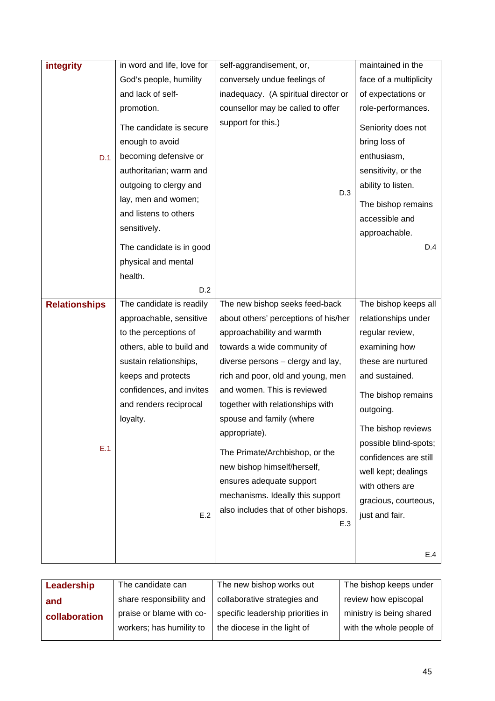| integrity            | in word and life, love for | self-aggrandisement, or,             | maintained in the      |
|----------------------|----------------------------|--------------------------------------|------------------------|
|                      | God's people, humility     | conversely undue feelings of         | face of a multiplicity |
|                      | and lack of self-          | inadequacy. (A spiritual director or | of expectations or     |
|                      | promotion.                 | counsellor may be called to offer    | role-performances.     |
|                      | The candidate is secure    | support for this.)                   | Seniority does not     |
|                      | enough to avoid            |                                      | bring loss of          |
| D.1                  | becoming defensive or      |                                      | enthusiasm,            |
|                      | authoritarian; warm and    |                                      | sensitivity, or the    |
|                      | outgoing to clergy and     |                                      | ability to listen.     |
|                      | lay, men and women;        | D.3                                  | The bishop remains     |
|                      | and listens to others      |                                      | accessible and         |
|                      | sensitively.               |                                      | approachable.          |
|                      | The candidate is in good   |                                      | D.4                    |
|                      | physical and mental        |                                      |                        |
|                      | health.                    |                                      |                        |
|                      | D.2                        |                                      |                        |
| <b>Relationships</b> | The candidate is readily   | The new bishop seeks feed-back       | The bishop keeps all   |
|                      | approachable, sensitive    | about others' perceptions of his/her | relationships under    |
|                      | to the perceptions of      | approachability and warmth           | regular review,        |
|                      | others, able to build and  | towards a wide community of          | examining how          |
|                      | sustain relationships,     | diverse persons - clergy and lay,    | these are nurtured     |
|                      | keeps and protects         | rich and poor, old and young, men    | and sustained.         |
|                      | confidences, and invites   | and women. This is reviewed          | The bishop remains     |
|                      | and renders reciprocal     | together with relationships with     | outgoing.              |
|                      | loyalty.                   | spouse and family (where             |                        |
|                      |                            | appropriate).                        | The bishop reviews     |
| E.1                  |                            | The Primate/Archbishop, or the       | possible blind-spots;  |
|                      |                            | new bishop himself/herself,          | confidences are still  |
|                      |                            | ensures adequate support             | well kept; dealings    |
|                      |                            | mechanisms. Ideally this support     | with others are        |
|                      |                            | also includes that of other bishops. | gracious, courteous,   |
|                      | E.2                        | E.3                                  | just and fair.         |
|                      |                            |                                      |                        |
|                      |                            |                                      | E.4                    |
|                      |                            |                                      |                        |

| Leadership    | The candidate can        | The new bishop works out          | The bishop keeps under   |
|---------------|--------------------------|-----------------------------------|--------------------------|
| and           | share responsibility and | collaborative strategies and      | review how episcopal     |
| collaboration | praise or blame with co- | specific leadership priorities in | ministry is being shared |
|               | workers; has humility to | the diocese in the light of       | with the whole people of |
|               |                          |                                   |                          |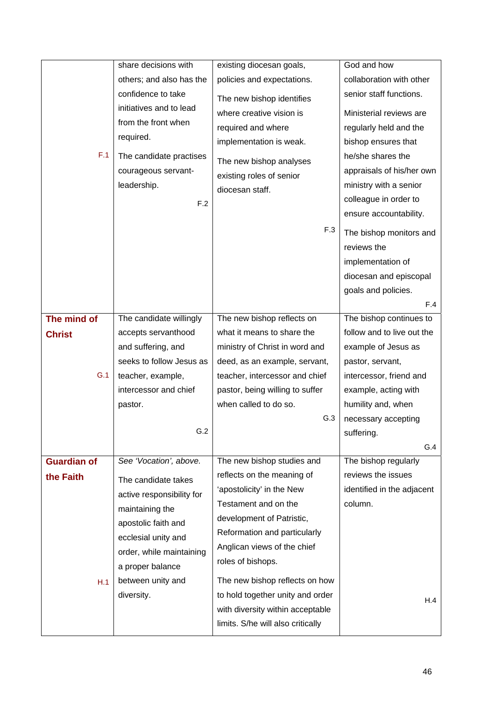|                    | share decisions with      | existing diocesan goals,          | God and how                |
|--------------------|---------------------------|-----------------------------------|----------------------------|
|                    | others; and also has the  | policies and expectations.        | collaboration with other   |
|                    | confidence to take        | The new bishop identifies         | senior staff functions.    |
|                    | initiatives and to lead   | where creative vision is          | Ministerial reviews are    |
|                    | from the front when       | required and where                | regularly held and the     |
|                    | required.                 | implementation is weak.           | bishop ensures that        |
| F.1                | The candidate practises   | The new bishop analyses           | he/she shares the          |
|                    | courageous servant-       | existing roles of senior          | appraisals of his/her own  |
|                    | leadership.               | diocesan staff.                   | ministry with a senior     |
|                    | F.2                       |                                   | colleague in order to      |
|                    |                           |                                   | ensure accountability.     |
|                    |                           | F.3                               | The bishop monitors and    |
|                    |                           |                                   | reviews the                |
|                    |                           |                                   | implementation of          |
|                    |                           |                                   | diocesan and episcopal     |
|                    |                           |                                   | goals and policies.        |
|                    |                           |                                   | F.4                        |
| The mind of        | The candidate willingly   | The new bishop reflects on        | The bishop continues to    |
| <b>Christ</b>      | accepts servanthood       | what it means to share the        | follow and to live out the |
|                    | and suffering, and        | ministry of Christ in word and    | example of Jesus as        |
|                    | seeks to follow Jesus as  | deed, as an example, servant,     | pastor, servant,           |
| G.1                | teacher, example,         | teacher, intercessor and chief    | intercessor, friend and    |
|                    | intercessor and chief     | pastor, being willing to suffer   | example, acting with       |
|                    | pastor.                   | when called to do so.             | humility and, when         |
|                    |                           | G.3                               | necessary accepting        |
|                    | G.2                       |                                   | suffering.                 |
|                    |                           |                                   | G.4                        |
| <b>Guardian of</b> | See 'Vocation', above.    | The new bishop studies and        | The bishop regularly       |
| the Faith          | The candidate takes       | reflects on the meaning of        | reviews the issues         |
|                    | active responsibility for | 'apostolicity' in the New         | identified in the adjacent |
|                    | maintaining the           | Testament and on the              | column.                    |
|                    | apostolic faith and       | development of Patristic,         |                            |
|                    | ecclesial unity and       | Reformation and particularly      |                            |
|                    | order, while maintaining  | Anglican views of the chief       |                            |
|                    | a proper balance          | roles of bishops.                 |                            |
| H.1                | between unity and         | The new bishop reflects on how    |                            |
|                    | diversity.                | to hold together unity and order  | H.4                        |
|                    |                           | with diversity within acceptable  |                            |
|                    |                           | limits. S/he will also critically |                            |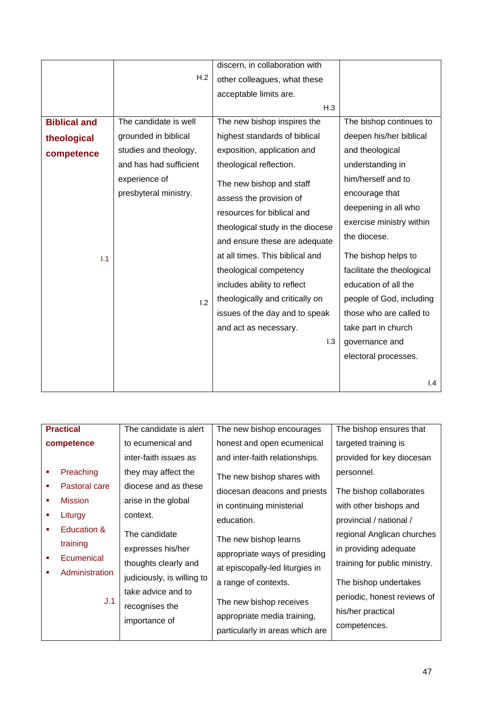|                     |                        | discern, in collaboration with   |                            |
|---------------------|------------------------|----------------------------------|----------------------------|
|                     | H.2                    | other colleagues, what these     |                            |
|                     |                        | acceptable limits are.           |                            |
|                     |                        | H.3                              |                            |
| <b>Biblical and</b> | The candidate is well  | The new bishop inspires the      | The bishop continues to    |
| theological         | grounded in biblical   | highest standards of biblical    | deepen his/her biblical    |
| competence          | studies and theology,  | exposition, application and      | and theological            |
|                     | and has had sufficient | theological reflection.          | understanding in           |
|                     | experience of          | The new bishop and staff         | him/herself and to         |
|                     | presbyteral ministry.  | assess the provision of          | encourage that             |
|                     |                        | resources for biblical and       | deepening in all who       |
|                     |                        | theological study in the diocese | exercise ministry within   |
|                     |                        | and ensure these are adequate    | the diocese.               |
| 1.1                 |                        | at all times. This biblical and  | The bishop helps to        |
|                     |                        | theological competency           | facilitate the theological |
|                     |                        | includes ability to reflect      | education of all the       |
|                     | 1.2                    | theologically and critically on  | people of God, including   |
|                     |                        | issues of the day and to speak   | those who are called to    |
|                     |                        | and act as necessary.            | take part in church        |
|                     |                        | 1.3                              | governance and             |
|                     |                        |                                  | electoral processes.       |
|                     |                        |                                  |                            |
|                     |                        |                                  | 1.4                        |

| <b>Practical</b>                                                      | The candidate is alert                                                                                                                            | The new bishop encourages                                                                                                                                                                 | The bishop ensures that                                                                                                                                                                                      |
|-----------------------------------------------------------------------|---------------------------------------------------------------------------------------------------------------------------------------------------|-------------------------------------------------------------------------------------------------------------------------------------------------------------------------------------------|--------------------------------------------------------------------------------------------------------------------------------------------------------------------------------------------------------------|
| competence                                                            | to ecumenical and                                                                                                                                 | honest and open ecumenical                                                                                                                                                                | targeted training is                                                                                                                                                                                         |
|                                                                       | inter-faith issues as                                                                                                                             | and inter-faith relationships.                                                                                                                                                            | provided for key diocesan                                                                                                                                                                                    |
| Preaching                                                             | they may affect the                                                                                                                               | The new bishop shares with                                                                                                                                                                | personnel.                                                                                                                                                                                                   |
| Pastoral care                                                         | diocese and as these                                                                                                                              | diocesan deacons and priests                                                                                                                                                              | The bishop collaborates                                                                                                                                                                                      |
| <b>Mission</b><br>Liturgy                                             | arise in the global<br>context.                                                                                                                   | in continuing ministerial                                                                                                                                                                 | with other bishops and                                                                                                                                                                                       |
| Education &<br>training<br>Ecumenical<br><b>Administration</b><br>J.1 | The candidate<br>expresses his/her<br>thoughts clearly and<br>judiciously, is willing to<br>take advice and to<br>recognises the<br>importance of | education.<br>The new bishop learns<br>appropriate ways of presiding<br>at episcopally-led liturgies in<br>a range of contexts.<br>The new bishop receives<br>appropriate media training, | provincial / national /<br>regional Anglican churches<br>in providing adequate<br>training for public ministry.<br>The bishop undertakes<br>periodic, honest reviews of<br>his/her practical<br>competences. |
|                                                                       |                                                                                                                                                   | particularly in areas which are                                                                                                                                                           |                                                                                                                                                                                                              |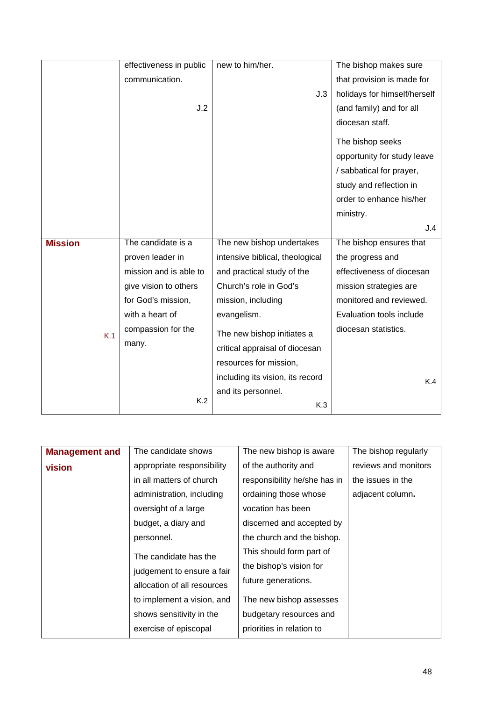|                | effectiveness in public | new to him/her.                  | The bishop makes sure        |
|----------------|-------------------------|----------------------------------|------------------------------|
|                | communication.          |                                  | that provision is made for   |
|                |                         | J.3                              | holidays for himself/herself |
|                | J.2                     |                                  | (and family) and for all     |
|                |                         |                                  | diocesan staff.              |
|                |                         |                                  | The bishop seeks             |
|                |                         |                                  | opportunity for study leave  |
|                |                         |                                  | / sabbatical for prayer,     |
|                |                         |                                  | study and reflection in      |
|                |                         |                                  | order to enhance his/her     |
|                |                         |                                  | ministry.                    |
|                |                         |                                  | J.4                          |
| <b>Mission</b> | The candidate is a      | The new bishop undertakes        | The bishop ensures that      |
|                | proven leader in        | intensive biblical, theological  | the progress and             |
|                | mission and is able to  | and practical study of the       | effectiveness of diocesan    |
|                | give vision to others   | Church's role in God's           | mission strategies are       |
|                | for God's mission,      | mission, including               | monitored and reviewed.      |
|                | with a heart of         | evangelism.                      | Evaluation tools include     |
| K.1            | compassion for the      | The new bishop initiates a       | diocesan statistics.         |
|                | many.                   | critical appraisal of diocesan   |                              |
|                |                         | resources for mission,           |                              |
|                |                         | including its vision, its record | K.4                          |
|                |                         | and its personnel.               |                              |
|                | K.2                     | K.3                              |                              |

| <b>Management and</b> | The candidate shows         | The new bishop is aware      | The bishop regularly |
|-----------------------|-----------------------------|------------------------------|----------------------|
| vision                | appropriate responsibility  | of the authority and         | reviews and monitors |
|                       | in all matters of church    | responsibility he/she has in | the issues in the    |
|                       | administration, including   | ordaining those whose        | adjacent column.     |
|                       | oversight of a large        | vocation has been            |                      |
|                       | budget, a diary and         | discerned and accepted by    |                      |
|                       | personnel.                  | the church and the bishop.   |                      |
|                       | The candidate has the       | This should form part of     |                      |
|                       | judgement to ensure a fair  | the bishop's vision for      |                      |
|                       | allocation of all resources | future generations.          |                      |
|                       | to implement a vision, and  | The new bishop assesses      |                      |
|                       | shows sensitivity in the    | budgetary resources and      |                      |
|                       | exercise of episcopal       | priorities in relation to    |                      |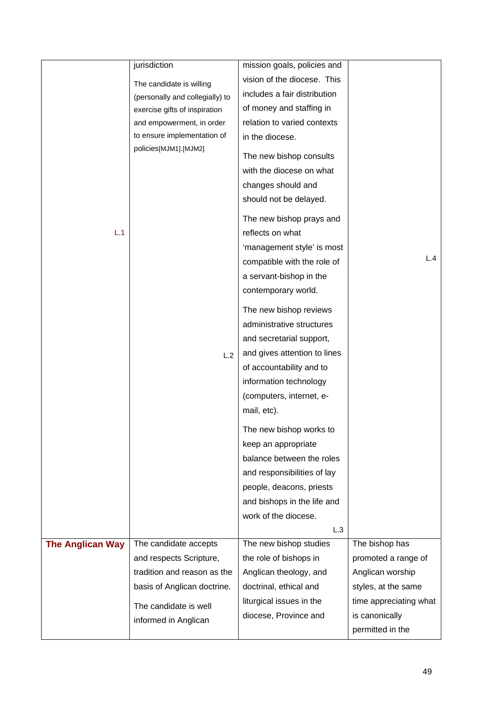|                         | jurisdiction                    | mission goals, policies and  |                        |
|-------------------------|---------------------------------|------------------------------|------------------------|
|                         | The candidate is willing        | vision of the diocese. This  |                        |
|                         | (personally and collegially) to | includes a fair distribution |                        |
|                         | exercise gifts of inspiration   | of money and staffing in     |                        |
|                         | and empowerment, in order       | relation to varied contexts  |                        |
|                         | to ensure implementation of     | in the diocese.              |                        |
|                         | policies[MJM1].[MJM2]           | The new bishop consults      |                        |
|                         |                                 | with the diocese on what     |                        |
|                         |                                 | changes should and           |                        |
|                         |                                 | should not be delayed.       |                        |
|                         |                                 | The new bishop prays and     |                        |
| L.1                     |                                 | reflects on what             |                        |
|                         |                                 | 'management style' is most   |                        |
|                         |                                 | compatible with the role of  | L.4                    |
|                         |                                 | a servant-bishop in the      |                        |
|                         |                                 | contemporary world.          |                        |
|                         |                                 | The new bishop reviews       |                        |
|                         |                                 | administrative structures    |                        |
|                         |                                 | and secretarial support,     |                        |
|                         | L.2                             | and gives attention to lines |                        |
|                         |                                 | of accountability and to     |                        |
|                         |                                 | information technology       |                        |
|                         |                                 | (computers, internet, e-     |                        |
|                         |                                 | mail, etc).                  |                        |
|                         |                                 | The new bishop works to      |                        |
|                         |                                 | keep an appropriate          |                        |
|                         |                                 | balance between the roles    |                        |
|                         |                                 | and responsibilities of lay  |                        |
|                         |                                 | people, deacons, priests     |                        |
|                         |                                 | and bishops in the life and  |                        |
|                         |                                 | work of the diocese.         |                        |
|                         |                                 | L.3                          |                        |
| <b>The Anglican Way</b> | The candidate accepts           | The new bishop studies       | The bishop has         |
|                         | and respects Scripture,         | the role of bishops in       | promoted a range of    |
|                         | tradition and reason as the     | Anglican theology, and       | Anglican worship       |
|                         | basis of Anglican doctrine.     | doctrinal, ethical and       | styles, at the same    |
|                         | The candidate is well           | liturgical issues in the     | time appreciating what |
|                         | informed in Anglican            | diocese, Province and        | is canonically         |
|                         |                                 |                              | permitted in the       |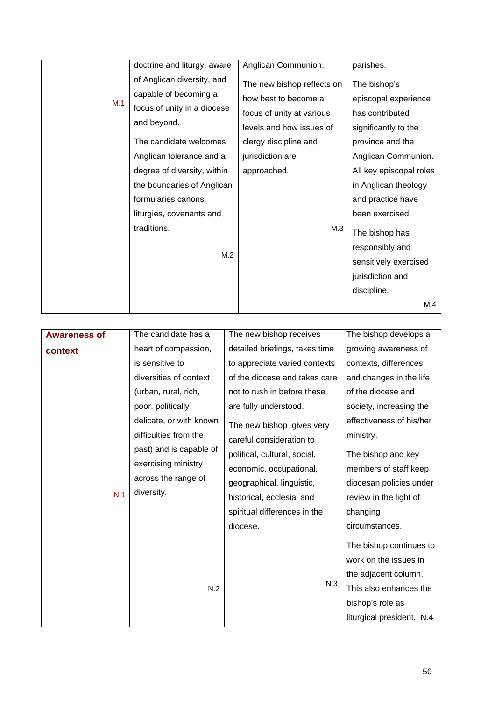|     | doctrine and liturgy, aware | Anglican Communion.        | parishes.               |
|-----|-----------------------------|----------------------------|-------------------------|
|     | of Anglican diversity, and  | The new bishop reflects on | The bishop's            |
| M.1 | capable of becoming a       | how best to become a       | episcopal experience    |
|     | focus of unity in a diocese | focus of unity at various  | has contributed         |
|     | and beyond.                 | levels and how issues of   | significantly to the    |
|     | The candidate welcomes      | clergy discipline and      | province and the        |
|     | Anglican tolerance and a    | jurisdiction are           | Anglican Communion.     |
|     | degree of diversity, within | approached.                | All key episcopal roles |
|     | the boundaries of Anglican  |                            | in Anglican theology    |
|     | formularies canons,         |                            | and practice have       |
|     | liturgies, covenants and    |                            | been exercised.         |
|     | traditions.                 | M.3                        | The bishop has          |
|     |                             |                            | responsibly and         |
|     | M.2                         |                            | sensitively exercised   |
|     |                             |                            | jurisdiction and        |
|     |                             |                            | discipline.             |
|     |                             |                            | M.4                     |

| <b>Awareness of</b> | The candidate has a                                                                                                                     | The new bishop receives                                                                                                                                                                                    | The bishop develops a                                                                                                                                                 |
|---------------------|-----------------------------------------------------------------------------------------------------------------------------------------|------------------------------------------------------------------------------------------------------------------------------------------------------------------------------------------------------------|-----------------------------------------------------------------------------------------------------------------------------------------------------------------------|
| context             | heart of compassion,                                                                                                                    | detailed briefings, takes time                                                                                                                                                                             | growing awareness of                                                                                                                                                  |
|                     | is sensitive to                                                                                                                         | to appreciate varied contexts                                                                                                                                                                              | contexts, differences                                                                                                                                                 |
|                     | diversities of context                                                                                                                  | of the diocese and takes care                                                                                                                                                                              | and changes in the life                                                                                                                                               |
|                     | (urban, rural, rich,                                                                                                                    | not to rush in before these                                                                                                                                                                                | of the diocese and                                                                                                                                                    |
|                     | poor, politically                                                                                                                       | are fully understood.                                                                                                                                                                                      | society, increasing the                                                                                                                                               |
| N.1                 | delicate, or with known<br>difficulties from the<br>past) and is capable of<br>exercising ministry<br>across the range of<br>diversity. | The new bishop gives very<br>careful consideration to<br>political, cultural, social,<br>economic, occupational,<br>geographical, linguistic,<br>historical, ecclesial and<br>spiritual differences in the | effectiveness of his/her<br>ministry.<br>The bishop and key<br>members of staff keep<br>diocesan policies under<br>review in the light of<br>changing                 |
|                     | N.2                                                                                                                                     | diocese.<br>N.3                                                                                                                                                                                            | circumstances.<br>The bishop continues to<br>work on the issues in<br>the adjacent column.<br>This also enhances the<br>bishop's role as<br>liturgical president. N.4 |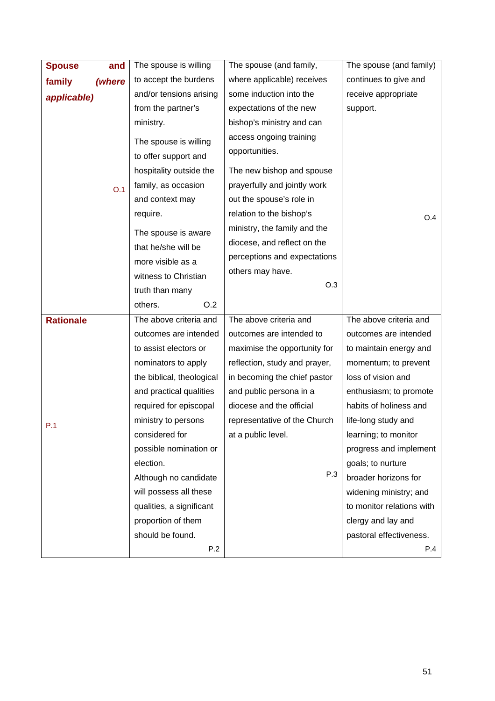| <b>Spouse</b><br>and | The spouse is willing     | The spouse (and family,       | The spouse (and family)   |
|----------------------|---------------------------|-------------------------------|---------------------------|
| family<br>(where     | to accept the burdens     | where applicable) receives    | continues to give and     |
| applicable)          | and/or tensions arising   | some induction into the       | receive appropriate       |
|                      | from the partner's        | expectations of the new       | support.                  |
|                      | ministry.                 | bishop's ministry and can     |                           |
|                      | The spouse is willing     | access ongoing training       |                           |
|                      | to offer support and      | opportunities.                |                           |
|                      | hospitality outside the   | The new bishop and spouse     |                           |
| O.1                  | family, as occasion       | prayerfully and jointly work  |                           |
|                      | and context may           | out the spouse's role in      |                           |
|                      | require.                  | relation to the bishop's      | O.4                       |
|                      | The spouse is aware       | ministry, the family and the  |                           |
|                      | that he/she will be       | diocese, and reflect on the   |                           |
|                      | more visible as a         | perceptions and expectations  |                           |
|                      | witness to Christian      | others may have.              |                           |
|                      | truth than many           | O.3                           |                           |
|                      | O.2<br>others.            |                               |                           |
| <b>Rationale</b>     | The above criteria and    | The above criteria and        | The above criteria and    |
|                      | outcomes are intended     | outcomes are intended to      | outcomes are intended     |
|                      | to assist electors or     | maximise the opportunity for  | to maintain energy and    |
|                      | nominators to apply       | reflection, study and prayer, | momentum; to prevent      |
|                      | the biblical, theological | in becoming the chief pastor  | loss of vision and        |
|                      | and practical qualities   | and public persona in a       | enthusiasm; to promote    |
|                      | required for episcopal    | diocese and the official      | habits of holiness and    |
| P.1                  | ministry to persons       | representative of the Church  | life-long study and       |
|                      | considered for            | at a public level.            | learning; to monitor      |
|                      | possible nomination or    |                               | progress and implement    |
|                      | election.                 |                               | goals; to nurture         |
|                      | Although no candidate     | P.3                           | broader horizons for      |
|                      | will possess all these    |                               | widening ministry; and    |
|                      | qualities, a significant  |                               | to monitor relations with |
|                      | proportion of them        |                               | clergy and lay and        |
|                      | should be found.          |                               | pastoral effectiveness.   |
|                      | P.2                       |                               | P.4                       |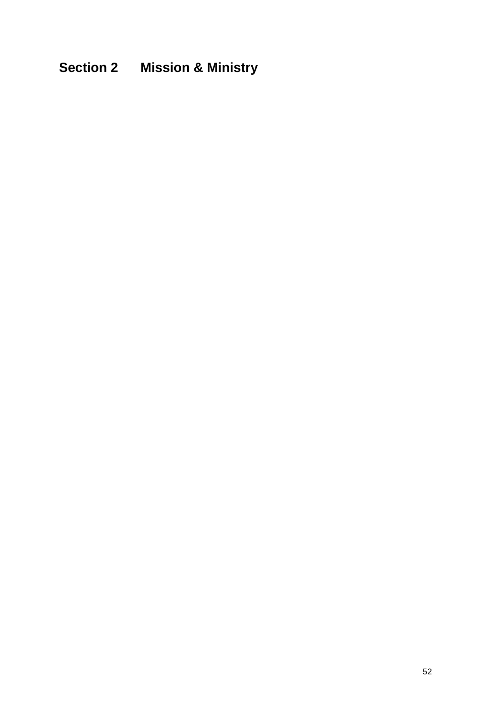# **Section 2 Mission & Ministry**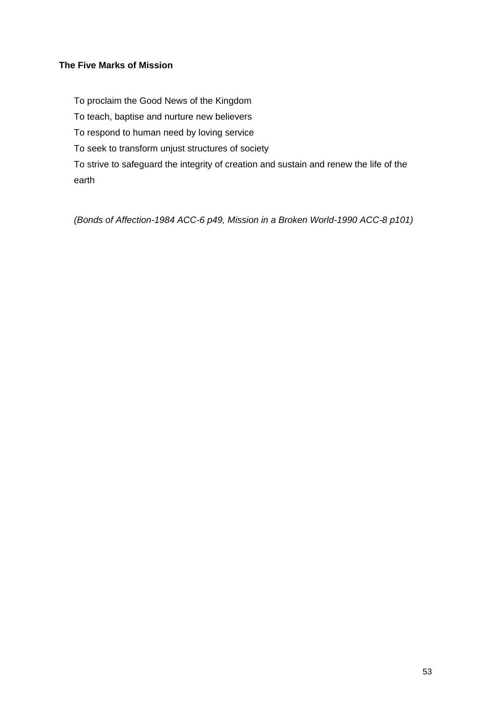# **The Five Marks of Mission**

To proclaim the Good News of the Kingdom

To teach, baptise and nurture new believers

To respond to human need by loving service

To seek to transform unjust structures of society

To strive to safeguard the integrity of creation and sustain and renew the life of the earth

*(Bonds of Affection-1984 ACC-6 p49, Mission in a Broken World-1990 ACC-8 p101)*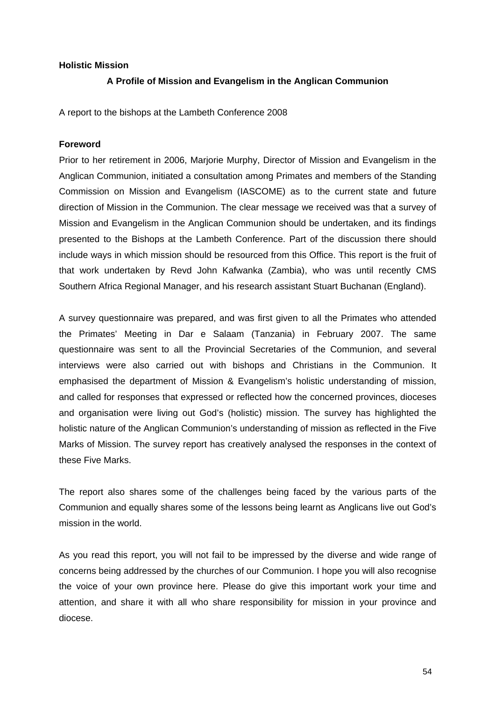#### **Holistic Mission**

### **A Profile of Mission and Evangelism in the Anglican Communion**

A report to the bishops at the Lambeth Conference 2008

#### **Foreword**

Prior to her retirement in 2006, Marjorie Murphy, Director of Mission and Evangelism in the Anglican Communion, initiated a consultation among Primates and members of the Standing Commission on Mission and Evangelism (IASCOME) as to the current state and future direction of Mission in the Communion. The clear message we received was that a survey of Mission and Evangelism in the Anglican Communion should be undertaken, and its findings presented to the Bishops at the Lambeth Conference. Part of the discussion there should include ways in which mission should be resourced from this Office. This report is the fruit of that work undertaken by Revd John Kafwanka (Zambia), who was until recently CMS Southern Africa Regional Manager, and his research assistant Stuart Buchanan (England).

A survey questionnaire was prepared, and was first given to all the Primates who attended the Primates' Meeting in Dar e Salaam (Tanzania) in February 2007. The same questionnaire was sent to all the Provincial Secretaries of the Communion, and several interviews were also carried out with bishops and Christians in the Communion. It emphasised the department of Mission & Evangelism's holistic understanding of mission, and called for responses that expressed or reflected how the concerned provinces, dioceses and organisation were living out God's (holistic) mission. The survey has highlighted the holistic nature of the Anglican Communion's understanding of mission as reflected in the Five Marks of Mission. The survey report has creatively analysed the responses in the context of these Five Marks.

The report also shares some of the challenges being faced by the various parts of the Communion and equally shares some of the lessons being learnt as Anglicans live out God's mission in the world.

As you read this report, you will not fail to be impressed by the diverse and wide range of concerns being addressed by the churches of our Communion. I hope you will also recognise the voice of your own province here. Please do give this important work your time and attention, and share it with all who share responsibility for mission in your province and diocese.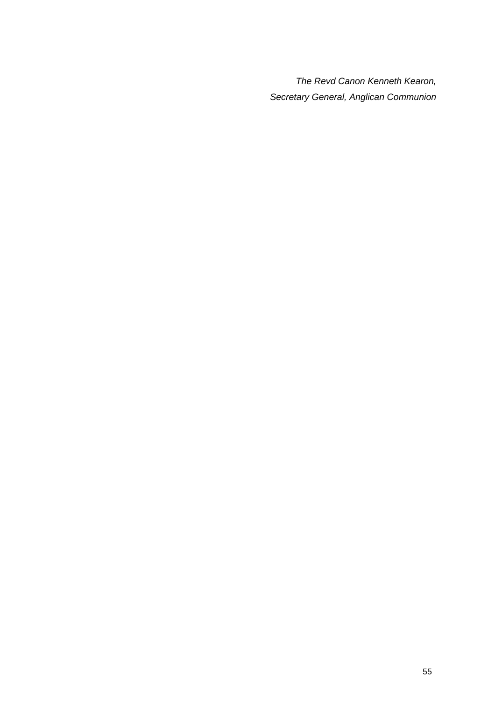*The Revd Canon Kenneth Kearon, Secretary General, Anglican Communion*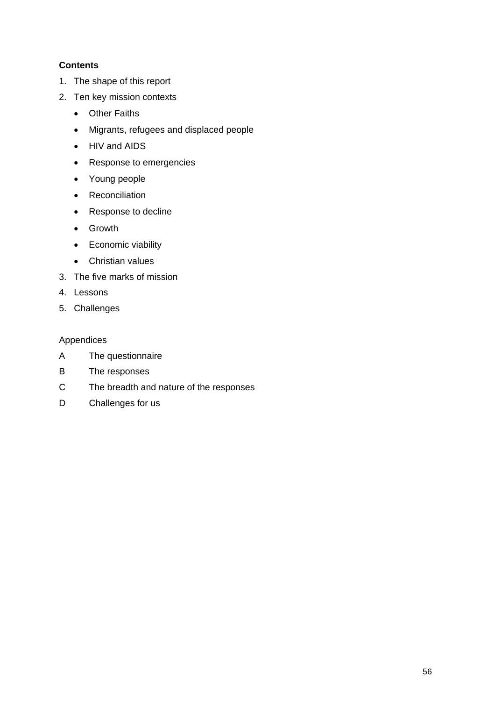# **Contents**

- 1. The shape of this report
- 2. Ten key mission contexts
	- Other Faiths
	- Migrants, refugees and displaced people
	- HIV and AIDS
	- Response to emergencies
	- Young people
	- Reconciliation
	- Response to decline
	- Growth
	- Economic viability
	- Christian values
- 3. The five marks of mission
- 4. Lessons
- 5. Challenges

#### Appendices

- A The questionnaire
- B The responses
- C The breadth and nature of the responses
- D Challenges for us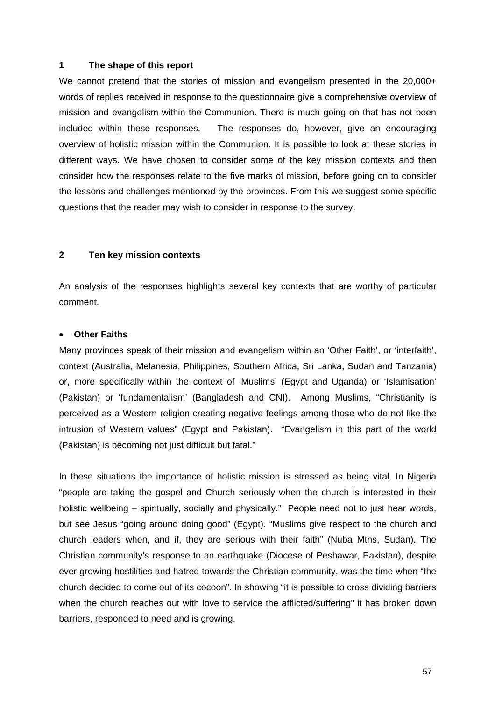#### **1 The shape of this report**

We cannot pretend that the stories of mission and evangelism presented in the 20,000+ words of replies received in response to the questionnaire give a comprehensive overview of mission and evangelism within the Communion. There is much going on that has not been included within these responses. The responses do, however, give an encouraging overview of holistic mission within the Communion. It is possible to look at these stories in different ways. We have chosen to consider some of the key mission contexts and then consider how the responses relate to the five marks of mission, before going on to consider the lessons and challenges mentioned by the provinces. From this we suggest some specific questions that the reader may wish to consider in response to the survey.

#### **2 Ten key mission contexts**

An analysis of the responses highlights several key contexts that are worthy of particular comment.

#### • **Other Faiths**

Many provinces speak of their mission and evangelism within an 'Other Faith', or 'interfaith', context (Australia, Melanesia, Philippines, Southern Africa, Sri Lanka, Sudan and Tanzania) or, more specifically within the context of 'Muslims' (Egypt and Uganda) or 'Islamisation' (Pakistan) or 'fundamentalism' (Bangladesh and CNI). Among Muslims, "Christianity is perceived as a Western religion creating negative feelings among those who do not like the intrusion of Western values" (Egypt and Pakistan). "Evangelism in this part of the world (Pakistan) is becoming not just difficult but fatal."

In these situations the importance of holistic mission is stressed as being vital. In Nigeria "people are taking the gospel and Church seriously when the church is interested in their holistic wellbeing – spiritually, socially and physically." People need not to just hear words, but see Jesus "going around doing good" (Egypt). "Muslims give respect to the church and church leaders when, and if, they are serious with their faith" (Nuba Mtns, Sudan). The Christian community's response to an earthquake (Diocese of Peshawar, Pakistan), despite ever growing hostilities and hatred towards the Christian community, was the time when "the church decided to come out of its cocoon". In showing "it is possible to cross dividing barriers when the church reaches out with love to service the afflicted/suffering" it has broken down barriers, responded to need and is growing.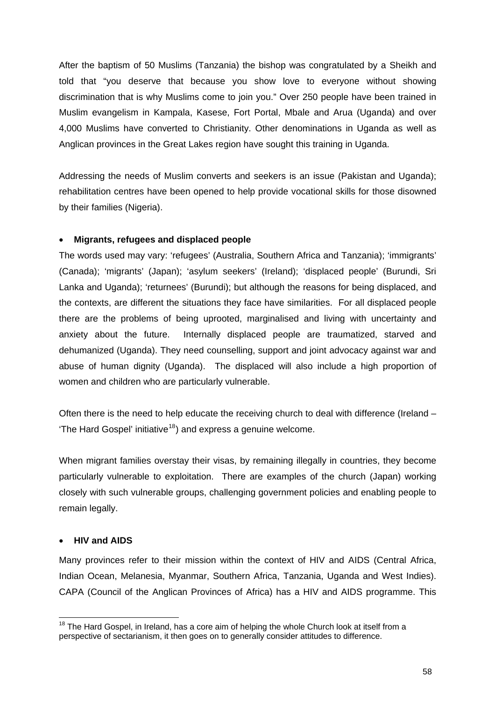<span id="page-57-0"></span>After the baptism of 50 Muslims (Tanzania) the bishop was congratulated by a Sheikh and told that "you deserve that because you show love to everyone without showing discrimination that is why Muslims come to join you." Over 250 people have been trained in Muslim evangelism in Kampala, Kasese, Fort Portal, Mbale and Arua (Uganda) and over 4,000 Muslims have converted to Christianity. Other denominations in Uganda as well as Anglican provinces in the Great Lakes region have sought this training in Uganda.

Addressing the needs of Muslim converts and seekers is an issue (Pakistan and Uganda); rehabilitation centres have been opened to help provide vocational skills for those disowned by their families (Nigeria).

# • **Migrants, refugees and displaced people**

The words used may vary: 'refugees' (Australia, Southern Africa and Tanzania); 'immigrants' (Canada); 'migrants' (Japan); 'asylum seekers' (Ireland); 'displaced people' (Burundi, Sri Lanka and Uganda); 'returnees' (Burundi); but although the reasons for being displaced, and the contexts, are different the situations they face have similarities. For all displaced people there are the problems of being uprooted, marginalised and living with uncertainty and anxiety about the future. Internally displaced people are traumatized, starved and dehumanized (Uganda). They need counselling, support and joint advocacy against war and abuse of human dignity (Uganda). The displaced will also include a high proportion of women and children who are particularly vulnerable.

Often there is the need to help educate the receiving church to deal with difference (Ireland – 'The Hard Gospel' initiative<sup>[18](#page-57-0)</sup>) and express a genuine welcome.

When migrant families overstay their visas, by remaining illegally in countries, they become particularly vulnerable to exploitation. There are examples of the church (Japan) working closely with such vulnerable groups, challenging government policies and enabling people to remain legally.

#### • **HIV and AIDS**

Many provinces refer to their mission within the context of HIV and AIDS (Central Africa, Indian Ocean, Melanesia, Myanmar, Southern Africa, Tanzania, Uganda and West Indies). CAPA (Council of the Anglican Provinces of Africa) has a HIV and AIDS programme. This

 $18$  The Hard Gospel, in Ireland, has a core aim of helping the whole Church look at itself from a perspective of sectarianism, it then goes on to generally consider attitudes to difference.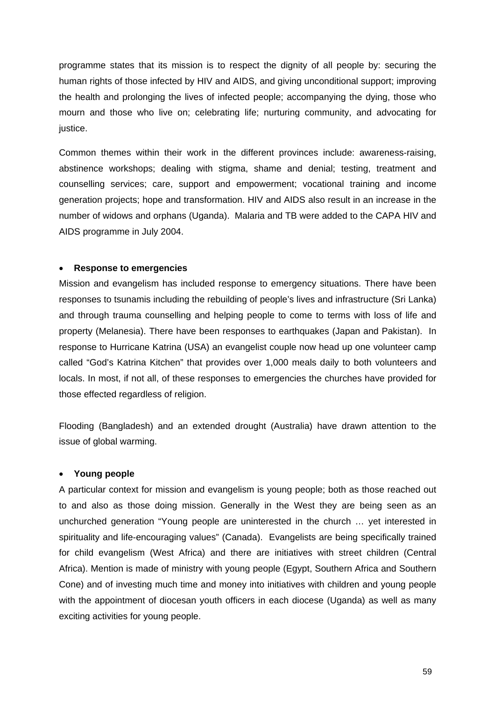programme states that its mission is to respect the dignity of all people by: securing the human rights of those infected by HIV and AIDS, and giving unconditional support; improving the health and prolonging the lives of infected people; accompanying the dying, those who mourn and those who live on; celebrating life; nurturing community, and advocating for justice.

Common themes within their work in the different provinces include: awareness-raising, abstinence workshops; dealing with stigma, shame and denial; testing, treatment and counselling services; care, support and empowerment; vocational training and income generation projects; hope and transformation. HIV and AIDS also result in an increase in the number of widows and orphans (Uganda). Malaria and TB were added to the CAPA HIV and AIDS programme in July 2004.

# • **Response to emergencies**

Mission and evangelism has included response to emergency situations. There have been responses to tsunamis including the rebuilding of people's lives and infrastructure (Sri Lanka) and through trauma counselling and helping people to come to terms with loss of life and property (Melanesia). There have been responses to earthquakes (Japan and Pakistan). In response to Hurricane Katrina (USA) an evangelist couple now head up one volunteer camp called "God's Katrina Kitchen" that provides over 1,000 meals daily to both volunteers and locals. In most, if not all, of these responses to emergencies the churches have provided for those effected regardless of religion.

Flooding (Bangladesh) and an extended drought (Australia) have drawn attention to the issue of global warming.

#### • **Young people**

A particular context for mission and evangelism is young people; both as those reached out to and also as those doing mission. Generally in the West they are being seen as an unchurched generation "Young people are uninterested in the church … yet interested in spirituality and life-encouraging values" (Canada). Evangelists are being specifically trained for child evangelism (West Africa) and there are initiatives with street children (Central Africa). Mention is made of ministry with young people (Egypt, Southern Africa and Southern Cone) and of investing much time and money into initiatives with children and young people with the appointment of diocesan youth officers in each diocese (Uganda) as well as many exciting activities for young people.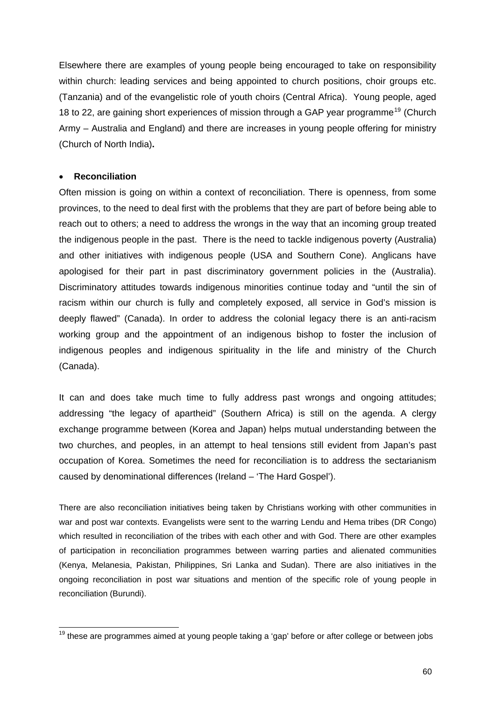<span id="page-59-0"></span>Elsewhere there are examples of young people being encouraged to take on responsibility within church: leading services and being appointed to church positions, choir groups etc. (Tanzania) and of the evangelistic role of youth choirs (Central Africa). Young people, aged 18 to 22, are gaining short experiences of mission through a GAP year programme<sup>[19](#page-59-0)</sup> (Church Army – Australia and England) and there are increases in young people offering for ministry (Church of North India)**.** 

#### • **Reconciliation**

Often mission is going on within a context of reconciliation. There is openness, from some provinces, to the need to deal first with the problems that they are part of before being able to reach out to others; a need to address the wrongs in the way that an incoming group treated the indigenous people in the past. There is the need to tackle indigenous poverty (Australia) and other initiatives with indigenous people (USA and Southern Cone). Anglicans have apologised for their part in past discriminatory government policies in the (Australia). Discriminatory attitudes towards indigenous minorities continue today and "until the sin of racism within our church is fully and completely exposed, all service in God's mission is deeply flawed" (Canada). In order to address the colonial legacy there is an anti-racism working group and the appointment of an indigenous bishop to foster the inclusion of indigenous peoples and indigenous spirituality in the life and ministry of the Church (Canada).

It can and does take much time to fully address past wrongs and ongoing attitudes; addressing "the legacy of apartheid" (Southern Africa) is still on the agenda. A clergy exchange programme between (Korea and Japan) helps mutual understanding between the two churches, and peoples, in an attempt to heal tensions still evident from Japan's past occupation of Korea. Sometimes the need for reconciliation is to address the sectarianism caused by denominational differences (Ireland – 'The Hard Gospel').

There are also reconciliation initiatives being taken by Christians working with other communities in war and post war contexts. Evangelists were sent to the warring Lendu and Hema tribes (DR Congo) which resulted in reconciliation of the tribes with each other and with God. There are other examples of participation in reconciliation programmes between warring parties and alienated communities (Kenya, Melanesia, Pakistan, Philippines, Sri Lanka and Sudan). There are also initiatives in the ongoing reconciliation in post war situations and mention of the specific role of young people in reconciliation (Burundi).

  $19$  these are programmes aimed at young people taking a 'gap' before or after college or between jobs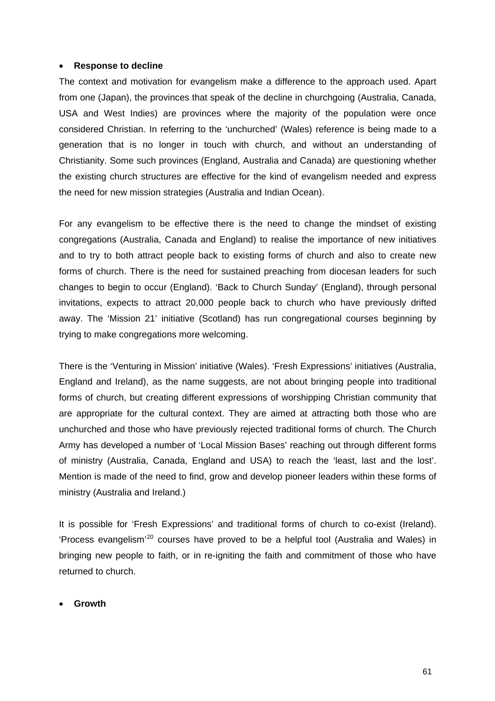#### <span id="page-60-0"></span>• **Response to decline**

The context and motivation for evangelism make a difference to the approach used. Apart from one (Japan), the provinces that speak of the decline in churchgoing (Australia, Canada, USA and West Indies) are provinces where the majority of the population were once considered Christian. In referring to the 'unchurched' (Wales) reference is being made to a generation that is no longer in touch with church, and without an understanding of Christianity. Some such provinces (England, Australia and Canada) are questioning whether the existing church structures are effective for the kind of evangelism needed and express the need for new mission strategies (Australia and Indian Ocean).

For any evangelism to be effective there is the need to change the mindset of existing congregations (Australia, Canada and England) to realise the importance of new initiatives and to try to both attract people back to existing forms of church and also to create new forms of church. There is the need for sustained preaching from diocesan leaders for such changes to begin to occur (England). 'Back to Church Sunday' (England), through personal invitations, expects to attract 20,000 people back to church who have previously drifted away. The 'Mission 21' initiative (Scotland) has run congregational courses beginning by trying to make congregations more welcoming.

There is the 'Venturing in Mission' initiative (Wales). 'Fresh Expressions' initiatives (Australia, England and Ireland), as the name suggests, are not about bringing people into traditional forms of church, but creating different expressions of worshipping Christian community that are appropriate for the cultural context. They are aimed at attracting both those who are unchurched and those who have previously rejected traditional forms of church. The Church Army has developed a number of 'Local Mission Bases' reaching out through different forms of ministry (Australia, Canada, England and USA) to reach the 'least, last and the lost'. Mention is made of the need to find, grow and develop pioneer leaders within these forms of ministry (Australia and Ireland.)

It is possible for 'Fresh Expressions' and traditional forms of church to co-exist (Ireland). 'Process evangelism'[20](#page-60-0) courses have proved to be a helpful tool (Australia and Wales) in bringing new people to faith, or in re-igniting the faith and commitment of those who have returned to church.

#### • **Growth**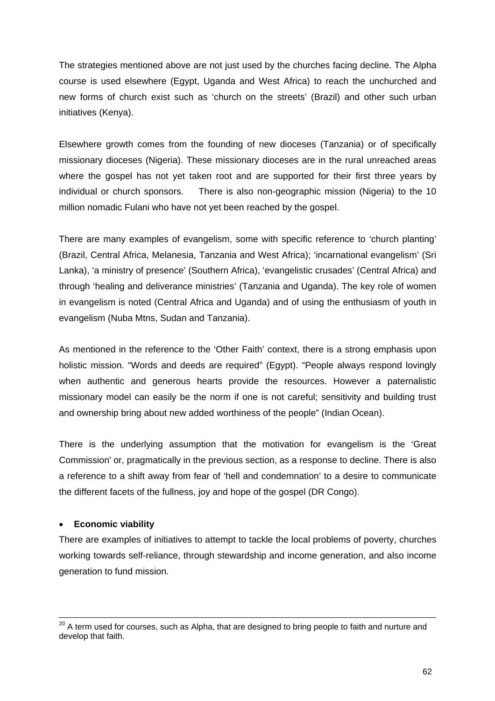The strategies mentioned above are not just used by the churches facing decline. The Alpha course is used elsewhere (Egypt, Uganda and West Africa) to reach the unchurched and new forms of church exist such as 'church on the streets' (Brazil) and other such urban initiatives (Kenya).

Elsewhere growth comes from the founding of new dioceses (Tanzania) or of specifically missionary dioceses (Nigeria). These missionary dioceses are in the rural unreached areas where the gospel has not yet taken root and are supported for their first three years by individual or church sponsors. There is also non-geographic mission (Nigeria) to the 10 million nomadic Fulani who have not yet been reached by the gospel.

There are many examples of evangelism, some with specific reference to 'church planting' (Brazil, Central Africa, Melanesia, Tanzania and West Africa); 'incarnational evangelism' (Sri Lanka), 'a ministry of presence' (Southern Africa), 'evangelistic crusades' (Central Africa) and through 'healing and deliverance ministries' (Tanzania and Uganda). The key role of women in evangelism is noted (Central Africa and Uganda) and of using the enthusiasm of youth in evangelism (Nuba Mtns, Sudan and Tanzania).

As mentioned in the reference to the 'Other Faith' context, there is a strong emphasis upon holistic mission. "Words and deeds are required" (Egypt). "People always respond lovingly when authentic and generous hearts provide the resources. However a paternalistic missionary model can easily be the norm if one is not careful; sensitivity and building trust and ownership bring about new added worthiness of the people" (Indian Ocean).

There is the underlying assumption that the motivation for evangelism is the 'Great Commission' or, pragmatically in the previous section, as a response to decline. There is also a reference to a shift away from fear of 'hell and condemnation' to a desire to communicate the different facets of the fullness, joy and hope of the gospel (DR Congo).

#### • **Economic viability**

There are examples of initiatives to attempt to tackle the local problems of poverty, churches working towards self-reliance, through stewardship and income generation, and also income generation to fund mission.

  $^{20}$  A term used for courses, such as Alpha, that are designed to bring people to faith and nurture and develop that faith.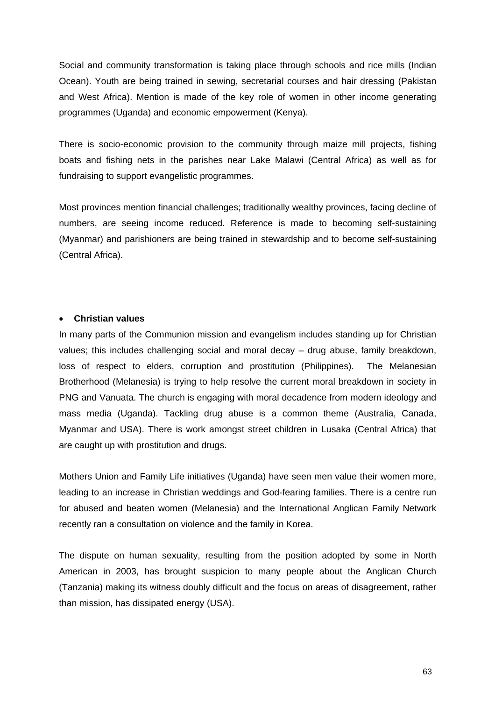Social and community transformation is taking place through schools and rice mills (Indian Ocean). Youth are being trained in sewing, secretarial courses and hair dressing (Pakistan and West Africa). Mention is made of the key role of women in other income generating programmes (Uganda) and economic empowerment (Kenya).

There is socio-economic provision to the community through maize mill projects, fishing boats and fishing nets in the parishes near Lake Malawi (Central Africa) as well as for fundraising to support evangelistic programmes.

Most provinces mention financial challenges; traditionally wealthy provinces, facing decline of numbers, are seeing income reduced. Reference is made to becoming self-sustaining (Myanmar) and parishioners are being trained in stewardship and to become self-sustaining (Central Africa).

#### • **Christian values**

In many parts of the Communion mission and evangelism includes standing up for Christian values; this includes challenging social and moral decay – drug abuse, family breakdown, loss of respect to elders, corruption and prostitution (Philippines). The Melanesian Brotherhood (Melanesia) is trying to help resolve the current moral breakdown in society in PNG and Vanuata. The church is engaging with moral decadence from modern ideology and mass media (Uganda). Tackling drug abuse is a common theme (Australia, Canada, Myanmar and USA). There is work amongst street children in Lusaka (Central Africa) that are caught up with prostitution and drugs.

Mothers Union and Family Life initiatives (Uganda) have seen men value their women more, leading to an increase in Christian weddings and God-fearing families. There is a centre run for abused and beaten women (Melanesia) and the International Anglican Family Network recently ran a consultation on violence and the family in Korea.

The dispute on human sexuality, resulting from the position adopted by some in North American in 2003, has brought suspicion to many people about the Anglican Church (Tanzania) making its witness doubly difficult and the focus on areas of disagreement, rather than mission, has dissipated energy (USA).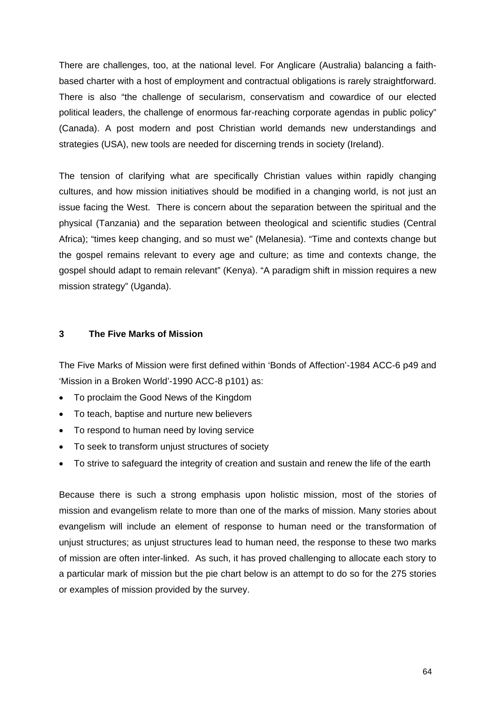There are challenges, too, at the national level. For Anglicare (Australia) balancing a faithbased charter with a host of employment and contractual obligations is rarely straightforward. There is also "the challenge of secularism, conservatism and cowardice of our elected political leaders, the challenge of enormous far-reaching corporate agendas in public policy" (Canada). A post modern and post Christian world demands new understandings and strategies (USA), new tools are needed for discerning trends in society (Ireland).

The tension of clarifying what are specifically Christian values within rapidly changing cultures, and how mission initiatives should be modified in a changing world, is not just an issue facing the West. There is concern about the separation between the spiritual and the physical (Tanzania) and the separation between theological and scientific studies (Central Africa); "times keep changing, and so must we" (Melanesia). "Time and contexts change but the gospel remains relevant to every age and culture; as time and contexts change, the gospel should adapt to remain relevant" (Kenya). "A paradigm shift in mission requires a new mission strategy" (Uganda).

#### **3 The Five Marks of Mission**

The Five Marks of Mission were first defined within 'Bonds of Affection'-1984 ACC-6 p49 and 'Mission in a Broken World'-1990 ACC-8 p101) as:

- To proclaim the Good News of the Kingdom
- To teach, baptise and nurture new believers
- To respond to human need by loving service
- To seek to transform unjust structures of society
- To strive to safeguard the integrity of creation and sustain and renew the life of the earth

Because there is such a strong emphasis upon holistic mission, most of the stories of mission and evangelism relate to more than one of the marks of mission. Many stories about evangelism will include an element of response to human need or the transformation of unjust structures; as unjust structures lead to human need, the response to these two marks of mission are often inter-linked. As such, it has proved challenging to allocate each story to a particular mark of mission but the pie chart below is an attempt to do so for the 275 stories or examples of mission provided by the survey.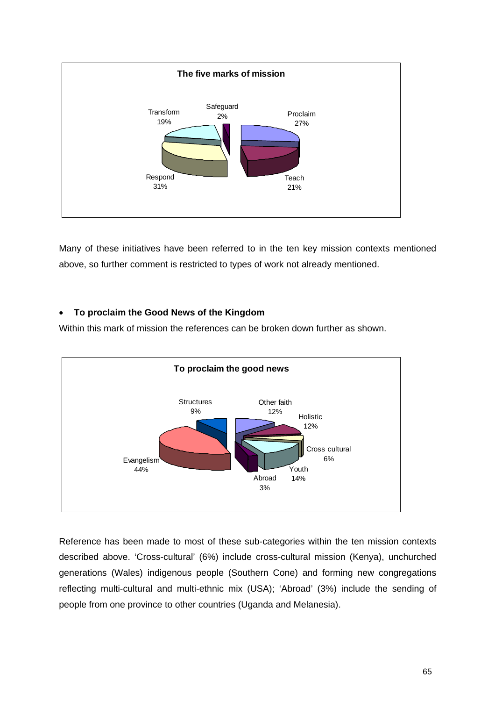

Many of these initiatives have been referred to in the ten key mission contexts mentioned above, so further comment is restricted to types of work not already mentioned.

# • **To proclaim the Good News of the Kingdom**

Within this mark of mission the references can be broken down further as shown.



Reference has been made to most of these sub-categories within the ten mission contexts described above. 'Cross-cultural' (6%) include cross-cultural mission (Kenya), unchurched generations (Wales) indigenous people (Southern Cone) and forming new congregations reflecting multi-cultural and multi-ethnic mix (USA); 'Abroad' (3%) include the sending of people from one province to other countries (Uganda and Melanesia).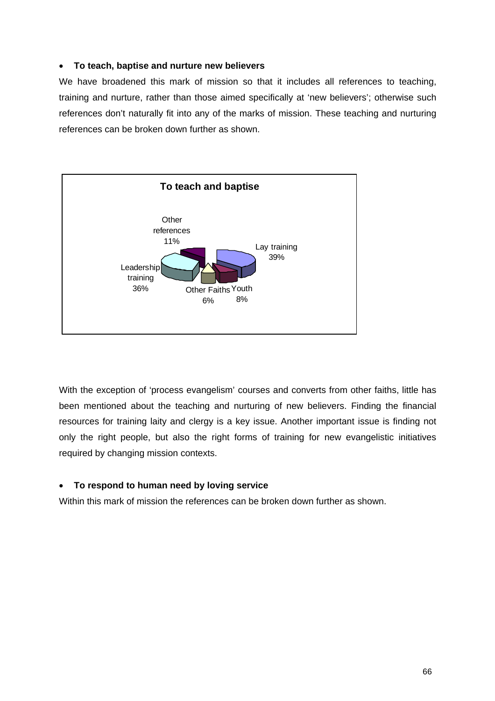# • **To teach, baptise and nurture new believers**

We have broadened this mark of mission so that it includes all references to teaching, training and nurture, rather than those aimed specifically at 'new believers'; otherwise such references don't naturally fit into any of the marks of mission. These teaching and nurturing references can be broken down further as shown.



With the exception of 'process evangelism' courses and converts from other faiths, little has been mentioned about the teaching and nurturing of new believers. Finding the financial resources for training laity and clergy is a key issue. Another important issue is finding not only the right people, but also the right forms of training for new evangelistic initiatives required by changing mission contexts.

# • **To respond to human need by loving service**

Within this mark of mission the references can be broken down further as shown.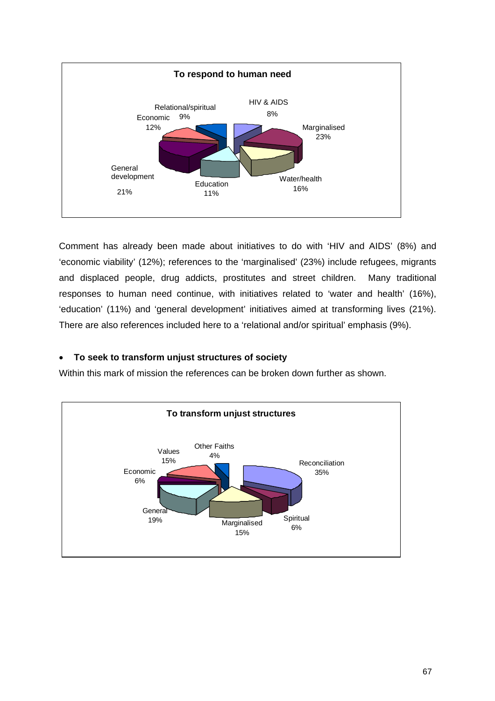

Comment has already been made about initiatives to do with 'HIV and AIDS' (8%) and 'economic viability' (12%); references to the 'marginalised' (23%) include refugees, migrants and displaced people, drug addicts, prostitutes and street children. Many traditional responses to human need continue, with initiatives related to 'water and health' (16%), 'education' (11%) and 'general development' initiatives aimed at transforming lives (21%). There are also references included here to a 'relational and/or spiritual' emphasis (9%).

# • **To seek to transform unjust structures of society**

Within this mark of mission the references can be broken down further as shown.

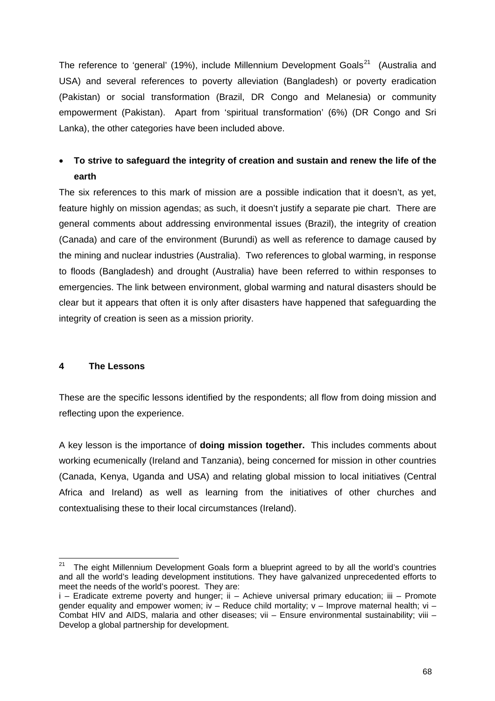<span id="page-67-0"></span>The reference to 'general' (19%), include Millennium Development Goals<sup>[21](#page-67-0)</sup> (Australia and USA) and several references to poverty alleviation (Bangladesh) or poverty eradication (Pakistan) or social transformation (Brazil, DR Congo and Melanesia) or community empowerment (Pakistan). Apart from 'spiritual transformation' (6%) (DR Congo and Sri Lanka), the other categories have been included above.

# • **To strive to safeguard the integrity of creation and sustain and renew the life of the earth**

The six references to this mark of mission are a possible indication that it doesn't, as yet, feature highly on mission agendas; as such, it doesn't justify a separate pie chart. There are general comments about addressing environmental issues (Brazil), the integrity of creation (Canada) and care of the environment (Burundi) as well as reference to damage caused by the mining and nuclear industries (Australia). Two references to global warming, in response to floods (Bangladesh) and drought (Australia) have been referred to within responses to emergencies. The link between environment, global warming and natural disasters should be clear but it appears that often it is only after disasters have happened that safeguarding the integrity of creation is seen as a mission priority.

# **4 The Lessons**

These are the specific lessons identified by the respondents; all flow from doing mission and reflecting upon the experience.

A key lesson is the importance of **doing mission together.** This includes comments about working ecumenically (Ireland and Tanzania), being concerned for mission in other countries (Canada, Kenya, Uganda and USA) and relating global mission to local initiatives (Central Africa and Ireland) as well as learning from the initiatives of other churches and contextualising these to their local circumstances (Ireland).

 21 The eight Millennium Development Goals form a blueprint agreed to by all the world's countries and all the world's leading development institutions. They have galvanized unprecedented efforts to meet the needs of the world's poorest. They are:

i – Eradicate extreme poverty and hunger; ii – Achieve universal primary education; iii – Promote gender equality and empower women; iv – Reduce child mortality;  $v$  – Improve maternal health; vi – Combat HIV and AIDS, malaria and other diseases; vii – Ensure environmental sustainability; viii – Develop a global partnership for development.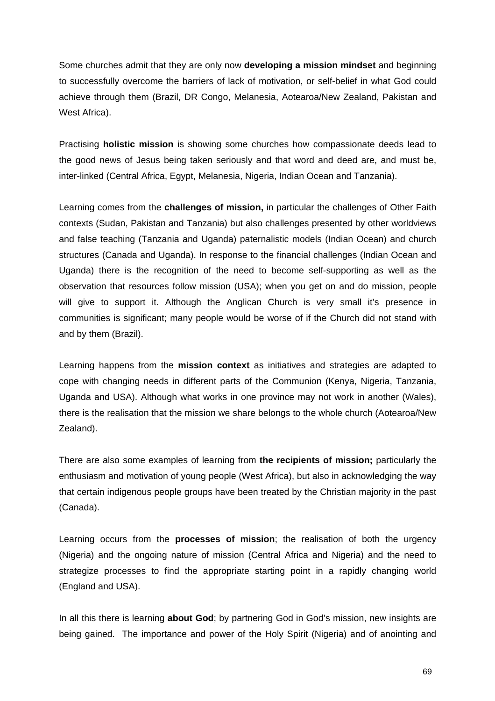Some churches admit that they are only now **developing a mission mindset** and beginning to successfully overcome the barriers of lack of motivation, or self-belief in what God could achieve through them (Brazil, DR Congo, Melanesia, Aotearoa/New Zealand, Pakistan and West Africa).

Practising **holistic mission** is showing some churches how compassionate deeds lead to the good news of Jesus being taken seriously and that word and deed are, and must be, inter-linked (Central Africa, Egypt, Melanesia, Nigeria, Indian Ocean and Tanzania).

Learning comes from the **challenges of mission,** in particular the challenges of Other Faith contexts (Sudan, Pakistan and Tanzania) but also challenges presented by other worldviews and false teaching (Tanzania and Uganda) paternalistic models (Indian Ocean) and church structures (Canada and Uganda). In response to the financial challenges (Indian Ocean and Uganda) there is the recognition of the need to become self-supporting as well as the observation that resources follow mission (USA); when you get on and do mission, people will give to support it. Although the Anglican Church is very small it's presence in communities is significant; many people would be worse of if the Church did not stand with and by them (Brazil).

Learning happens from the **mission context** as initiatives and strategies are adapted to cope with changing needs in different parts of the Communion (Kenya, Nigeria, Tanzania, Uganda and USA). Although what works in one province may not work in another (Wales), there is the realisation that the mission we share belongs to the whole church (Aotearoa/New Zealand).

There are also some examples of learning from **the recipients of mission;** particularly the enthusiasm and motivation of young people (West Africa), but also in acknowledging the way that certain indigenous people groups have been treated by the Christian majority in the past (Canada).

Learning occurs from the **processes of mission**; the realisation of both the urgency (Nigeria) and the ongoing nature of mission (Central Africa and Nigeria) and the need to strategize processes to find the appropriate starting point in a rapidly changing world (England and USA).

In all this there is learning **about God**; by partnering God in God's mission, new insights are being gained. The importance and power of the Holy Spirit (Nigeria) and of anointing and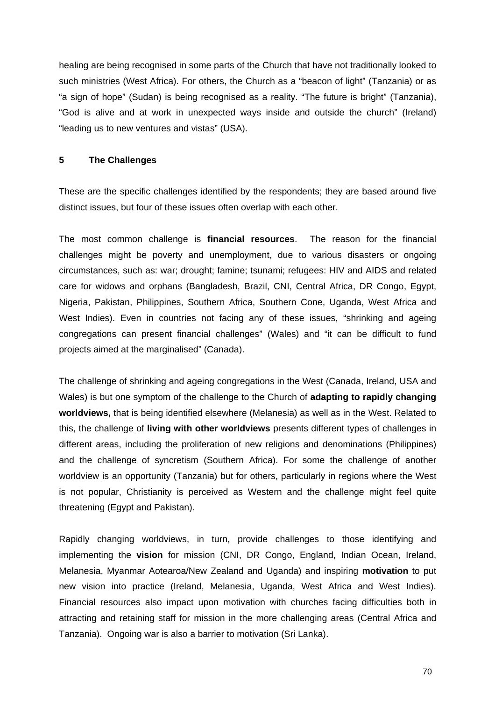healing are being recognised in some parts of the Church that have not traditionally looked to such ministries (West Africa). For others, the Church as a "beacon of light" (Tanzania) or as "a sign of hope" (Sudan) is being recognised as a reality. "The future is bright" (Tanzania), "God is alive and at work in unexpected ways inside and outside the church" (Ireland) "leading us to new ventures and vistas" (USA).

### **5 The Challenges**

These are the specific challenges identified by the respondents; they are based around five distinct issues, but four of these issues often overlap with each other.

The most common challenge is **financial resources**. The reason for the financial challenges might be poverty and unemployment, due to various disasters or ongoing circumstances, such as: war; drought; famine; tsunami; refugees: HIV and AIDS and related care for widows and orphans (Bangladesh, Brazil, CNI, Central Africa, DR Congo, Egypt, Nigeria, Pakistan, Philippines, Southern Africa, Southern Cone, Uganda, West Africa and West Indies). Even in countries not facing any of these issues, "shrinking and ageing congregations can present financial challenges" (Wales) and "it can be difficult to fund projects aimed at the marginalised" (Canada).

The challenge of shrinking and ageing congregations in the West (Canada, Ireland, USA and Wales) is but one symptom of the challenge to the Church of **adapting to rapidly changing worldviews,** that is being identified elsewhere (Melanesia) as well as in the West. Related to this, the challenge of **living with other worldviews** presents different types of challenges in different areas, including the proliferation of new religions and denominations (Philippines) and the challenge of syncretism (Southern Africa). For some the challenge of another worldview is an opportunity (Tanzania) but for others, particularly in regions where the West is not popular, Christianity is perceived as Western and the challenge might feel quite threatening (Egypt and Pakistan).

Rapidly changing worldviews, in turn, provide challenges to those identifying and implementing the **vision** for mission (CNI, DR Congo, England, Indian Ocean, Ireland, Melanesia, Myanmar Aotearoa/New Zealand and Uganda) and inspiring **motivation** to put new vision into practice (Ireland, Melanesia, Uganda, West Africa and West Indies). Financial resources also impact upon motivation with churches facing difficulties both in attracting and retaining staff for mission in the more challenging areas (Central Africa and Tanzania). Ongoing war is also a barrier to motivation (Sri Lanka).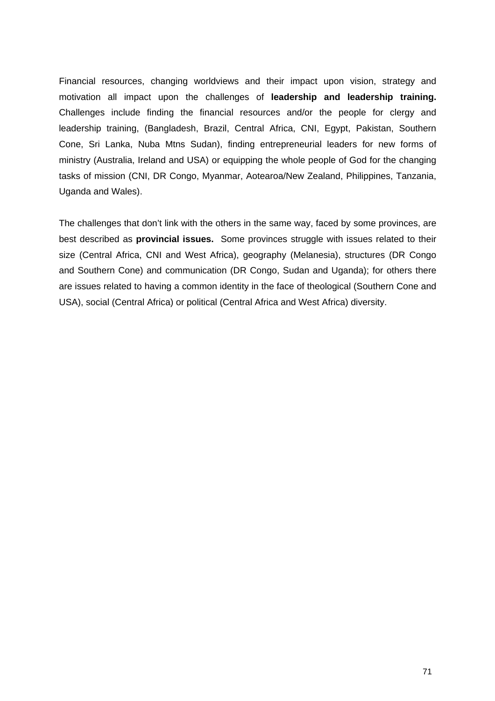Financial resources, changing worldviews and their impact upon vision, strategy and motivation all impact upon the challenges of **leadership and leadership training.**  Challenges include finding the financial resources and/or the people for clergy and leadership training, (Bangladesh, Brazil, Central Africa, CNI, Egypt, Pakistan, Southern Cone, Sri Lanka, Nuba Mtns Sudan), finding entrepreneurial leaders for new forms of ministry (Australia, Ireland and USA) or equipping the whole people of God for the changing tasks of mission (CNI, DR Congo, Myanmar, Aotearoa/New Zealand, Philippines, Tanzania, Uganda and Wales).

The challenges that don't link with the others in the same way, faced by some provinces, are best described as **provincial issues.** Some provinces struggle with issues related to their size (Central Africa, CNI and West Africa), geography (Melanesia), structures (DR Congo and Southern Cone) and communication (DR Congo, Sudan and Uganda); for others there are issues related to having a common identity in the face of theological (Southern Cone and USA), social (Central Africa) or political (Central Africa and West Africa) diversity.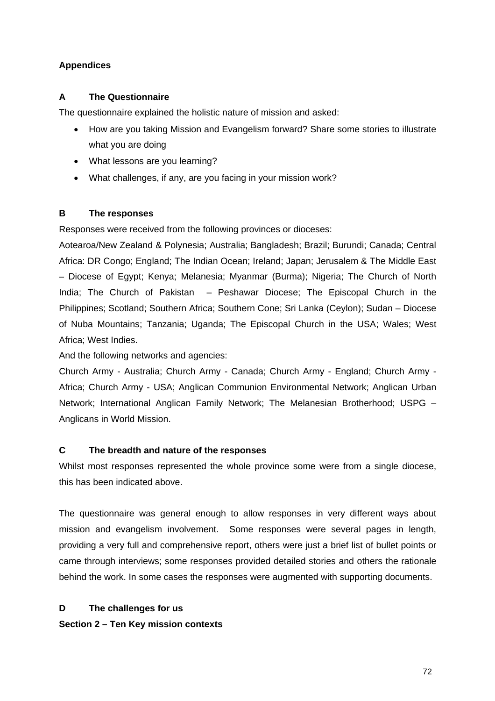# **Appendices**

# **A The Questionnaire**

The questionnaire explained the holistic nature of mission and asked:

- How are you taking Mission and Evangelism forward? Share some stories to illustrate what you are doing
- What lessons are you learning?
- What challenges, if any, are you facing in your mission work?

# **B The responses**

Responses were received from the following provinces or dioceses:

Aotearoa/New Zealand & Polynesia; Australia; Bangladesh; Brazil; Burundi; Canada; Central Africa: DR Congo; England; The Indian Ocean; Ireland; Japan; Jerusalem & The Middle East – Diocese of Egypt; Kenya; Melanesia; Myanmar (Burma); Nigeria; The Church of North India; The Church of Pakistan – Peshawar Diocese; The Episcopal Church in the Philippines; Scotland; Southern Africa; Southern Cone; Sri Lanka (Ceylon); Sudan – Diocese of Nuba Mountains; Tanzania; Uganda; The Episcopal Church in the USA; Wales; West Africa; West Indies.

And the following networks and agencies:

Church Army - Australia; Church Army - Canada; Church Army - England; Church Army - Africa; Church Army - USA; Anglican Communion Environmental Network; Anglican Urban Network; International Anglican Family Network; The Melanesian Brotherhood; USPG – Anglicans in World Mission.

# **C The breadth and nature of the responses**

Whilst most responses represented the whole province some were from a single diocese, this has been indicated above.

The questionnaire was general enough to allow responses in very different ways about mission and evangelism involvement. Some responses were several pages in length, providing a very full and comprehensive report, others were just a brief list of bullet points or came through interviews; some responses provided detailed stories and others the rationale behind the work. In some cases the responses were augmented with supporting documents.

# **D The challenges for us**

**Section 2 – Ten Key mission contexts**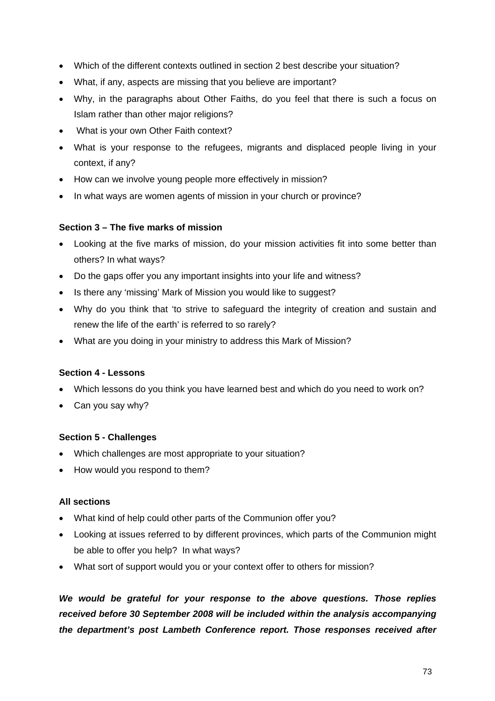- Which of the different contexts outlined in section 2 best describe your situation?
- What, if any, aspects are missing that you believe are important?
- Why, in the paragraphs about Other Faiths, do you feel that there is such a focus on Islam rather than other major religions?
- What is your own Other Faith context?
- What is your response to the refugees, migrants and displaced people living in your context, if any?
- How can we involve young people more effectively in mission?
- In what ways are women agents of mission in your church or province?

## **Section 3 – The five marks of mission**

- Looking at the five marks of mission, do your mission activities fit into some better than others? In what ways?
- Do the gaps offer you any important insights into your life and witness?
- Is there any 'missing' Mark of Mission you would like to suggest?
- Why do you think that 'to strive to safeguard the integrity of creation and sustain and renew the life of the earth' is referred to so rarely?
- What are you doing in your ministry to address this Mark of Mission?

# **Section 4 - Lessons**

- Which lessons do you think you have learned best and which do you need to work on?
- Can you say why?

#### **Section 5 - Challenges**

- Which challenges are most appropriate to your situation?
- How would you respond to them?

#### **All sections**

- What kind of help could other parts of the Communion offer you?
- Looking at issues referred to by different provinces, which parts of the Communion might be able to offer you help? In what ways?
- What sort of support would you or your context offer to others for mission?

*We would be grateful for your response to the above questions. Those replies received before 30 September 2008 will be included within the analysis accompanying the department's post Lambeth Conference report. Those responses received after*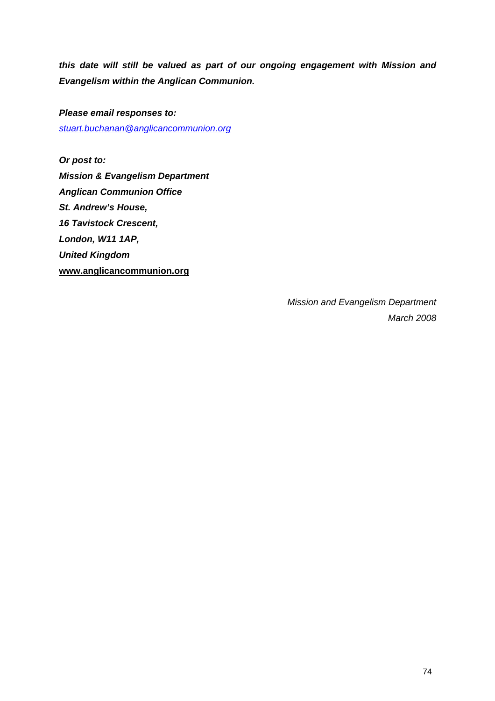*this date will still be valued as part of our ongoing engagement with Mission and Evangelism within the Anglican Communion.* 

*Please email responses to: [stuart.buchanan@anglicancommunion.org](mailto:stuart.buchanan@anglicancommunion.org)*

*Or post to: Mission & Evangelism Department Anglican Communion Office St. Andrew's House, 16 Tavistock Crescent, London, W11 1AP, United Kingdom*  **[www.anglicancommunion.org](http://www.anglicancommunion.org/)**

> *Mission and Evangelism Department March 2008*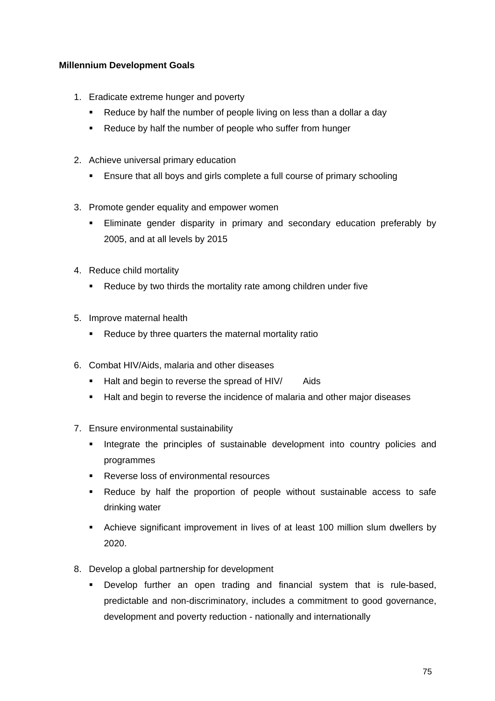# **Millennium Development Goals**

- 1. Eradicate extreme hunger and poverty
	- Reduce by half the number of people living on less than a dollar a day
	- **-** Reduce by half the number of people who suffer from hunger
- 2. Achieve universal primary education
	- **Ensure that all boys and girls complete a full course of primary schooling**
- 3. Promote gender equality and empower women
	- Eliminate gender disparity in primary and secondary education preferably by 2005, and at all levels by 2015
- 4. Reduce child mortality
	- **Reduce by two thirds the mortality rate among children under five**
- 5. Improve maternal health
	- **Reduce by three quarters the maternal mortality ratio**
- 6. Combat HIV/Aids, malaria and other diseases
	- Halt and begin to reverse the spread of HIV/ Aids
	- Halt and begin to reverse the incidence of malaria and other major diseases
- 7. Ensure environmental sustainability
	- **Integrate the principles of sustainable development into country policies and** programmes
	- **Reverse loss of environmental resources**
	- Reduce by half the proportion of people without sustainable access to safe drinking water
	- Achieve significant improvement in lives of at least 100 million slum dwellers by 2020.
- 8. Develop a global partnership for development
	- Develop further an open trading and financial system that is rule-based, predictable and non-discriminatory, includes a commitment to good governance, development and poverty reduction - nationally and internationally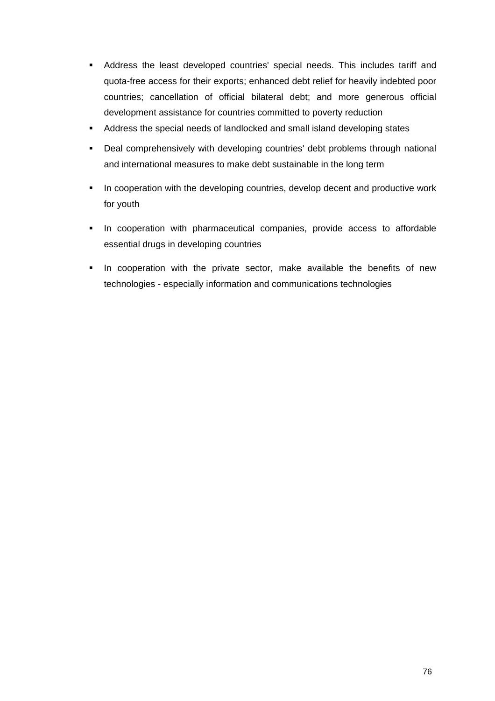- Address the least developed countries' special needs. This includes tariff and quota-free access for their exports; enhanced debt relief for heavily indebted poor countries; cancellation of official bilateral debt; and more generous official development assistance for countries committed to poverty reduction
- Address the special needs of landlocked and small island developing states
- Deal comprehensively with developing countries' debt problems through national and international measures to make debt sustainable in the long term
- In cooperation with the developing countries, develop decent and productive work for youth
- **In cooperation with pharmaceutical companies, provide access to affordable** essential drugs in developing countries
- **In cooperation with the private sector, make available the benefits of new** technologies - especially information and communications technologies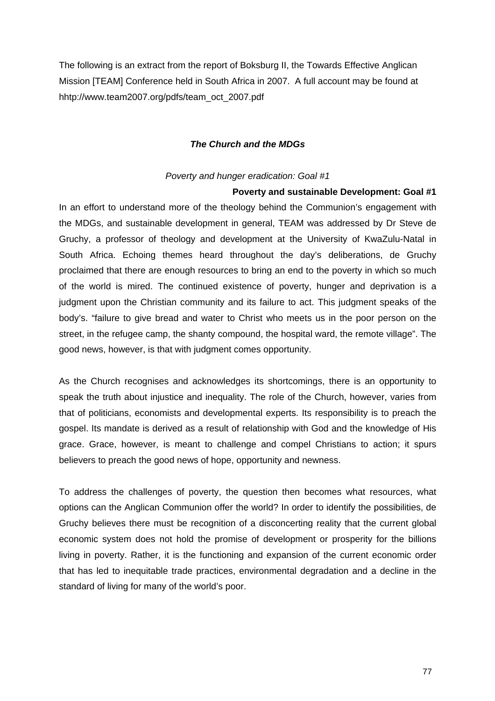The following is an extract from the report of Boksburg II, the Towards Effective Anglican Mission [TEAM] Conference held in South Africa in 2007. A full account may be found at hhtp://www.team2007.org/pdfs/team\_oct\_2007.pdf

# *The Church and the MDGs*

#### *Poverty and hunger eradication: Goal #1*

#### **Poverty and sustainable Development: Goal #1**

In an effort to understand more of the theology behind the Communion's engagement with the MDGs, and sustainable development in general, TEAM was addressed by Dr Steve de Gruchy, a professor of theology and development at the University of KwaZulu-Natal in South Africa. Echoing themes heard throughout the day's deliberations, de Gruchy proclaimed that there are enough resources to bring an end to the poverty in which so much of the world is mired. The continued existence of poverty, hunger and deprivation is a judgment upon the Christian community and its failure to act. This judgment speaks of the body's. "failure to give bread and water to Christ who meets us in the poor person on the street, in the refugee camp, the shanty compound, the hospital ward, the remote village". The good news, however, is that with judgment comes opportunity.

As the Church recognises and acknowledges its shortcomings, there is an opportunity to speak the truth about injustice and inequality. The role of the Church, however, varies from that of politicians, economists and developmental experts. Its responsibility is to preach the gospel. Its mandate is derived as a result of relationship with God and the knowledge of His grace. Grace, however, is meant to challenge and compel Christians to action; it spurs believers to preach the good news of hope, opportunity and newness.

To address the challenges of poverty, the question then becomes what resources, what options can the Anglican Communion offer the world? In order to identify the possibilities, de Gruchy believes there must be recognition of a disconcerting reality that the current global economic system does not hold the promise of development or prosperity for the billions living in poverty. Rather, it is the functioning and expansion of the current economic order that has led to inequitable trade practices, environmental degradation and a decline in the standard of living for many of the world's poor.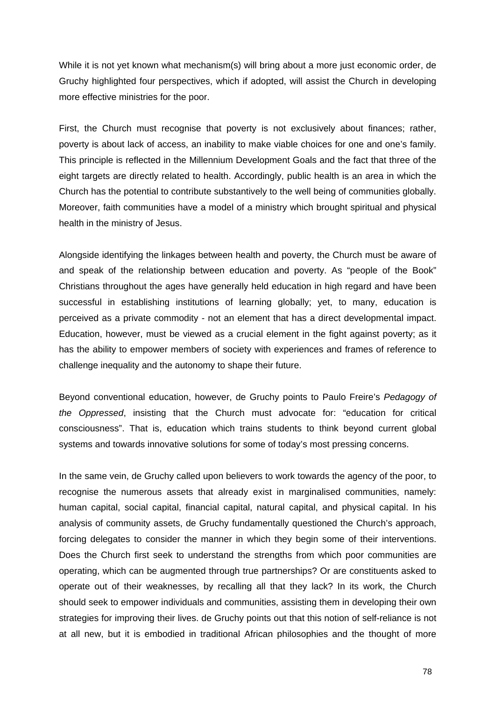While it is not yet known what mechanism(s) will bring about a more just economic order, de Gruchy highlighted four perspectives, which if adopted, will assist the Church in developing more effective ministries for the poor.

First, the Church must recognise that poverty is not exclusively about finances; rather, poverty is about lack of access, an inability to make viable choices for one and one's family. This principle is reflected in the Millennium Development Goals and the fact that three of the eight targets are directly related to health. Accordingly, public health is an area in which the Church has the potential to contribute substantively to the well being of communities globally. Moreover, faith communities have a model of a ministry which brought spiritual and physical health in the ministry of Jesus.

Alongside identifying the linkages between health and poverty, the Church must be aware of and speak of the relationship between education and poverty. As "people of the Book" Christians throughout the ages have generally held education in high regard and have been successful in establishing institutions of learning globally; yet, to many, education is perceived as a private commodity - not an element that has a direct developmental impact. Education, however, must be viewed as a crucial element in the fight against poverty; as it has the ability to empower members of society with experiences and frames of reference to challenge inequality and the autonomy to shape their future.

Beyond conventional education, however, de Gruchy points to Paulo Freire's *Pedagogy of the Oppressed*, insisting that the Church must advocate for: "education for critical consciousness". That is, education which trains students to think beyond current global systems and towards innovative solutions for some of today's most pressing concerns.

In the same vein, de Gruchy called upon believers to work towards the agency of the poor, to recognise the numerous assets that already exist in marginalised communities, namely: human capital, social capital, financial capital, natural capital, and physical capital. In his analysis of community assets, de Gruchy fundamentally questioned the Church's approach, forcing delegates to consider the manner in which they begin some of their interventions. Does the Church first seek to understand the strengths from which poor communities are operating, which can be augmented through true partnerships? Or are constituents asked to operate out of their weaknesses, by recalling all that they lack? In its work, the Church should seek to empower individuals and communities, assisting them in developing their own strategies for improving their lives. de Gruchy points out that this notion of self-reliance is not at all new, but it is embodied in traditional African philosophies and the thought of more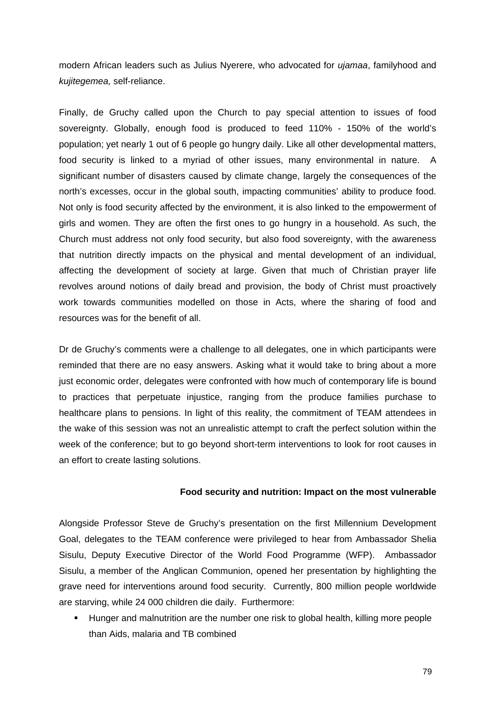modern African leaders such as Julius Nyerere, who advocated for *ujamaa*, familyhood and *kujitegemea,* self-reliance.

Finally, de Gruchy called upon the Church to pay special attention to issues of food sovereignty. Globally, enough food is produced to feed 110% - 150% of the world's population; yet nearly 1 out of 6 people go hungry daily. Like all other developmental matters, food security is linked to a myriad of other issues, many environmental in nature. A significant number of disasters caused by climate change, largely the consequences of the north's excesses, occur in the global south, impacting communities' ability to produce food. Not only is food security affected by the environment, it is also linked to the empowerment of girls and women. They are often the first ones to go hungry in a household. As such, the Church must address not only food security, but also food sovereignty, with the awareness that nutrition directly impacts on the physical and mental development of an individual, affecting the development of society at large. Given that much of Christian prayer life revolves around notions of daily bread and provision, the body of Christ must proactively work towards communities modelled on those in Acts, where the sharing of food and resources was for the benefit of all.

Dr de Gruchy's comments were a challenge to all delegates, one in which participants were reminded that there are no easy answers. Asking what it would take to bring about a more just economic order, delegates were confronted with how much of contemporary life is bound to practices that perpetuate injustice, ranging from the produce families purchase to healthcare plans to pensions. In light of this reality, the commitment of TEAM attendees in the wake of this session was not an unrealistic attempt to craft the perfect solution within the week of the conference; but to go beyond short-term interventions to look for root causes in an effort to create lasting solutions.

#### **Food security and nutrition: Impact on the most vulnerable**

Alongside Professor Steve de Gruchy's presentation on the first Millennium Development Goal, delegates to the TEAM conference were privileged to hear from Ambassador Shelia Sisulu, Deputy Executive Director of the World Food Programme (WFP). Ambassador Sisulu, a member of the Anglican Communion, opened her presentation by highlighting the grave need for interventions around food security. Currently, 800 million people worldwide are starving, while 24 000 children die daily. Furthermore:

**Hunger and malnutrition are the number one risk to global health, killing more people** than Aids, malaria and TB combined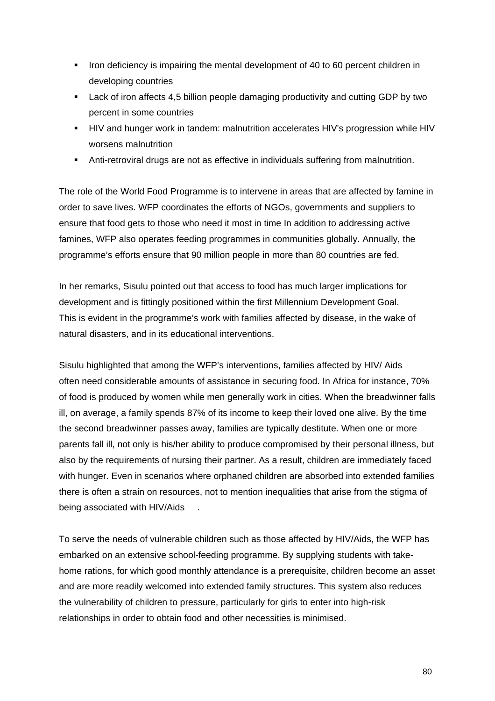- If Iron deficiency is impairing the mental development of 40 to 60 percent children in developing countries
- Lack of iron affects 4,5 billion people damaging productivity and cutting GDP by two percent in some countries
- HIV and hunger work in tandem: malnutrition accelerates HIV's progression while HIV worsens malnutrition
- Anti-retroviral drugs are not as effective in individuals suffering from malnutrition.

The role of the World Food Programme is to intervene in areas that are affected by famine in order to save lives. WFP coordinates the efforts of NGOs, governments and suppliers to ensure that food gets to those who need it most in time In addition to addressing active famines, WFP also operates feeding programmes in communities globally. Annually, the programme's efforts ensure that 90 million people in more than 80 countries are fed.

In her remarks, Sisulu pointed out that access to food has much larger implications for development and is fittingly positioned within the first Millennium Development Goal. This is evident in the programme's work with families affected by disease, in the wake of natural disasters, and in its educational interventions.

Sisulu highlighted that among the WFP's interventions, families affected by HIV/ Aids often need considerable amounts of assistance in securing food. In Africa for instance, 70% of food is produced by women while men generally work in cities. When the breadwinner falls ill, on average, a family spends 87% of its income to keep their loved one alive. By the time the second breadwinner passes away, families are typically destitute. When one or more parents fall ill, not only is his/her ability to produce compromised by their personal illness, but also by the requirements of nursing their partner. As a result, children are immediately faced with hunger. Even in scenarios where orphaned children are absorbed into extended families there is often a strain on resources, not to mention inequalities that arise from the stigma of being associated with HIV/Aids .

To serve the needs of vulnerable children such as those affected by HIV/Aids, the WFP has embarked on an extensive school-feeding programme. By supplying students with takehome rations, for which good monthly attendance is a prerequisite, children become an asset and are more readily welcomed into extended family structures. This system also reduces the vulnerability of children to pressure, particularly for girls to enter into high-risk relationships in order to obtain food and other necessities is minimised.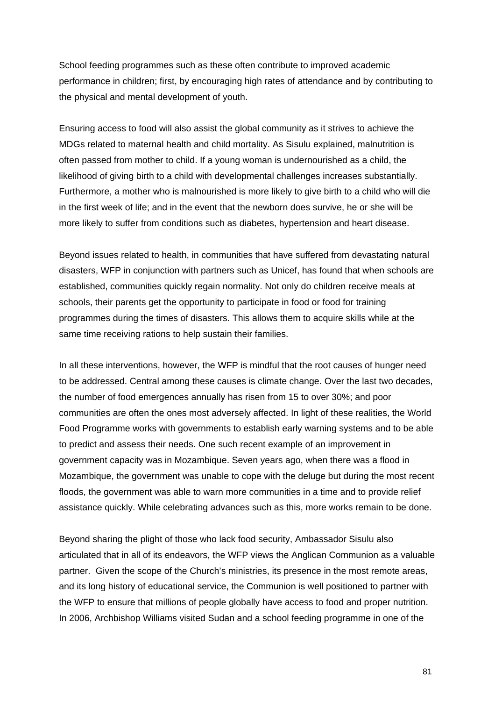School feeding programmes such as these often contribute to improved academic performance in children; first, by encouraging high rates of attendance and by contributing to the physical and mental development of youth.

Ensuring access to food will also assist the global community as it strives to achieve the MDGs related to maternal health and child mortality. As Sisulu explained, malnutrition is often passed from mother to child. If a young woman is undernourished as a child, the likelihood of giving birth to a child with developmental challenges increases substantially. Furthermore, a mother who is malnourished is more likely to give birth to a child who will die in the first week of life; and in the event that the newborn does survive, he or she will be more likely to suffer from conditions such as diabetes, hypertension and heart disease.

Beyond issues related to health, in communities that have suffered from devastating natural disasters, WFP in conjunction with partners such as Unicef, has found that when schools are established, communities quickly regain normality. Not only do children receive meals at schools, their parents get the opportunity to participate in food or food for training programmes during the times of disasters. This allows them to acquire skills while at the same time receiving rations to help sustain their families.

In all these interventions, however, the WFP is mindful that the root causes of hunger need to be addressed. Central among these causes is climate change. Over the last two decades, the number of food emergences annually has risen from 15 to over 30%; and poor communities are often the ones most adversely affected. In light of these realities, the World Food Programme works with governments to establish early warning systems and to be able to predict and assess their needs. One such recent example of an improvement in government capacity was in Mozambique. Seven years ago, when there was a flood in Mozambique, the government was unable to cope with the deluge but during the most recent floods, the government was able to warn more communities in a time and to provide relief assistance quickly. While celebrating advances such as this, more works remain to be done.

Beyond sharing the plight of those who lack food security, Ambassador Sisulu also articulated that in all of its endeavors, the WFP views the Anglican Communion as a valuable partner. Given the scope of the Church's ministries, its presence in the most remote areas, and its long history of educational service, the Communion is well positioned to partner with the WFP to ensure that millions of people globally have access to food and proper nutrition. In 2006, Archbishop Williams visited Sudan and a school feeding programme in one of the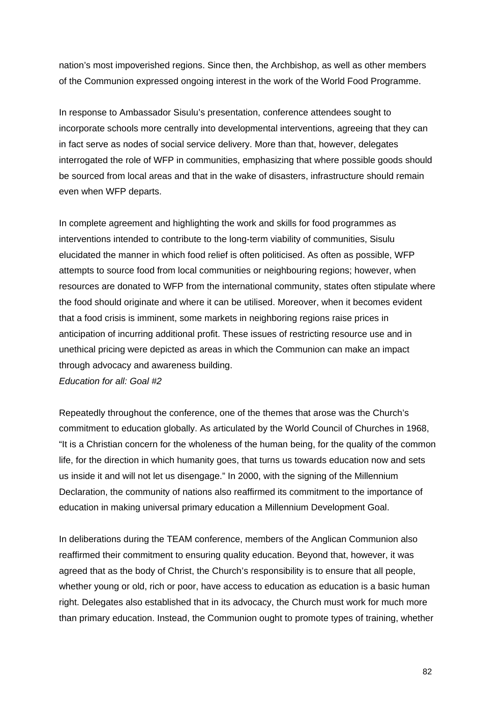nation's most impoverished regions. Since then, the Archbishop, as well as other members of the Communion expressed ongoing interest in the work of the World Food Programme.

In response to Ambassador Sisulu's presentation, conference attendees sought to incorporate schools more centrally into developmental interventions, agreeing that they can in fact serve as nodes of social service delivery. More than that, however, delegates interrogated the role of WFP in communities, emphasizing that where possible goods should be sourced from local areas and that in the wake of disasters, infrastructure should remain even when WFP departs.

In complete agreement and highlighting the work and skills for food programmes as interventions intended to contribute to the long-term viability of communities, Sisulu elucidated the manner in which food relief is often politicised. As often as possible, WFP attempts to source food from local communities or neighbouring regions; however, when resources are donated to WFP from the international community, states often stipulate where the food should originate and where it can be utilised. Moreover, when it becomes evident that a food crisis is imminent, some markets in neighboring regions raise prices in anticipation of incurring additional profit. These issues of restricting resource use and in unethical pricing were depicted as areas in which the Communion can make an impact through advocacy and awareness building. *Education for all: Goal #2* 

Repeatedly throughout the conference, one of the themes that arose was the Church's commitment to education globally. As articulated by the World Council of Churches in 1968, "It is a Christian concern for the wholeness of the human being, for the quality of the common life, for the direction in which humanity goes, that turns us towards education now and sets us inside it and will not let us disengage." In 2000, with the signing of the Millennium Declaration, the community of nations also reaffirmed its commitment to the importance of education in making universal primary education a Millennium Development Goal.

In deliberations during the TEAM conference, members of the Anglican Communion also reaffirmed their commitment to ensuring quality education. Beyond that, however, it was agreed that as the body of Christ, the Church's responsibility is to ensure that all people, whether young or old, rich or poor, have access to education as education is a basic human right. Delegates also established that in its advocacy, the Church must work for much more than primary education. Instead, the Communion ought to promote types of training, whether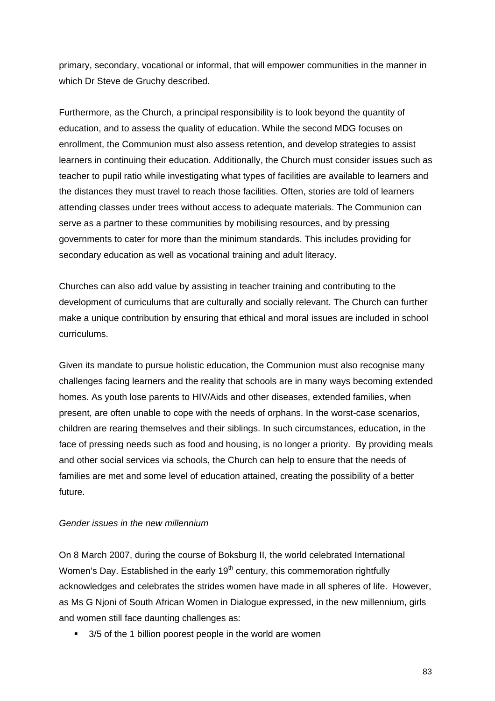primary, secondary, vocational or informal, that will empower communities in the manner in which Dr Steve de Gruchy described.

Furthermore, as the Church, a principal responsibility is to look beyond the quantity of education, and to assess the quality of education. While the second MDG focuses on enrollment, the Communion must also assess retention, and develop strategies to assist learners in continuing their education. Additionally, the Church must consider issues such as teacher to pupil ratio while investigating what types of facilities are available to learners and the distances they must travel to reach those facilities. Often, stories are told of learners attending classes under trees without access to adequate materials. The Communion can serve as a partner to these communities by mobilising resources, and by pressing governments to cater for more than the minimum standards. This includes providing for secondary education as well as vocational training and adult literacy.

Churches can also add value by assisting in teacher training and contributing to the development of curriculums that are culturally and socially relevant. The Church can further make a unique contribution by ensuring that ethical and moral issues are included in school curriculums.

Given its mandate to pursue holistic education, the Communion must also recognise many challenges facing learners and the reality that schools are in many ways becoming extended homes. As youth lose parents to HIV/Aids and other diseases, extended families, when present, are often unable to cope with the needs of orphans. In the worst-case scenarios, children are rearing themselves and their siblings. In such circumstances, education, in the face of pressing needs such as food and housing, is no longer a priority. By providing meals and other social services via schools, the Church can help to ensure that the needs of families are met and some level of education attained, creating the possibility of a better future.

#### *Gender issues in the new millennium*

On 8 March 2007, during the course of Boksburg II, the world celebrated International Women's Day. Established in the early 19<sup>th</sup> century, this commemoration rightfully acknowledges and celebrates the strides women have made in all spheres of life. However, as Ms G Njoni of South African Women in Dialogue expressed, in the new millennium, girls and women still face daunting challenges as:

■ 3/5 of the 1 billion poorest people in the world are women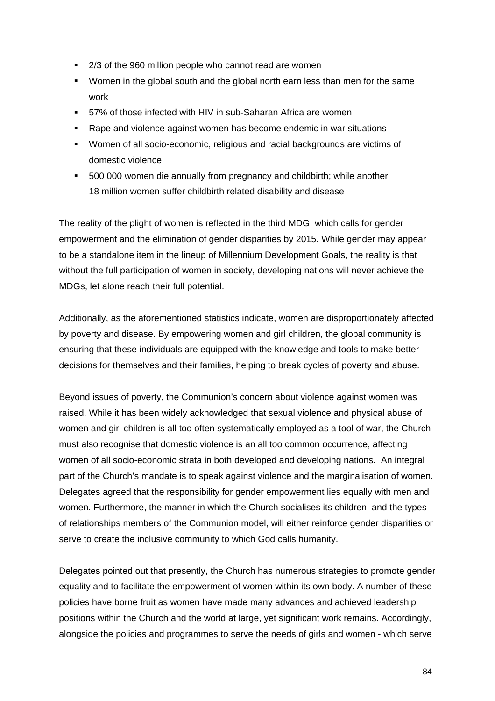- 2/3 of the 960 million people who cannot read are women
- Women in the global south and the global north earn less than men for the same work
- 57% of those infected with HIV in sub-Saharan Africa are women
- Rape and violence against women has become endemic in war situations
- Women of all socio-economic, religious and racial backgrounds are victims of domestic violence
- 500 000 women die annually from pregnancy and childbirth; while another 18 million women suffer childbirth related disability and disease

The reality of the plight of women is reflected in the third MDG, which calls for gender empowerment and the elimination of gender disparities by 2015. While gender may appear to be a standalone item in the lineup of Millennium Development Goals, the reality is that without the full participation of women in society, developing nations will never achieve the MDGs, let alone reach their full potential.

Additionally, as the aforementioned statistics indicate, women are disproportionately affected by poverty and disease. By empowering women and girl children, the global community is ensuring that these individuals are equipped with the knowledge and tools to make better decisions for themselves and their families, helping to break cycles of poverty and abuse.

Beyond issues of poverty, the Communion's concern about violence against women was raised. While it has been widely acknowledged that sexual violence and physical abuse of women and girl children is all too often systematically employed as a tool of war, the Church must also recognise that domestic violence is an all too common occurrence, affecting women of all socio-economic strata in both developed and developing nations. An integral part of the Church's mandate is to speak against violence and the marginalisation of women. Delegates agreed that the responsibility for gender empowerment lies equally with men and women. Furthermore, the manner in which the Church socialises its children, and the types of relationships members of the Communion model, will either reinforce gender disparities or serve to create the inclusive community to which God calls humanity.

Delegates pointed out that presently, the Church has numerous strategies to promote gender equality and to facilitate the empowerment of women within its own body. A number of these policies have borne fruit as women have made many advances and achieved leadership positions within the Church and the world at large, yet significant work remains. Accordingly, alongside the policies and programmes to serve the needs of girls and women - which serve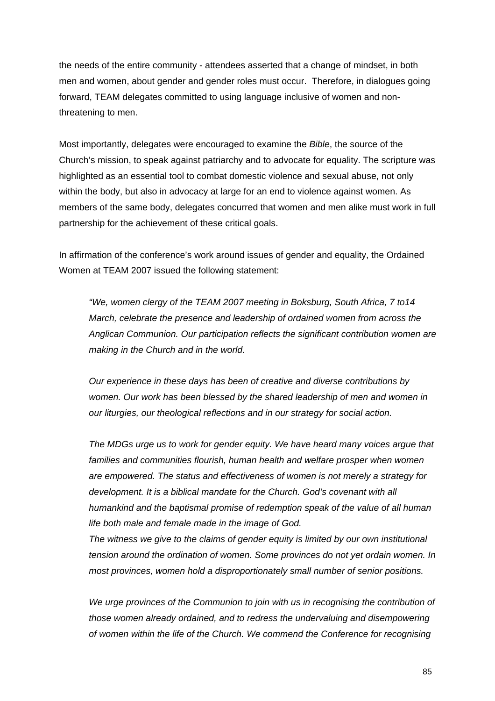the needs of the entire community - attendees asserted that a change of mindset, in both men and women, about gender and gender roles must occur. Therefore, in dialogues going forward, TEAM delegates committed to using language inclusive of women and nonthreatening to men.

Most importantly, delegates were encouraged to examine the *Bible*, the source of the Church's mission, to speak against patriarchy and to advocate for equality. The scripture was highlighted as an essential tool to combat domestic violence and sexual abuse, not only within the body, but also in advocacy at large for an end to violence against women. As members of the same body, delegates concurred that women and men alike must work in full partnership for the achievement of these critical goals.

In affirmation of the conference's work around issues of gender and equality, the Ordained Women at TEAM 2007 issued the following statement:

*"We, women clergy of the TEAM 2007 meeting in Boksburg, South Africa, 7 to14 March, celebrate the presence and leadership of ordained women from across the Anglican Communion. Our participation reflects the significant contribution women are making in the Church and in the world.* 

*Our experience in these days has been of creative and diverse contributions by women. Our work has been blessed by the shared leadership of men and women in our liturgies, our theological reflections and in our strategy for social action.* 

*The MDGs urge us to work for gender equity. We have heard many voices argue that families and communities flourish, human health and welfare prosper when women are empowered. The status and effectiveness of women is not merely a strategy for*  development. It is a biblical mandate for the Church. God's covenant with all *humankind and the baptismal promise of redemption speak of the value of all human life both male and female made in the image of God. The witness we give to the claims of gender equity is limited by our own institutional* 

*tension around the ordination of women. Some provinces do not yet ordain women. In most provinces, women hold a disproportionately small number of senior positions.* 

*We urge provinces of the Communion to join with us in recognising the contribution of those women already ordained, and to redress the undervaluing and disempowering of women within the life of the Church. We commend the Conference for recognising*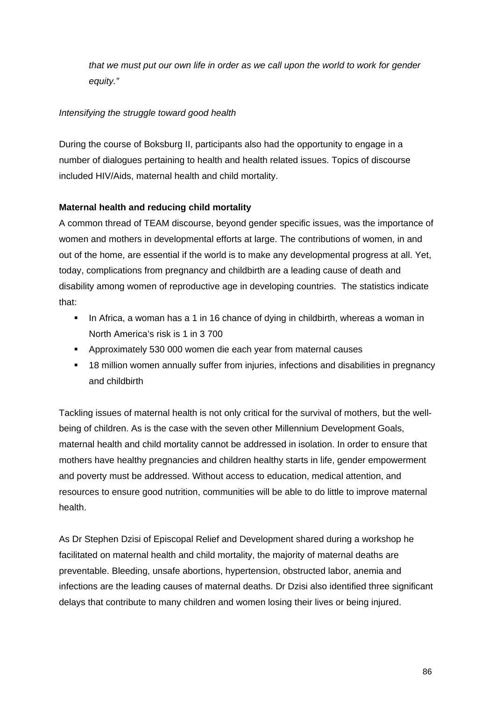*that we must put our own life in order as we call upon the world to work for gender equity."* 

# *Intensifying the struggle toward good health*

During the course of Boksburg II, participants also had the opportunity to engage in a number of dialogues pertaining to health and health related issues. Topics of discourse included HIV/Aids, maternal health and child mortality.

# **Maternal health and reducing child mortality**

A common thread of TEAM discourse, beyond gender specific issues, was the importance of women and mothers in developmental efforts at large. The contributions of women, in and out of the home, are essential if the world is to make any developmental progress at all. Yet, today, complications from pregnancy and childbirth are a leading cause of death and disability among women of reproductive age in developing countries. The statistics indicate that:

- In Africa, a woman has a 1 in 16 chance of dying in childbirth, whereas a woman in North America's risk is 1 in 3 700
- Approximately 530 000 women die each year from maternal causes
- 18 million women annually suffer from injuries, infections and disabilities in pregnancy and childbirth

Tackling issues of maternal health is not only critical for the survival of mothers, but the wellbeing of children. As is the case with the seven other Millennium Development Goals, maternal health and child mortality cannot be addressed in isolation. In order to ensure that mothers have healthy pregnancies and children healthy starts in life, gender empowerment and poverty must be addressed. Without access to education, medical attention, and resources to ensure good nutrition, communities will be able to do little to improve maternal health.

As Dr Stephen Dzisi of Episcopal Relief and Development shared during a workshop he facilitated on maternal health and child mortality, the majority of maternal deaths are preventable. Bleeding, unsafe abortions, hypertension, obstructed labor, anemia and infections are the leading causes of maternal deaths. Dr Dzisi also identified three significant delays that contribute to many children and women losing their lives or being injured.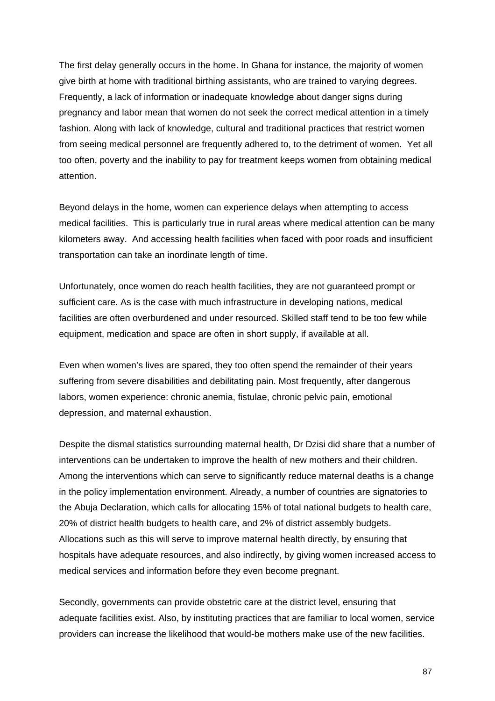The first delay generally occurs in the home. In Ghana for instance, the majority of women give birth at home with traditional birthing assistants, who are trained to varying degrees. Frequently, a lack of information or inadequate knowledge about danger signs during pregnancy and labor mean that women do not seek the correct medical attention in a timely fashion. Along with lack of knowledge, cultural and traditional practices that restrict women from seeing medical personnel are frequently adhered to, to the detriment of women. Yet all too often, poverty and the inability to pay for treatment keeps women from obtaining medical attention.

Beyond delays in the home, women can experience delays when attempting to access medical facilities. This is particularly true in rural areas where medical attention can be many kilometers away. And accessing health facilities when faced with poor roads and insufficient transportation can take an inordinate length of time.

Unfortunately, once women do reach health facilities, they are not guaranteed prompt or sufficient care. As is the case with much infrastructure in developing nations, medical facilities are often overburdened and under resourced. Skilled staff tend to be too few while equipment, medication and space are often in short supply, if available at all.

Even when women's lives are spared, they too often spend the remainder of their years suffering from severe disabilities and debilitating pain. Most frequently, after dangerous labors, women experience: chronic anemia, fistulae, chronic pelvic pain, emotional depression, and maternal exhaustion.

Despite the dismal statistics surrounding maternal health, Dr Dzisi did share that a number of interventions can be undertaken to improve the health of new mothers and their children. Among the interventions which can serve to significantly reduce maternal deaths is a change in the policy implementation environment. Already, a number of countries are signatories to the Abuja Declaration, which calls for allocating 15% of total national budgets to health care, 20% of district health budgets to health care, and 2% of district assembly budgets. Allocations such as this will serve to improve maternal health directly, by ensuring that hospitals have adequate resources, and also indirectly, by giving women increased access to medical services and information before they even become pregnant.

Secondly, governments can provide obstetric care at the district level, ensuring that adequate facilities exist. Also, by instituting practices that are familiar to local women, service providers can increase the likelihood that would-be mothers make use of the new facilities.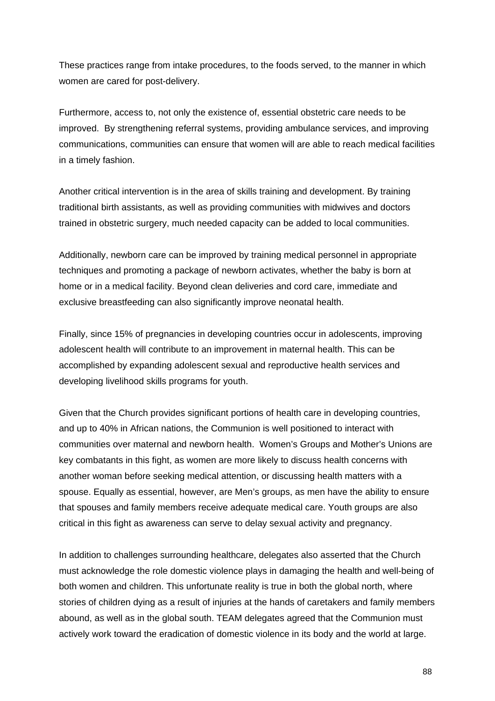These practices range from intake procedures, to the foods served, to the manner in which women are cared for post-delivery.

Furthermore, access to, not only the existence of, essential obstetric care needs to be improved. By strengthening referral systems, providing ambulance services, and improving communications, communities can ensure that women will are able to reach medical facilities in a timely fashion.

Another critical intervention is in the area of skills training and development. By training traditional birth assistants, as well as providing communities with midwives and doctors trained in obstetric surgery, much needed capacity can be added to local communities.

Additionally, newborn care can be improved by training medical personnel in appropriate techniques and promoting a package of newborn activates, whether the baby is born at home or in a medical facility. Beyond clean deliveries and cord care, immediate and exclusive breastfeeding can also significantly improve neonatal health.

Finally, since 15% of pregnancies in developing countries occur in adolescents, improving adolescent health will contribute to an improvement in maternal health. This can be accomplished by expanding adolescent sexual and reproductive health services and developing livelihood skills programs for youth.

Given that the Church provides significant portions of health care in developing countries, and up to 40% in African nations, the Communion is well positioned to interact with communities over maternal and newborn health. Women's Groups and Mother's Unions are key combatants in this fight, as women are more likely to discuss health concerns with another woman before seeking medical attention, or discussing health matters with a spouse. Equally as essential, however, are Men's groups, as men have the ability to ensure that spouses and family members receive adequate medical care. Youth groups are also critical in this fight as awareness can serve to delay sexual activity and pregnancy.

In addition to challenges surrounding healthcare, delegates also asserted that the Church must acknowledge the role domestic violence plays in damaging the health and well-being of both women and children. This unfortunate reality is true in both the global north, where stories of children dying as a result of injuries at the hands of caretakers and family members abound, as well as in the global south. TEAM delegates agreed that the Communion must actively work toward the eradication of domestic violence in its body and the world at large.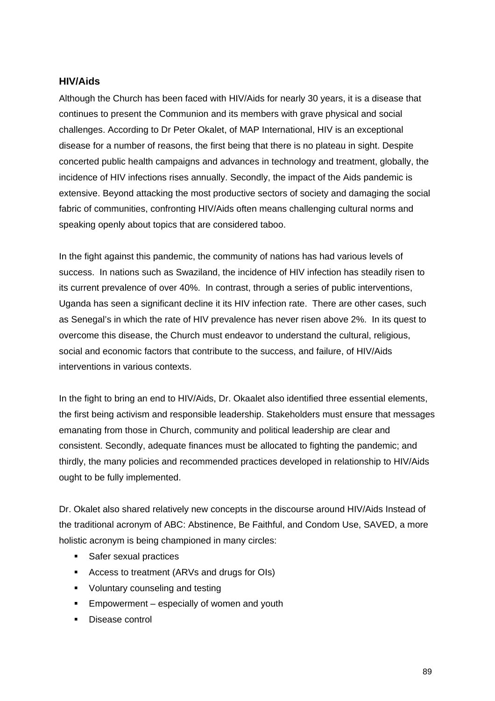# **HIV/Aids**

Although the Church has been faced with HIV/Aids for nearly 30 years, it is a disease that continues to present the Communion and its members with grave physical and social challenges. According to Dr Peter Okalet, of MAP International, HIV is an exceptional disease for a number of reasons, the first being that there is no plateau in sight. Despite concerted public health campaigns and advances in technology and treatment, globally, the incidence of HIV infections rises annually. Secondly, the impact of the Aids pandemic is extensive. Beyond attacking the most productive sectors of society and damaging the social fabric of communities, confronting HIV/Aids often means challenging cultural norms and speaking openly about topics that are considered taboo.

In the fight against this pandemic, the community of nations has had various levels of success. In nations such as Swaziland, the incidence of HIV infection has steadily risen to its current prevalence of over 40%. In contrast, through a series of public interventions, Uganda has seen a significant decline it its HIV infection rate. There are other cases, such as Senegal's in which the rate of HIV prevalence has never risen above 2%. In its quest to overcome this disease, the Church must endeavor to understand the cultural, religious, social and economic factors that contribute to the success, and failure, of HIV/Aids interventions in various contexts.

In the fight to bring an end to HIV/Aids, Dr. Okaalet also identified three essential elements, the first being activism and responsible leadership. Stakeholders must ensure that messages emanating from those in Church, community and political leadership are clear and consistent. Secondly, adequate finances must be allocated to fighting the pandemic; and thirdly, the many policies and recommended practices developed in relationship to HIV/Aids ought to be fully implemented.

Dr. Okalet also shared relatively new concepts in the discourse around HIV/Aids Instead of the traditional acronym of ABC: Abstinence, Be Faithful, and Condom Use, SAVED, a more holistic acronym is being championed in many circles:

- **Safer sexual practices**
- Access to treatment (ARVs and drugs for OIs)
- **Voluntary counseling and testing**
- **Empowerment especially of women and youth**
- **Disease control**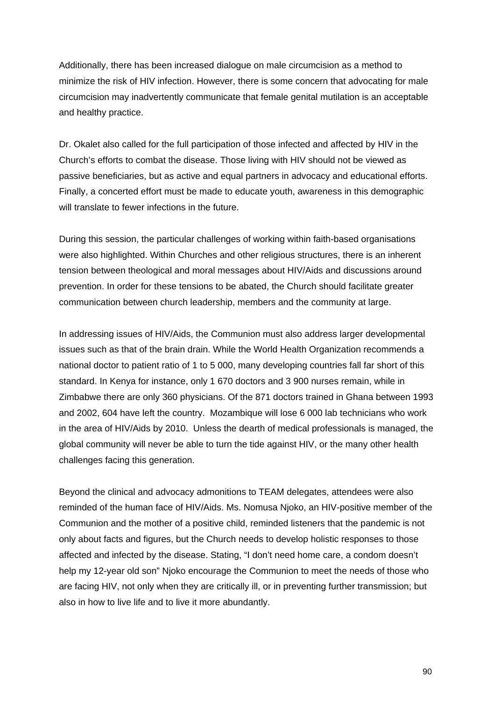Additionally, there has been increased dialogue on male circumcision as a method to minimize the risk of HIV infection. However, there is some concern that advocating for male circumcision may inadvertently communicate that female genital mutilation is an acceptable and healthy practice.

Dr. Okalet also called for the full participation of those infected and affected by HIV in the Church's efforts to combat the disease. Those living with HIV should not be viewed as passive beneficiaries, but as active and equal partners in advocacy and educational efforts. Finally, a concerted effort must be made to educate youth, awareness in this demographic will translate to fewer infections in the future.

During this session, the particular challenges of working within faith-based organisations were also highlighted. Within Churches and other religious structures, there is an inherent tension between theological and moral messages about HIV/Aids and discussions around prevention. In order for these tensions to be abated, the Church should facilitate greater communication between church leadership, members and the community at large.

In addressing issues of HIV/Aids, the Communion must also address larger developmental issues such as that of the brain drain. While the World Health Organization recommends a national doctor to patient ratio of 1 to 5 000, many developing countries fall far short of this standard. In Kenya for instance, only 1 670 doctors and 3 900 nurses remain, while in Zimbabwe there are only 360 physicians. Of the 871 doctors trained in Ghana between 1993 and 2002, 604 have left the country. Mozambique will lose 6 000 lab technicians who work in the area of HIV/Aids by 2010. Unless the dearth of medical professionals is managed, the global community will never be able to turn the tide against HIV, or the many other health challenges facing this generation.

Beyond the clinical and advocacy admonitions to TEAM delegates, attendees were also reminded of the human face of HIV/Aids. Ms. Nomusa Njoko, an HIV-positive member of the Communion and the mother of a positive child, reminded listeners that the pandemic is not only about facts and figures, but the Church needs to develop holistic responses to those affected and infected by the disease. Stating, "I don't need home care, a condom doesn't help my 12-year old son" Njoko encourage the Communion to meet the needs of those who are facing HIV, not only when they are critically ill, or in preventing further transmission; but also in how to live life and to live it more abundantly.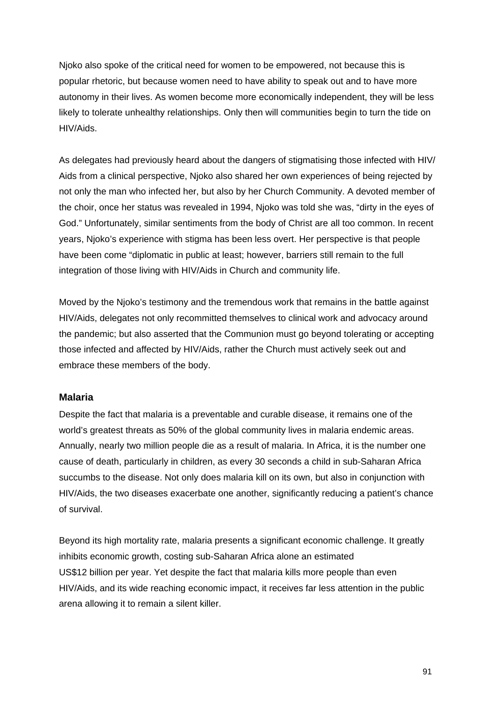Njoko also spoke of the critical need for women to be empowered, not because this is popular rhetoric, but because women need to have ability to speak out and to have more autonomy in their lives. As women become more economically independent, they will be less likely to tolerate unhealthy relationships. Only then will communities begin to turn the tide on HIV/Aids.

As delegates had previously heard about the dangers of stigmatising those infected with HIV/ Aids from a clinical perspective, Njoko also shared her own experiences of being rejected by not only the man who infected her, but also by her Church Community. A devoted member of the choir, once her status was revealed in 1994, Njoko was told she was, "dirty in the eyes of God." Unfortunately, similar sentiments from the body of Christ are all too common. In recent years, Njoko's experience with stigma has been less overt. Her perspective is that people have been come "diplomatic in public at least; however, barriers still remain to the full integration of those living with HIV/Aids in Church and community life.

Moved by the Njoko's testimony and the tremendous work that remains in the battle against HIV/Aids, delegates not only recommitted themselves to clinical work and advocacy around the pandemic; but also asserted that the Communion must go beyond tolerating or accepting those infected and affected by HIV/Aids, rather the Church must actively seek out and embrace these members of the body.

#### **Malaria**

Despite the fact that malaria is a preventable and curable disease, it remains one of the world's greatest threats as 50% of the global community lives in malaria endemic areas. Annually, nearly two million people die as a result of malaria. In Africa, it is the number one cause of death, particularly in children, as every 30 seconds a child in sub-Saharan Africa succumbs to the disease. Not only does malaria kill on its own, but also in conjunction with HIV/Aids, the two diseases exacerbate one another, significantly reducing a patient's chance of survival.

Beyond its high mortality rate, malaria presents a significant economic challenge. It greatly inhibits economic growth, costing sub-Saharan Africa alone an estimated US\$12 billion per year. Yet despite the fact that malaria kills more people than even HIV/Aids, and its wide reaching economic impact, it receives far less attention in the public arena allowing it to remain a silent killer.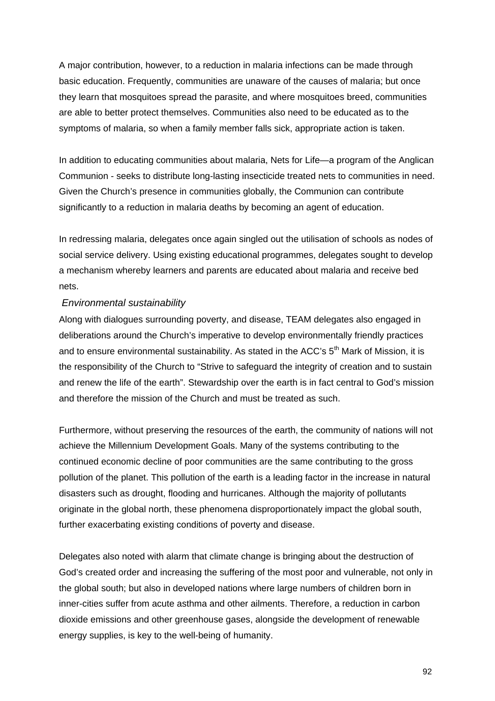A major contribution, however, to a reduction in malaria infections can be made through basic education. Frequently, communities are unaware of the causes of malaria; but once they learn that mosquitoes spread the parasite, and where mosquitoes breed, communities are able to better protect themselves. Communities also need to be educated as to the symptoms of malaria, so when a family member falls sick, appropriate action is taken.

In addition to educating communities about malaria, Nets for Life—a program of the Anglican Communion - seeks to distribute long-lasting insecticide treated nets to communities in need. Given the Church's presence in communities globally, the Communion can contribute significantly to a reduction in malaria deaths by becoming an agent of education.

In redressing malaria, delegates once again singled out the utilisation of schools as nodes of social service delivery. Using existing educational programmes, delegates sought to develop a mechanism whereby learners and parents are educated about malaria and receive bed nets.

## *Environmental sustainability*

Along with dialogues surrounding poverty, and disease, TEAM delegates also engaged in deliberations around the Church's imperative to develop environmentally friendly practices and to ensure environmental sustainability. As stated in the ACC's 5<sup>th</sup> Mark of Mission, it is the responsibility of the Church to "Strive to safeguard the integrity of creation and to sustain and renew the life of the earth". Stewardship over the earth is in fact central to God's mission and therefore the mission of the Church and must be treated as such.

Furthermore, without preserving the resources of the earth, the community of nations will not achieve the Millennium Development Goals. Many of the systems contributing to the continued economic decline of poor communities are the same contributing to the gross pollution of the planet. This pollution of the earth is a leading factor in the increase in natural disasters such as drought, flooding and hurricanes. Although the majority of pollutants originate in the global north, these phenomena disproportionately impact the global south, further exacerbating existing conditions of poverty and disease.

Delegates also noted with alarm that climate change is bringing about the destruction of God's created order and increasing the suffering of the most poor and vulnerable, not only in the global south; but also in developed nations where large numbers of children born in inner-cities suffer from acute asthma and other ailments. Therefore, a reduction in carbon dioxide emissions and other greenhouse gases, alongside the development of renewable energy supplies, is key to the well-being of humanity.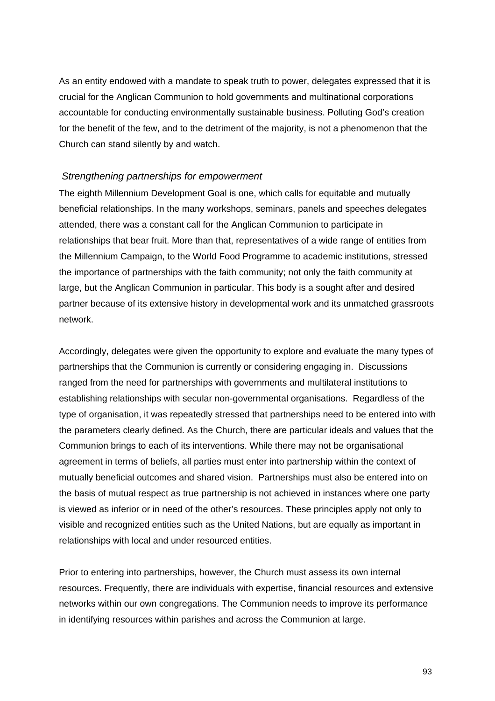As an entity endowed with a mandate to speak truth to power, delegates expressed that it is crucial for the Anglican Communion to hold governments and multinational corporations accountable for conducting environmentally sustainable business. Polluting God's creation for the benefit of the few, and to the detriment of the majority, is not a phenomenon that the Church can stand silently by and watch.

#### *Strengthening partnerships for empowerment*

The eighth Millennium Development Goal is one, which calls for equitable and mutually beneficial relationships. In the many workshops, seminars, panels and speeches delegates attended, there was a constant call for the Anglican Communion to participate in relationships that bear fruit. More than that, representatives of a wide range of entities from the Millennium Campaign, to the World Food Programme to academic institutions, stressed the importance of partnerships with the faith community; not only the faith community at large, but the Anglican Communion in particular. This body is a sought after and desired partner because of its extensive history in developmental work and its unmatched grassroots network.

Accordingly, delegates were given the opportunity to explore and evaluate the many types of partnerships that the Communion is currently or considering engaging in. Discussions ranged from the need for partnerships with governments and multilateral institutions to establishing relationships with secular non-governmental organisations. Regardless of the type of organisation, it was repeatedly stressed that partnerships need to be entered into with the parameters clearly defined. As the Church, there are particular ideals and values that the Communion brings to each of its interventions. While there may not be organisational agreement in terms of beliefs, all parties must enter into partnership within the context of mutually beneficial outcomes and shared vision. Partnerships must also be entered into on the basis of mutual respect as true partnership is not achieved in instances where one party is viewed as inferior or in need of the other's resources. These principles apply not only to visible and recognized entities such as the United Nations, but are equally as important in relationships with local and under resourced entities.

Prior to entering into partnerships, however, the Church must assess its own internal resources. Frequently, there are individuals with expertise, financial resources and extensive networks within our own congregations. The Communion needs to improve its performance in identifying resources within parishes and across the Communion at large.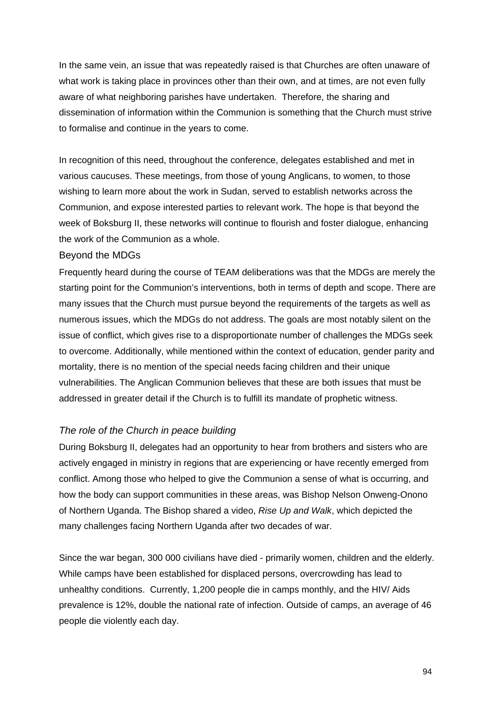In the same vein, an issue that was repeatedly raised is that Churches are often unaware of what work is taking place in provinces other than their own, and at times, are not even fully aware of what neighboring parishes have undertaken. Therefore, the sharing and dissemination of information within the Communion is something that the Church must strive to formalise and continue in the years to come.

In recognition of this need, throughout the conference, delegates established and met in various caucuses. These meetings, from those of young Anglicans, to women, to those wishing to learn more about the work in Sudan, served to establish networks across the Communion, and expose interested parties to relevant work. The hope is that beyond the week of Boksburg II, these networks will continue to flourish and foster dialogue, enhancing the work of the Communion as a whole.

## Beyond the MDGs

Frequently heard during the course of TEAM deliberations was that the MDGs are merely the starting point for the Communion's interventions, both in terms of depth and scope. There are many issues that the Church must pursue beyond the requirements of the targets as well as numerous issues, which the MDGs do not address. The goals are most notably silent on the issue of conflict, which gives rise to a disproportionate number of challenges the MDGs seek to overcome. Additionally, while mentioned within the context of education, gender parity and mortality, there is no mention of the special needs facing children and their unique vulnerabilities. The Anglican Communion believes that these are both issues that must be addressed in greater detail if the Church is to fulfill its mandate of prophetic witness.

# *The role of the Church in peace building*

During Boksburg II, delegates had an opportunity to hear from brothers and sisters who are actively engaged in ministry in regions that are experiencing or have recently emerged from conflict. Among those who helped to give the Communion a sense of what is occurring, and how the body can support communities in these areas, was Bishop Nelson Onweng-Onono of Northern Uganda. The Bishop shared a video, *Rise Up and Walk*, which depicted the many challenges facing Northern Uganda after two decades of war.

Since the war began, 300 000 civilians have died - primarily women, children and the elderly. While camps have been established for displaced persons, overcrowding has lead to unhealthy conditions. Currently, 1,200 people die in camps monthly, and the HIV/ Aids prevalence is 12%, double the national rate of infection. Outside of camps, an average of 46 people die violently each day.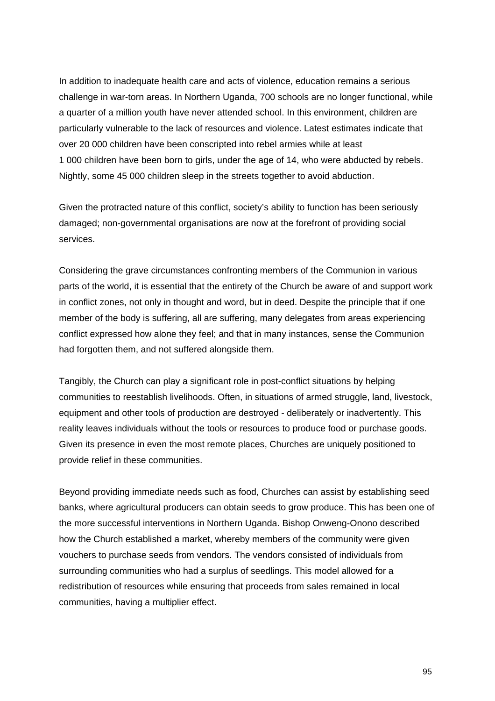In addition to inadequate health care and acts of violence, education remains a serious challenge in war-torn areas. In Northern Uganda, 700 schools are no longer functional, while a quarter of a million youth have never attended school. In this environment, children are particularly vulnerable to the lack of resources and violence. Latest estimates indicate that over 20 000 children have been conscripted into rebel armies while at least 1 000 children have been born to girls, under the age of 14, who were abducted by rebels. Nightly, some 45 000 children sleep in the streets together to avoid abduction.

Given the protracted nature of this conflict, society's ability to function has been seriously damaged; non-governmental organisations are now at the forefront of providing social services.

Considering the grave circumstances confronting members of the Communion in various parts of the world, it is essential that the entirety of the Church be aware of and support work in conflict zones, not only in thought and word, but in deed. Despite the principle that if one member of the body is suffering, all are suffering, many delegates from areas experiencing conflict expressed how alone they feel; and that in many instances, sense the Communion had forgotten them, and not suffered alongside them.

Tangibly, the Church can play a significant role in post-conflict situations by helping communities to reestablish livelihoods. Often, in situations of armed struggle, land, livestock, equipment and other tools of production are destroyed - deliberately or inadvertently. This reality leaves individuals without the tools or resources to produce food or purchase goods. Given its presence in even the most remote places, Churches are uniquely positioned to provide relief in these communities.

Beyond providing immediate needs such as food, Churches can assist by establishing seed banks, where agricultural producers can obtain seeds to grow produce. This has been one of the more successful interventions in Northern Uganda. Bishop Onweng-Onono described how the Church established a market, whereby members of the community were given vouchers to purchase seeds from vendors. The vendors consisted of individuals from surrounding communities who had a surplus of seedlings. This model allowed for a redistribution of resources while ensuring that proceeds from sales remained in local communities, having a multiplier effect.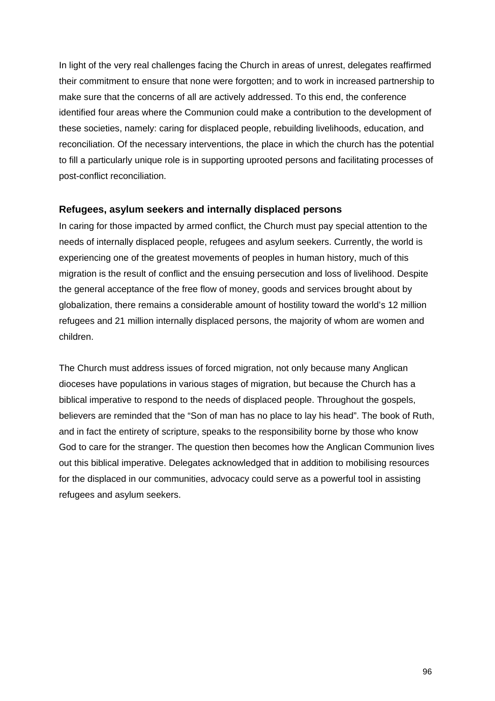In light of the very real challenges facing the Church in areas of unrest, delegates reaffirmed their commitment to ensure that none were forgotten; and to work in increased partnership to make sure that the concerns of all are actively addressed. To this end, the conference identified four areas where the Communion could make a contribution to the development of these societies, namely: caring for displaced people, rebuilding livelihoods, education, and reconciliation. Of the necessary interventions, the place in which the church has the potential to fill a particularly unique role is in supporting uprooted persons and facilitating processes of post-conflict reconciliation.

## **Refugees, asylum seekers and internally displaced persons**

In caring for those impacted by armed conflict, the Church must pay special attention to the needs of internally displaced people, refugees and asylum seekers. Currently, the world is experiencing one of the greatest movements of peoples in human history, much of this migration is the result of conflict and the ensuing persecution and loss of livelihood. Despite the general acceptance of the free flow of money, goods and services brought about by globalization, there remains a considerable amount of hostility toward the world's 12 million refugees and 21 million internally displaced persons, the majority of whom are women and children.

The Church must address issues of forced migration, not only because many Anglican dioceses have populations in various stages of migration, but because the Church has a biblical imperative to respond to the needs of displaced people. Throughout the gospels, believers are reminded that the "Son of man has no place to lay his head". The book of Ruth, and in fact the entirety of scripture, speaks to the responsibility borne by those who know God to care for the stranger. The question then becomes how the Anglican Communion lives out this biblical imperative. Delegates acknowledged that in addition to mobilising resources for the displaced in our communities, advocacy could serve as a powerful tool in assisting refugees and asylum seekers.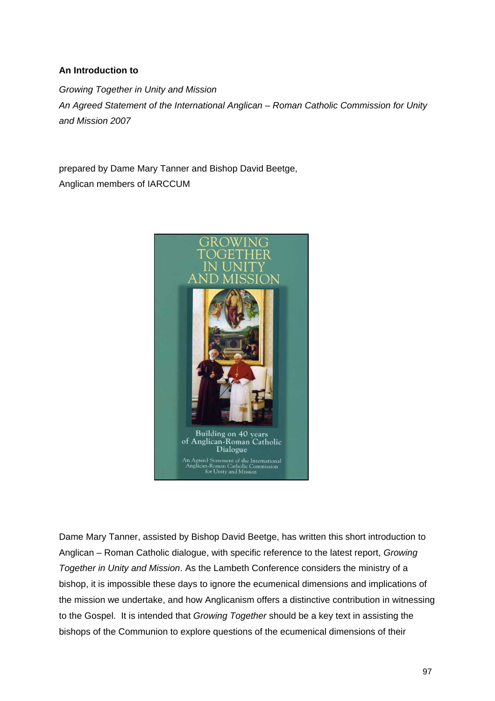# **An Introduction to**

*Growing Together in Unity and Mission An Agreed Statement of the International Anglican – Roman Catholic Commission for Unity and Mission 2007* 

prepared by Dame Mary Tanner and Bishop David Beetge, Anglican members of IARCCUM



Dame Mary Tanner, assisted by Bishop David Beetge, has written this short introduction to Anglican – Roman Catholic dialogue, with specific reference to the latest report, *Growing Together in Unity and Mission*. As the Lambeth Conference considers the ministry of a bishop, it is impossible these days to ignore the ecumenical dimensions and implications of the mission we undertake, and how Anglicanism offers a distinctive contribution in witnessing to the Gospel. It is intended that *Growing Together* should be a key text in assisting the bishops of the Communion to explore questions of the ecumenical dimensions of their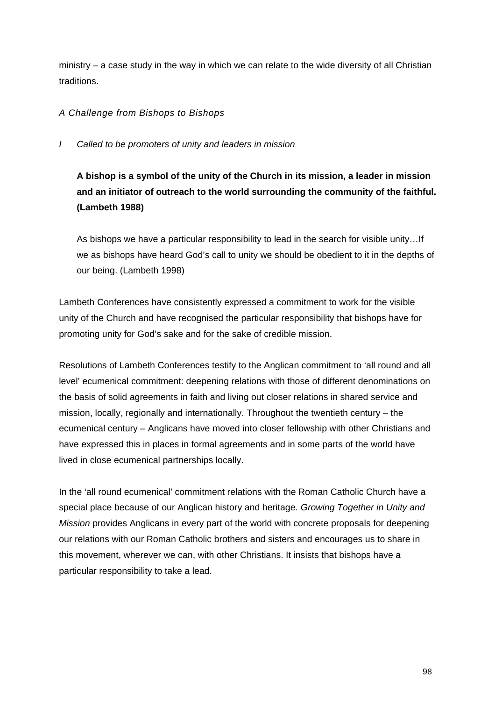ministry – a case study in the way in which we can relate to the wide diversity of all Christian traditions.

# *A Challenge from Bishops to Bishops*

*I Called to be promoters of unity and leaders in mission* 

**A bishop is a symbol of the unity of the Church in its mission, a leader in mission and an initiator of outreach to the world surrounding the community of the faithful. (Lambeth 1988)** 

As bishops we have a particular responsibility to lead in the search for visible unity…If we as bishops have heard God's call to unity we should be obedient to it in the depths of our being. (Lambeth 1998)

Lambeth Conferences have consistently expressed a commitment to work for the visible unity of the Church and have recognised the particular responsibility that bishops have for promoting unity for God's sake and for the sake of credible mission.

Resolutions of Lambeth Conferences testify to the Anglican commitment to 'all round and all level' ecumenical commitment: deepening relations with those of different denominations on the basis of solid agreements in faith and living out closer relations in shared service and mission, locally, regionally and internationally. Throughout the twentieth century – the ecumenical century – Anglicans have moved into closer fellowship with other Christians and have expressed this in places in formal agreements and in some parts of the world have lived in close ecumenical partnerships locally.

In the 'all round ecumenical' commitment relations with the Roman Catholic Church have a special place because of our Anglican history and heritage. *Growing Together in Unity and Mission* provides Anglicans in every part of the world with concrete proposals for deepening our relations with our Roman Catholic brothers and sisters and encourages us to share in this movement, wherever we can, with other Christians. It insists that bishops have a particular responsibility to take a lead.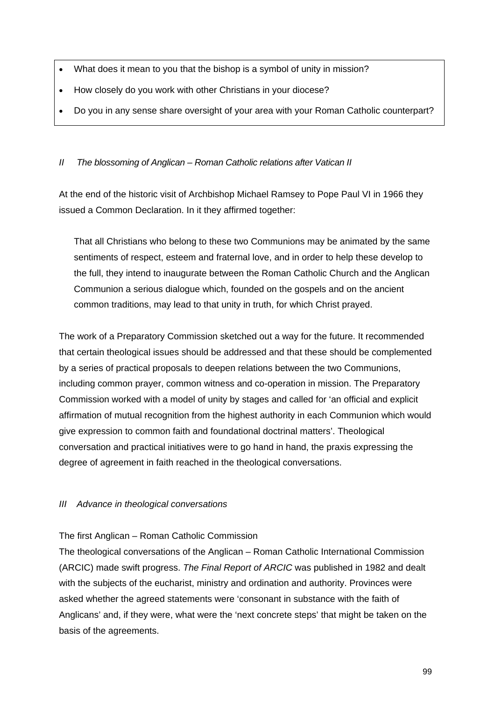- What does it mean to you that the bishop is a symbol of unity in mission?
- How closely do you work with other Christians in your diocese?
- Do you in any sense share oversight of your area with your Roman Catholic counterpart?

# *II The blossoming of Anglican – Roman Catholic relations after Vatican II*

At the end of the historic visit of Archbishop Michael Ramsey to Pope Paul VI in 1966 they issued a Common Declaration. In it they affirmed together:

That all Christians who belong to these two Communions may be animated by the same sentiments of respect, esteem and fraternal love, and in order to help these develop to the full, they intend to inaugurate between the Roman Catholic Church and the Anglican Communion a serious dialogue which, founded on the gospels and on the ancient common traditions, may lead to that unity in truth, for which Christ prayed.

The work of a Preparatory Commission sketched out a way for the future. It recommended that certain theological issues should be addressed and that these should be complemented by a series of practical proposals to deepen relations between the two Communions, including common prayer, common witness and co-operation in mission. The Preparatory Commission worked with a model of unity by stages and called for 'an official and explicit affirmation of mutual recognition from the highest authority in each Communion which would give expression to common faith and foundational doctrinal matters'. Theological conversation and practical initiatives were to go hand in hand, the praxis expressing the degree of agreement in faith reached in the theological conversations.

#### *III Advance in theological conversations*

#### The first Anglican – Roman Catholic Commission

The theological conversations of the Anglican – Roman Catholic International Commission (ARCIC) made swift progress. *The Final Report of ARCIC* was published in 1982 and dealt with the subjects of the eucharist, ministry and ordination and authority. Provinces were asked whether the agreed statements were 'consonant in substance with the faith of Anglicans' and, if they were, what were the 'next concrete steps' that might be taken on the basis of the agreements.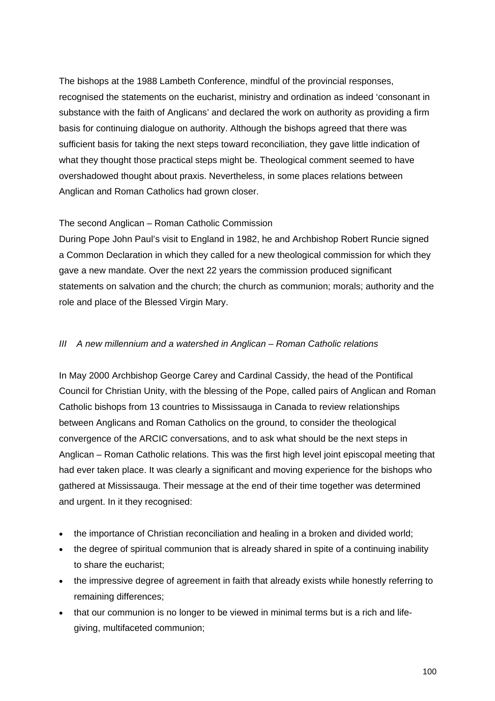The bishops at the 1988 Lambeth Conference, mindful of the provincial responses, recognised the statements on the eucharist, ministry and ordination as indeed 'consonant in substance with the faith of Anglicans' and declared the work on authority as providing a firm basis for continuing dialogue on authority. Although the bishops agreed that there was sufficient basis for taking the next steps toward reconciliation, they gave little indication of what they thought those practical steps might be. Theological comment seemed to have overshadowed thought about praxis. Nevertheless, in some places relations between Anglican and Roman Catholics had grown closer.

#### The second Anglican – Roman Catholic Commission

During Pope John Paul's visit to England in 1982, he and Archbishop Robert Runcie signed a Common Declaration in which they called for a new theological commission for which they gave a new mandate. Over the next 22 years the commission produced significant statements on salvation and the church; the church as communion; morals; authority and the role and place of the Blessed Virgin Mary.

## *III A new millennium and a watershed in Anglican – Roman Catholic relations*

In May 2000 Archbishop George Carey and Cardinal Cassidy, the head of the Pontifical Council for Christian Unity, with the blessing of the Pope, called pairs of Anglican and Roman Catholic bishops from 13 countries to Mississauga in Canada to review relationships between Anglicans and Roman Catholics on the ground, to consider the theological convergence of the ARCIC conversations, and to ask what should be the next steps in Anglican – Roman Catholic relations. This was the first high level joint episcopal meeting that had ever taken place. It was clearly a significant and moving experience for the bishops who gathered at Mississauga. Their message at the end of their time together was determined and urgent. In it they recognised:

- the importance of Christian reconciliation and healing in a broken and divided world;
- the degree of spiritual communion that is already shared in spite of a continuing inability to share the eucharist;
- the impressive degree of agreement in faith that already exists while honestly referring to remaining differences;
- that our communion is no longer to be viewed in minimal terms but is a rich and lifegiving, multifaceted communion;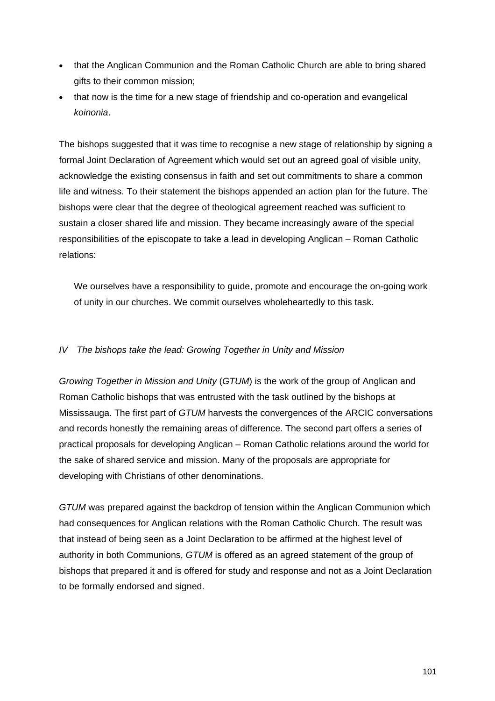- that the Anglican Communion and the Roman Catholic Church are able to bring shared gifts to their common mission;
- that now is the time for a new stage of friendship and co-operation and evangelical *koinonia*.

The bishops suggested that it was time to recognise a new stage of relationship by signing a formal Joint Declaration of Agreement which would set out an agreed goal of visible unity, acknowledge the existing consensus in faith and set out commitments to share a common life and witness. To their statement the bishops appended an action plan for the future. The bishops were clear that the degree of theological agreement reached was sufficient to sustain a closer shared life and mission. They became increasingly aware of the special responsibilities of the episcopate to take a lead in developing Anglican – Roman Catholic relations:

We ourselves have a responsibility to guide, promote and encourage the on-going work of unity in our churches. We commit ourselves wholeheartedly to this task.

## *IV The bishops take the lead: Growing Together in Unity and Mission*

*Growing Together in Mission and Unity* (*GTUM*) is the work of the group of Anglican and Roman Catholic bishops that was entrusted with the task outlined by the bishops at Mississauga. The first part of *GTUM* harvests the convergences of the ARCIC conversations and records honestly the remaining areas of difference. The second part offers a series of practical proposals for developing Anglican – Roman Catholic relations around the world for the sake of shared service and mission. Many of the proposals are appropriate for developing with Christians of other denominations.

*GTUM* was prepared against the backdrop of tension within the Anglican Communion which had consequences for Anglican relations with the Roman Catholic Church. The result was that instead of being seen as a Joint Declaration to be affirmed at the highest level of authority in both Communions, *GTUM* is offered as an agreed statement of the group of bishops that prepared it and is offered for study and response and not as a Joint Declaration to be formally endorsed and signed.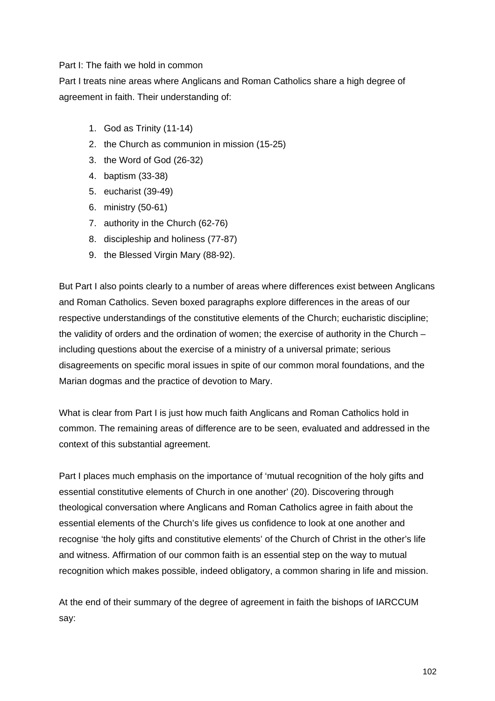## Part I: The faith we hold in common

Part I treats nine areas where Anglicans and Roman Catholics share a high degree of agreement in faith. Their understanding of:

- 1. God as Trinity (11-14)
- 2. the Church as communion in mission (15-25)
- 3. the Word of God (26-32)
- 4. baptism (33-38)
- 5. eucharist (39-49)
- 6. ministry (50-61)
- 7. authority in the Church (62-76)
- 8. discipleship and holiness (77-87)
- 9. the Blessed Virgin Mary (88-92).

But Part I also points clearly to a number of areas where differences exist between Anglicans and Roman Catholics. Seven boxed paragraphs explore differences in the areas of our respective understandings of the constitutive elements of the Church; eucharistic discipline; the validity of orders and the ordination of women; the exercise of authority in the Church – including questions about the exercise of a ministry of a universal primate; serious disagreements on specific moral issues in spite of our common moral foundations, and the Marian dogmas and the practice of devotion to Mary.

What is clear from Part I is just how much faith Anglicans and Roman Catholics hold in common. The remaining areas of difference are to be seen, evaluated and addressed in the context of this substantial agreement.

Part I places much emphasis on the importance of 'mutual recognition of the holy gifts and essential constitutive elements of Church in one another' (20). Discovering through theological conversation where Anglicans and Roman Catholics agree in faith about the essential elements of the Church's life gives us confidence to look at one another and recognise 'the holy gifts and constitutive elements' of the Church of Christ in the other's life and witness. Affirmation of our common faith is an essential step on the way to mutual recognition which makes possible, indeed obligatory, a common sharing in life and mission.

At the end of their summary of the degree of agreement in faith the bishops of IARCCUM say: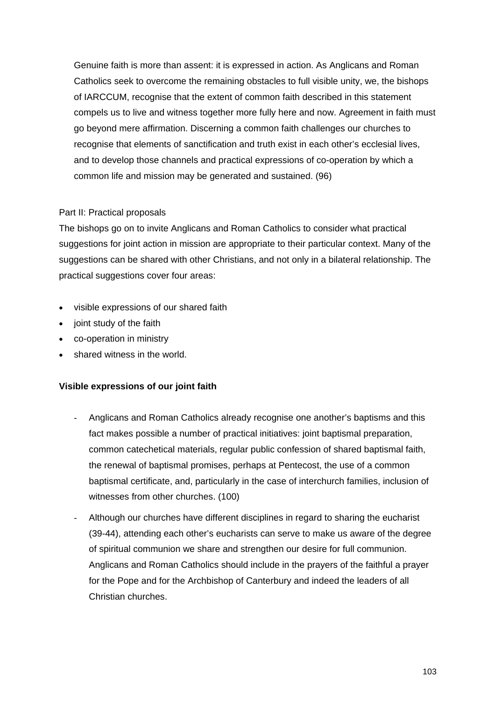Genuine faith is more than assent: it is expressed in action. As Anglicans and Roman Catholics seek to overcome the remaining obstacles to full visible unity, we, the bishops of IARCCUM, recognise that the extent of common faith described in this statement compels us to live and witness together more fully here and now. Agreement in faith must go beyond mere affirmation. Discerning a common faith challenges our churches to recognise that elements of sanctification and truth exist in each other's ecclesial lives, and to develop those channels and practical expressions of co-operation by which a common life and mission may be generated and sustained. (96)

## Part II: Practical proposals

The bishops go on to invite Anglicans and Roman Catholics to consider what practical suggestions for joint action in mission are appropriate to their particular context. Many of the suggestions can be shared with other Christians, and not only in a bilateral relationship. The practical suggestions cover four areas:

- visible expressions of our shared faith
- joint study of the faith
- co-operation in ministry
- shared witness in the world.

#### **Visible expressions of our joint faith**

- Anglicans and Roman Catholics already recognise one another's baptisms and this fact makes possible a number of practical initiatives: joint baptismal preparation, common catechetical materials, regular public confession of shared baptismal faith, the renewal of baptismal promises, perhaps at Pentecost, the use of a common baptismal certificate, and, particularly in the case of interchurch families, inclusion of witnesses from other churches. (100)
- Although our churches have different disciplines in regard to sharing the eucharist (39-44), attending each other's eucharists can serve to make us aware of the degree of spiritual communion we share and strengthen our desire for full communion. Anglicans and Roman Catholics should include in the prayers of the faithful a prayer for the Pope and for the Archbishop of Canterbury and indeed the leaders of all Christian churches.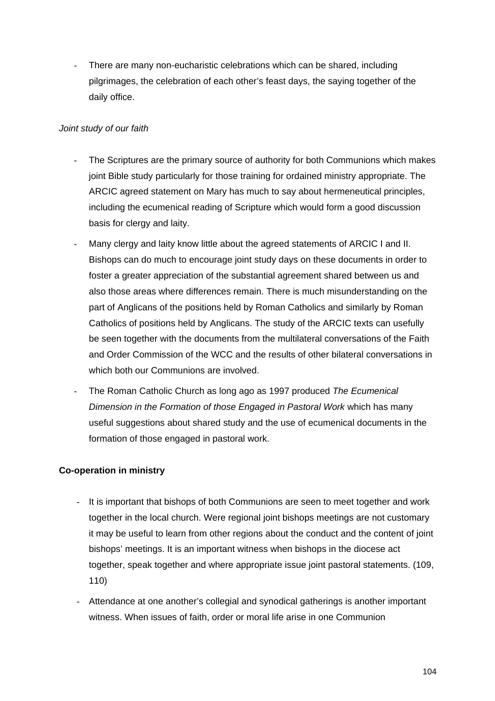- There are many non-eucharistic celebrations which can be shared, including pilgrimages, the celebration of each other's feast days, the saying together of the daily office.

# *Joint study of our faith*

- The Scriptures are the primary source of authority for both Communions which makes joint Bible study particularly for those training for ordained ministry appropriate. The ARCIC agreed statement on Mary has much to say about hermeneutical principles, including the ecumenical reading of Scripture which would form a good discussion basis for clergy and laity.
- Many clergy and laity know little about the agreed statements of ARCIC I and II. Bishops can do much to encourage joint study days on these documents in order to foster a greater appreciation of the substantial agreement shared between us and also those areas where differences remain. There is much misunderstanding on the part of Anglicans of the positions held by Roman Catholics and similarly by Roman Catholics of positions held by Anglicans. The study of the ARCIC texts can usefully be seen together with the documents from the multilateral conversations of the Faith and Order Commission of the WCC and the results of other bilateral conversations in which both our Communions are involved.
- The Roman Catholic Church as long ago as 1997 produced *The Ecumenical Dimension in the Formation of those Engaged in Pastoral Work* which has many useful suggestions about shared study and the use of ecumenical documents in the formation of those engaged in pastoral work.

# **Co-operation in ministry**

- It is important that bishops of both Communions are seen to meet together and work together in the local church. Were regional joint bishops meetings are not customary it may be useful to learn from other regions about the conduct and the content of joint bishops' meetings. It is an important witness when bishops in the diocese act together, speak together and where appropriate issue joint pastoral statements. (109, 110)
- Attendance at one another's collegial and synodical gatherings is another important witness. When issues of faith, order or moral life arise in one Communion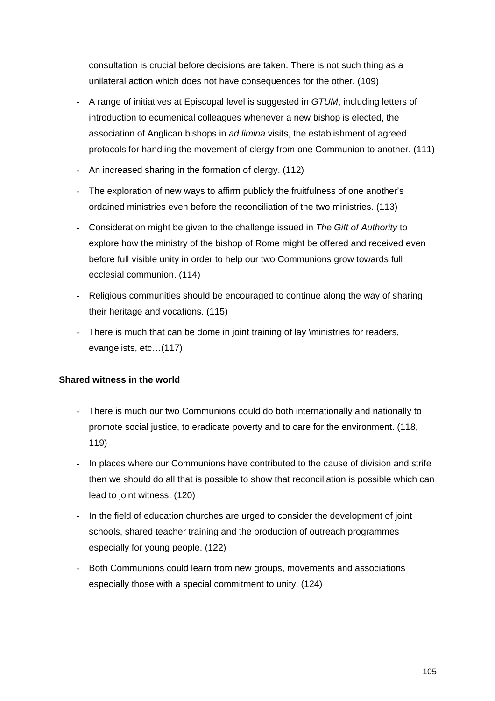consultation is crucial before decisions are taken. There is not such thing as a unilateral action which does not have consequences for the other. (109)

- A range of initiatives at Episcopal level is suggested in *GTUM*, including letters of introduction to ecumenical colleagues whenever a new bishop is elected, the association of Anglican bishops in *ad limina* visits, the establishment of agreed protocols for handling the movement of clergy from one Communion to another. (111)
- An increased sharing in the formation of clergy. (112)
- The exploration of new ways to affirm publicly the fruitfulness of one another's ordained ministries even before the reconciliation of the two ministries. (113)
- Consideration might be given to the challenge issued in *The Gift of Authority* to explore how the ministry of the bishop of Rome might be offered and received even before full visible unity in order to help our two Communions grow towards full ecclesial communion. (114)
- Religious communities should be encouraged to continue along the way of sharing their heritage and vocations. (115)
- There is much that can be dome in joint training of lay \ministries for readers, evangelists, etc…(117)

# **Shared witness in the world**

- There is much our two Communions could do both internationally and nationally to promote social justice, to eradicate poverty and to care for the environment. (118, 119)
- In places where our Communions have contributed to the cause of division and strife then we should do all that is possible to show that reconciliation is possible which can lead to joint witness. (120)
- In the field of education churches are urged to consider the development of joint schools, shared teacher training and the production of outreach programmes especially for young people. (122)
- Both Communions could learn from new groups, movements and associations especially those with a special commitment to unity. (124)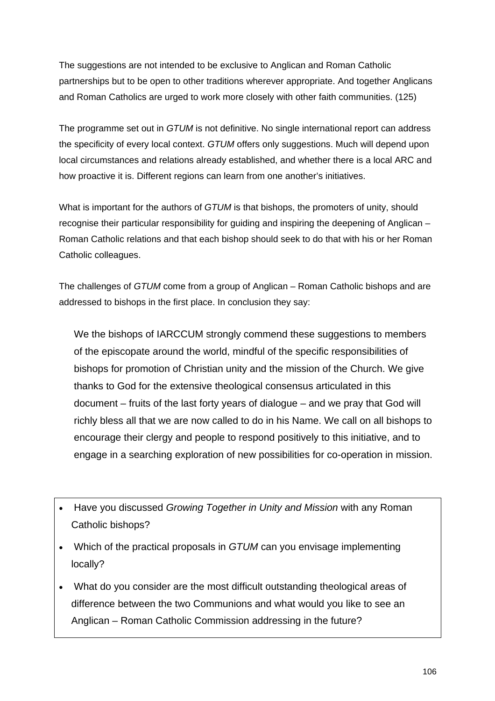The suggestions are not intended to be exclusive to Anglican and Roman Catholic partnerships but to be open to other traditions wherever appropriate. And together Anglicans and Roman Catholics are urged to work more closely with other faith communities. (125)

The programme set out in *GTUM* is not definitive. No single international report can address the specificity of every local context. *GTUM* offers only suggestions. Much will depend upon local circumstances and relations already established, and whether there is a local ARC and how proactive it is. Different regions can learn from one another's initiatives.

What is important for the authors of *GTUM* is that bishops, the promoters of unity, should recognise their particular responsibility for guiding and inspiring the deepening of Anglican – Roman Catholic relations and that each bishop should seek to do that with his or her Roman Catholic colleagues.

The challenges of *GTUM* come from a group of Anglican – Roman Catholic bishops and are addressed to bishops in the first place. In conclusion they say:

We the bishops of IARCCUM strongly commend these suggestions to members of the episcopate around the world, mindful of the specific responsibilities of bishops for promotion of Christian unity and the mission of the Church. We give thanks to God for the extensive theological consensus articulated in this document – fruits of the last forty years of dialogue – and we pray that God will richly bless all that we are now called to do in his Name. We call on all bishops to encourage their clergy and people to respond positively to this initiative, and to engage in a searching exploration of new possibilities for co-operation in mission.

- Have you discussed *Growing Together in Unity and Mission* with any Roman Catholic bishops?
- Which of the practical proposals in *GTUM* can you envisage implementing locally?
- What do you consider are the most difficult outstanding theological areas of difference between the two Communions and what would you like to see an Anglican – Roman Catholic Commission addressing in the future?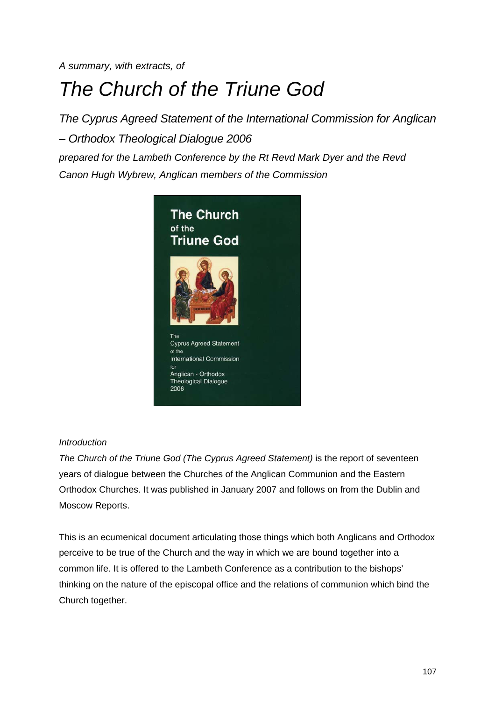*A summary, with extracts, of* 

# *The Church of the Triune God*

*The Cyprus Agreed Statement of the International Commission for Anglican – Orthodox Theological Dialogue 2006* 

*prepared for the Lambeth Conference by the Rt Revd Mark Dyer and the Revd Canon Hugh Wybrew, Anglican members of the Commission* 



# *Introduction*

*The Church of the Triune God (The Cyprus Agreed Statement)* is the report of seventeen years of dialogue between the Churches of the Anglican Communion and the Eastern Orthodox Churches. It was published in January 2007 and follows on from the Dublin and Moscow Reports.

This is an ecumenical document articulating those things which both Anglicans and Orthodox perceive to be true of the Church and the way in which we are bound together into a common life. It is offered to the Lambeth Conference as a contribution to the bishops' thinking on the nature of the episcopal office and the relations of communion which bind the Church together.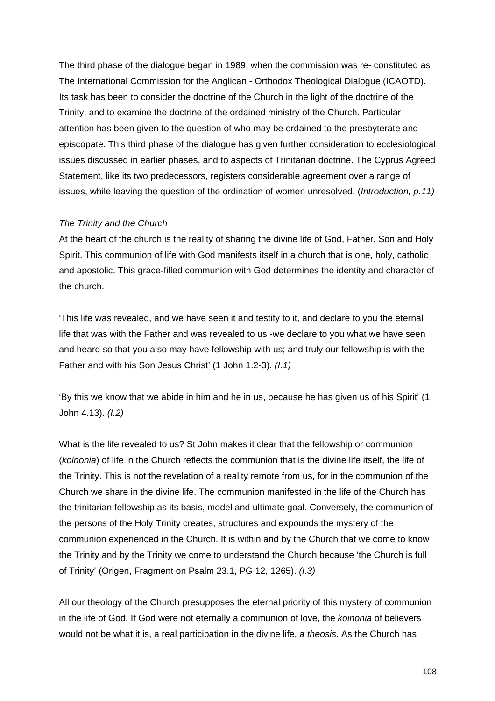The third phase of the dialogue began in 1989, when the commission was re- constituted as The International Commission for the Anglican - Orthodox Theological Dialogue (ICAOTD). Its task has been to consider the doctrine of the Church in the light of the doctrine of the Trinity, and to examine the doctrine of the ordained ministry of the Church. Particular attention has been given to the question of who may be ordained to the presbyterate and episcopate. This third phase of the dialogue has given further consideration to ecclesiological issues discussed in earlier phases, and to aspects of Trinitarian doctrine. The Cyprus Agreed Statement, like its two predecessors, registers considerable agreement over a range of issues, while leaving the question of the ordination of women unresolved. (*Introduction, p.11)*

#### *The Trinity and the Church*

At the heart of the church is the reality of sharing the divine life of God, Father, Son and Holy Spirit. This communion of life with God manifests itself in a church that is one, holy, catholic and apostolic. This grace-filled communion with God determines the identity and character of the church.

'This life was revealed, and we have seen it and testify to it, and declare to you the eternal life that was with the Father and was revealed to us -we declare to you what we have seen and heard so that you also may have fellowship with us; and truly our fellowship is with the Father and with his Son Jesus Christ' (1 John 1.2-3). *(I.1)*

'By this we know that we abide in him and he in us, because he has given us of his Spirit' (1 John 4.13). *(I.2)*

What is the life revealed to us? St John makes it clear that the fellowship or communion (*koinonia*) of life in the Church reflects the communion that is the divine life itself, the life of the Trinity. This is not the revelation of a reality remote from us, for in the communion of the Church we share in the divine life. The communion manifested in the life of the Church has the trinitarian fellowship as its basis, model and ultimate goal. Conversely, the communion of the persons of the Holy Trinity creates, structures and expounds the mystery of the communion experienced in the Church. It is within and by the Church that we come to know the Trinity and by the Trinity we come to understand the Church because 'the Church is full of Trinity' (Origen, Fragment on Psalm 23.1, PG 12, 1265). *(I.3)* 

All our theology of the Church presupposes the eternal priority of this mystery of communion in the life of God. If God were not eternally a communion of love, the *koinonia* of believers would not be what it is, a real participation in the divine life, a *theosis*. As the Church has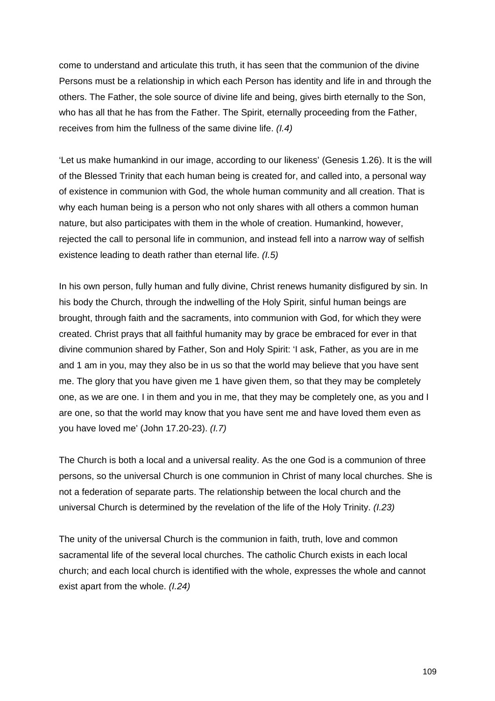come to understand and articulate this truth, it has seen that the communion of the divine Persons must be a relationship in which each Person has identity and life in and through the others. The Father, the sole source of divine life and being, gives birth eternally to the Son, who has all that he has from the Father. The Spirit, eternally proceeding from the Father, receives from him the fullness of the same divine life. *(I.4)* 

'Let us make humankind in our image, according to our likeness' (Genesis 1.26). It is the will of the Blessed Trinity that each human being is created for, and called into, a personal way of existence in communion with God, the whole human community and all creation. That is why each human being is a person who not only shares with all others a common human nature, but also participates with them in the whole of creation. Humankind, however, rejected the call to personal life in communion, and instead fell into a narrow way of selfish existence leading to death rather than eternal life. *(I.5)*

In his own person, fully human and fully divine, Christ renews humanity disfigured by sin. In his body the Church, through the indwelling of the Holy Spirit, sinful human beings are brought, through faith and the sacraments, into communion with God, for which they were created. Christ prays that all faithful humanity may by grace be embraced for ever in that divine communion shared by Father, Son and Holy Spirit: 'I ask, Father, as you are in me and 1 am in you, may they also be in us so that the world may believe that you have sent me. The glory that you have given me 1 have given them, so that they may be completely one, as we are one. I in them and you in me, that they may be completely one, as you and I are one, so that the world may know that you have sent me and have loved them even as you have loved me' (John 17.20-23). *(I.7)*

The Church is both a local and a universal reality. As the one God is a communion of three persons, so the universal Church is one communion in Christ of many local churches. She is not a federation of separate parts. The relationship between the local church and the universal Church is determined by the revelation of the life of the Holy Trinity. *(I.23)*

The unity of the universal Church is the communion in faith, truth, love and common sacramental life of the several local churches. The catholic Church exists in each local church; and each local church is identified with the whole, expresses the whole and cannot exist apart from the whole. *(I.24)*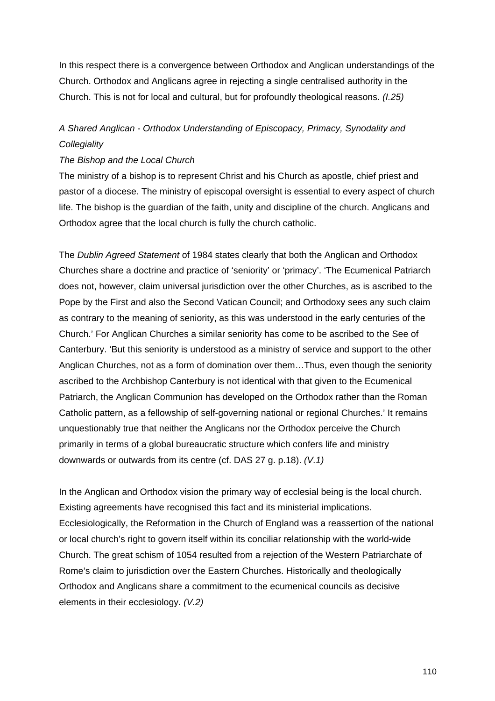In this respect there is a convergence between Orthodox and Anglican understandings of the Church. Orthodox and Anglicans agree in rejecting a single centralised authority in the Church. This is not for local and cultural, but for profoundly theological reasons. *(I.25)*

# *A Shared Anglican - Orthodox Understanding of Episcopacy, Primacy, Synodality and Collegiality*

### *The Bishop and the Local Church*

The ministry of a bishop is to represent Christ and his Church as apostle, chief priest and pastor of a diocese. The ministry of episcopal oversight is essential to every aspect of church life. The bishop is the guardian of the faith, unity and discipline of the church. Anglicans and Orthodox agree that the local church is fully the church catholic.

The *Dublin Agreed Statement* of 1984 states clearly that both the Anglican and Orthodox Churches share a doctrine and practice of 'seniority' or 'primacy'. 'The Ecumenical Patriarch does not, however, claim universal jurisdiction over the other Churches, as is ascribed to the Pope by the First and also the Second Vatican Council; and Orthodoxy sees any such claim as contrary to the meaning of seniority, as this was understood in the early centuries of the Church.' For Anglican Churches a similar seniority has come to be ascribed to the See of Canterbury. 'But this seniority is understood as a ministry of service and support to the other Anglican Churches, not as a form of domination over them…Thus, even though the seniority ascribed to the Archbishop Canterbury is not identical with that given to the Ecumenical Patriarch, the Anglican Communion has developed on the Orthodox rather than the Roman Catholic pattern, as a fellowship of self-governing national or regional Churches.' It remains unquestionably true that neither the Anglicans nor the Orthodox perceive the Church primarily in terms of a global bureaucratic structure which confers life and ministry downwards or outwards from its centre (cf. DAS 27 g. p.18). *(V.1)*

In the Anglican and Orthodox vision the primary way of ecclesial being is the local church. Existing agreements have recognised this fact and its ministerial implications. Ecclesiologically, the Reformation in the Church of England was a reassertion of the national or local church's right to govern itself within its conciliar relationship with the world-wide Church. The great schism of 1054 resulted from a rejection of the Western Patriarchate of Rome's claim to jurisdiction over the Eastern Churches. Historically and theologically Orthodox and Anglicans share a commitment to the ecumenical councils as decisive elements in their ecclesiology. *(V.2)*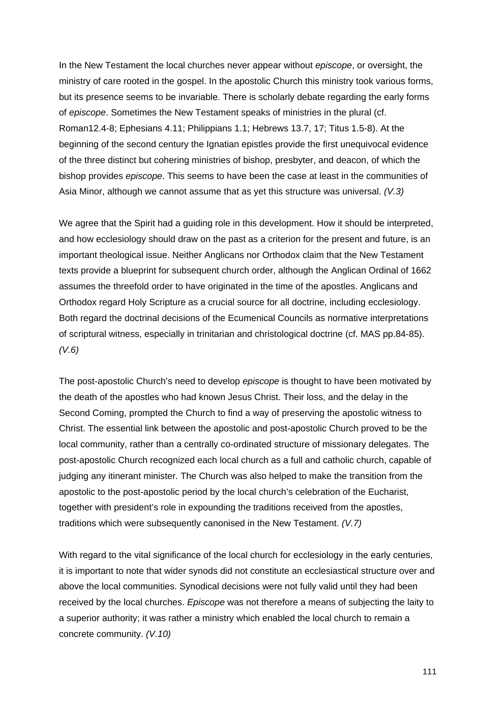In the New Testament the local churches never appear without *episcope*, or oversight, the ministry of care rooted in the gospel. In the apostolic Church this ministry took various forms, but its presence seems to be invariable. There is scholarly debate regarding the early forms of *episcope*. Sometimes the New Testament speaks of ministries in the plural (cf. Roman12.4-8; Ephesians 4.11; Philippians 1.1; Hebrews 13.7, 17; Titus 1.5-8). At the beginning of the second century the Ignatian epistles provide the first unequivocal evidence of the three distinct but cohering ministries of bishop, presbyter, and deacon, of which the bishop provides *episcope*. This seems to have been the case at least in the communities of Asia Minor, although we cannot assume that as yet this structure was universal. *(V.3)*

We agree that the Spirit had a guiding role in this development. How it should be interpreted, and how ecclesiology should draw on the past as a criterion for the present and future, is an important theological issue. Neither Anglicans nor Orthodox claim that the New Testament texts provide a blueprint for subsequent church order, although the Anglican Ordinal of 1662 assumes the threefold order to have originated in the time of the apostles. Anglicans and Orthodox regard Holy Scripture as a crucial source for all doctrine, including ecclesiology. Both regard the doctrinal decisions of the Ecumenical Councils as normative interpretations of scriptural witness, especially in trinitarian and christological doctrine (cf. MAS pp.84-85). *(V.6)*

The post-apostolic Church's need to develop *episcope* is thought to have been motivated by the death of the apostles who had known Jesus Christ. Their loss, and the delay in the Second Coming, prompted the Church to find a way of preserving the apostolic witness to Christ. The essential link between the apostolic and post-apostolic Church proved to be the local community, rather than a centrally co-ordinated structure of missionary delegates. The post-apostolic Church recognized each local church as a full and catholic church, capable of judging any itinerant minister. The Church was also helped to make the transition from the apostolic to the post-apostolic period by the local church's celebration of the Eucharist, together with president's role in expounding the traditions received from the apostles, traditions which were subsequently canonised in the New Testament. *(V.7)*

With regard to the vital significance of the local church for ecclesiology in the early centuries, it is important to note that wider synods did not constitute an ecclesiastical structure over and above the local communities. Synodical decisions were not fully valid until they had been received by the local churches. *Episcope* was not therefore a means of subjecting the laity to a superior authority; it was rather a ministry which enabled the local church to remain a concrete community. *(V.10)*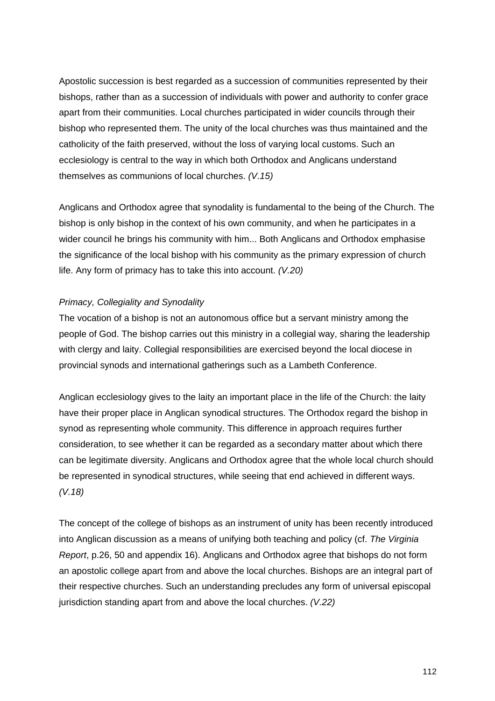Apostolic succession is best regarded as a succession of communities represented by their bishops, rather than as a succession of individuals with power and authority to confer grace apart from their communities. Local churches participated in wider councils through their bishop who represented them. The unity of the local churches was thus maintained and the catholicity of the faith preserved, without the loss of varying local customs. Such an ecclesiology is central to the way in which both Orthodox and Anglicans understand themselves as communions of local churches. *(V.15)*

Anglicans and Orthodox agree that synodality is fundamental to the being of the Church. The bishop is only bishop in the context of his own community, and when he participates in a wider council he brings his community with him... Both Anglicans and Orthodox emphasise the significance of the local bishop with his community as the primary expression of church life. Any form of primacy has to take this into account. *(V.20)*

## *Primacy, Collegiality and Synodality*

The vocation of a bishop is not an autonomous office but a servant ministry among the people of God. The bishop carries out this ministry in a collegial way, sharing the leadership with clergy and laity. Collegial responsibilities are exercised beyond the local diocese in provincial synods and international gatherings such as a Lambeth Conference.

Anglican ecclesiology gives to the laity an important place in the life of the Church: the laity have their proper place in Anglican synodical structures. The Orthodox regard the bishop in synod as representing whole community. This difference in approach requires further consideration, to see whether it can be regarded as a secondary matter about which there can be legitimate diversity. Anglicans and Orthodox agree that the whole local church should be represented in synodical structures, while seeing that end achieved in different ways. *(V.18)*

The concept of the college of bishops as an instrument of unity has been recently introduced into Anglican discussion as a means of unifying both teaching and policy (cf. *The Virginia Report*, p.26, 50 and appendix 16). Anglicans and Orthodox agree that bishops do not form an apostolic college apart from and above the local churches. Bishops are an integral part of their respective churches. Such an understanding precludes any form of universal episcopal jurisdiction standing apart from and above the local churches. *(V.22)*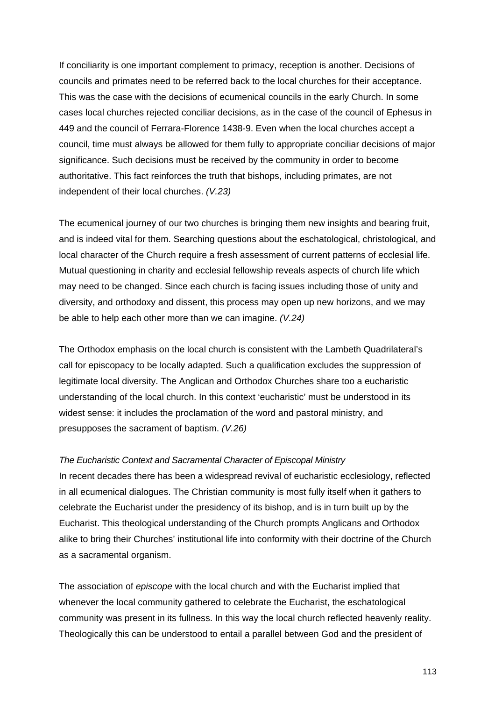If conciliarity is one important complement to primacy, reception is another. Decisions of councils and primates need to be referred back to the local churches for their acceptance. This was the case with the decisions of ecumenical councils in the early Church. In some cases local churches rejected conciliar decisions, as in the case of the council of Ephesus in 449 and the council of Ferrara-Florence 1438-9. Even when the local churches accept a council, time must always be allowed for them fully to appropriate conciliar decisions of major significance. Such decisions must be received by the community in order to become authoritative. This fact reinforces the truth that bishops, including primates, are not independent of their local churches. *(V.23)*

The ecumenical journey of our two churches is bringing them new insights and bearing fruit, and is indeed vital for them. Searching questions about the eschatological, christological, and local character of the Church require a fresh assessment of current patterns of ecclesial life. Mutual questioning in charity and ecclesial fellowship reveals aspects of church life which may need to be changed. Since each church is facing issues including those of unity and diversity, and orthodoxy and dissent, this process may open up new horizons, and we may be able to help each other more than we can imagine. *(V.24)* 

The Orthodox emphasis on the local church is consistent with the Lambeth Quadrilateral's call for episcopacy to be locally adapted. Such a qualification excludes the suppression of legitimate local diversity. The Anglican and Orthodox Churches share too a eucharistic understanding of the local church. In this context 'eucharistic' must be understood in its widest sense: it includes the proclamation of the word and pastoral ministry, and presupposes the sacrament of baptism. *(V.26)* 

#### *The Eucharistic Context and Sacramental Character of Episcopal Ministry*

In recent decades there has been a widespread revival of eucharistic ecclesiology, reflected in all ecumenical dialogues. The Christian community is most fully itself when it gathers to celebrate the Eucharist under the presidency of its bishop, and is in turn built up by the Eucharist. This theological understanding of the Church prompts Anglicans and Orthodox alike to bring their Churches' institutional life into conformity with their doctrine of the Church as a sacramental organism.

The association of *episcope* with the local church and with the Eucharist implied that whenever the local community gathered to celebrate the Eucharist, the eschatological community was present in its fullness. In this way the local church reflected heavenly reality. Theologically this can be understood to entail a parallel between God and the president of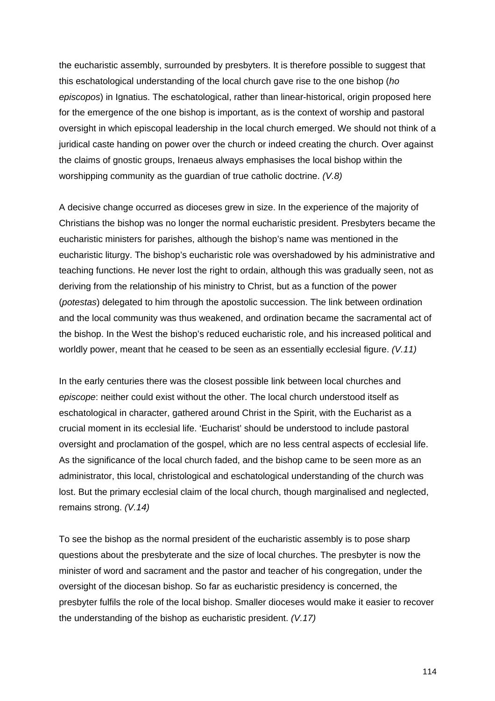the eucharistic assembly, surrounded by presbyters. It is therefore possible to suggest that this eschatological understanding of the local church gave rise to the one bishop (*ho episcopos*) in Ignatius. The eschatological, rather than linear-historical, origin proposed here for the emergence of the one bishop is important, as is the context of worship and pastoral oversight in which episcopal leadership in the local church emerged. We should not think of a juridical caste handing on power over the church or indeed creating the church. Over against the claims of gnostic groups, Irenaeus always emphasises the local bishop within the worshipping community as the guardian of true catholic doctrine. *(V.8)*

A decisive change occurred as dioceses grew in size. In the experience of the majority of Christians the bishop was no longer the normal eucharistic president. Presbyters became the eucharistic ministers for parishes, although the bishop's name was mentioned in the eucharistic liturgy. The bishop's eucharistic role was overshadowed by his administrative and teaching functions. He never lost the right to ordain, although this was gradually seen, not as deriving from the relationship of his ministry to Christ, but as a function of the power (*potestas*) delegated to him through the apostolic succession. The link between ordination and the local community was thus weakened, and ordination became the sacramental act of the bishop. In the West the bishop's reduced eucharistic role, and his increased political and worldly power, meant that he ceased to be seen as an essentially ecclesial figure. *(V.11)*

In the early centuries there was the closest possible link between local churches and *episcope*: neither could exist without the other. The local church understood itself as eschatological in character, gathered around Christ in the Spirit, with the Eucharist as a crucial moment in its ecclesial life. 'Eucharist' should be understood to include pastoral oversight and proclamation of the gospel, which are no less central aspects of ecclesial life. As the significance of the local church faded, and the bishop came to be seen more as an administrator, this local, christological and eschatological understanding of the church was lost. But the primary ecclesial claim of the local church, though marginalised and neglected, remains strong. *(V.14)*

To see the bishop as the normal president of the eucharistic assembly is to pose sharp questions about the presbyterate and the size of local churches. The presbyter is now the minister of word and sacrament and the pastor and teacher of his congregation, under the oversight of the diocesan bishop. So far as eucharistic presidency is concerned, the presbyter fulfils the role of the local bishop. Smaller dioceses would make it easier to recover the understanding of the bishop as eucharistic president. *(V.17)*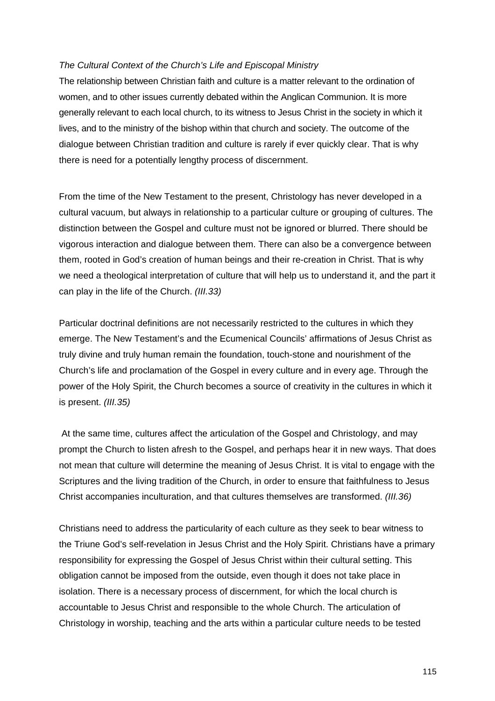## *The Cultural Context of the Church's Life and Episcopal Ministry*

The relationship between Christian faith and culture is a matter relevant to the ordination of women, and to other issues currently debated within the Anglican Communion. It is more generally relevant to each local church, to its witness to Jesus Christ in the society in which it lives, and to the ministry of the bishop within that church and society. The outcome of the dialogue between Christian tradition and culture is rarely if ever quickly clear. That is why there is need for a potentially lengthy process of discernment.

From the time of the New Testament to the present, Christology has never developed in a cultural vacuum, but always in relationship to a particular culture or grouping of cultures. The distinction between the Gospel and culture must not be ignored or blurred. There should be vigorous interaction and dialogue between them. There can also be a convergence between them, rooted in God's creation of human beings and their re-creation in Christ. That is why we need a theological interpretation of culture that will help us to understand it, and the part it can play in the life of the Church. *(III.33)*

Particular doctrinal definitions are not necessarily restricted to the cultures in which they emerge. The New Testament's and the Ecumenical Councils' affirmations of Jesus Christ as truly divine and truly human remain the foundation, touch-stone and nourishment of the Church's life and proclamation of the Gospel in every culture and in every age. Through the power of the Holy Spirit, the Church becomes a source of creativity in the cultures in which it is present. *(III.35)*

 At the same time, cultures affect the articulation of the Gospel and Christology, and may prompt the Church to listen afresh to the Gospel, and perhaps hear it in new ways. That does not mean that culture will determine the meaning of Jesus Christ. It is vital to engage with the Scriptures and the living tradition of the Church, in order to ensure that faithfulness to Jesus Christ accompanies inculturation, and that cultures themselves are transformed. *(III.36)*

Christians need to address the particularity of each culture as they seek to bear witness to the Triune God's self-revelation in Jesus Christ and the Holy Spirit. Christians have a primary responsibility for expressing the Gospel of Jesus Christ within their cultural setting. This obligation cannot be imposed from the outside, even though it does not take place in isolation. There is a necessary process of discernment, for which the local church is accountable to Jesus Christ and responsible to the whole Church. The articulation of Christology in worship, teaching and the arts within a particular culture needs to be tested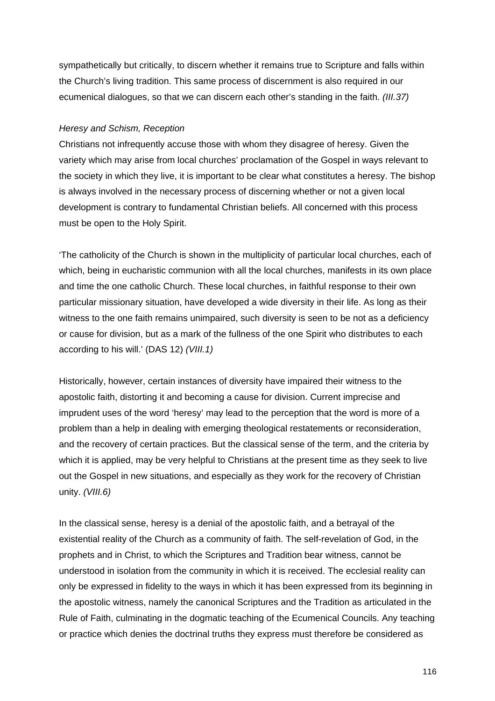sympathetically but critically, to discern whether it remains true to Scripture and falls within the Church's living tradition. This same process of discernment is also required in our ecumenical dialogues, so that we can discern each other's standing in the faith. *(III.37)* 

### *Heresy and Schism, Reception*

Christians not infrequently accuse those with whom they disagree of heresy. Given the variety which may arise from local churches' proclamation of the Gospel in ways relevant to the society in which they live, it is important to be clear what constitutes a heresy. The bishop is always involved in the necessary process of discerning whether or not a given local development is contrary to fundamental Christian beliefs. All concerned with this process must be open to the Holy Spirit.

'The catholicity of the Church is shown in the multiplicity of particular local churches, each of which, being in eucharistic communion with all the local churches, manifests in its own place and time the one catholic Church. These local churches, in faithful response to their own particular missionary situation, have developed a wide diversity in their life. As long as their witness to the one faith remains unimpaired, such diversity is seen to be not as a deficiency or cause for division, but as a mark of the fullness of the one Spirit who distributes to each according to his will.' (DAS 12) *(VIII.1)* 

Historically, however, certain instances of diversity have impaired their witness to the apostolic faith, distorting it and becoming a cause for division. Current imprecise and imprudent uses of the word 'heresy' may lead to the perception that the word is more of a problem than a help in dealing with emerging theological restatements or reconsideration, and the recovery of certain practices. But the classical sense of the term, and the criteria by which it is applied, may be very helpful to Christians at the present time as they seek to live out the Gospel in new situations, and especially as they work for the recovery of Christian unity. *(VIII.6)*

In the classical sense, heresy is a denial of the apostolic faith, and a betrayal of the existential reality of the Church as a community of faith. The self-revelation of God, in the prophets and in Christ, to which the Scriptures and Tradition bear witness, cannot be understood in isolation from the community in which it is received. The ecclesial reality can only be expressed in fidelity to the ways in which it has been expressed from its beginning in the apostolic witness, namely the canonical Scriptures and the Tradition as articulated in the Rule of Faith, culminating in the dogmatic teaching of the Ecumenical Councils. Any teaching or practice which denies the doctrinal truths they express must therefore be considered as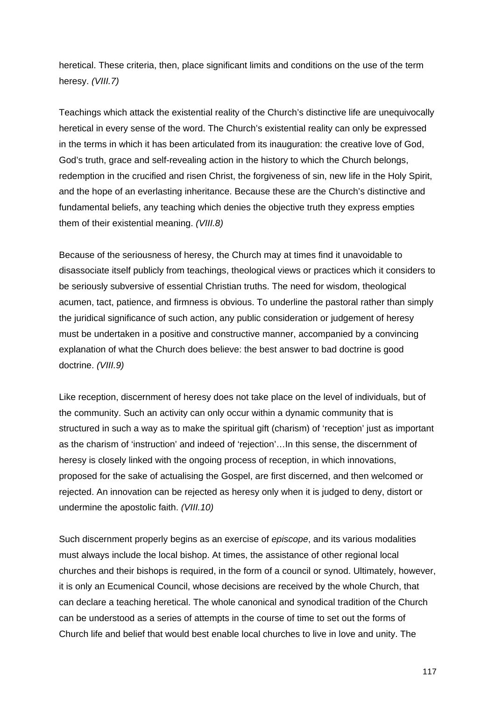heretical. These criteria, then, place significant limits and conditions on the use of the term heresy. *(VIII.7)*

Teachings which attack the existential reality of the Church's distinctive life are unequivocally heretical in every sense of the word. The Church's existential reality can only be expressed in the terms in which it has been articulated from its inauguration: the creative love of God, God's truth, grace and self-revealing action in the history to which the Church belongs, redemption in the crucified and risen Christ, the forgiveness of sin, new life in the Holy Spirit, and the hope of an everlasting inheritance. Because these are the Church's distinctive and fundamental beliefs, any teaching which denies the objective truth they express empties them of their existential meaning. *(VIII.8)*

Because of the seriousness of heresy, the Church may at times find it unavoidable to disassociate itself publicly from teachings, theological views or practices which it considers to be seriously subversive of essential Christian truths. The need for wisdom, theological acumen, tact, patience, and firmness is obvious. To underline the pastoral rather than simply the juridical significance of such action, any public consideration or judgement of heresy must be undertaken in a positive and constructive manner, accompanied by a convincing explanation of what the Church does believe: the best answer to bad doctrine is good doctrine. *(VIII.9)*

Like reception, discernment of heresy does not take place on the level of individuals, but of the community. Such an activity can only occur within a dynamic community that is structured in such a way as to make the spiritual gift (charism) of 'reception' just as important as the charism of 'instruction' and indeed of 'rejection'…In this sense, the discernment of heresy is closely linked with the ongoing process of reception, in which innovations, proposed for the sake of actualising the Gospel, are first discerned, and then welcomed or rejected. An innovation can be rejected as heresy only when it is judged to deny, distort or undermine the apostolic faith. *(VIII.10)*

Such discernment properly begins as an exercise of *episcope*, and its various modalities must always include the local bishop. At times, the assistance of other regional local churches and their bishops is required, in the form of a council or synod. Ultimately, however, it is only an Ecumenical Council, whose decisions are received by the whole Church, that can declare a teaching heretical. The whole canonical and synodical tradition of the Church can be understood as a series of attempts in the course of time to set out the forms of Church life and belief that would best enable local churches to live in love and unity. The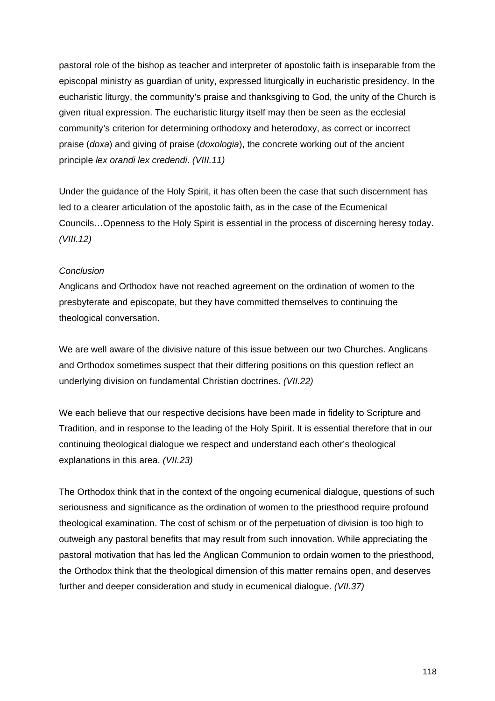pastoral role of the bishop as teacher and interpreter of apostolic faith is inseparable from the episcopal ministry as guardian of unity, expressed liturgically in eucharistic presidency. In the eucharistic liturgy, the community's praise and thanksgiving to God, the unity of the Church is given ritual expression. The eucharistic liturgy itself may then be seen as the ecclesial community's criterion for determining orthodoxy and heterodoxy, as correct or incorrect praise (*doxa*) and giving of praise (*doxologia*), the concrete working out of the ancient principle *lex orandi lex credendi*. *(VIII.11)* 

Under the guidance of the Holy Spirit, it has often been the case that such discernment has led to a clearer articulation of the apostolic faith, as in the case of the Ecumenical Councils…Openness to the Holy Spirit is essential in the process of discerning heresy today. *(VIII.12)*

## *Conclusion*

Anglicans and Orthodox have not reached agreement on the ordination of women to the presbyterate and episcopate, but they have committed themselves to continuing the theological conversation.

We are well aware of the divisive nature of this issue between our two Churches. Anglicans and Orthodox sometimes suspect that their differing positions on this question reflect an underlying division on fundamental Christian doctrines. *(VII.22)*

We each believe that our respective decisions have been made in fidelity to Scripture and Tradition, and in response to the leading of the Holy Spirit. It is essential therefore that in our continuing theological dialogue we respect and understand each other's theological explanations in this area. *(VII.23)* 

The Orthodox think that in the context of the ongoing ecumenical dialogue, questions of such seriousness and significance as the ordination of women to the priesthood require profound theological examination. The cost of schism or of the perpetuation of division is too high to outweigh any pastoral benefits that may result from such innovation. While appreciating the pastoral motivation that has led the Anglican Communion to ordain women to the priesthood, the Orthodox think that the theological dimension of this matter remains open, and deserves further and deeper consideration and study in ecumenical dialogue. *(VII.37)*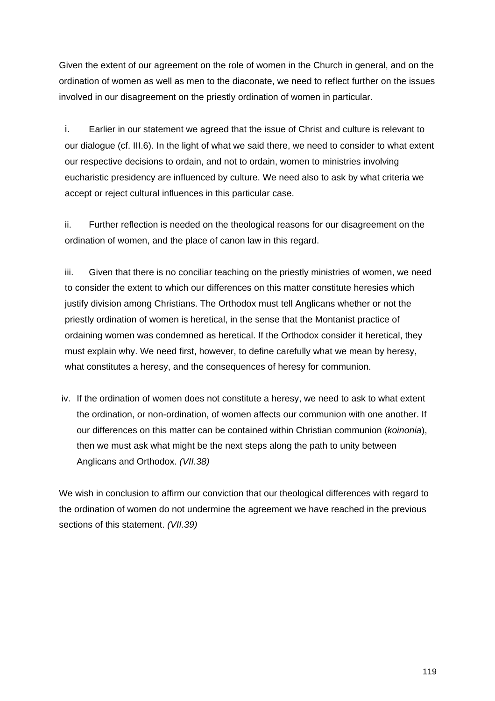Given the extent of our agreement on the role of women in the Church in general, and on the ordination of women as well as men to the diaconate, we need to reflect further on the issues involved in our disagreement on the priestly ordination of women in particular.

i. Earlier in our statement we agreed that the issue of Christ and culture is relevant to our dialogue (cf. III.6). In the light of what we said there, we need to consider to what extent our respective decisions to ordain, and not to ordain, women to ministries involving eucharistic presidency are influenced by culture. We need also to ask by what criteria we accept or reject cultural influences in this particular case.

ii. Further reflection is needed on the theological reasons for our disagreement on the ordination of women, and the place of canon law in this regard.

iii. Given that there is no conciliar teaching on the priestly ministries of women, we need to consider the extent to which our differences on this matter constitute heresies which justify division among Christians. The Orthodox must tell Anglicans whether or not the priestly ordination of women is heretical, in the sense that the Montanist practice of ordaining women was condemned as heretical. If the Orthodox consider it heretical, they must explain why. We need first, however, to define carefully what we mean by heresy, what constitutes a heresy, and the consequences of heresy for communion.

 iv. If the ordination of women does not constitute a heresy, we need to ask to what extent the ordination, or non-ordination, of women affects our communion with one another. If our differences on this matter can be contained within Christian communion (*koinonia*), then we must ask what might be the next steps along the path to unity between Anglicans and Orthodox. *(VII.38)*

We wish in conclusion to affirm our conviction that our theological differences with regard to the ordination of women do not undermine the agreement we have reached in the previous sections of this statement. *(VII.39)*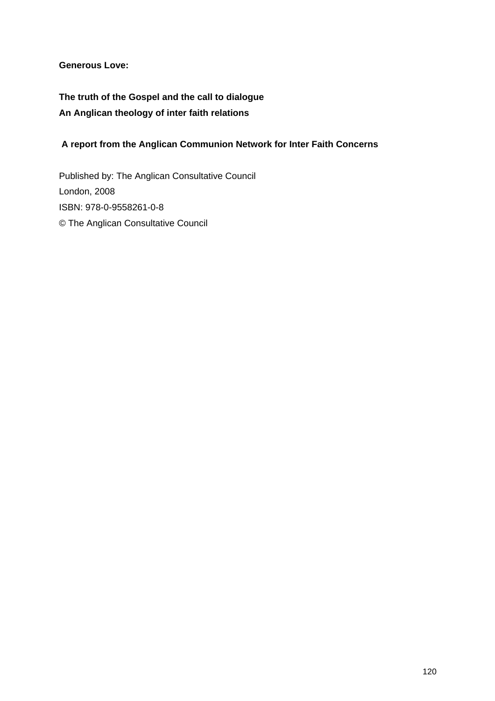## **Generous Love:**

**The truth of the Gospel and the call to dialogue An Anglican theology of inter faith relations** 

## **A report from the Anglican Communion Network for Inter Faith Concerns**

Published by: The Anglican Consultative Council London, 2008 ISBN: 978-0-9558261-0-8 © The Anglican Consultative Council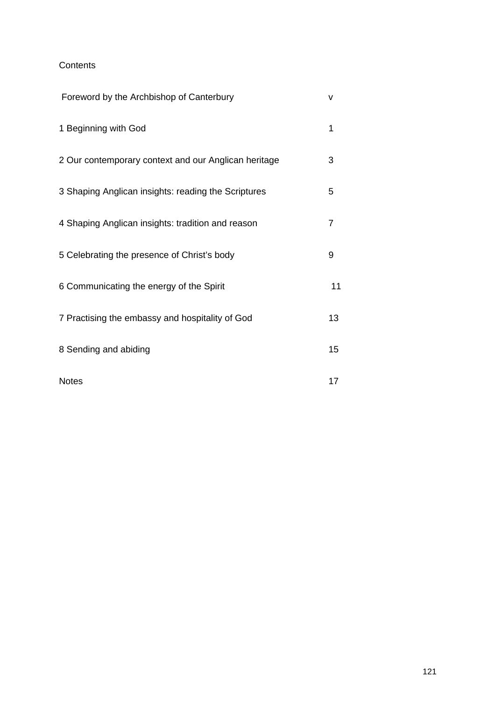## **Contents**

| Foreword by the Archbishop of Canterbury             | v              |
|------------------------------------------------------|----------------|
| 1 Beginning with God                                 | 1              |
| 2 Our contemporary context and our Anglican heritage | 3              |
| 3 Shaping Anglican insights: reading the Scriptures  | 5              |
| 4 Shaping Anglican insights: tradition and reason    | $\overline{7}$ |
| 5 Celebrating the presence of Christ's body          | 9              |
| 6 Communicating the energy of the Spirit             | 11             |
| 7 Practising the embassy and hospitality of God      | 13             |
| 8 Sending and abiding                                | 15             |
| <b>Notes</b>                                         | 17             |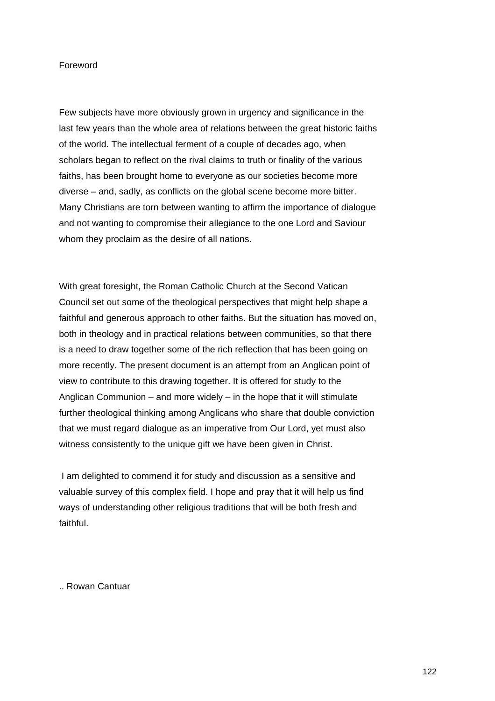#### Foreword

Few subjects have more obviously grown in urgency and significance in the last few years than the whole area of relations between the great historic faiths of the world. The intellectual ferment of a couple of decades ago, when scholars began to reflect on the rival claims to truth or finality of the various faiths, has been brought home to everyone as our societies become more diverse – and, sadly, as conflicts on the global scene become more bitter. Many Christians are torn between wanting to affirm the importance of dialogue and not wanting to compromise their allegiance to the one Lord and Saviour whom they proclaim as the desire of all nations.

With great foresight, the Roman Catholic Church at the Second Vatican Council set out some of the theological perspectives that might help shape a faithful and generous approach to other faiths. But the situation has moved on, both in theology and in practical relations between communities, so that there is a need to draw together some of the rich reflection that has been going on more recently. The present document is an attempt from an Anglican point of view to contribute to this drawing together. It is offered for study to the Anglican Communion – and more widely – in the hope that it will stimulate further theological thinking among Anglicans who share that double conviction that we must regard dialogue as an imperative from Our Lord, yet must also witness consistently to the unique gift we have been given in Christ.

 I am delighted to commend it for study and discussion as a sensitive and valuable survey of this complex field. I hope and pray that it will help us find ways of understanding other religious traditions that will be both fresh and faithful.

.. Rowan Cantuar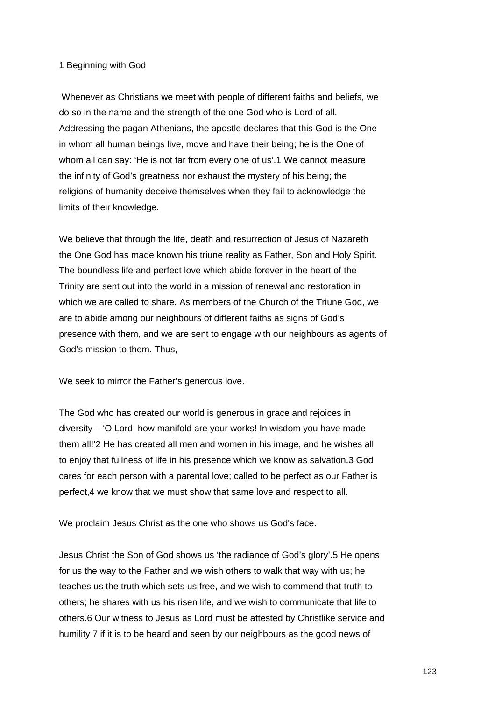#### 1 Beginning with God

 Whenever as Christians we meet with people of different faiths and beliefs, we do so in the name and the strength of the one God who is Lord of all. Addressing the pagan Athenians, the apostle declares that this God is the One in whom all human beings live, move and have their being; he is the One of whom all can say: 'He is not far from every one of us'.1 We cannot measure the infinity of God's greatness nor exhaust the mystery of his being; the religions of humanity deceive themselves when they fail to acknowledge the limits of their knowledge.

We believe that through the life, death and resurrection of Jesus of Nazareth the One God has made known his triune reality as Father, Son and Holy Spirit. The boundless life and perfect love which abide forever in the heart of the Trinity are sent out into the world in a mission of renewal and restoration in which we are called to share. As members of the Church of the Triune God, we are to abide among our neighbours of different faiths as signs of God's presence with them, and we are sent to engage with our neighbours as agents of God's mission to them. Thus,

We seek to mirror the Father's generous love.

The God who has created our world is generous in grace and rejoices in diversity – 'O Lord, how manifold are your works! In wisdom you have made them all!'2 He has created all men and women in his image, and he wishes all to enjoy that fullness of life in his presence which we know as salvation.3 God cares for each person with a parental love; called to be perfect as our Father is perfect,4 we know that we must show that same love and respect to all.

We proclaim Jesus Christ as the one who shows us God's face.

Jesus Christ the Son of God shows us 'the radiance of God's glory'.5 He opens for us the way to the Father and we wish others to walk that way with us; he teaches us the truth which sets us free, and we wish to commend that truth to others; he shares with us his risen life, and we wish to communicate that life to others.6 Our witness to Jesus as Lord must be attested by Christlike service and humility 7 if it is to be heard and seen by our neighbours as the good news of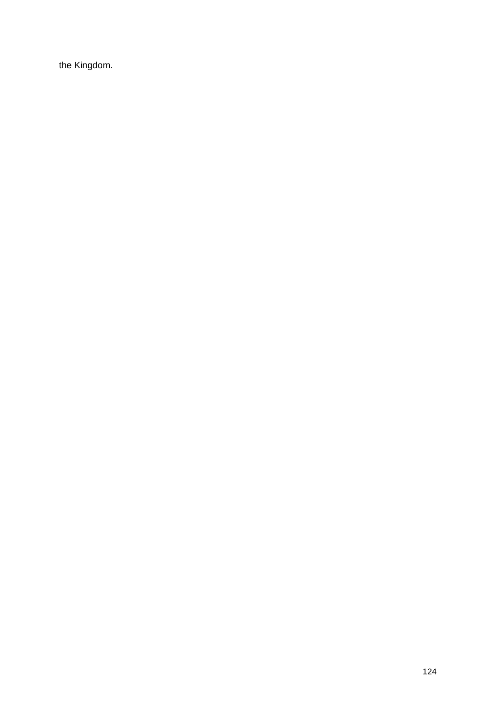the Kingdom.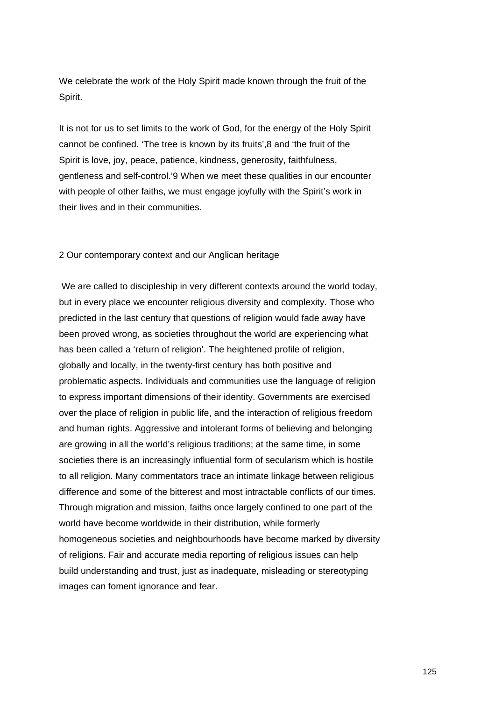We celebrate the work of the Holy Spirit made known through the fruit of the Spirit.

It is not for us to set limits to the work of God, for the energy of the Holy Spirit cannot be confined. 'The tree is known by its fruits',8 and 'the fruit of the Spirit is love, joy, peace, patience, kindness, generosity, faithfulness, gentleness and self-control.'9 When we meet these qualities in our encounter with people of other faiths, we must engage joyfully with the Spirit's work in their lives and in their communities.

#### 2 Our contemporary context and our Anglican heritage

 We are called to discipleship in very different contexts around the world today, but in every place we encounter religious diversity and complexity. Those who predicted in the last century that questions of religion would fade away have been proved wrong, as societies throughout the world are experiencing what has been called a 'return of religion'. The heightened profile of religion, globally and locally, in the twenty-first century has both positive and problematic aspects. Individuals and communities use the language of religion to express important dimensions of their identity. Governments are exercised over the place of religion in public life, and the interaction of religious freedom and human rights. Aggressive and intolerant forms of believing and belonging are growing in all the world's religious traditions; at the same time, in some societies there is an increasingly influential form of secularism which is hostile to all religion. Many commentators trace an intimate linkage between religious difference and some of the bitterest and most intractable conflicts of our times. Through migration and mission, faiths once largely confined to one part of the world have become worldwide in their distribution, while formerly homogeneous societies and neighbourhoods have become marked by diversity of religions. Fair and accurate media reporting of religious issues can help build understanding and trust, just as inadequate, misleading or stereotyping images can foment ignorance and fear.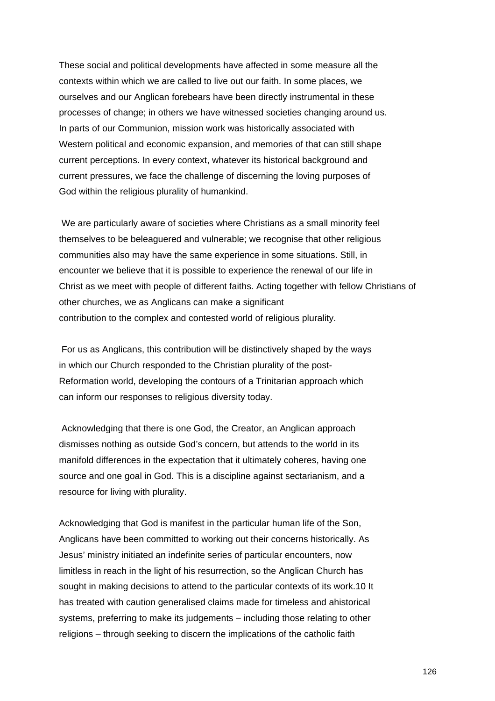These social and political developments have affected in some measure all the contexts within which we are called to live out our faith. In some places, we ourselves and our Anglican forebears have been directly instrumental in these processes of change; in others we have witnessed societies changing around us. In parts of our Communion, mission work was historically associated with Western political and economic expansion, and memories of that can still shape current perceptions. In every context, whatever its historical background and current pressures, we face the challenge of discerning the loving purposes of God within the religious plurality of humankind.

 We are particularly aware of societies where Christians as a small minority feel themselves to be beleaguered and vulnerable; we recognise that other religious communities also may have the same experience in some situations. Still, in encounter we believe that it is possible to experience the renewal of our life in Christ as we meet with people of different faiths. Acting together with fellow Christians of other churches, we as Anglicans can make a significant contribution to the complex and contested world of religious plurality.

 For us as Anglicans, this contribution will be distinctively shaped by the ways in which our Church responded to the Christian plurality of the post-Reformation world, developing the contours of a Trinitarian approach which can inform our responses to religious diversity today.

 Acknowledging that there is one God, the Creator, an Anglican approach dismisses nothing as outside God's concern, but attends to the world in its manifold differences in the expectation that it ultimately coheres, having one source and one goal in God. This is a discipline against sectarianism, and a resource for living with plurality.

Acknowledging that God is manifest in the particular human life of the Son, Anglicans have been committed to working out their concerns historically. As Jesus' ministry initiated an indefinite series of particular encounters, now limitless in reach in the light of his resurrection, so the Anglican Church has sought in making decisions to attend to the particular contexts of its work.10 It has treated with caution generalised claims made for timeless and ahistorical systems, preferring to make its judgements – including those relating to other religions – through seeking to discern the implications of the catholic faith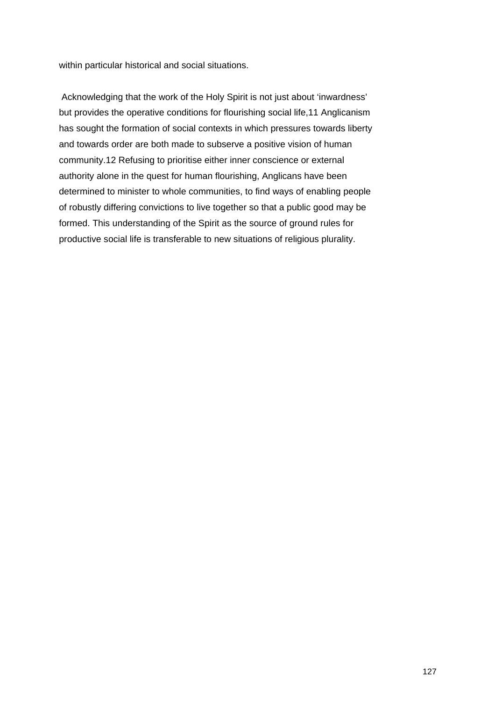within particular historical and social situations.

 Acknowledging that the work of the Holy Spirit is not just about 'inwardness' but provides the operative conditions for flourishing social life,11 Anglicanism has sought the formation of social contexts in which pressures towards liberty and towards order are both made to subserve a positive vision of human community.12 Refusing to prioritise either inner conscience or external authority alone in the quest for human flourishing, Anglicans have been determined to minister to whole communities, to find ways of enabling people of robustly differing convictions to live together so that a public good may be formed. This understanding of the Spirit as the source of ground rules for productive social life is transferable to new situations of religious plurality.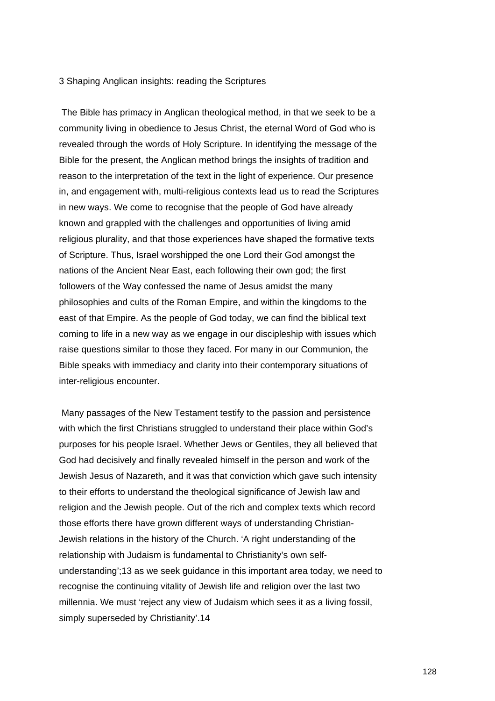#### 3 Shaping Anglican insights: reading the Scriptures

 The Bible has primacy in Anglican theological method, in that we seek to be a community living in obedience to Jesus Christ, the eternal Word of God who is revealed through the words of Holy Scripture. In identifying the message of the Bible for the present, the Anglican method brings the insights of tradition and reason to the interpretation of the text in the light of experience. Our presence in, and engagement with, multi-religious contexts lead us to read the Scriptures in new ways. We come to recognise that the people of God have already known and grappled with the challenges and opportunities of living amid religious plurality, and that those experiences have shaped the formative texts of Scripture. Thus, Israel worshipped the one Lord their God amongst the nations of the Ancient Near East, each following their own god; the first followers of the Way confessed the name of Jesus amidst the many philosophies and cults of the Roman Empire, and within the kingdoms to the east of that Empire. As the people of God today, we can find the biblical text coming to life in a new way as we engage in our discipleship with issues which raise questions similar to those they faced. For many in our Communion, the Bible speaks with immediacy and clarity into their contemporary situations of inter-religious encounter.

 Many passages of the New Testament testify to the passion and persistence with which the first Christians struggled to understand their place within God's purposes for his people Israel. Whether Jews or Gentiles, they all believed that God had decisively and finally revealed himself in the person and work of the Jewish Jesus of Nazareth, and it was that conviction which gave such intensity to their efforts to understand the theological significance of Jewish law and religion and the Jewish people. Out of the rich and complex texts which record those efforts there have grown different ways of understanding Christian-Jewish relations in the history of the Church. 'A right understanding of the relationship with Judaism is fundamental to Christianity's own selfunderstanding';13 as we seek guidance in this important area today, we need to recognise the continuing vitality of Jewish life and religion over the last two millennia. We must 'reject any view of Judaism which sees it as a living fossil, simply superseded by Christianity'.14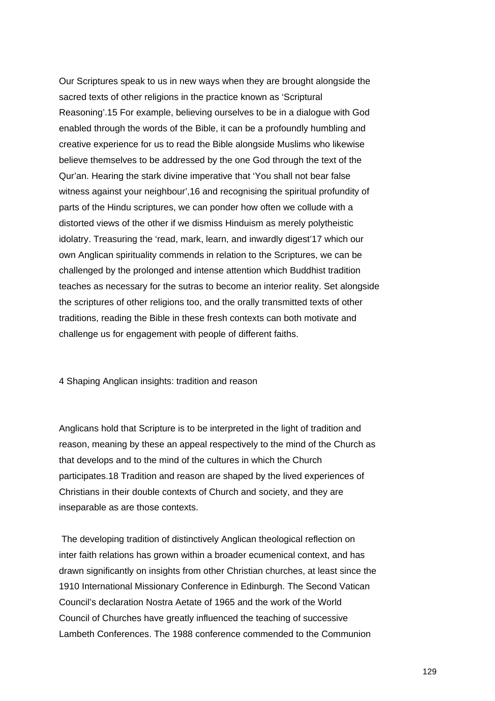Our Scriptures speak to us in new ways when they are brought alongside the sacred texts of other religions in the practice known as 'Scriptural Reasoning'.15 For example, believing ourselves to be in a dialogue with God enabled through the words of the Bible, it can be a profoundly humbling and creative experience for us to read the Bible alongside Muslims who likewise believe themselves to be addressed by the one God through the text of the Qur'an. Hearing the stark divine imperative that 'You shall not bear false witness against your neighbour',16 and recognising the spiritual profundity of parts of the Hindu scriptures, we can ponder how often we collude with a distorted views of the other if we dismiss Hinduism as merely polytheistic idolatry. Treasuring the 'read, mark, learn, and inwardly digest'17 which our own Anglican spirituality commends in relation to the Scriptures, we can be challenged by the prolonged and intense attention which Buddhist tradition teaches as necessary for the sutras to become an interior reality. Set alongside the scriptures of other religions too, and the orally transmitted texts of other traditions, reading the Bible in these fresh contexts can both motivate and challenge us for engagement with people of different faiths.

4 Shaping Anglican insights: tradition and reason

Anglicans hold that Scripture is to be interpreted in the light of tradition and reason, meaning by these an appeal respectively to the mind of the Church as that develops and to the mind of the cultures in which the Church participates.18 Tradition and reason are shaped by the lived experiences of Christians in their double contexts of Church and society, and they are inseparable as are those contexts.

 The developing tradition of distinctively Anglican theological reflection on inter faith relations has grown within a broader ecumenical context, and has drawn significantly on insights from other Christian churches, at least since the 1910 International Missionary Conference in Edinburgh. The Second Vatican Council's declaration Nostra Aetate of 1965 and the work of the World Council of Churches have greatly influenced the teaching of successive Lambeth Conferences. The 1988 conference commended to the Communion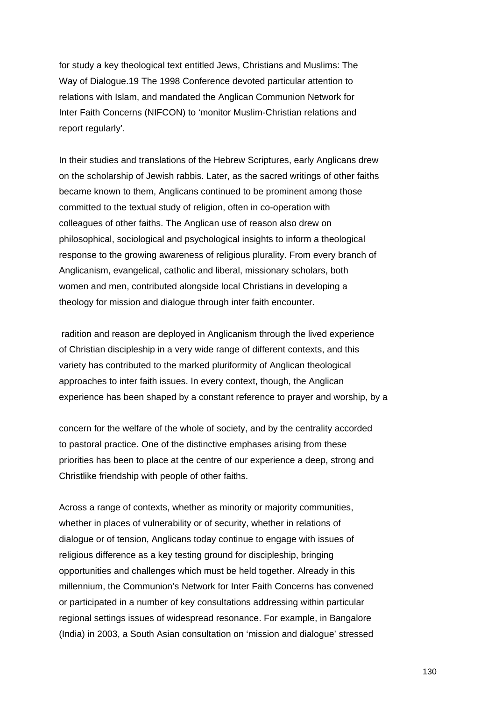for study a key theological text entitled Jews, Christians and Muslims: The Way of Dialogue.19 The 1998 Conference devoted particular attention to relations with Islam, and mandated the Anglican Communion Network for Inter Faith Concerns (NIFCON) to 'monitor Muslim-Christian relations and report regularly'.

In their studies and translations of the Hebrew Scriptures, early Anglicans drew on the scholarship of Jewish rabbis. Later, as the sacred writings of other faiths became known to them, Anglicans continued to be prominent among those committed to the textual study of religion, often in co-operation with colleagues of other faiths. The Anglican use of reason also drew on philosophical, sociological and psychological insights to inform a theological response to the growing awareness of religious plurality. From every branch of Anglicanism, evangelical, catholic and liberal, missionary scholars, both women and men, contributed alongside local Christians in developing a theology for mission and dialogue through inter faith encounter.

 radition and reason are deployed in Anglicanism through the lived experience of Christian discipleship in a very wide range of different contexts, and this variety has contributed to the marked pluriformity of Anglican theological approaches to inter faith issues. In every context, though, the Anglican experience has been shaped by a constant reference to prayer and worship, by a

concern for the welfare of the whole of society, and by the centrality accorded to pastoral practice. One of the distinctive emphases arising from these priorities has been to place at the centre of our experience a deep, strong and Christlike friendship with people of other faiths.

Across a range of contexts, whether as minority or majority communities, whether in places of vulnerability or of security, whether in relations of dialogue or of tension, Anglicans today continue to engage with issues of religious difference as a key testing ground for discipleship, bringing opportunities and challenges which must be held together. Already in this millennium, the Communion's Network for Inter Faith Concerns has convened or participated in a number of key consultations addressing within particular regional settings issues of widespread resonance. For example, in Bangalore (India) in 2003, a South Asian consultation on 'mission and dialogue' stressed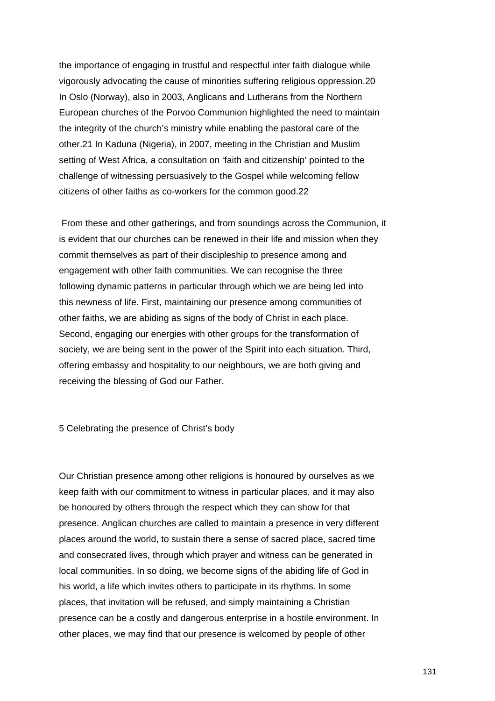the importance of engaging in trustful and respectful inter faith dialogue while vigorously advocating the cause of minorities suffering religious oppression.20 In Oslo (Norway), also in 2003, Anglicans and Lutherans from the Northern European churches of the Porvoo Communion highlighted the need to maintain the integrity of the church's ministry while enabling the pastoral care of the other.21 In Kaduna (Nigeria), in 2007, meeting in the Christian and Muslim setting of West Africa, a consultation on 'faith and citizenship' pointed to the challenge of witnessing persuasively to the Gospel while welcoming fellow citizens of other faiths as co-workers for the common good.22

 From these and other gatherings, and from soundings across the Communion, it is evident that our churches can be renewed in their life and mission when they commit themselves as part of their discipleship to presence among and engagement with other faith communities. We can recognise the three following dynamic patterns in particular through which we are being led into this newness of life. First, maintaining our presence among communities of other faiths, we are abiding as signs of the body of Christ in each place. Second, engaging our energies with other groups for the transformation of society, we are being sent in the power of the Spirit into each situation. Third, offering embassy and hospitality to our neighbours, we are both giving and receiving the blessing of God our Father.

#### 5 Celebrating the presence of Christ's body

Our Christian presence among other religions is honoured by ourselves as we keep faith with our commitment to witness in particular places, and it may also be honoured by others through the respect which they can show for that presence. Anglican churches are called to maintain a presence in very different places around the world, to sustain there a sense of sacred place, sacred time and consecrated lives, through which prayer and witness can be generated in local communities. In so doing, we become signs of the abiding life of God in his world, a life which invites others to participate in its rhythms. In some places, that invitation will be refused, and simply maintaining a Christian presence can be a costly and dangerous enterprise in a hostile environment. In other places, we may find that our presence is welcomed by people of other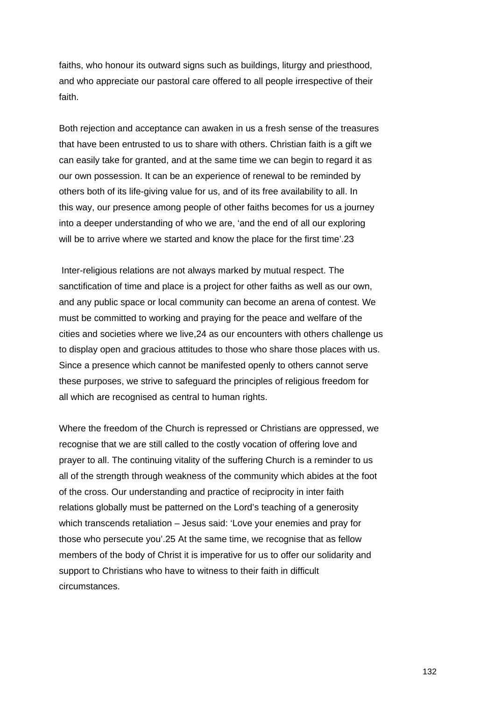faiths, who honour its outward signs such as buildings, liturgy and priesthood, and who appreciate our pastoral care offered to all people irrespective of their faith.

Both rejection and acceptance can awaken in us a fresh sense of the treasures that have been entrusted to us to share with others. Christian faith is a gift we can easily take for granted, and at the same time we can begin to regard it as our own possession. It can be an experience of renewal to be reminded by others both of its life-giving value for us, and of its free availability to all. In this way, our presence among people of other faiths becomes for us a journey into a deeper understanding of who we are, 'and the end of all our exploring will be to arrive where we started and know the place for the first time'.23

 Inter-religious relations are not always marked by mutual respect. The sanctification of time and place is a project for other faiths as well as our own, and any public space or local community can become an arena of contest. We must be committed to working and praying for the peace and welfare of the cities and societies where we live,24 as our encounters with others challenge us to display open and gracious attitudes to those who share those places with us. Since a presence which cannot be manifested openly to others cannot serve these purposes, we strive to safeguard the principles of religious freedom for all which are recognised as central to human rights.

Where the freedom of the Church is repressed or Christians are oppressed, we recognise that we are still called to the costly vocation of offering love and prayer to all. The continuing vitality of the suffering Church is a reminder to us all of the strength through weakness of the community which abides at the foot of the cross. Our understanding and practice of reciprocity in inter faith relations globally must be patterned on the Lord's teaching of a generosity which transcends retaliation – Jesus said: 'Love your enemies and pray for those who persecute you'.25 At the same time, we recognise that as fellow members of the body of Christ it is imperative for us to offer our solidarity and support to Christians who have to witness to their faith in difficult circumstances.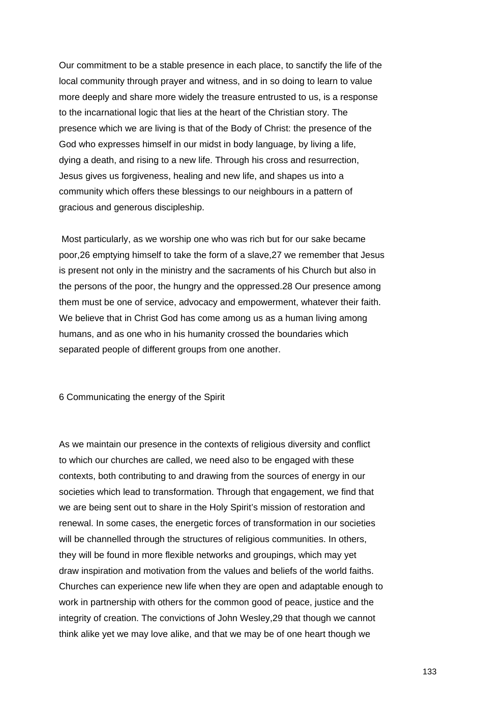Our commitment to be a stable presence in each place, to sanctify the life of the local community through prayer and witness, and in so doing to learn to value more deeply and share more widely the treasure entrusted to us, is a response to the incarnational logic that lies at the heart of the Christian story. The presence which we are living is that of the Body of Christ: the presence of the God who expresses himself in our midst in body language, by living a life, dying a death, and rising to a new life. Through his cross and resurrection, Jesus gives us forgiveness, healing and new life, and shapes us into a community which offers these blessings to our neighbours in a pattern of gracious and generous discipleship.

 Most particularly, as we worship one who was rich but for our sake became poor,26 emptying himself to take the form of a slave,27 we remember that Jesus is present not only in the ministry and the sacraments of his Church but also in the persons of the poor, the hungry and the oppressed.28 Our presence among them must be one of service, advocacy and empowerment, whatever their faith. We believe that in Christ God has come among us as a human living among humans, and as one who in his humanity crossed the boundaries which separated people of different groups from one another.

6 Communicating the energy of the Spirit

As we maintain our presence in the contexts of religious diversity and conflict to which our churches are called, we need also to be engaged with these contexts, both contributing to and drawing from the sources of energy in our societies which lead to transformation. Through that engagement, we find that we are being sent out to share in the Holy Spirit's mission of restoration and renewal. In some cases, the energetic forces of transformation in our societies will be channelled through the structures of religious communities. In others, they will be found in more flexible networks and groupings, which may yet draw inspiration and motivation from the values and beliefs of the world faiths. Churches can experience new life when they are open and adaptable enough to work in partnership with others for the common good of peace, justice and the integrity of creation. The convictions of John Wesley,29 that though we cannot think alike yet we may love alike, and that we may be of one heart though we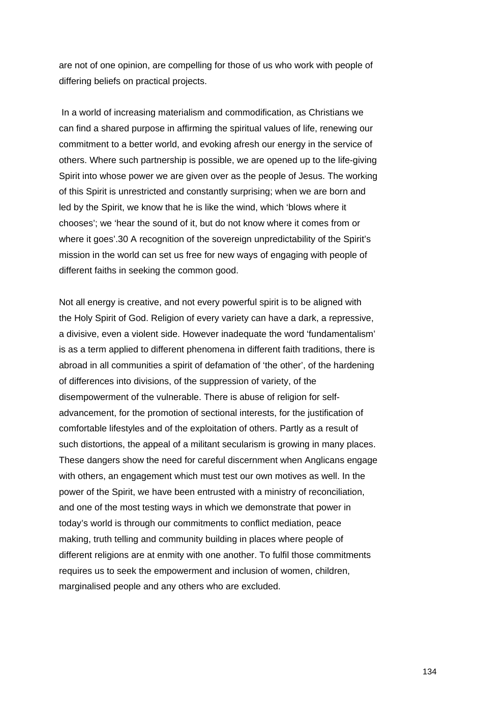are not of one opinion, are compelling for those of us who work with people of differing beliefs on practical projects.

 In a world of increasing materialism and commodification, as Christians we can find a shared purpose in affirming the spiritual values of life, renewing our commitment to a better world, and evoking afresh our energy in the service of others. Where such partnership is possible, we are opened up to the life-giving Spirit into whose power we are given over as the people of Jesus. The working of this Spirit is unrestricted and constantly surprising; when we are born and led by the Spirit, we know that he is like the wind, which 'blows where it chooses'; we 'hear the sound of it, but do not know where it comes from or where it goes'.30 A recognition of the sovereign unpredictability of the Spirit's mission in the world can set us free for new ways of engaging with people of different faiths in seeking the common good.

Not all energy is creative, and not every powerful spirit is to be aligned with the Holy Spirit of God. Religion of every variety can have a dark, a repressive, a divisive, even a violent side. However inadequate the word 'fundamentalism' is as a term applied to different phenomena in different faith traditions, there is abroad in all communities a spirit of defamation of 'the other', of the hardening of differences into divisions, of the suppression of variety, of the disempowerment of the vulnerable. There is abuse of religion for selfadvancement, for the promotion of sectional interests, for the justification of comfortable lifestyles and of the exploitation of others. Partly as a result of such distortions, the appeal of a militant secularism is growing in many places. These dangers show the need for careful discernment when Anglicans engage with others, an engagement which must test our own motives as well. In the power of the Spirit, we have been entrusted with a ministry of reconciliation, and one of the most testing ways in which we demonstrate that power in today's world is through our commitments to conflict mediation, peace making, truth telling and community building in places where people of different religions are at enmity with one another. To fulfil those commitments requires us to seek the empowerment and inclusion of women, children, marginalised people and any others who are excluded.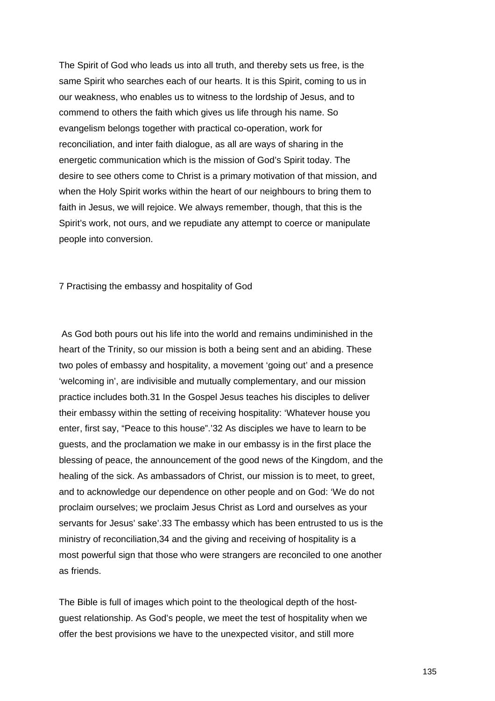The Spirit of God who leads us into all truth, and thereby sets us free, is the same Spirit who searches each of our hearts. It is this Spirit, coming to us in our weakness, who enables us to witness to the lordship of Jesus, and to commend to others the faith which gives us life through his name. So evangelism belongs together with practical co-operation, work for reconciliation, and inter faith dialogue, as all are ways of sharing in the energetic communication which is the mission of God's Spirit today. The desire to see others come to Christ is a primary motivation of that mission, and when the Holy Spirit works within the heart of our neighbours to bring them to faith in Jesus, we will rejoice. We always remember, though, that this is the Spirit's work, not ours, and we repudiate any attempt to coerce or manipulate people into conversion.

7 Practising the embassy and hospitality of God

 As God both pours out his life into the world and remains undiminished in the heart of the Trinity, so our mission is both a being sent and an abiding. These two poles of embassy and hospitality, a movement 'going out' and a presence 'welcoming in', are indivisible and mutually complementary, and our mission practice includes both.31 In the Gospel Jesus teaches his disciples to deliver their embassy within the setting of receiving hospitality: 'Whatever house you enter, first say, "Peace to this house".'32 As disciples we have to learn to be guests, and the proclamation we make in our embassy is in the first place the blessing of peace, the announcement of the good news of the Kingdom, and the healing of the sick. As ambassadors of Christ, our mission is to meet, to greet, and to acknowledge our dependence on other people and on God: 'We do not proclaim ourselves; we proclaim Jesus Christ as Lord and ourselves as your servants for Jesus' sake'.33 The embassy which has been entrusted to us is the ministry of reconciliation,34 and the giving and receiving of hospitality is a most powerful sign that those who were strangers are reconciled to one another as friends.

The Bible is full of images which point to the theological depth of the hostguest relationship. As God's people, we meet the test of hospitality when we offer the best provisions we have to the unexpected visitor, and still more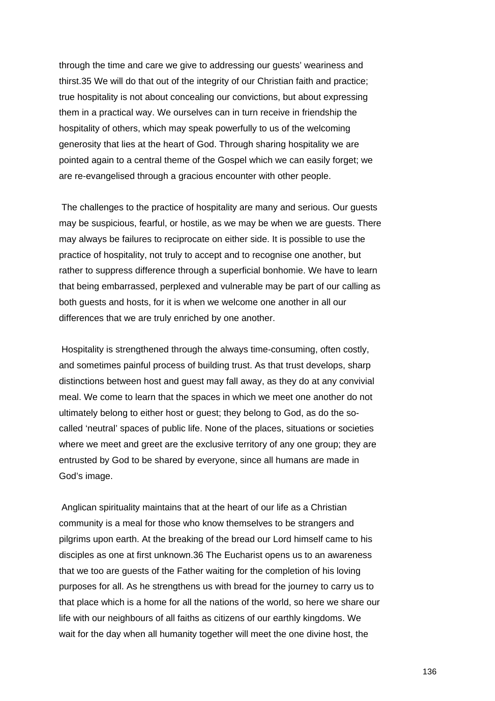through the time and care we give to addressing our guests' weariness and thirst.35 We will do that out of the integrity of our Christian faith and practice; true hospitality is not about concealing our convictions, but about expressing them in a practical way. We ourselves can in turn receive in friendship the hospitality of others, which may speak powerfully to us of the welcoming generosity that lies at the heart of God. Through sharing hospitality we are pointed again to a central theme of the Gospel which we can easily forget; we are re-evangelised through a gracious encounter with other people.

 The challenges to the practice of hospitality are many and serious. Our guests may be suspicious, fearful, or hostile, as we may be when we are guests. There may always be failures to reciprocate on either side. It is possible to use the practice of hospitality, not truly to accept and to recognise one another, but rather to suppress difference through a superficial bonhomie. We have to learn that being embarrassed, perplexed and vulnerable may be part of our calling as both guests and hosts, for it is when we welcome one another in all our differences that we are truly enriched by one another.

 Hospitality is strengthened through the always time-consuming, often costly, and sometimes painful process of building trust. As that trust develops, sharp distinctions between host and guest may fall away, as they do at any convivial meal. We come to learn that the spaces in which we meet one another do not ultimately belong to either host or guest; they belong to God, as do the socalled 'neutral' spaces of public life. None of the places, situations or societies where we meet and greet are the exclusive territory of any one group; they are entrusted by God to be shared by everyone, since all humans are made in God's image.

 Anglican spirituality maintains that at the heart of our life as a Christian community is a meal for those who know themselves to be strangers and pilgrims upon earth. At the breaking of the bread our Lord himself came to his disciples as one at first unknown.36 The Eucharist opens us to an awareness that we too are guests of the Father waiting for the completion of his loving purposes for all. As he strengthens us with bread for the journey to carry us to that place which is a home for all the nations of the world, so here we share our life with our neighbours of all faiths as citizens of our earthly kingdoms. We wait for the day when all humanity together will meet the one divine host, the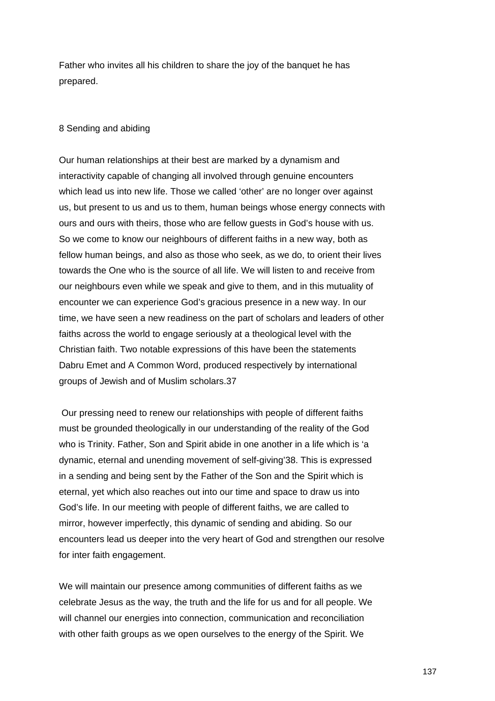Father who invites all his children to share the joy of the banquet he has prepared.

### 8 Sending and abiding

Our human relationships at their best are marked by a dynamism and interactivity capable of changing all involved through genuine encounters which lead us into new life. Those we called 'other' are no longer over against us, but present to us and us to them, human beings whose energy connects with ours and ours with theirs, those who are fellow guests in God's house with us. So we come to know our neighbours of different faiths in a new way, both as fellow human beings, and also as those who seek, as we do, to orient their lives towards the One who is the source of all life. We will listen to and receive from our neighbours even while we speak and give to them, and in this mutuality of encounter we can experience God's gracious presence in a new way. In our time, we have seen a new readiness on the part of scholars and leaders of other faiths across the world to engage seriously at a theological level with the Christian faith. Two notable expressions of this have been the statements Dabru Emet and A Common Word, produced respectively by international groups of Jewish and of Muslim scholars.37

 Our pressing need to renew our relationships with people of different faiths must be grounded theologically in our understanding of the reality of the God who is Trinity. Father, Son and Spirit abide in one another in a life which is 'a dynamic, eternal and unending movement of self-giving'38. This is expressed in a sending and being sent by the Father of the Son and the Spirit which is eternal, yet which also reaches out into our time and space to draw us into God's life. In our meeting with people of different faiths, we are called to mirror, however imperfectly, this dynamic of sending and abiding. So our encounters lead us deeper into the very heart of God and strengthen our resolve for inter faith engagement.

We will maintain our presence among communities of different faiths as we celebrate Jesus as the way, the truth and the life for us and for all people. We will channel our energies into connection, communication and reconciliation with other faith groups as we open ourselves to the energy of the Spirit. We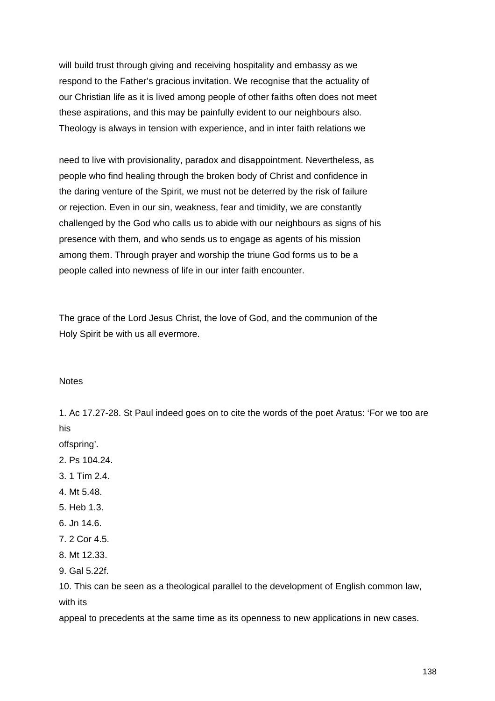will build trust through giving and receiving hospitality and embassy as we respond to the Father's gracious invitation. We recognise that the actuality of our Christian life as it is lived among people of other faiths often does not meet these aspirations, and this may be painfully evident to our neighbours also. Theology is always in tension with experience, and in inter faith relations we

need to live with provisionality, paradox and disappointment. Nevertheless, as people who find healing through the broken body of Christ and confidence in the daring venture of the Spirit, we must not be deterred by the risk of failure or rejection. Even in our sin, weakness, fear and timidity, we are constantly challenged by the God who calls us to abide with our neighbours as signs of his presence with them, and who sends us to engage as agents of his mission among them. Through prayer and worship the triune God forms us to be a people called into newness of life in our inter faith encounter.

The grace of the Lord Jesus Christ, the love of God, and the communion of the Holy Spirit be with us all evermore.

**Notes** 

1. Ac 17.27-28. St Paul indeed goes on to cite the words of the poet Aratus: 'For we too are his

offspring'.

- 2. Ps 104.24.
- 3. 1 Tim 2.4.
- 4. Mt 5.48.
- 5. Heb 1.3.
- 6. Jn 14.6.
- 7. 2 Cor 4.5.
- 8. Mt 12.33.
- 9. Gal 5.22f.

10. This can be seen as a theological parallel to the development of English common law, with its

appeal to precedents at the same time as its openness to new applications in new cases.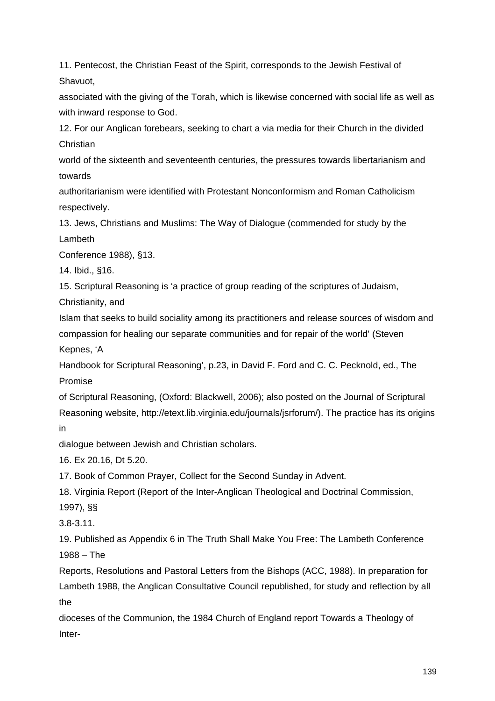11. Pentecost, the Christian Feast of the Spirit, corresponds to the Jewish Festival of Shavuot,

associated with the giving of the Torah, which is likewise concerned with social life as well as with inward response to God.

12. For our Anglican forebears, seeking to chart a via media for their Church in the divided Christian

world of the sixteenth and seventeenth centuries, the pressures towards libertarianism and towards

authoritarianism were identified with Protestant Nonconformism and Roman Catholicism respectively.

13. Jews, Christians and Muslims: The Way of Dialogue (commended for study by the Lambeth

Conference 1988), §13.

14. Ibid., §16.

15. Scriptural Reasoning is 'a practice of group reading of the scriptures of Judaism,

Christianity, and

Islam that seeks to build sociality among its practitioners and release sources of wisdom and compassion for healing our separate communities and for repair of the world' (Steven

Kepnes, 'A

Handbook for Scriptural Reasoning', p.23, in David F. Ford and C. C. Pecknold, ed., The Promise

of Scriptural Reasoning, (Oxford: Blackwell, 2006); also posted on the Journal of Scriptural Reasoning website, http://etext.lib.virginia.edu/journals/jsrforum/). The practice has its origins in

dialogue between Jewish and Christian scholars.

16. Ex 20.16, Dt 5.20.

17. Book of Common Prayer, Collect for the Second Sunday in Advent.

18. Virginia Report (Report of the Inter-Anglican Theological and Doctrinal Commission,

1997), §§

3.8-3.11.

19. Published as Appendix 6 in The Truth Shall Make You Free: The Lambeth Conference 1988 – The

Reports, Resolutions and Pastoral Letters from the Bishops (ACC, 1988). In preparation for Lambeth 1988, the Anglican Consultative Council republished, for study and reflection by all the

dioceses of the Communion, the 1984 Church of England report Towards a Theology of Inter-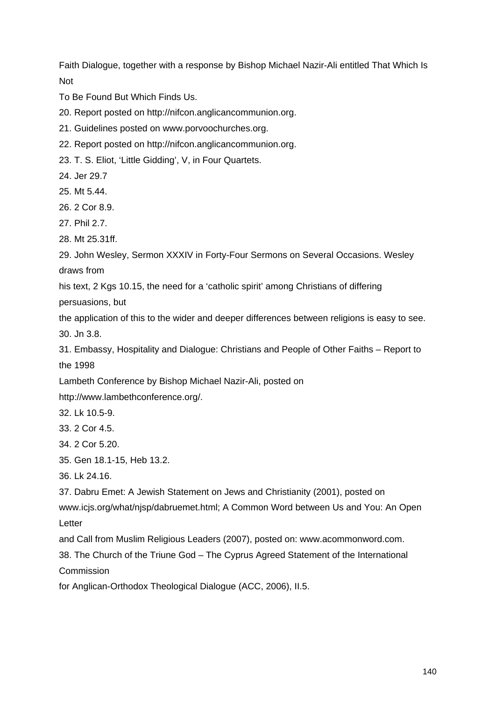Faith Dialogue, together with a response by Bishop Michael Nazir-Ali entitled That Which Is Not

To Be Found But Which Finds Us.

20. Report posted on http://nifcon.anglicancommunion.org.

21. Guidelines posted on www.porvoochurches.org.

22. Report posted on http://nifcon.anglicancommunion.org.

23. T. S. Eliot, 'Little Gidding', V, in Four Quartets.

24. Jer 29.7

25. Mt 5.44.

26. 2 Cor 8.9.

27. Phil 2.7.

28. Mt 25.31ff.

29. John Wesley, Sermon XXXIV in Forty-Four Sermons on Several Occasions. Wesley draws from

his text, 2 Kgs 10.15, the need for a 'catholic spirit' among Christians of differing

persuasions, but

the application of this to the wider and deeper differences between religions is easy to see. 30. Jn 3.8.

31. Embassy, Hospitality and Dialogue: Christians and People of Other Faiths – Report to the 1998

Lambeth Conference by Bishop Michael Nazir-Ali, posted on

http://www.lambethconference.org/.

32. Lk 10.5-9.

33. 2 Cor 4.5.

34. 2 Cor 5.20.

35. Gen 18.1-15, Heb 13.2.

36. Lk 24.16.

37. Dabru Emet: A Jewish Statement on Jews and Christianity (2001), posted on

www.icjs.org/what/njsp/dabruemet.html; A Common Word between Us and You: An Open Letter

and Call from Muslim Religious Leaders (2007), posted on: www.acommonword.com.

38. The Church of the Triune God – The Cyprus Agreed Statement of the International Commission

for Anglican-Orthodox Theological Dialogue (ACC, 2006), II.5.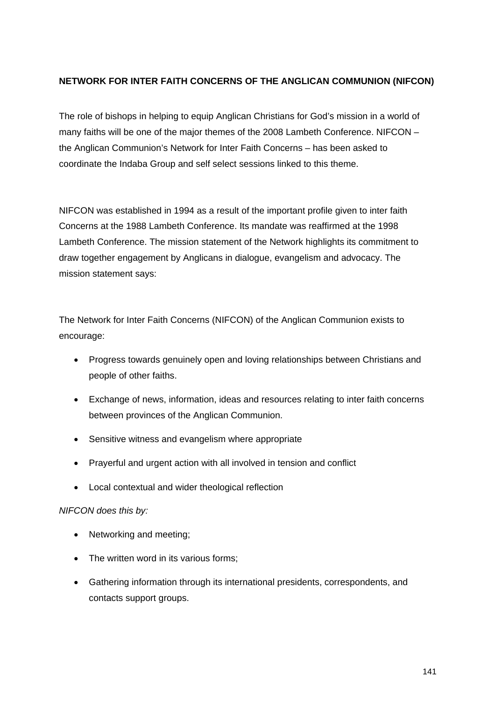## **NETWORK FOR INTER FAITH CONCERNS OF THE ANGLICAN COMMUNION (NIFCON)**

The role of bishops in helping to equip Anglican Christians for God's mission in a world of many faiths will be one of the major themes of the 2008 Lambeth Conference. NIFCON – the Anglican Communion's Network for Inter Faith Concerns – has been asked to coordinate the Indaba Group and self select sessions linked to this theme.

NIFCON was established in 1994 as a result of the important profile given to inter faith Concerns at the 1988 Lambeth Conference. Its mandate was reaffirmed at the 1998 Lambeth Conference. The mission statement of the Network highlights its commitment to draw together engagement by Anglicans in dialogue, evangelism and advocacy. The mission statement says:

The Network for Inter Faith Concerns (NIFCON) of the Anglican Communion exists to encourage:

- Progress towards genuinely open and loving relationships between Christians and people of other faiths.
- Exchange of news, information, ideas and resources relating to inter faith concerns between provinces of the Anglican Communion.
- Sensitive witness and evangelism where appropriate
- Prayerful and urgent action with all involved in tension and conflict
- Local contextual and wider theological reflection

## *NIFCON does this by:*

- Networking and meeting;
- The written word in its various forms;
- Gathering information through its international presidents, correspondents, and contacts support groups.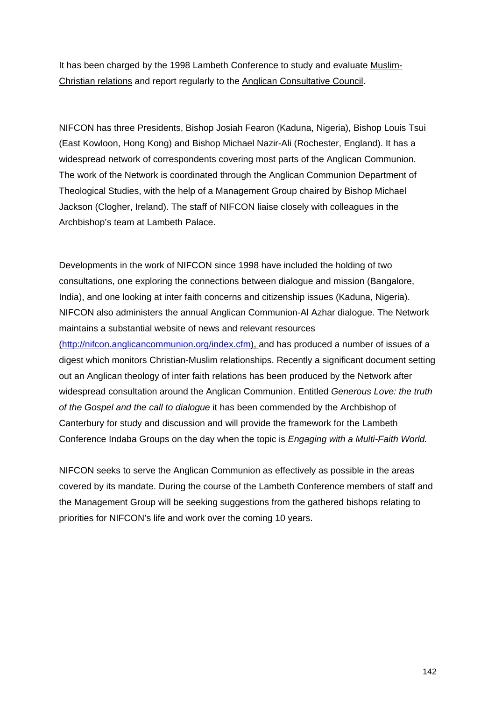It has been charged by the 1998 Lambeth Conference to study and evaluate [Muslim-](http://nifcon.anglicancommunion.org/digest/index.cfm)[Christian relations](http://nifcon.anglicancommunion.org/digest/index.cfm) and report regularly to the [Anglican Consultative Council.](http://www.aco.org/acc/)

NIFCON has three Presidents, Bishop Josiah Fearon (Kaduna, Nigeria), Bishop Louis Tsui (East Kowloon, Hong Kong) and Bishop Michael Nazir-Ali (Rochester, England). It has a widespread network of correspondents covering most parts of the Anglican Communion. The work of the Network is coordinated through the Anglican Communion Department of Theological Studies, with the help of a Management Group chaired by Bishop Michael Jackson (Clogher, Ireland). The staff of NIFCON liaise closely with colleagues in the Archbishop's team at Lambeth Palace.

Developments in the work of NIFCON since 1998 have included the holding of two consultations, one exploring the connections between dialogue and mission (Bangalore, India), and one looking at inter faith concerns and citizenship issues (Kaduna, Nigeria). NIFCON also administers the annual Anglican Communion-Al Azhar dialogue. The Network maintains a substantial website of news and relevant resources

(<http://nifcon.anglicancommunion.org/index.cfm>), and has produced a number of issues of a digest which monitors Christian-Muslim relationships. Recently a significant document setting out an Anglican theology of inter faith relations has been produced by the Network after widespread consultation around the Anglican Communion. Entitled *Generous Love: the truth of the Gospel and the call to dialogue* it has been commended by the Archbishop of Canterbury for study and discussion and will provide the framework for the Lambeth Conference Indaba Groups on the day when the topic is *Engaging with a Multi-Faith World.* 

NIFCON seeks to serve the Anglican Communion as effectively as possible in the areas covered by its mandate. During the course of the Lambeth Conference members of staff and the Management Group will be seeking suggestions from the gathered bishops relating to priorities for NIFCON's life and work over the coming 10 years.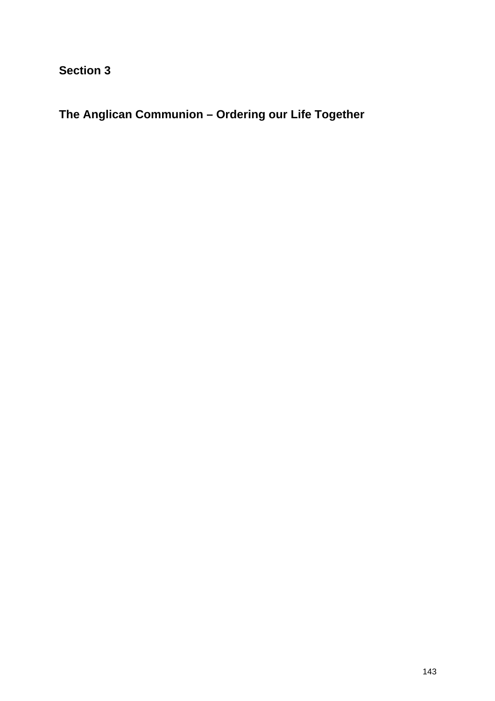**Section 3** 

**The Anglican Communion – Ordering our Life Together**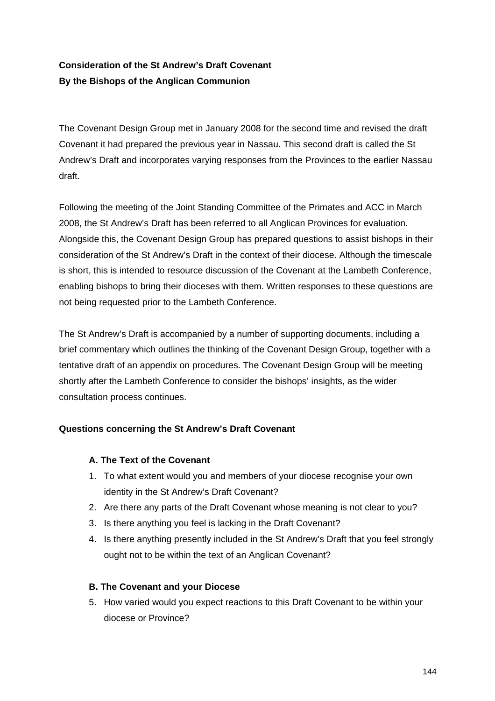# **Consideration of the St Andrew's Draft Covenant By the Bishops of the Anglican Communion**

The Covenant Design Group met in January 2008 for the second time and revised the draft Covenant it had prepared the previous year in Nassau. This second draft is called the St Andrew's Draft and incorporates varying responses from the Provinces to the earlier Nassau draft.

Following the meeting of the Joint Standing Committee of the Primates and ACC in March 2008, the St Andrew's Draft has been referred to all Anglican Provinces for evaluation. Alongside this, the Covenant Design Group has prepared questions to assist bishops in their consideration of the St Andrew's Draft in the context of their diocese. Although the timescale is short, this is intended to resource discussion of the Covenant at the Lambeth Conference, enabling bishops to bring their dioceses with them. Written responses to these questions are not being requested prior to the Lambeth Conference.

The St Andrew's Draft is accompanied by a number of supporting documents, including a brief commentary which outlines the thinking of the Covenant Design Group, together with a tentative draft of an appendix on procedures. The Covenant Design Group will be meeting shortly after the Lambeth Conference to consider the bishops' insights, as the wider consultation process continues.

## **Questions concerning the St Andrew's Draft Covenant**

## **A. The Text of the Covenant**

- 1. To what extent would you and members of your diocese recognise your own identity in the St Andrew's Draft Covenant?
- 2. Are there any parts of the Draft Covenant whose meaning is not clear to you?
- 3. Is there anything you feel is lacking in the Draft Covenant?
- 4. Is there anything presently included in the St Andrew's Draft that you feel strongly ought not to be within the text of an Anglican Covenant?

## **B. The Covenant and your Diocese**

5. How varied would you expect reactions to this Draft Covenant to be within your diocese or Province?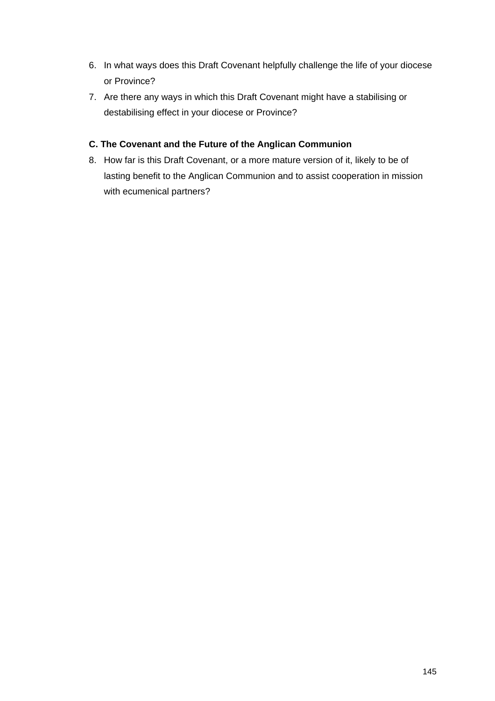- 6. In what ways does this Draft Covenant helpfully challenge the life of your diocese or Province?
- 7. Are there any ways in which this Draft Covenant might have a stabilising or destabilising effect in your diocese or Province?

## **C. The Covenant and the Future of the Anglican Communion**

8. How far is this Draft Covenant, or a more mature version of it, likely to be of lasting benefit to the Anglican Communion and to assist cooperation in mission with ecumenical partners?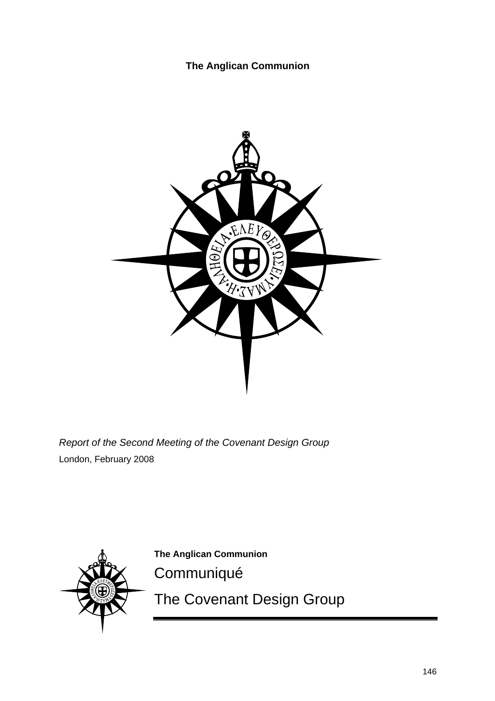# **The Anglican Communion**



*Report of the Second Meeting of the Covenant Design Group*  London, February 2008



**The Anglican Communion Communiqué** 

The Covenant Design Group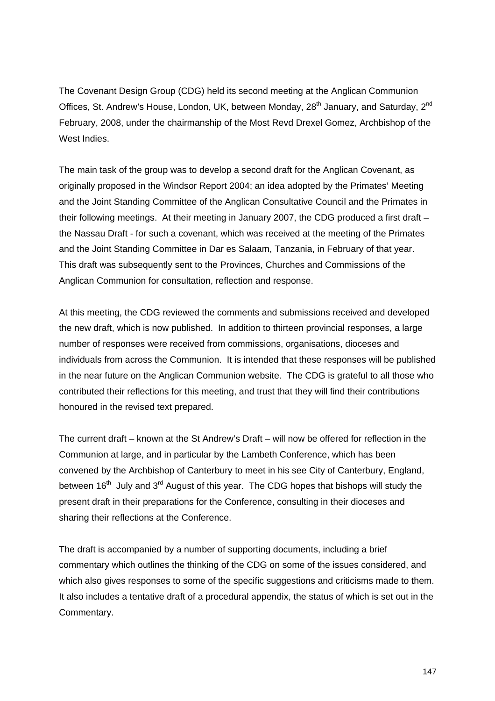The Covenant Design Group (CDG) held its second meeting at the Anglican Communion Offices, St. Andrew's House, London, UK, between Monday, 28<sup>th</sup> January, and Saturday, 2<sup>nd</sup> February, 2008, under the chairmanship of the Most Revd Drexel Gomez, Archbishop of the West Indies.

The main task of the group was to develop a second draft for the Anglican Covenant, as originally proposed in the Windsor Report 2004; an idea adopted by the Primates' Meeting and the Joint Standing Committee of the Anglican Consultative Council and the Primates in their following meetings. At their meeting in January 2007, the CDG produced a first draft – the Nassau Draft - for such a covenant, which was received at the meeting of the Primates and the Joint Standing Committee in Dar es Salaam, Tanzania, in February of that year. This draft was subsequently sent to the Provinces, Churches and Commissions of the Anglican Communion for consultation, reflection and response.

At this meeting, the CDG reviewed the comments and submissions received and developed the new draft, which is now published. In addition to thirteen provincial responses, a large number of responses were received from commissions, organisations, dioceses and individuals from across the Communion. It is intended that these responses will be published in the near future on the Anglican Communion website. The CDG is grateful to all those who contributed their reflections for this meeting, and trust that they will find their contributions honoured in the revised text prepared.

The current draft – known at the St Andrew's Draft – will now be offered for reflection in the Communion at large, and in particular by the Lambeth Conference, which has been convened by the Archbishop of Canterbury to meet in his see City of Canterbury, England, between  $16<sup>th</sup>$  July and  $3<sup>rd</sup>$  August of this year. The CDG hopes that bishops will study the present draft in their preparations for the Conference, consulting in their dioceses and sharing their reflections at the Conference.

The draft is accompanied by a number of supporting documents, including a brief commentary which outlines the thinking of the CDG on some of the issues considered, and which also gives responses to some of the specific suggestions and criticisms made to them. It also includes a tentative draft of a procedural appendix, the status of which is set out in the Commentary.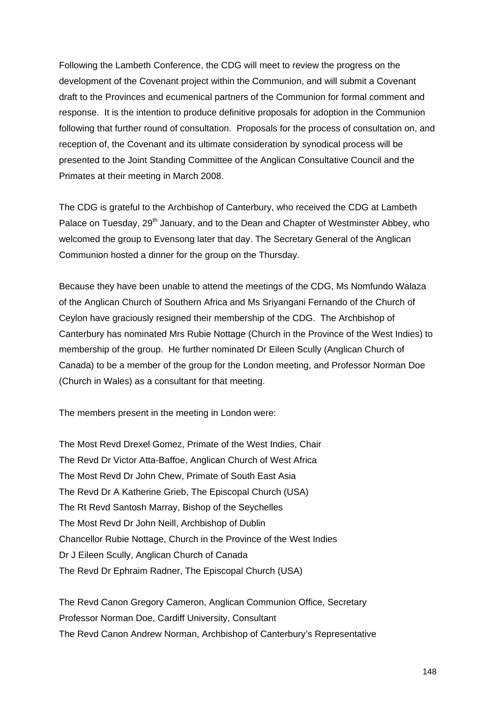Following the Lambeth Conference, the CDG will meet to review the progress on the development of the Covenant project within the Communion, and will submit a Covenant draft to the Provinces and ecumenical partners of the Communion for formal comment and response. It is the intention to produce definitive proposals for adoption in the Communion following that further round of consultation. Proposals for the process of consultation on, and reception of, the Covenant and its ultimate consideration by synodical process will be presented to the Joint Standing Committee of the Anglican Consultative Council and the Primates at their meeting in March 2008.

The CDG is grateful to the Archbishop of Canterbury, who received the CDG at Lambeth Palace on Tuesday, 29<sup>th</sup> January, and to the Dean and Chapter of Westminster Abbey, who welcomed the group to Evensong later that day. The Secretary General of the Anglican Communion hosted a dinner for the group on the Thursday.

Because they have been unable to attend the meetings of the CDG, Ms Nomfundo Walaza of the Anglican Church of Southern Africa and Ms Sriyangani Fernando of the Church of Ceylon have graciously resigned their membership of the CDG. The Archbishop of Canterbury has nominated Mrs Rubie Nottage (Church in the Province of the West Indies) to membership of the group. He further nominated Dr Eileen Scully (Anglican Church of Canada) to be a member of the group for the London meeting, and Professor Norman Doe (Church in Wales) as a consultant for that meeting.

The members present in the meeting in London were:

The Most Revd Drexel Gomez, Primate of the West Indies, Chair The Revd Dr Victor Atta-Baffoe, Anglican Church of West Africa The Most Revd Dr John Chew, Primate of South East Asia The Revd Dr A Katherine Grieb, The Episcopal Church (USA) The Rt Revd Santosh Marray, Bishop of the Seychelles The Most Revd Dr John Neill, Archbishop of Dublin Chancellor Rubie Nottage, Church in the Province of the West Indies Dr J Eileen Scully, Anglican Church of Canada The Revd Dr Ephraim Radner, The Episcopal Church (USA)

The Revd Canon Gregory Cameron, Anglican Communion Office, Secretary Professor Norman Doe, Cardiff University, Consultant The Revd Canon Andrew Norman, Archbishop of Canterbury's Representative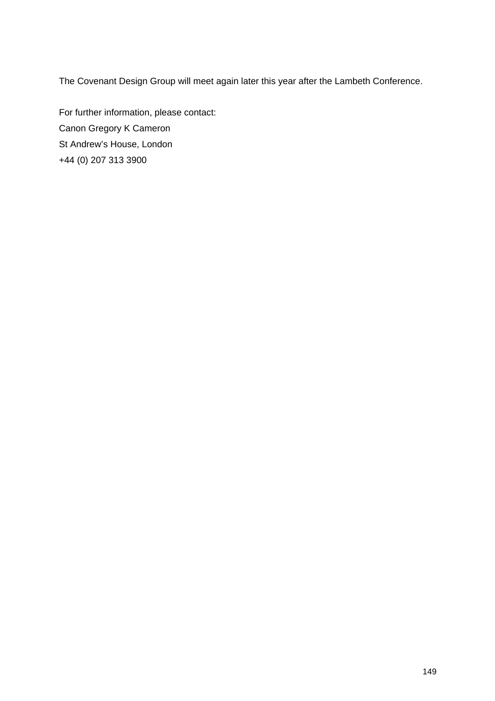The Covenant Design Group will meet again later this year after the Lambeth Conference.

For further information, please contact: Canon Gregory K Cameron St Andrew's House, London +44 (0) 207 313 3900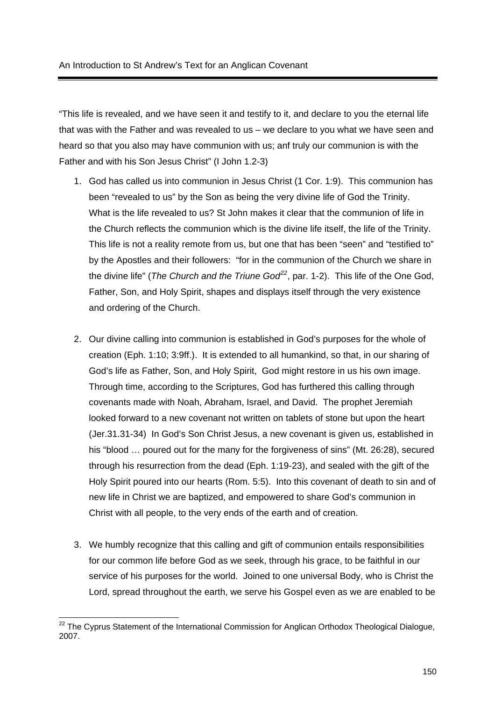<span id="page-149-0"></span>"This life is revealed, and we have seen it and testify to it, and declare to you the eternal life that was with the Father and was revealed to us – we declare to you what we have seen and heard so that you also may have communion with us; anf truly our communion is with the Father and with his Son Jesus Christ" (I John 1.2-3)

- 1. God has called us into communion in Jesus Christ (1 Cor. 1:9). This communion has been "revealed to us" by the Son as being the very divine life of God the Trinity. What is the life revealed to us? St John makes it clear that the communion of life in the Church reflects the communion which is the divine life itself, the life of the Trinity. This life is not a reality remote from us, but one that has been "seen" and "testified to" by the Apostles and their followers: "for in the communion of the Church we share in the divine life" (*The Church and the Triune God[22](#page-149-0)*, par. 1-2). This life of the One God, Father, Son, and Holy Spirit, shapes and displays itself through the very existence and ordering of the Church.
- 2. Our divine calling into communion is established in God's purposes for the whole of creation (Eph. 1:10; 3:9ff.). It is extended to all humankind, so that, in our sharing of God's life as Father, Son, and Holy Spirit, God might restore in us his own image. Through time, according to the Scriptures, God has furthered this calling through covenants made with Noah, Abraham, Israel, and David. The prophet Jeremiah looked forward to a new covenant not written on tablets of stone but upon the heart (Jer.31.31-34) In God's Son Christ Jesus, a new covenant is given us, established in his "blood ... poured out for the many for the forgiveness of sins" (Mt. 26:28), secured through his resurrection from the dead (Eph. 1:19-23), and sealed with the gift of the Holy Spirit poured into our hearts (Rom. 5:5). Into this covenant of death to sin and of new life in Christ we are baptized, and empowered to share God's communion in Christ with all people, to the very ends of the earth and of creation.
- 3. We humbly recognize that this calling and gift of communion entails responsibilities for our common life before God as we seek, through his grace, to be faithful in our service of his purposes for the world. Joined to one universal Body, who is Christ the Lord, spread throughout the earth, we serve his Gospel even as we are enabled to be

  $22$  The Cyprus Statement of the International Commission for Anglican Orthodox Theological Dialogue, 2007.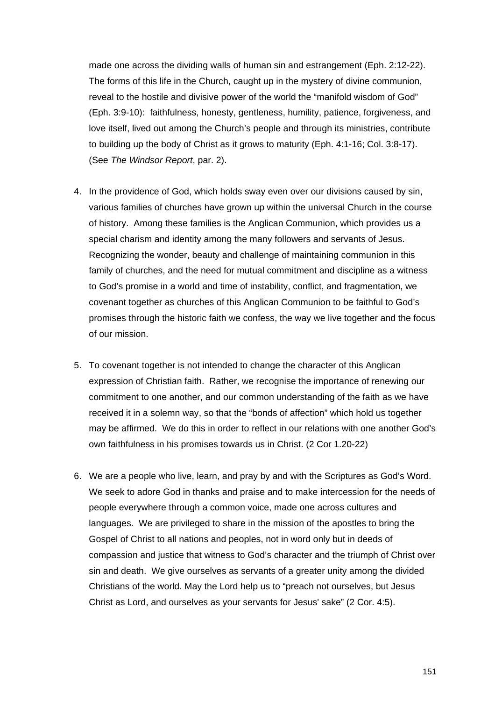made one across the dividing walls of human sin and estrangement (Eph. 2:12-22). The forms of this life in the Church, caught up in the mystery of divine communion, reveal to the hostile and divisive power of the world the "manifold wisdom of God" (Eph. 3:9-10): faithfulness, honesty, gentleness, humility, patience, forgiveness, and love itself, lived out among the Church's people and through its ministries, contribute to building up the body of Christ as it grows to maturity (Eph. 4:1-16; Col. 3:8-17). (See *The Windsor Report*, par. 2).

- 4. In the providence of God, which holds sway even over our divisions caused by sin, various families of churches have grown up within the universal Church in the course of history. Among these families is the Anglican Communion, which provides us a special charism and identity among the many followers and servants of Jesus. Recognizing the wonder, beauty and challenge of maintaining communion in this family of churches, and the need for mutual commitment and discipline as a witness to God's promise in a world and time of instability, conflict, and fragmentation, we covenant together as churches of this Anglican Communion to be faithful to God's promises through the historic faith we confess, the way we live together and the focus of our mission.
- 5. To covenant together is not intended to change the character of this Anglican expression of Christian faith. Rather, we recognise the importance of renewing our commitment to one another, and our common understanding of the faith as we have received it in a solemn way, so that the "bonds of affection" which hold us together may be affirmed. We do this in order to reflect in our relations with one another God's own faithfulness in his promises towards us in Christ. (2 Cor 1.20-22)
- 6. We are a people who live, learn, and pray by and with the Scriptures as God's Word. We seek to adore God in thanks and praise and to make intercession for the needs of people everywhere through a common voice, made one across cultures and languages. We are privileged to share in the mission of the apostles to bring the Gospel of Christ to all nations and peoples, not in word only but in deeds of compassion and justice that witness to God's character and the triumph of Christ over sin and death. We give ourselves as servants of a greater unity among the divided Christians of the world. May the Lord help us to "preach not ourselves, but Jesus Christ as Lord, and ourselves as your servants for Jesus' sake" (2 Cor. 4:5).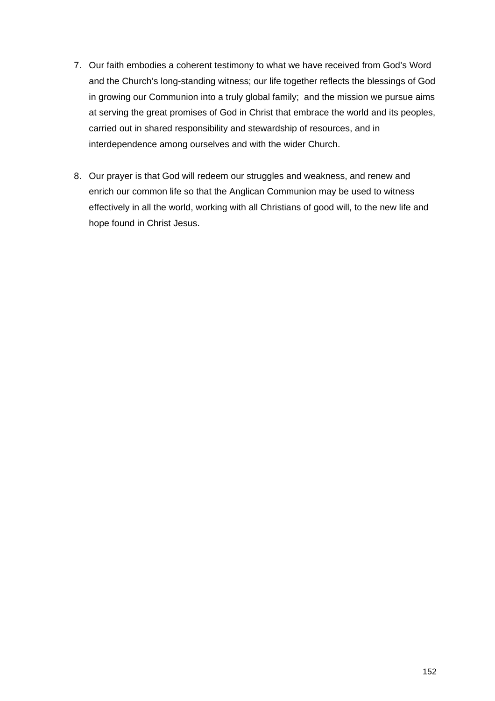- 7. Our faith embodies a coherent testimony to what we have received from God's Word and the Church's long-standing witness; our life together reflects the blessings of God in growing our Communion into a truly global family; and the mission we pursue aims at serving the great promises of God in Christ that embrace the world and its peoples, carried out in shared responsibility and stewardship of resources, and in interdependence among ourselves and with the wider Church.
- 8. Our prayer is that God will redeem our struggles and weakness, and renew and enrich our common life so that the Anglican Communion may be used to witness effectively in all the world, working with all Christians of good will, to the new life and hope found in Christ Jesus.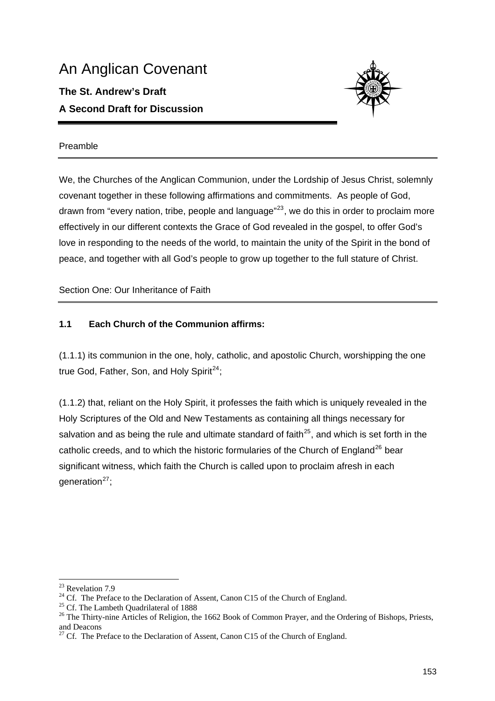

## <span id="page-152-0"></span>Preamble

We, the Churches of the Anglican Communion, under the Lordship of Jesus Christ, solemnly covenant together in these following affirmations and commitments. As people of God, drawn from "every nation, tribe, people and language"<sup>[23](#page-152-0)</sup>, we do this in order to proclaim more effectively in our different contexts the Grace of God revealed in the gospel, to offer God's love in responding to the needs of the world, to maintain the unity of the Spirit in the bond of peace, and together with all God's people to grow up together to the full stature of Christ.

Section One: Our Inheritance of Faith

## **1.1 Each Church of the Communion affirms:**

(1.1.1) its communion in the one, holy, catholic, and apostolic Church, worshipping the one true God, Father, Son, and Holy Spirit $^{24}$  $^{24}$  $^{24}$ ;

(1.1.2) that, reliant on the Holy Spirit, it professes the faith which is uniquely revealed in the Holy Scriptures of the Old and New Testaments as containing all things necessary for salvation and as being the rule and ultimate standard of faith<sup>[25](#page-152-0)</sup>, and which is set forth in the catholic creeds, and to which the historic formularies of the Church of England<sup>[26](#page-152-0)</sup> bear significant witness, which faith the Church is called upon to proclaim afresh in each generation $27$ :

  $23$  Revelation 7.9

<sup>&</sup>lt;sup>24</sup> Cf. The Preface to the Declaration of Assent, Canon C15 of the Church of England. <sup>25</sup> Cf. The Lambeth Quadrilateral of 1888

<sup>&</sup>lt;sup>26</sup> The Thirty-nine Articles of Religion, the 1662 Book of Common Prayer, and the Ordering of Bishops, Priests, and Deacons

<sup>&</sup>lt;sup>27</sup> Cf. The Preface to the Declaration of Assent, Canon C15 of the Church of England.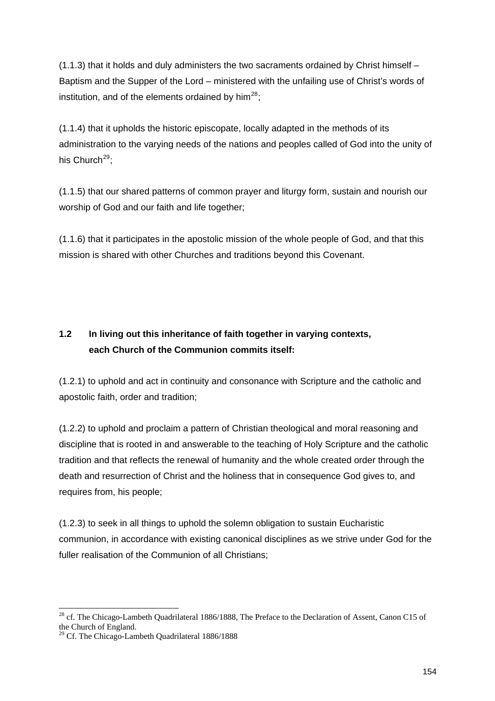<span id="page-153-0"></span>(1.1.3) that it holds and duly administers the two sacraments ordained by Christ himself – Baptism and the Supper of the Lord – ministered with the unfailing use of Christ's words of institution, and of the elements ordained by  $\text{him}^{28}$  $\text{him}^{28}$  $\text{him}^{28}$ .

(1.1.4) that it upholds the historic episcopate, locally adapted in the methods of its administration to the varying needs of the nations and peoples called of God into the unity of his Church<sup>[29](#page-153-0)</sup>;

(1.1.5) that our shared patterns of common prayer and liturgy form, sustain and nourish our worship of God and our faith and life together;

(1.1.6) that it participates in the apostolic mission of the whole people of God, and that this mission is shared with other Churches and traditions beyond this Covenant.

# **1.2 In living out this inheritance of faith together in varying contexts, each Church of the Communion commits itself:**

(1.2.1) to uphold and act in continuity and consonance with Scripture and the catholic and apostolic faith, order and tradition;

(1.2.2) to uphold and proclaim a pattern of Christian theological and moral reasoning and discipline that is rooted in and answerable to the teaching of Holy Scripture and the catholic tradition and that reflects the renewal of humanity and the whole created order through the death and resurrection of Christ and the holiness that in consequence God gives to, and requires from, his people;

(1.2.3) to seek in all things to uphold the solemn obligation to sustain Eucharistic communion, in accordance with existing canonical disciplines as we strive under God for the fuller realisation of the Communion of all Christians;

 <sup>28</sup> cf. The Chicago-Lambeth Quadrilateral 1886/1888, The Preface to the Declaration of Assent, Canon C15 of the Church of England.

<sup>&</sup>lt;sup>29</sup> Cf. The Chicago-Lambeth Quadrilateral  $1886/1888$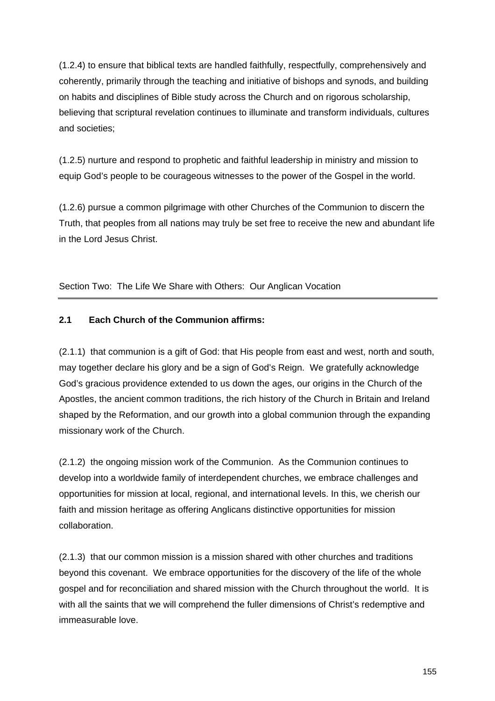(1.2.4) to ensure that biblical texts are handled faithfully, respectfully, comprehensively and coherently, primarily through the teaching and initiative of bishops and synods, and building on habits and disciplines of Bible study across the Church and on rigorous scholarship, believing that scriptural revelation continues to illuminate and transform individuals, cultures and societies;

(1.2.5) nurture and respond to prophetic and faithful leadership in ministry and mission to equip God's people to be courageous witnesses to the power of the Gospel in the world.

(1.2.6) pursue a common pilgrimage with other Churches of the Communion to discern the Truth, that peoples from all nations may truly be set free to receive the new and abundant life in the Lord Jesus Christ.

Section Two: The Life We Share with Others: Our Anglican Vocation

## **2.1 Each Church of the Communion affirms:**

(2.1.1) that communion is a gift of God: that His people from east and west, north and south, may together declare his glory and be a sign of God's Reign. We gratefully acknowledge God's gracious providence extended to us down the ages, our origins in the Church of the Apostles, the ancient common traditions, the rich history of the Church in Britain and Ireland shaped by the Reformation, and our growth into a global communion through the expanding missionary work of the Church.

(2.1.2) the ongoing mission work of the Communion. As the Communion continues to develop into a worldwide family of interdependent churches, we embrace challenges and opportunities for mission at local, regional, and international levels. In this, we cherish our faith and mission heritage as offering Anglicans distinctive opportunities for mission collaboration.

(2.1.3) that our common mission is a mission shared with other churches and traditions beyond this covenant. We embrace opportunities for the discovery of the life of the whole gospel and for reconciliation and shared mission with the Church throughout the world. It is with all the saints that we will comprehend the fuller dimensions of Christ's redemptive and immeasurable love.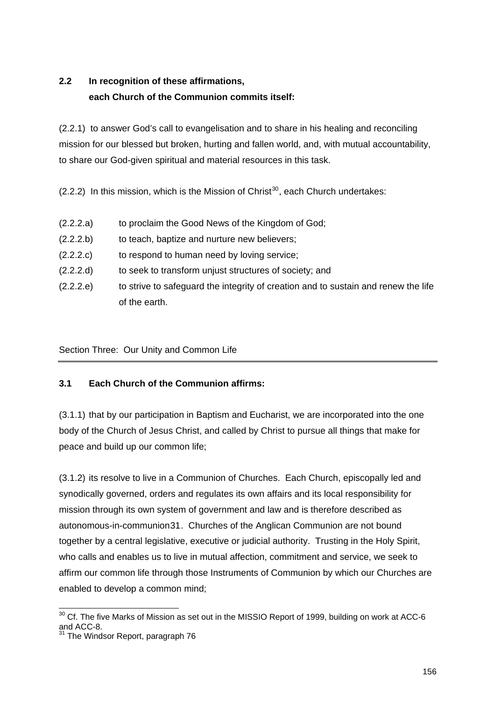# <span id="page-155-0"></span>**2.2 In recognition of these affirmations, each Church of the Communion commits itself:**

(2.2.1) to answer God's call to evangelisation and to share in his healing and reconciling mission for our blessed but broken, hurting and fallen world, and, with mutual accountability, to share our God-given spiritual and material resources in this task.

 $(2.2.2)$  In this mission, which is the Mission of Christ<sup>[30](#page-155-0)</sup>, each Church undertakes:

- (2.2.2.a) to proclaim the Good News of the Kingdom of God;
- (2.2.2.b) to teach, baptize and nurture new believers;
- (2.2.2.c) to respond to human need by loving service;
- (2.2.2.d) to seek to transform unjust structures of society; and
- (2.2.2.e) to strive to safeguard the integrity of creation and to sustain and renew the life of the earth.

Section Three: Our Unity and Common Life

## **3.1 Each Church of the Communion affirms:**

(3.1.1) that by our participation in Baptism and Eucharist, we are incorporated into the one body of the Church of Jesus Christ, and called by Christ to pursue all things that make for peace and build up our common life;

(3.1.2) its resolve to live in a Communion of Churches. Each Church, episcopally led and synodically governed, orders and regulates its own affairs and its local responsibility for mission through its own system of government and law and is therefore described as autonomous-in-communion[31](#page-155-0). Churches of the Anglican Communion are not bound together by a central legislative, executive or judicial authority. Trusting in the Holy Spirit, who calls and enables us to live in mutual affection, commitment and service, we seek to affirm our common life through those Instruments of Communion by which our Churches are enabled to develop a common mind;

 $^{30}$  Cf. The five Marks of Mission as set out in the MISSIO Report of 1999, building on work at ACC-6 and ACC-8.

The Windsor Report, paragraph 76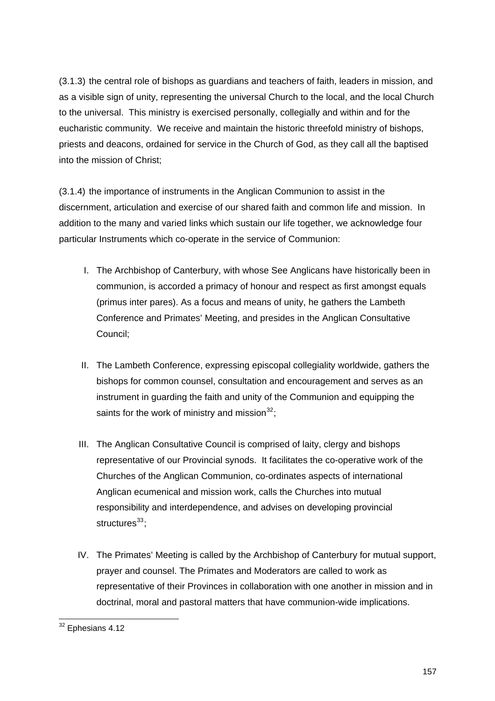<span id="page-156-0"></span>(3.1.3) the central role of bishops as guardians and teachers of faith, leaders in mission, and as a visible sign of unity, representing the universal Church to the local, and the local Church to the universal. This ministry is exercised personally, collegially and within and for the eucharistic community. We receive and maintain the historic threefold ministry of bishops, priests and deacons, ordained for service in the Church of God, as they call all the baptised into the mission of Christ;

(3.1.4) the importance of instruments in the Anglican Communion to assist in the discernment, articulation and exercise of our shared faith and common life and mission. In addition to the many and varied links which sustain our life together, we acknowledge four particular Instruments which co-operate in the service of Communion:

- I. The Archbishop of Canterbury, with whose See Anglicans have historically been in communion, is accorded a primacy of honour and respect as first amongst equals (primus inter pares). As a focus and means of unity, he gathers the Lambeth Conference and Primates' Meeting, and presides in the Anglican Consultative Council;
- II. The Lambeth Conference, expressing episcopal collegiality worldwide, gathers the bishops for common counsel, consultation and encouragement and serves as an instrument in guarding the faith and unity of the Communion and equipping the saints for the work of ministry and mission $^{32}$  $^{32}$  $^{32}$ ;
- III. The Anglican Consultative Council is comprised of laity, clergy and bishops representative of our Provincial synods. It facilitates the co-operative work of the Churches of the Anglican Communion, co-ordinates aspects of international Anglican ecumenical and mission work, calls the Churches into mutual responsibility and interdependence, and advises on developing provincial structures $^{33}$  $^{33}$  $^{33}$ :
- IV. The Primates' Meeting is called by the Archbishop of Canterbury for mutual support, prayer and counsel. The Primates and Moderators are called to work as representative of their Provinces in collaboration with one another in mission and in doctrinal, moral and pastoral matters that have communion-wide implications.

 $\overline{a}$ <sup>32</sup> Ephesians 4.12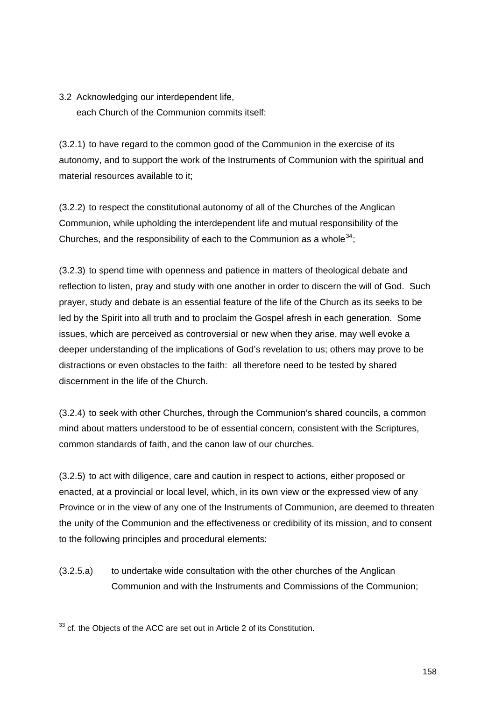# <span id="page-157-0"></span>3.2 Acknowledging our interdependent life, each Church of the Communion commits itself:

(3.2.1) to have regard to the common good of the Communion in the exercise of its autonomy, and to support the work of the Instruments of Communion with the spiritual and material resources available to it;

(3.2.2) to respect the constitutional autonomy of all of the Churches of the Anglican Communion, while upholding the interdependent life and mutual responsibility of the Churches, and the responsibility of each to the Communion as a whole  $34$ ;

(3.2.3) to spend time with openness and patience in matters of theological debate and reflection to listen, pray and study with one another in order to discern the will of God. Such prayer, study and debate is an essential feature of the life of the Church as its seeks to be led by the Spirit into all truth and to proclaim the Gospel afresh in each generation. Some issues, which are perceived as controversial or new when they arise, may well evoke a deeper understanding of the implications of God's revelation to us; others may prove to be distractions or even obstacles to the faith: all therefore need to be tested by shared discernment in the life of the Church.

(3.2.4) to seek with other Churches, through the Communion's shared councils, a common mind about matters understood to be of essential concern, consistent with the Scriptures, common standards of faith, and the canon law of our churches.

(3.2.5) to act with diligence, care and caution in respect to actions, either proposed or enacted, at a provincial or local level, which, in its own view or the expressed view of any Province or in the view of any one of the Instruments of Communion, are deemed to threaten the unity of the Communion and the effectiveness or credibility of its mission, and to consent to the following principles and procedural elements:

(3.2.5.a) to undertake wide consultation with the other churches of the Anglican Communion and with the Instruments and Commissions of the Communion;

 $\overline{a}$  $33$  cf. the Objects of the ACC are set out in Article 2 of its Constitution.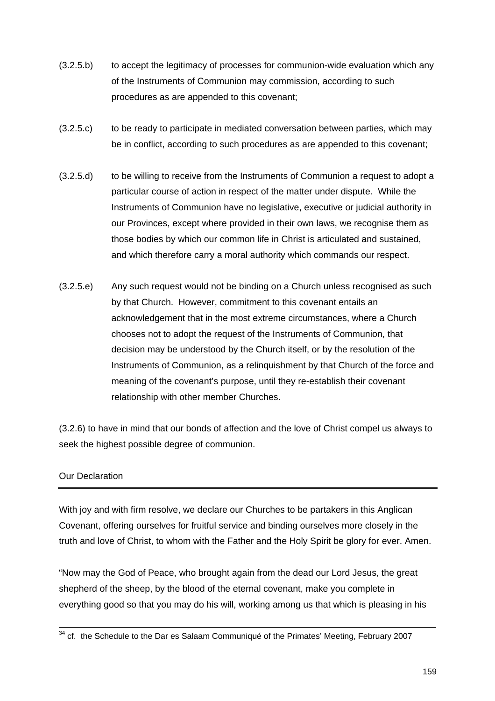- (3.2.5.b) to accept the legitimacy of processes for communion-wide evaluation which any of the Instruments of Communion may commission, according to such procedures as are appended to this covenant;
- (3.2.5.c) to be ready to participate in mediated conversation between parties, which may be in conflict, according to such procedures as are appended to this covenant;
- (3.2.5.d) to be willing to receive from the Instruments of Communion a request to adopt a particular course of action in respect of the matter under dispute. While the Instruments of Communion have no legislative, executive or judicial authority in our Provinces, except where provided in their own laws, we recognise them as those bodies by which our common life in Christ is articulated and sustained, and which therefore carry a moral authority which commands our respect.
- (3.2.5.e) Any such request would not be binding on a Church unless recognised as such by that Church. However, commitment to this covenant entails an acknowledgement that in the most extreme circumstances, where a Church chooses not to adopt the request of the Instruments of Communion, that decision may be understood by the Church itself, or by the resolution of the Instruments of Communion, as a relinquishment by that Church of the force and meaning of the covenant's purpose, until they re-establish their covenant relationship with other member Churches.

(3.2.6) to have in mind that our bonds of affection and the love of Christ compel us always to seek the highest possible degree of communion.

## Our Declaration

With joy and with firm resolve, we declare our Churches to be partakers in this Anglican Covenant, offering ourselves for fruitful service and binding ourselves more closely in the truth and love of Christ, to whom with the Father and the Holy Spirit be glory for ever. Amen.

"Now may the God of Peace, who brought again from the dead our Lord Jesus, the great shepherd of the sheep, by the blood of the eternal covenant, make you complete in everything good so that you may do his will, working among us that which is pleasing in his

  $34$  cf. the Schedule to the Dar es Salaam Communiqué of the Primates' Meeting, February 2007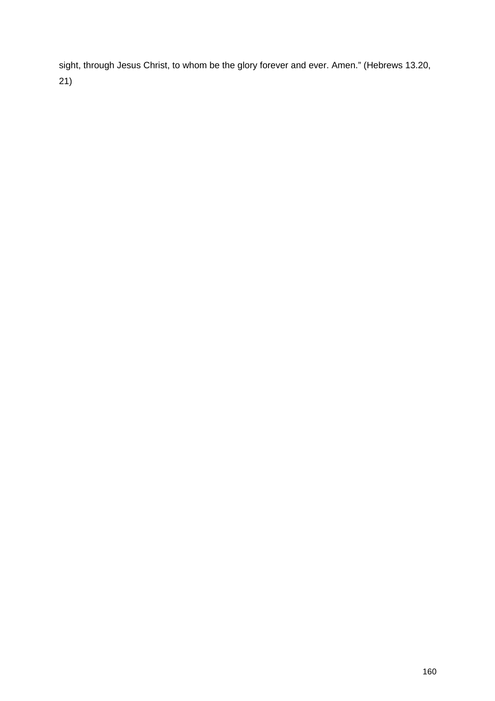sight, through Jesus Christ, to whom be the glory forever and ever. Amen." (Hebrews 13.20, 21)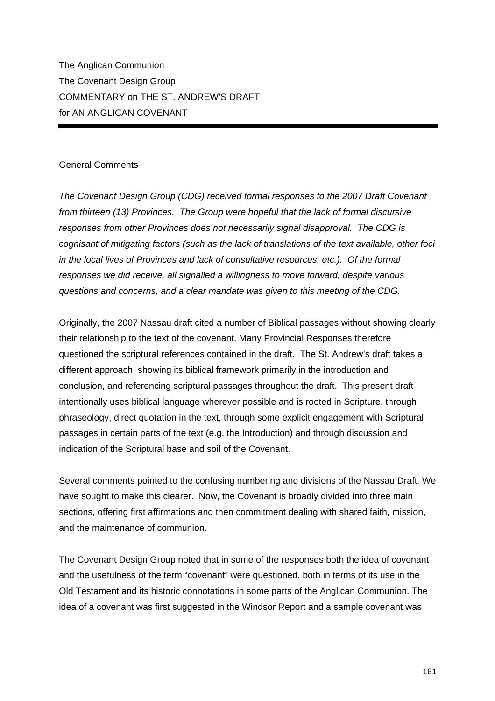The Anglican Communion The Covenant Design Group COMMENTARY on THE ST. ANDREW'S DRAFT for AN ANGLICAN COVENANT

#### General Comments

*The Covenant Design Group (CDG) received formal responses to the 2007 Draft Covenant from thirteen (13) Provinces. The Group were hopeful that the lack of formal discursive responses from other Provinces does not necessarily signal disapproval. The CDG is cognisant of mitigating factors (such as the lack of translations of the text available, other foci in the local lives of Provinces and lack of consultative resources, etc.). Of the formal responses we did receive, all signalled a willingness to move forward, despite various questions and concerns, and a clear mandate was given to this meeting of the CDG.* 

Originally, the 2007 Nassau draft cited a number of Biblical passages without showing clearly their relationship to the text of the covenant. Many Provincial Responses therefore questioned the scriptural references contained in the draft. The St. Andrew's draft takes a different approach, showing its biblical framework primarily in the introduction and conclusion, and referencing scriptural passages throughout the draft. This present draft intentionally uses biblical language wherever possible and is rooted in Scripture, through phraseology, direct quotation in the text, through some explicit engagement with Scriptural passages in certain parts of the text (e.g. the Introduction) and through discussion and indication of the Scriptural base and soil of the Covenant.

Several comments pointed to the confusing numbering and divisions of the Nassau Draft. We have sought to make this clearer. Now, the Covenant is broadly divided into three main sections, offering first affirmations and then commitment dealing with shared faith, mission, and the maintenance of communion.

The Covenant Design Group noted that in some of the responses both the idea of covenant and the usefulness of the term "covenant" were questioned, both in terms of its use in the Old Testament and its historic connotations in some parts of the Anglican Communion. The idea of a covenant was first suggested in the Windsor Report and a sample covenant was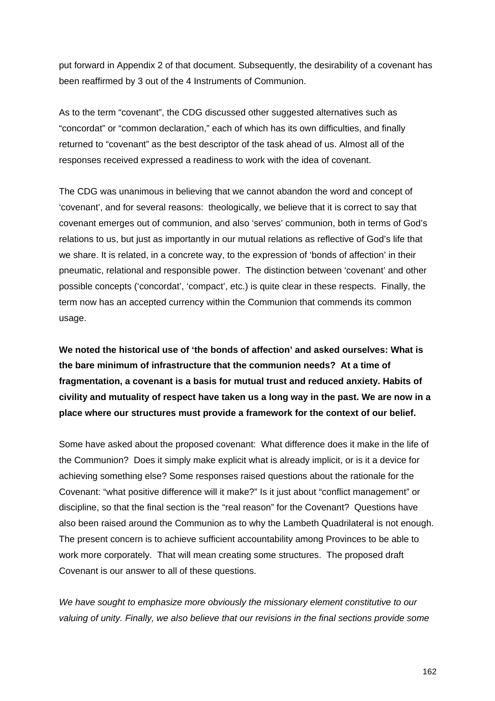put forward in Appendix 2 of that document. Subsequently, the desirability of a covenant has been reaffirmed by 3 out of the 4 Instruments of Communion.

As to the term "covenant", the CDG discussed other suggested alternatives such as "concordat" or "common declaration," each of which has its own difficulties, and finally returned to "covenant" as the best descriptor of the task ahead of us. Almost all of the responses received expressed a readiness to work with the idea of covenant.

The CDG was unanimous in believing that we cannot abandon the word and concept of 'covenant', and for several reasons: theologically, we believe that it is correct to say that covenant emerges out of communion, and also 'serves' communion, both in terms of God's relations to us, but just as importantly in our mutual relations as reflective of God's life that we share. It is related, in a concrete way, to the expression of 'bonds of affection' in their pneumatic, relational and responsible power. The distinction between 'covenant' and other possible concepts ('concordat', 'compact', etc.) is quite clear in these respects. Finally, the term now has an accepted currency within the Communion that commends its common usage.

**We noted the historical use of 'the bonds of affection' and asked ourselves: What is the bare minimum of infrastructure that the communion needs? At a time of fragmentation, a covenant is a basis for mutual trust and reduced anxiety. Habits of civility and mutuality of respect have taken us a long way in the past. We are now in a place where our structures must provide a framework for the context of our belief.** 

Some have asked about the proposed covenant: What difference does it make in the life of the Communion? Does it simply make explicit what is already implicit, or is it a device for achieving something else? Some responses raised questions about the rationale for the Covenant: "what positive difference will it make?" Is it just about "conflict management" or discipline, so that the final section is the "real reason" for the Covenant? Questions have also been raised around the Communion as to why the Lambeth Quadrilateral is not enough. The present concern is to achieve sufficient accountability among Provinces to be able to work more corporately. That will mean creating some structures. The proposed draft Covenant is our answer to all of these questions.

*We have sought to emphasize more obviously the missionary element constitutive to our valuing of unity. Finally, we also believe that our revisions in the final sections provide some*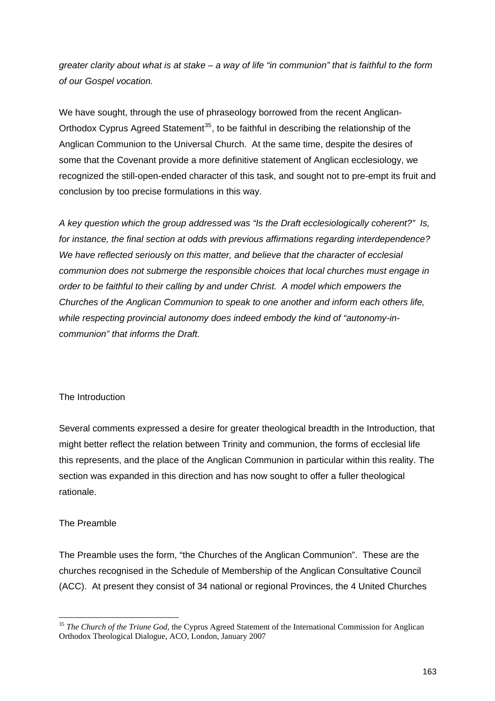<span id="page-162-0"></span>*greater clarity about what is at stake – a way of life "in communion" that is faithful to the form of our Gospel vocation.* 

We have sought, through the use of phraseology borrowed from the recent Anglican-Orthodox Cyprus Agreed Statement<sup>[35](#page-162-0)</sup>, to be faithful in describing the relationship of the Anglican Communion to the Universal Church. At the same time, despite the desires of some that the Covenant provide a more definitive statement of Anglican ecclesiology, we recognized the still-open-ended character of this task, and sought not to pre-empt its fruit and conclusion by too precise formulations in this way.

*A key question which the group addressed was "Is the Draft ecclesiologically coherent?" Is, for instance, the final section at odds with previous affirmations regarding interdependence? We have reflected seriously on this matter, and believe that the character of ecclesial communion does not submerge the responsible choices that local churches must engage in order to be faithful to their calling by and under Christ. A model which empowers the Churches of the Anglican Communion to speak to one another and inform each others life, while respecting provincial autonomy does indeed embody the kind of "autonomy-incommunion" that informs the Draft.* 

## The Introduction

Several comments expressed a desire for greater theological breadth in the Introduction, that might better reflect the relation between Trinity and communion, the forms of ecclesial life this represents, and the place of the Anglican Communion in particular within this reality. The section was expanded in this direction and has now sought to offer a fuller theological rationale.

### The Preamble

The Preamble uses the form, "the Churches of the Anglican Communion". These are the churches recognised in the Schedule of Membership of the Anglican Consultative Council (ACC). At present they consist of 34 national or regional Provinces, the 4 United Churches

<sup>&</sup>lt;sup>35</sup> *The Church of the Triune God*, the Cyprus Agreed Statement of the International Commission for Anglican Orthodox Theological Dialogue, ACO, London, January 2007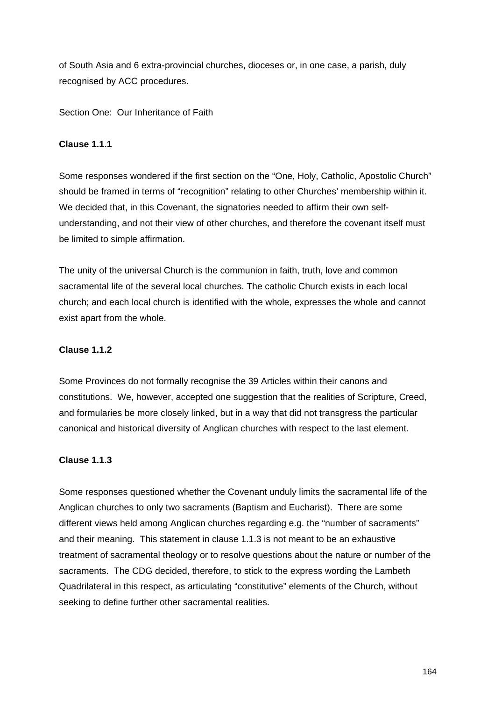of South Asia and 6 extra-provincial churches, dioceses or, in one case, a parish, duly recognised by ACC procedures.

Section One: Our Inheritance of Faith

### **Clause 1.1.1**

Some responses wondered if the first section on the "One, Holy, Catholic, Apostolic Church" should be framed in terms of "recognition" relating to other Churches' membership within it. We decided that, in this Covenant, the signatories needed to affirm their own selfunderstanding, and not their view of other churches, and therefore the covenant itself must be limited to simple affirmation.

The unity of the universal Church is the communion in faith, truth, love and common sacramental life of the several local churches. The catholic Church exists in each local church; and each local church is identified with the whole, expresses the whole and cannot exist apart from the whole.

#### **Clause 1.1.2**

Some Provinces do not formally recognise the 39 Articles within their canons and constitutions. We, however, accepted one suggestion that the realities of Scripture, Creed, and formularies be more closely linked, but in a way that did not transgress the particular canonical and historical diversity of Anglican churches with respect to the last element.

#### **Clause 1.1.3**

Some responses questioned whether the Covenant unduly limits the sacramental life of the Anglican churches to only two sacraments (Baptism and Eucharist). There are some different views held among Anglican churches regarding e.g. the "number of sacraments" and their meaning. This statement in clause 1.1.3 is not meant to be an exhaustive treatment of sacramental theology or to resolve questions about the nature or number of the sacraments. The CDG decided, therefore, to stick to the express wording the Lambeth Quadrilateral in this respect, as articulating "constitutive" elements of the Church, without seeking to define further other sacramental realities.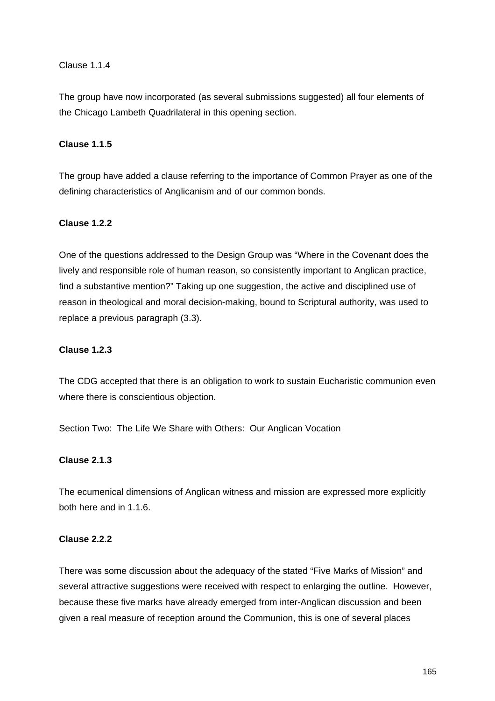### Clause 1.1.4

The group have now incorporated (as several submissions suggested) all four elements of the Chicago Lambeth Quadrilateral in this opening section.

### **Clause 1.1.5**

The group have added a clause referring to the importance of Common Prayer as one of the defining characteristics of Anglicanism and of our common bonds.

### **Clause 1.2.2**

One of the questions addressed to the Design Group was "Where in the Covenant does the lively and responsible role of human reason, so consistently important to Anglican practice, find a substantive mention?" Taking up one suggestion, the active and disciplined use of reason in theological and moral decision-making, bound to Scriptural authority, was used to replace a previous paragraph (3.3).

### **Clause 1.2.3**

The CDG accepted that there is an obligation to work to sustain Eucharistic communion even where there is conscientious objection.

Section Two: The Life We Share with Others: Our Anglican Vocation

### **Clause 2.1.3**

The ecumenical dimensions of Anglican witness and mission are expressed more explicitly both here and in 1.1.6.

### **Clause 2.2.2**

There was some discussion about the adequacy of the stated "Five Marks of Mission" and several attractive suggestions were received with respect to enlarging the outline. However, because these five marks have already emerged from inter-Anglican discussion and been given a real measure of reception around the Communion, this is one of several places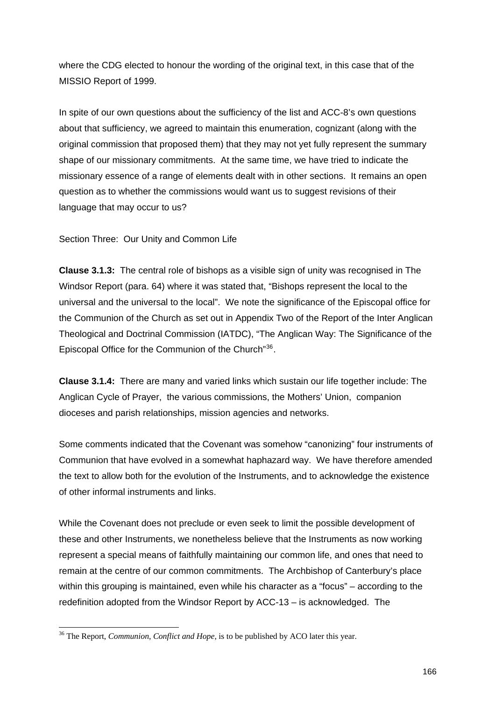<span id="page-165-0"></span>where the CDG elected to honour the wording of the original text, in this case that of the MISSIO Report of 1999.

In spite of our own questions about the sufficiency of the list and ACC-8's own questions about that sufficiency, we agreed to maintain this enumeration, cognizant (along with the original commission that proposed them) that they may not yet fully represent the summary shape of our missionary commitments. At the same time, we have tried to indicate the missionary essence of a range of elements dealt with in other sections. It remains an open question as to whether the commissions would want us to suggest revisions of their language that may occur to us?

Section Three: Our Unity and Common Life

**Clause 3.1.3:** The central role of bishops as a visible sign of unity was recognised in The Windsor Report (para. 64) where it was stated that, "Bishops represent the local to the universal and the universal to the local". We note the significance of the Episcopal office for the Communion of the Church as set out in Appendix Two of the Report of the Inter Anglican Theological and Doctrinal Commission (IATDC), "The Anglican Way: The Significance of the Episcopal Office for the Communion of the Church"[36](#page-165-0).

**Clause 3.1.4:** There are many and varied links which sustain our life together include: The Anglican Cycle of Prayer, the various commissions, the Mothers' Union, companion dioceses and parish relationships, mission agencies and networks.

Some comments indicated that the Covenant was somehow "canonizing" four instruments of Communion that have evolved in a somewhat haphazard way. We have therefore amended the text to allow both for the evolution of the Instruments, and to acknowledge the existence of other informal instruments and links.

While the Covenant does not preclude or even seek to limit the possible development of these and other Instruments, we nonetheless believe that the Instruments as now working represent a special means of faithfully maintaining our common life, and ones that need to remain at the centre of our common commitments. The Archbishop of Canterbury's place within this grouping is maintained, even while his character as a "focus" – according to the redefinition adopted from the Windsor Report by ACC-13 – is acknowledged. The

 36 The Report, *Communion, Conflict and Hope*, is to be published by ACO later this year.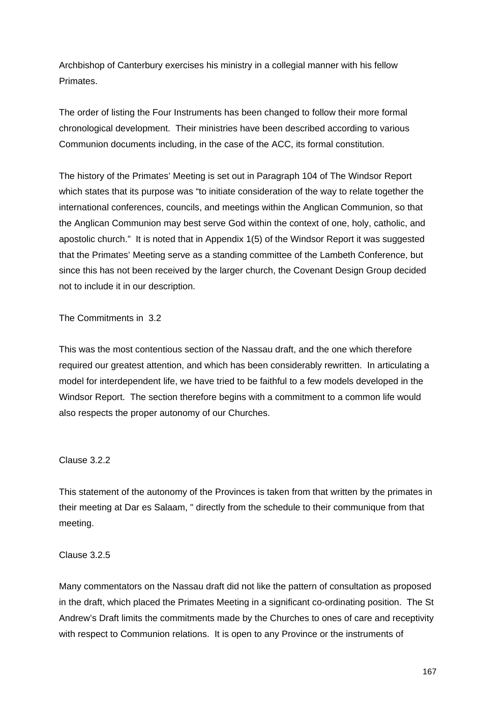Archbishop of Canterbury exercises his ministry in a collegial manner with his fellow Primates.

The order of listing the Four Instruments has been changed to follow their more formal chronological development. Their ministries have been described according to various Communion documents including, in the case of the ACC, its formal constitution.

The history of the Primates' Meeting is set out in Paragraph 104 of The Windsor Report which states that its purpose was "to initiate consideration of the way to relate together the international conferences, councils, and meetings within the Anglican Communion, so that the Anglican Communion may best serve God within the context of one, holy, catholic, and apostolic church." It is noted that in Appendix 1(5) of the Windsor Report it was suggested that the Primates' Meeting serve as a standing committee of the Lambeth Conference, but since this has not been received by the larger church, the Covenant Design Group decided not to include it in our description.

The Commitments in 3.2

This was the most contentious section of the Nassau draft, and the one which therefore required our greatest attention, and which has been considerably rewritten. In articulating a model for interdependent life, we have tried to be faithful to a few models developed in the Windsor Report. The section therefore begins with a commitment to a common life would also respects the proper autonomy of our Churches.

### Clause 3.2.2

This statement of the autonomy of the Provinces is taken from that written by the primates in their meeting at Dar es Salaam, " directly from the schedule to their communique from that meeting.

### Clause 3.2.5

Many commentators on the Nassau draft did not like the pattern of consultation as proposed in the draft, which placed the Primates Meeting in a significant co-ordinating position. The St Andrew's Draft limits the commitments made by the Churches to ones of care and receptivity with respect to Communion relations. It is open to any Province or the instruments of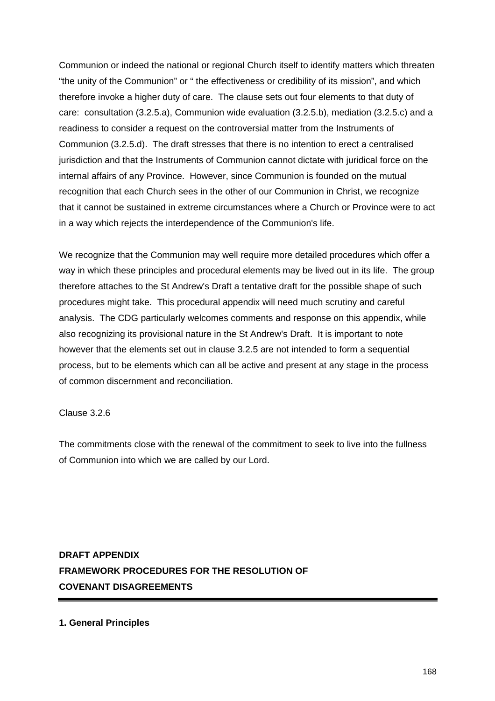Communion or indeed the national or regional Church itself to identify matters which threaten "the unity of the Communion" or " the effectiveness or credibility of its mission", and which therefore invoke a higher duty of care. The clause sets out four elements to that duty of care: consultation (3.2.5.a), Communion wide evaluation (3.2.5.b), mediation (3.2.5.c) and a readiness to consider a request on the controversial matter from the Instruments of Communion (3.2.5.d). The draft stresses that there is no intention to erect a centralised jurisdiction and that the Instruments of Communion cannot dictate with juridical force on the internal affairs of any Province. However, since Communion is founded on the mutual recognition that each Church sees in the other of our Communion in Christ, we recognize that it cannot be sustained in extreme circumstances where a Church or Province were to act in a way which rejects the interdependence of the Communion's life.

We recognize that the Communion may well require more detailed procedures which offer a way in which these principles and procedural elements may be lived out in its life. The group therefore attaches to the St Andrew's Draft a tentative draft for the possible shape of such procedures might take. This procedural appendix will need much scrutiny and careful analysis. The CDG particularly welcomes comments and response on this appendix, while also recognizing its provisional nature in the St Andrew's Draft. It is important to note however that the elements set out in clause 3.2.5 are not intended to form a sequential process, but to be elements which can all be active and present at any stage in the process of common discernment and reconciliation.

Clause 3.2.6

The commitments close with the renewal of the commitment to seek to live into the fullness of Communion into which we are called by our Lord.

**DRAFT APPENDIX FRAMEWORK PROCEDURES FOR THE RESOLUTION OF COVENANT DISAGREEMENTS**

**1. General Principles**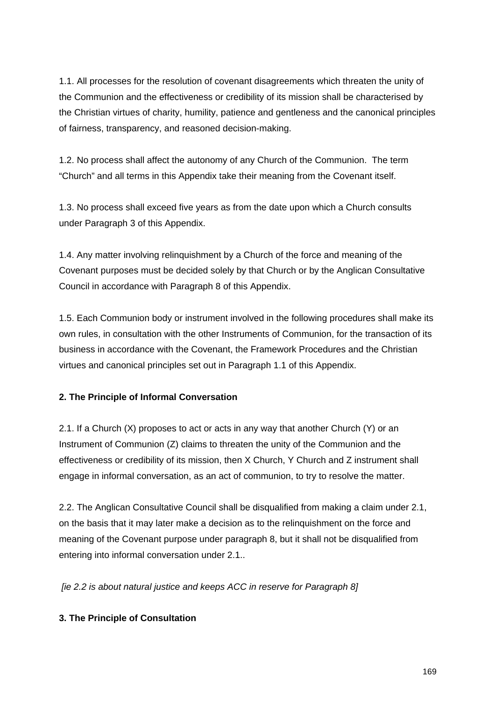1.1. All processes for the resolution of covenant disagreements which threaten the unity of the Communion and the effectiveness or credibility of its mission shall be characterised by the Christian virtues of charity, humility, patience and gentleness and the canonical principles of fairness, transparency, and reasoned decision-making.

1.2. No process shall affect the autonomy of any Church of the Communion. The term "Church" and all terms in this Appendix take their meaning from the Covenant itself.

1.3. No process shall exceed five years as from the date upon which a Church consults under Paragraph 3 of this Appendix.

1.4. Any matter involving relinquishment by a Church of the force and meaning of the Covenant purposes must be decided solely by that Church or by the Anglican Consultative Council in accordance with Paragraph 8 of this Appendix.

1.5. Each Communion body or instrument involved in the following procedures shall make its own rules, in consultation with the other Instruments of Communion, for the transaction of its business in accordance with the Covenant, the Framework Procedures and the Christian virtues and canonical principles set out in Paragraph 1.1 of this Appendix.

## **2. The Principle of Informal Conversation**

2.1. If a Church (X) proposes to act or acts in any way that another Church (Y) or an Instrument of Communion (Z) claims to threaten the unity of the Communion and the effectiveness or credibility of its mission, then X Church, Y Church and Z instrument shall engage in informal conversation, as an act of communion, to try to resolve the matter.

2.2. The Anglican Consultative Council shall be disqualified from making a claim under 2.1, on the basis that it may later make a decision as to the relinquishment on the force and meaning of the Covenant purpose under paragraph 8, but it shall not be disqualified from entering into informal conversation under 2.1..

 *[ie 2.2 is about natural justice and keeps ACC in reserve for Paragraph 8]* 

### **3. The Principle of Consultation**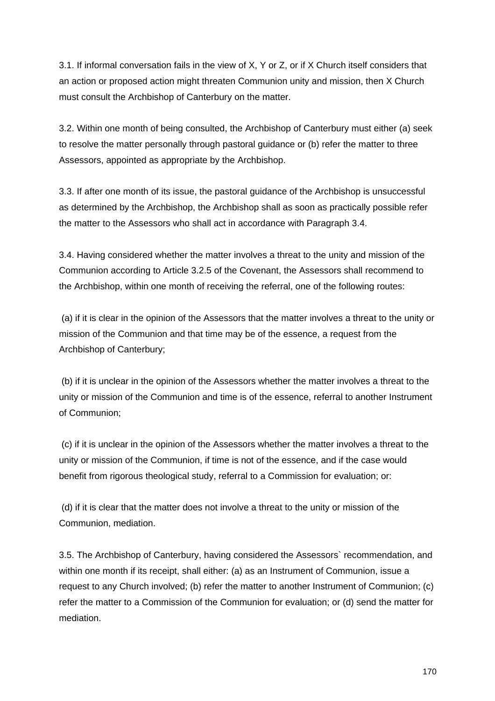3.1. If informal conversation fails in the view of X, Y or Z, or if X Church itself considers that an action or proposed action might threaten Communion unity and mission, then X Church must consult the Archbishop of Canterbury on the matter.

3.2. Within one month of being consulted, the Archbishop of Canterbury must either (a) seek to resolve the matter personally through pastoral guidance or (b) refer the matter to three Assessors, appointed as appropriate by the Archbishop.

3.3. If after one month of its issue, the pastoral guidance of the Archbishop is unsuccessful as determined by the Archbishop, the Archbishop shall as soon as practically possible refer the matter to the Assessors who shall act in accordance with Paragraph 3.4.

3.4. Having considered whether the matter involves a threat to the unity and mission of the Communion according to Article 3.2.5 of the Covenant, the Assessors shall recommend to the Archbishop, within one month of receiving the referral, one of the following routes:

 (a) if it is clear in the opinion of the Assessors that the matter involves a threat to the unity or mission of the Communion and that time may be of the essence, a request from the Archbishop of Canterbury;

 (b) if it is unclear in the opinion of the Assessors whether the matter involves a threat to the unity or mission of the Communion and time is of the essence, referral to another Instrument of Communion;

 (c) if it is unclear in the opinion of the Assessors whether the matter involves a threat to the unity or mission of the Communion, if time is not of the essence, and if the case would benefit from rigorous theological study, referral to a Commission for evaluation; or:

 (d) if it is clear that the matter does not involve a threat to the unity or mission of the Communion, mediation.

3.5. The Archbishop of Canterbury, having considered the Assessors` recommendation, and within one month if its receipt, shall either: (a) as an Instrument of Communion, issue a request to any Church involved; (b) refer the matter to another Instrument of Communion; (c) refer the matter to a Commission of the Communion for evaluation; or (d) send the matter for mediation.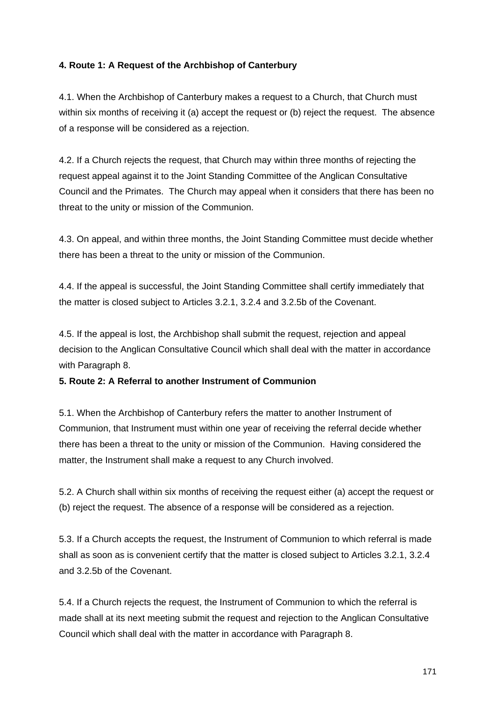## **4. Route 1: A Request of the Archbishop of Canterbury**

4.1. When the Archbishop of Canterbury makes a request to a Church, that Church must within six months of receiving it (a) accept the request or (b) reject the request. The absence of a response will be considered as a rejection.

4.2. If a Church rejects the request, that Church may within three months of rejecting the request appeal against it to the Joint Standing Committee of the Anglican Consultative Council and the Primates. The Church may appeal when it considers that there has been no threat to the unity or mission of the Communion.

4.3. On appeal, and within three months, the Joint Standing Committee must decide whether there has been a threat to the unity or mission of the Communion.

4.4. If the appeal is successful, the Joint Standing Committee shall certify immediately that the matter is closed subject to Articles 3.2.1, 3.2.4 and 3.2.5b of the Covenant.

4.5. If the appeal is lost, the Archbishop shall submit the request, rejection and appeal decision to the Anglican Consultative Council which shall deal with the matter in accordance with Paragraph 8.

### **5. Route 2: A Referral to another Instrument of Communion**

5.1. When the Archbishop of Canterbury refers the matter to another Instrument of Communion, that Instrument must within one year of receiving the referral decide whether there has been a threat to the unity or mission of the Communion. Having considered the matter, the Instrument shall make a request to any Church involved.

5.2. A Church shall within six months of receiving the request either (a) accept the request or (b) reject the request. The absence of a response will be considered as a rejection.

5.3. If a Church accepts the request, the Instrument of Communion to which referral is made shall as soon as is convenient certify that the matter is closed subject to Articles 3.2.1, 3.2.4 and 3.2.5b of the Covenant.

5.4. If a Church rejects the request, the Instrument of Communion to which the referral is made shall at its next meeting submit the request and rejection to the Anglican Consultative Council which shall deal with the matter in accordance with Paragraph 8.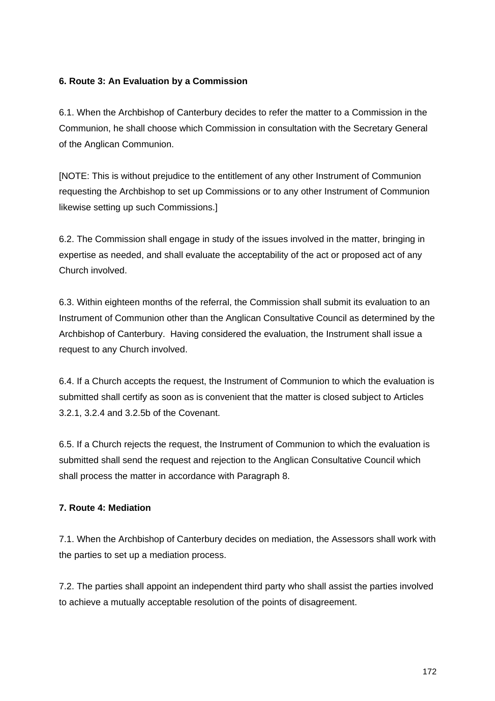## **6. Route 3: An Evaluation by a Commission**

6.1. When the Archbishop of Canterbury decides to refer the matter to a Commission in the Communion, he shall choose which Commission in consultation with the Secretary General of the Anglican Communion.

[NOTE: This is without prejudice to the entitlement of any other Instrument of Communion requesting the Archbishop to set up Commissions or to any other Instrument of Communion likewise setting up such Commissions.]

6.2. The Commission shall engage in study of the issues involved in the matter, bringing in expertise as needed, and shall evaluate the acceptability of the act or proposed act of any Church involved.

6.3. Within eighteen months of the referral, the Commission shall submit its evaluation to an Instrument of Communion other than the Anglican Consultative Council as determined by the Archbishop of Canterbury. Having considered the evaluation, the Instrument shall issue a request to any Church involved.

6.4. If a Church accepts the request, the Instrument of Communion to which the evaluation is submitted shall certify as soon as is convenient that the matter is closed subject to Articles 3.2.1, 3.2.4 and 3.2.5b of the Covenant.

6.5. If a Church rejects the request, the Instrument of Communion to which the evaluation is submitted shall send the request and rejection to the Anglican Consultative Council which shall process the matter in accordance with Paragraph 8.

### **7. Route 4: Mediation**

7.1. When the Archbishop of Canterbury decides on mediation, the Assessors shall work with the parties to set up a mediation process.

7.2. The parties shall appoint an independent third party who shall assist the parties involved to achieve a mutually acceptable resolution of the points of disagreement.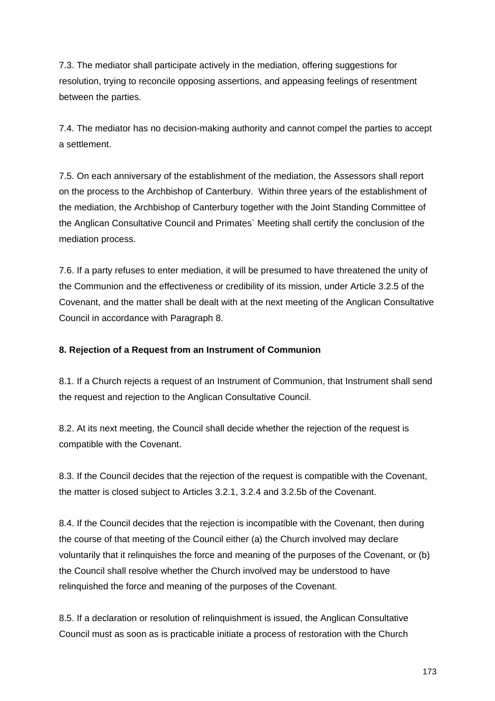7.3. The mediator shall participate actively in the mediation, offering suggestions for resolution, trying to reconcile opposing assertions, and appeasing feelings of resentment between the parties.

7.4. The mediator has no decision-making authority and cannot compel the parties to accept a settlement.

7.5. On each anniversary of the establishment of the mediation, the Assessors shall report on the process to the Archbishop of Canterbury. Within three years of the establishment of the mediation, the Archbishop of Canterbury together with the Joint Standing Committee of the Anglican Consultative Council and Primates` Meeting shall certify the conclusion of the mediation process.

7.6. If a party refuses to enter mediation, it will be presumed to have threatened the unity of the Communion and the effectiveness or credibility of its mission, under Article 3.2.5 of the Covenant, and the matter shall be dealt with at the next meeting of the Anglican Consultative Council in accordance with Paragraph 8.

## **8. Rejection of a Request from an Instrument of Communion**

8.1. If a Church rejects a request of an Instrument of Communion, that Instrument shall send the request and rejection to the Anglican Consultative Council.

8.2. At its next meeting, the Council shall decide whether the rejection of the request is compatible with the Covenant.

8.3. If the Council decides that the rejection of the request is compatible with the Covenant, the matter is closed subject to Articles 3.2.1, 3.2.4 and 3.2.5b of the Covenant.

8.4. If the Council decides that the rejection is incompatible with the Covenant, then during the course of that meeting of the Council either (a) the Church involved may declare voluntarily that it relinquishes the force and meaning of the purposes of the Covenant, or (b) the Council shall resolve whether the Church involved may be understood to have relinquished the force and meaning of the purposes of the Covenant.

8.5. If a declaration or resolution of relinquishment is issued, the Anglican Consultative Council must as soon as is practicable initiate a process of restoration with the Church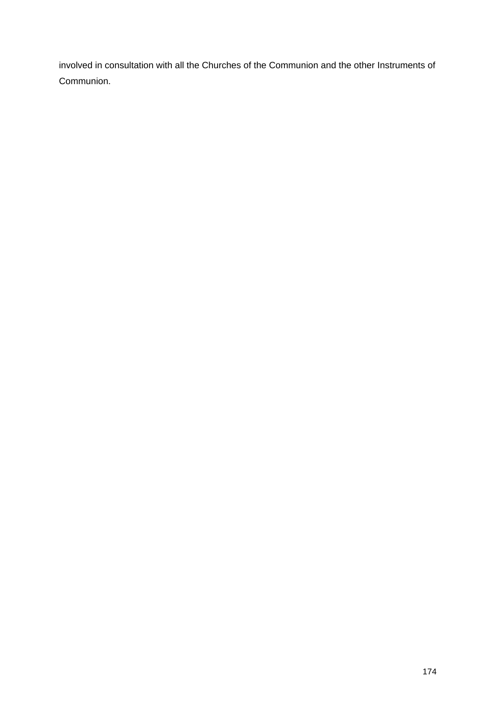involved in consultation with all the Churches of the Communion and the other Instruments of Communion.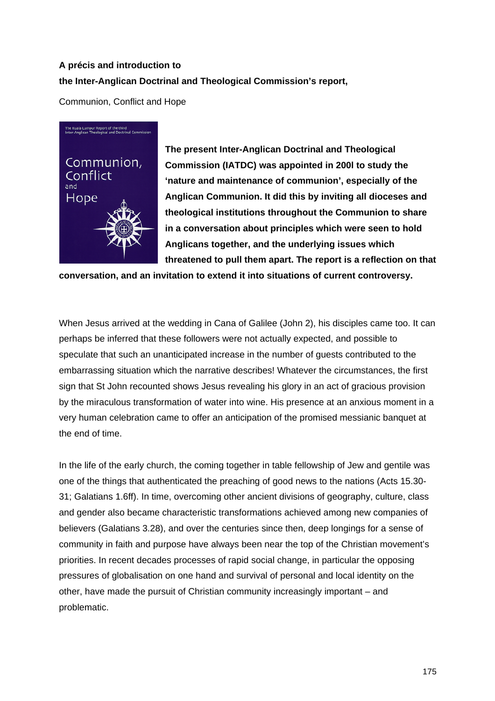# **A précis and introduction to the Inter-Anglican Doctrinal and Theological Commission's report,**

Communion, Conflict and Hope



**The present Inter-Anglican Doctrinal and Theological Commission (IATDC) was appointed in 200l to study the 'nature and maintenance of communion', especially of the Anglican Communion. It did this by inviting all dioceses and theological institutions throughout the Communion to share in a conversation about principles which were seen to hold Anglicans together, and the underlying issues which threatened to pull them apart. The report is a reflection on that** 

**conversation, and an invitation to extend it into situations of current controversy.** 

When Jesus arrived at the wedding in Cana of Galilee (John 2), his disciples came too. It can perhaps be inferred that these followers were not actually expected, and possible to speculate that such an unanticipated increase in the number of guests contributed to the embarrassing situation which the narrative describes! Whatever the circumstances, the first sign that St John recounted shows Jesus revealing his glory in an act of gracious provision by the miraculous transformation of water into wine. His presence at an anxious moment in a very human celebration came to offer an anticipation of the promised messianic banquet at the end of time.

In the life of the early church, the coming together in table fellowship of Jew and gentile was one of the things that authenticated the preaching of good news to the nations (Acts 15.30- 31; Galatians 1.6ff). In time, overcoming other ancient divisions of geography, culture, class and gender also became characteristic transformations achieved among new companies of believers (Galatians 3.28), and over the centuries since then, deep longings for a sense of community in faith and purpose have always been near the top of the Christian movement's priorities. In recent decades processes of rapid social change, in particular the opposing pressures of globalisation on one hand and survival of personal and local identity on the other, have made the pursuit of Christian community increasingly important – and problematic.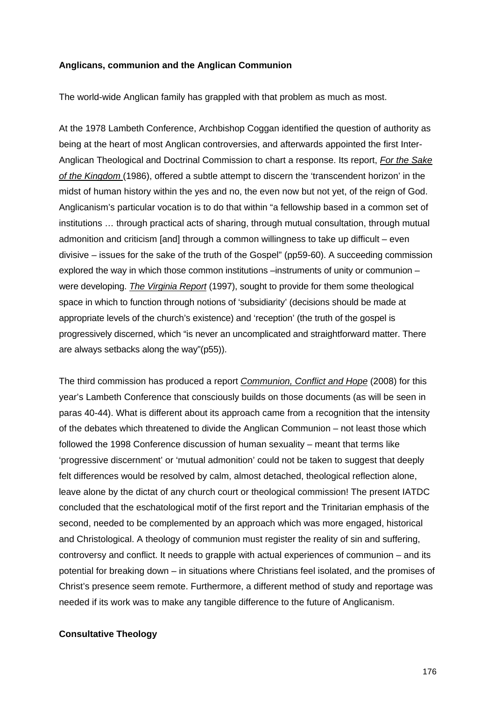#### **Anglicans, communion and the Anglican Communion**

The world-wide Anglican family has grappled with that problem as much as most.

At the 1978 Lambeth Conference, Archbishop Coggan identified the question of authority as being at the heart of most Anglican controversies, and afterwards appointed the first Inter-Anglican Theological and Doctrinal Commission to chart a response. Its report, *For the Sake of the Kingdom* (1986), offered a subtle attempt to discern the 'transcendent horizon' in the midst of human history within the yes and no, the even now but not yet, of the reign of God. Anglicanism's particular vocation is to do that within "a fellowship based in a common set of institutions … through practical acts of sharing, through mutual consultation, through mutual admonition and criticism [and] through a common willingness to take up difficult – even divisive – issues for the sake of the truth of the Gospel" (pp59-60). A succeeding commission explored the way in which those common institutions –instruments of unity or communion – were developing. *The Virginia Report* (1997), sought to provide for them some theological space in which to function through notions of 'subsidiarity' (decisions should be made at appropriate levels of the church's existence) and 'reception' (the truth of the gospel is progressively discerned, which "is never an uncomplicated and straightforward matter. There are always setbacks along the way"(p55)).

The third commission has produced a report *Communion, Conflict and Hope* (2008) for this year's Lambeth Conference that consciously builds on those documents (as will be seen in paras 40-44). What is different about its approach came from a recognition that the intensity of the debates which threatened to divide the Anglican Communion – not least those which followed the 1998 Conference discussion of human sexuality – meant that terms like 'progressive discernment' or 'mutual admonition' could not be taken to suggest that deeply felt differences would be resolved by calm, almost detached, theological reflection alone, leave alone by the dictat of any church court or theological commission! The present IATDC concluded that the eschatological motif of the first report and the Trinitarian emphasis of the second, needed to be complemented by an approach which was more engaged, historical and Christological. A theology of communion must register the reality of sin and suffering, controversy and conflict. It needs to grapple with actual experiences of communion – and its potential for breaking down – in situations where Christians feel isolated, and the promises of Christ's presence seem remote. Furthermore, a different method of study and reportage was needed if its work was to make any tangible difference to the future of Anglicanism.

#### **Consultative Theology**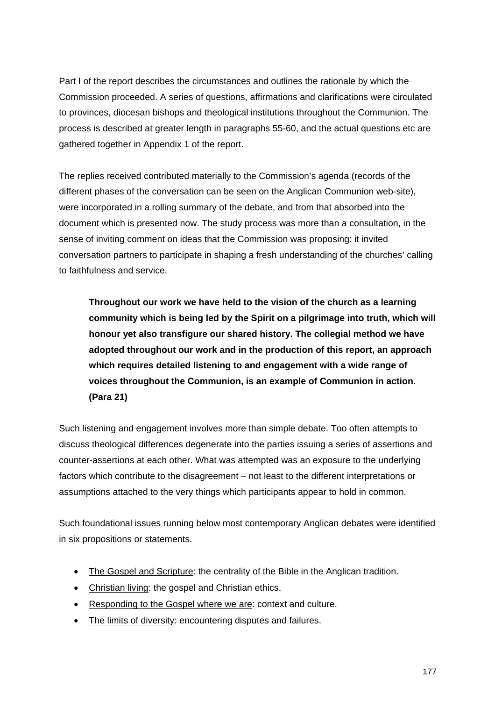Part I of the report describes the circumstances and outlines the rationale by which the Commission proceeded. A series of questions, affirmations and clarifications were circulated to provinces, diocesan bishops and theological institutions throughout the Communion. The process is described at greater length in paragraphs 55-60, and the actual questions etc are gathered together in Appendix 1 of the report.

The replies received contributed materially to the Commission's agenda (records of the different phases of the conversation can be seen on the Anglican Communion web-site), were incorporated in a rolling summary of the debate, and from that absorbed into the document which is presented now. The study process was more than a consultation, in the sense of inviting comment on ideas that the Commission was proposing: it invited conversation partners to participate in shaping a fresh understanding of the churches' calling to faithfulness and service.

**Throughout our work we have held to the vision of the church as a learning community which is being led by the Spirit on a pilgrimage into truth, which will honour yet also transfigure our shared history. The collegial method we have adopted throughout our work and in the production of this report, an approach which requires detailed listening to and engagement with a wide range of voices throughout the Communion, is an example of Communion in action. (Para 21)** 

Such listening and engagement involves more than simple debate. Too often attempts to discuss theological differences degenerate into the parties issuing a series of assertions and counter-assertions at each other. What was attempted was an exposure to the underlying factors which contribute to the disagreement – not least to the different interpretations or assumptions attached to the very things which participants appear to hold in common.

Such foundational issues running below most contemporary Anglican debates were identified in six propositions or statements.

- The Gospel and Scripture: the centrality of the Bible in the Anglican tradition.
- Christian living: the gospel and Christian ethics.
- Responding to the Gospel where we are: context and culture.
- The limits of diversity: encountering disputes and failures.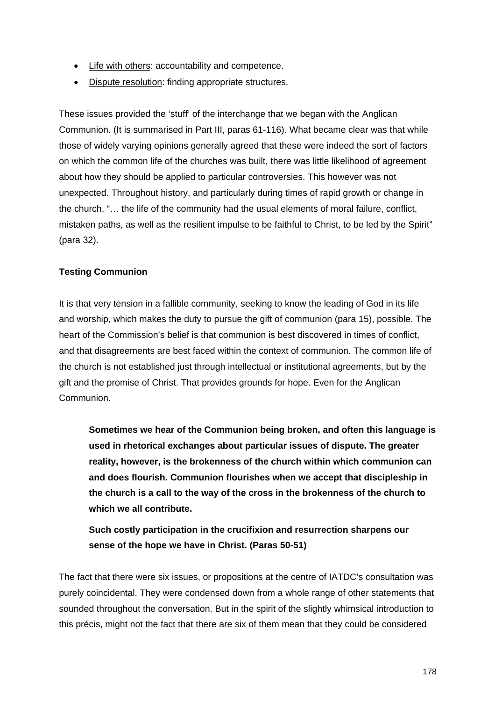- Life with others: accountability and competence.
- Dispute resolution: finding appropriate structures.

These issues provided the 'stuff' of the interchange that we began with the Anglican Communion. (It is summarised in Part III, paras 61-116). What became clear was that while those of widely varying opinions generally agreed that these were indeed the sort of factors on which the common life of the churches was built, there was little likelihood of agreement about how they should be applied to particular controversies. This however was not unexpected. Throughout history, and particularly during times of rapid growth or change in the church, "… the life of the community had the usual elements of moral failure, conflict, mistaken paths, as well as the resilient impulse to be faithful to Christ, to be led by the Spirit" (para 32).

## **Testing Communion**

It is that very tension in a fallible community, seeking to know the leading of God in its life and worship, which makes the duty to pursue the gift of communion (para 15), possible. The heart of the Commission's belief is that communion is best discovered in times of conflict, and that disagreements are best faced within the context of communion. The common life of the church is not established just through intellectual or institutional agreements, but by the gift and the promise of Christ. That provides grounds for hope. Even for the Anglican Communion.

**Sometimes we hear of the Communion being broken, and often this language is used in rhetorical exchanges about particular issues of dispute. The greater reality, however, is the brokenness of the church within which communion can and does flourish. Communion flourishes when we accept that discipleship in the church is a call to the way of the cross in the brokenness of the church to which we all contribute.** 

**Such costly participation in the crucifixion and resurrection sharpens our sense of the hope we have in Christ. (Paras 50-51)** 

The fact that there were six issues, or propositions at the centre of IATDC's consultation was purely coincidental. They were condensed down from a whole range of other statements that sounded throughout the conversation. But in the spirit of the slightly whimsical introduction to this précis, might not the fact that there are six of them mean that they could be considered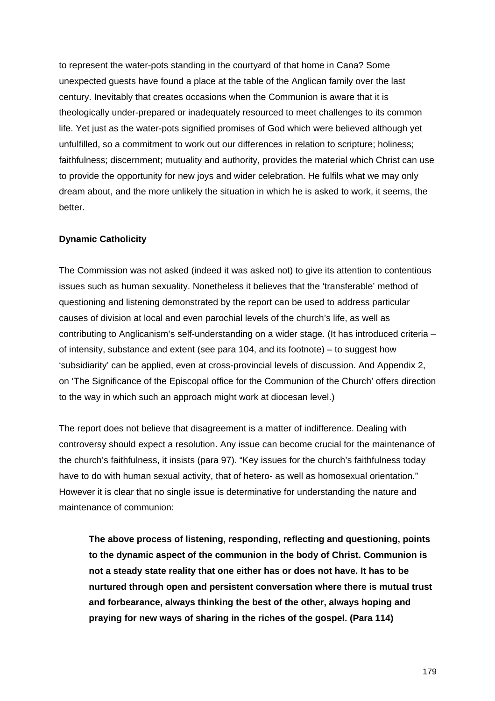to represent the water-pots standing in the courtyard of that home in Cana? Some unexpected guests have found a place at the table of the Anglican family over the last century. Inevitably that creates occasions when the Communion is aware that it is theologically under-prepared or inadequately resourced to meet challenges to its common life. Yet just as the water-pots signified promises of God which were believed although yet unfulfilled, so a commitment to work out our differences in relation to scripture; holiness; faithfulness; discernment; mutuality and authority, provides the material which Christ can use to provide the opportunity for new joys and wider celebration. He fulfils what we may only dream about, and the more unlikely the situation in which he is asked to work, it seems, the better.

#### **Dynamic Catholicity**

The Commission was not asked (indeed it was asked not) to give its attention to contentious issues such as human sexuality. Nonetheless it believes that the 'transferable' method of questioning and listening demonstrated by the report can be used to address particular causes of division at local and even parochial levels of the church's life, as well as contributing to Anglicanism's self-understanding on a wider stage. (It has introduced criteria – of intensity, substance and extent (see para 104, and its footnote) – to suggest how 'subsidiarity' can be applied, even at cross-provincial levels of discussion. And Appendix 2, on 'The Significance of the Episcopal office for the Communion of the Church' offers direction to the way in which such an approach might work at diocesan level.)

The report does not believe that disagreement is a matter of indifference. Dealing with controversy should expect a resolution. Any issue can become crucial for the maintenance of the church's faithfulness, it insists (para 97). "Key issues for the church's faithfulness today have to do with human sexual activity, that of hetero- as well as homosexual orientation." However it is clear that no single issue is determinative for understanding the nature and maintenance of communion:

**The above process of listening, responding, reflecting and questioning, points to the dynamic aspect of the communion in the body of Christ. Communion is not a steady state reality that one either has or does not have. It has to be nurtured through open and persistent conversation where there is mutual trust and forbearance, always thinking the best of the other, always hoping and praying for new ways of sharing in the riches of the gospel. (Para 114)**